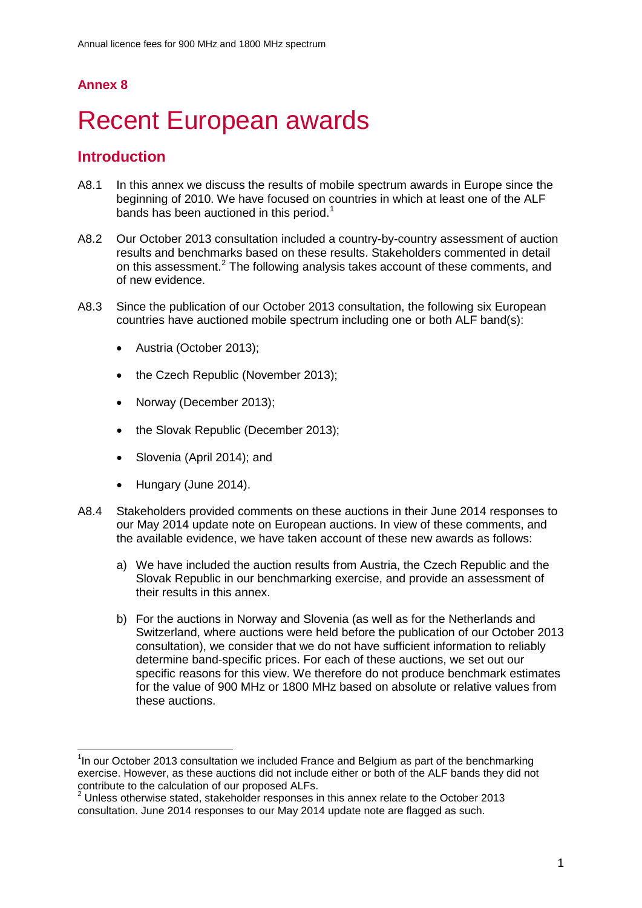# **Annex 8**

 $\overline{a}$ 

# **Recent European awards**

# **Introduction**

- A8.1 In this annex we discuss the results of mobile spectrum awards in Europe since the beginning of 2010. We have focused on countries in which at least one of the ALF bands has been auctioned in this period.<sup>[1](#page-0-0)</sup>
- A8.2 Our October 2013 consultation included a country-by-country assessment of auction results and benchmarks based on these results. Stakeholders commented in detail on this assessment.<sup>[2](#page-0-1)</sup> The following analysis takes account of these comments, and of new evidence.
- A8.3 Since the publication of our October 2013 consultation, the following six European countries have auctioned mobile spectrum including one or both ALF band(s):
	- Austria (October 2013);
	- the Czech Republic (November 2013);
	- Norway (December 2013);
	- the Slovak Republic (December 2013);
	- Slovenia (April 2014); and
	- Hungary (June 2014).
- A8.4 Stakeholders provided comments on these auctions in their June 2014 responses to our May 2014 update note on European auctions. In view of these comments, and the available evidence, we have taken account of these new awards as follows:
	- a) We have included the auction results from Austria, the Czech Republic and the Slovak Republic in our benchmarking exercise, and provide an assessment of their results in this annex.
	- b) For the auctions in Norway and Slovenia (as well as for the Netherlands and Switzerland, where auctions were held before the publication of our October 2013 consultation), we consider that we do not have sufficient information to reliably determine band-specific prices. For each of these auctions, we set out our specific reasons for this view. We therefore do not produce benchmark estimates for the value of 900 MHz or 1800 MHz based on absolute or relative values from these auctions.

<span id="page-0-0"></span><sup>&</sup>lt;sup>1</sup>In our October 2013 consultation we included France and Belgium as part of the benchmarking exercise. However, as these auctions did not include either or both of the ALF bands they did not contribute to the calculation of our proposed ALFs.

<span id="page-0-1"></span> $2$  Unless otherwise stated, stakeholder responses in this annex relate to the October 2013 consultation. June 2014 responses to our May 2014 update note are flagged as such.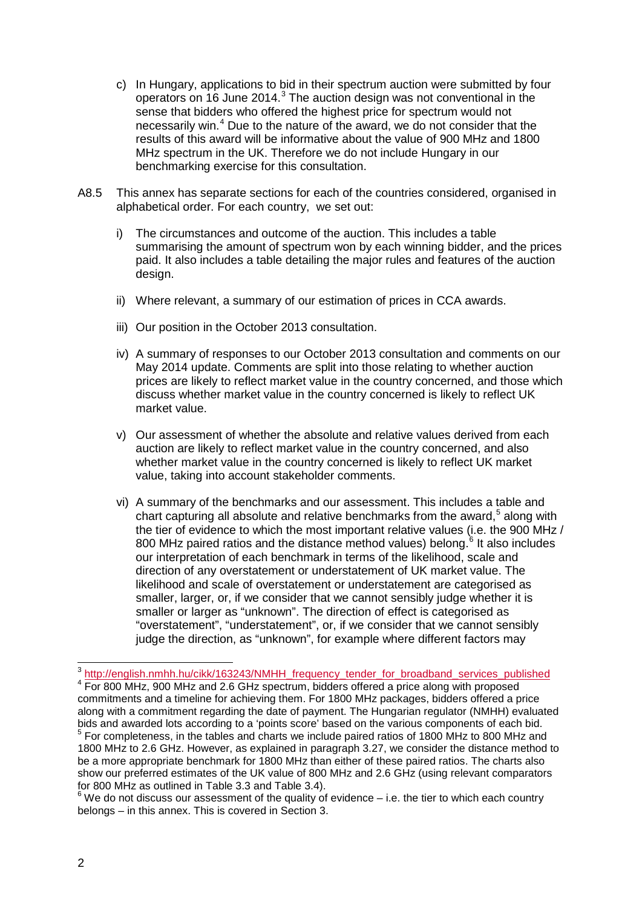- c) In Hungary, applications to bid in their spectrum auction were submitted by four operators on 16 June 2014.<sup>[3](#page-1-0)</sup> The auction design was not conventional in the sense that bidders who offered the highest price for spectrum would not necessarily win.[4](#page-1-1) Due to the nature of the award, we do not consider that the results of this award will be informative about the value of 900 MHz and 1800 MHz spectrum in the UK. Therefore we do not include Hungary in our benchmarking exercise for this consultation.
- A8.5 This annex has separate sections for each of the countries considered, organised in alphabetical order. For each country, we set out:
	- i) The circumstances and outcome of the auction. This includes a table summarising the amount of spectrum won by each winning bidder, and the prices paid. It also includes a table detailing the major rules and features of the auction design.
	- ii) Where relevant, a summary of our estimation of prices in CCA awards.
	- iii) Our position in the October 2013 consultation.
	- iv) A summary of responses to our October 2013 consultation and comments on our May 2014 update. Comments are split into those relating to whether auction prices are likely to reflect market value in the country concerned, and those which discuss whether market value in the country concerned is likely to reflect UK market value.
	- v) Our assessment of whether the absolute and relative values derived from each auction are likely to reflect market value in the country concerned, and also whether market value in the country concerned is likely to reflect UK market value, taking into account stakeholder comments.
	- vi) A summary of the benchmarks and our assessment. This includes a table and chart capturing all absolute and relative benchmarks from the award.<sup>[5](#page-1-2)</sup> along with the tier of evidence to which the most important relative values (i.e. the 900 MHz / 800 MHz paired ratios and the distance method values) belong.<sup> $6$ </sup> It also includes our interpretation of each benchmark in terms of the likelihood, scale and direction of any overstatement or understatement of UK market value. The likelihood and scale of overstatement or understatement are categorised as smaller, larger, or, if we consider that we cannot sensibly judge whether it is smaller or larger as "unknown". The direction of effect is categorised as "overstatement", "understatement", or, if we consider that we cannot sensibly judge the direction, as "unknown", for example where different factors may

 $\overline{a}$ 

<span id="page-1-1"></span><span id="page-1-0"></span><sup>&</sup>lt;sup>3</sup> [http://english.nmhh.hu/cikk/163243/NMHH\\_frequency\\_tender\\_for\\_broadband\\_services\\_published](http://english.nmhh.hu/cikk/163243/NMHH_frequency_tender_for_broadband_services_published) <sup>4</sup> For 800 MHz, 900 MHz and 2.6 GHz spectrum, bidders offered a price along with proposed commitments and a timeline for achieving them. For 1800 MHz packages, bidders offered a price along with a commitment regarding the date of payment. The Hungarian regulator (NMHH) evaluated bids and awarded lots according to a 'points score' based on the various components of each bid.<br><sup>5</sup> For completeness, in the tables and charts we include paired ratios of 1800 MHz to 800 MHz and 1800 MHz to 2.6 GHz. However, as explained in paragraph 3.27, we consider the distance method to be a more appropriate benchmark for 1800 MHz than either of these paired ratios. The charts also show our preferred estimates of the UK value of 800 MHz and 2.6 GHz (using relevant comparators for 800 MHz as outlined in Table 3.3 and Table 3.4).

<span id="page-1-3"></span><span id="page-1-2"></span> $6$  We do not discuss our assessment of the quality of evidence – i.e. the tier to which each country belongs – in this annex. This is covered in Section 3.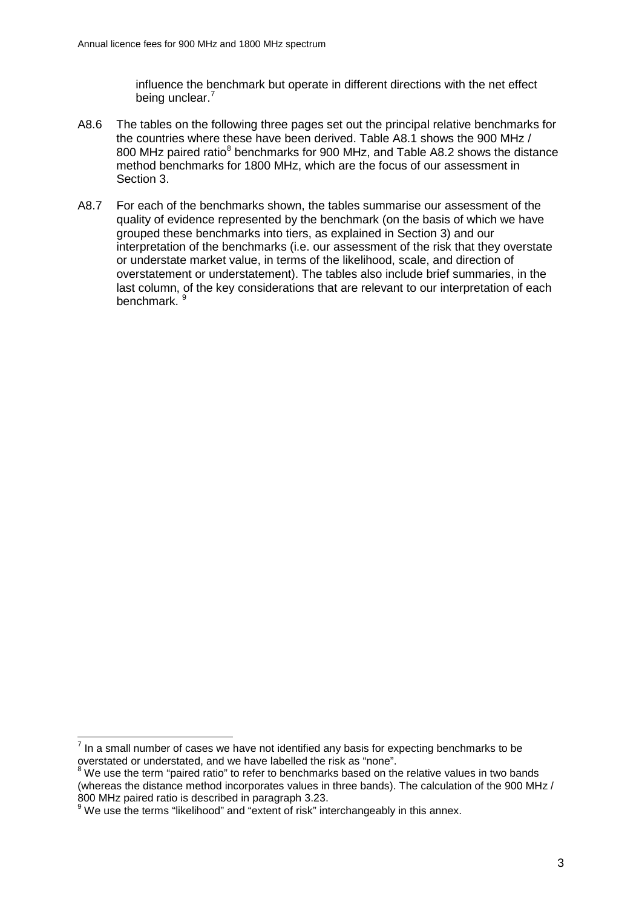influence the benchmark but operate in different directions with the net effect being unclear.<sup>[7](#page-2-0)</sup>

- A8.6 The tables on the following three pages set out the principal relative benchmarks for the countries where these have been derived. Table A8.1 shows the 900 MHz / [8](#page-2-1)00 MHz paired ratio<sup>8</sup> benchmarks for 900 MHz, and Table A8.2 shows the distance method benchmarks for 1800 MHz, which are the focus of our assessment in Section 3.
- A8.7 For each of the benchmarks shown, the tables summarise our assessment of the quality of evidence represented by the benchmark (on the basis of which we have grouped these benchmarks into tiers, as explained in Section 3) and our interpretation of the benchmarks (i.e. our assessment of the risk that they overstate or understate market value, in terms of the likelihood, scale, and direction of overstatement or understatement). The tables also include brief summaries, in the last column, of the key considerations that are relevant to our interpretation of each benchmark.<sup>[9](#page-2-2)</sup>

 $\overline{a}$ 

<span id="page-2-0"></span> $<sup>7</sup>$  In a small number of cases we have not identified any basis for expecting benchmarks to be</sup> overstated or understated, and we have labelled the risk as "none".

<span id="page-2-1"></span> $8$  We use the term "paired ratio" to refer to benchmarks based on the relative values in two bands (whereas the distance method incorporates values in three bands). The calculation of the 900 MHz /<br>800 MHz paired ratio is described in paragraph 3.23.

<span id="page-2-2"></span><sup>800</sup> MHz paired ratio is described in paragraph 3.23. 9 We use the terms "likelihood" and "extent of risk" interchangeably in this annex.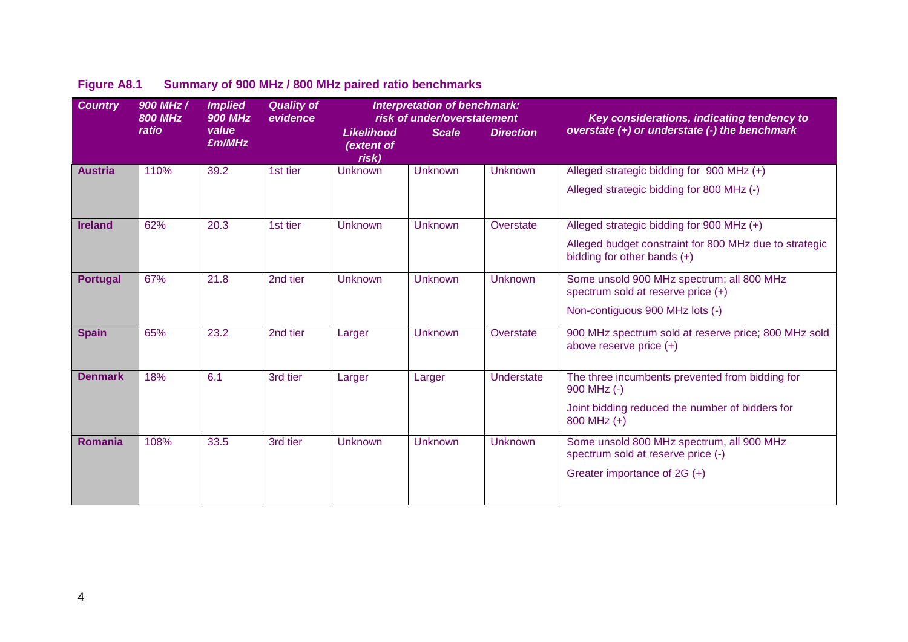| <b>Country</b>  | 900 MHz /<br><b>800 MHz</b> | <b>Implied</b><br><b>900 MHz</b> | <b>Quality of</b><br>evidence |                                          | <b>Interpretation of benchmark:</b><br>risk of under/overstatement |                  | Key considerations, indicating tendency to                                            |
|-----------------|-----------------------------|----------------------------------|-------------------------------|------------------------------------------|--------------------------------------------------------------------|------------------|---------------------------------------------------------------------------------------|
|                 | ratio                       | value<br>£m/MHz                  |                               | <b>Likelihood</b><br>(extent of<br>risk) | <b>Scale</b>                                                       | <b>Direction</b> | overstate (+) or understate (-) the benchmark                                         |
| <b>Austria</b>  | 110%                        | 39.2                             | 1st tier                      | <b>Unknown</b>                           | <b>Unknown</b>                                                     | <b>Unknown</b>   | Alleged strategic bidding for 900 MHz (+)                                             |
|                 |                             |                                  |                               |                                          |                                                                    |                  | Alleged strategic bidding for 800 MHz (-)                                             |
| <b>Ireland</b>  | 62%                         | 20.3                             | 1st tier                      | <b>Unknown</b>                           | <b>Unknown</b>                                                     | Overstate        | Alleged strategic bidding for 900 MHz (+)                                             |
|                 |                             |                                  |                               |                                          |                                                                    |                  | Alleged budget constraint for 800 MHz due to strategic<br>bidding for other bands (+) |
| <b>Portugal</b> | 67%                         | 21.8                             | 2nd tier                      | <b>Unknown</b>                           | <b>Unknown</b>                                                     | Unknown          | Some unsold 900 MHz spectrum; all 800 MHz<br>spectrum sold at reserve price $(+)$     |
|                 |                             |                                  |                               |                                          |                                                                    |                  | Non-contiguous 900 MHz lots (-)                                                       |
| <b>Spain</b>    | 65%                         | 23.2                             | 2nd tier                      | Larger                                   | <b>Unknown</b>                                                     | Overstate        | 900 MHz spectrum sold at reserve price; 800 MHz sold<br>above reserve price (+)       |
| <b>Denmark</b>  | 18%                         | 6.1                              | 3rd tier                      | Larger                                   | Larger                                                             | Understate       | The three incumbents prevented from bidding for<br>900 MHz (-)                        |
|                 |                             |                                  |                               |                                          |                                                                    |                  | Joint bidding reduced the number of bidders for<br>800 MHz (+)                        |
| <b>Romania</b>  | 108%                        | 33.5                             | 3rd tier                      | <b>Unknown</b>                           | <b>Unknown</b>                                                     | <b>Unknown</b>   | Some unsold 800 MHz spectrum, all 900 MHz<br>spectrum sold at reserve price (-)       |
|                 |                             |                                  |                               |                                          |                                                                    |                  | Greater importance of 2G (+)                                                          |

# **Figure A8.1 Summary of 900 MHz / 800 MHz paired ratio benchmarks**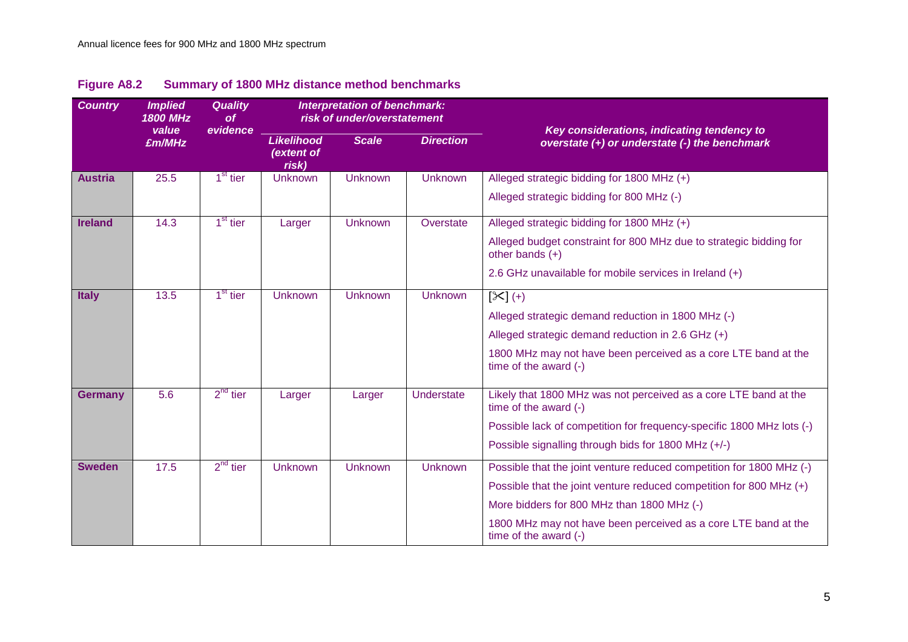| <b>Country</b> | <b>Implied</b><br><b>1800 MHz</b> | <b>Quality</b><br><b>of</b> |                                          | <b>Interpretation of benchmark:</b><br>risk of under/overstatement |                  |                                                                                             |
|----------------|-----------------------------------|-----------------------------|------------------------------------------|--------------------------------------------------------------------|------------------|---------------------------------------------------------------------------------------------|
|                | value<br>£m/MHz                   | evidence                    | <b>Likelihood</b><br>(extent of<br>risk) | <b>Scale</b>                                                       | <b>Direction</b> | Key considerations, indicating tendency to<br>overstate (+) or understate (-) the benchmark |
| <b>Austria</b> | 25.5                              | 1 <sup>st</sup> tier        | Unknown                                  | <b>Unknown</b>                                                     | <b>Unknown</b>   | Alleged strategic bidding for 1800 MHz (+)                                                  |
|                |                                   |                             |                                          |                                                                    |                  | Alleged strategic bidding for 800 MHz (-)                                                   |
| <b>Ireland</b> | 14.3                              | $1st$ tier                  | Larger                                   | Unknown                                                            | Overstate        | Alleged strategic bidding for 1800 MHz (+)                                                  |
|                |                                   |                             |                                          |                                                                    |                  | Alleged budget constraint for 800 MHz due to strategic bidding for<br>other bands $(+)$     |
|                |                                   |                             |                                          |                                                                    |                  | 2.6 GHz unavailable for mobile services in Ireland (+)                                      |
| <b>Italy</b>   | 13.5                              | 1 <sup>st</sup> tier        | <b>Unknown</b>                           | <b>Unknown</b>                                                     | <b>Unknown</b>   | $[\times]$ (+)                                                                              |
|                |                                   |                             |                                          |                                                                    |                  | Alleged strategic demand reduction in 1800 MHz (-)                                          |
|                |                                   |                             |                                          |                                                                    |                  | Alleged strategic demand reduction in 2.6 GHz (+)                                           |
|                |                                   |                             |                                          |                                                                    |                  | 1800 MHz may not have been perceived as a core LTE band at the<br>time of the award (-)     |
| <b>Germany</b> | 5.6                               | $2^{nd}$ tier               | Larger                                   | Larger                                                             | Understate       | Likely that 1800 MHz was not perceived as a core LTE band at the<br>time of the award (-)   |
|                |                                   |                             |                                          |                                                                    |                  | Possible lack of competition for frequency-specific 1800 MHz lots (-)                       |
|                |                                   |                             |                                          |                                                                    |                  | Possible signalling through bids for 1800 MHz (+/-)                                         |
| <b>Sweden</b>  | 17.5                              | $2^{nd}$ tier               | <b>Unknown</b>                           | <b>Unknown</b>                                                     | <b>Unknown</b>   | Possible that the joint venture reduced competition for 1800 MHz (-)                        |
|                |                                   |                             |                                          |                                                                    |                  | Possible that the joint venture reduced competition for 800 MHz (+)                         |
|                |                                   |                             |                                          |                                                                    |                  | More bidders for 800 MHz than 1800 MHz (-)                                                  |
|                |                                   |                             |                                          |                                                                    |                  | 1800 MHz may not have been perceived as a core LTE band at the<br>time of the award (-)     |

# **Figure A8.2 Summary of 1800 MHz distance method benchmarks**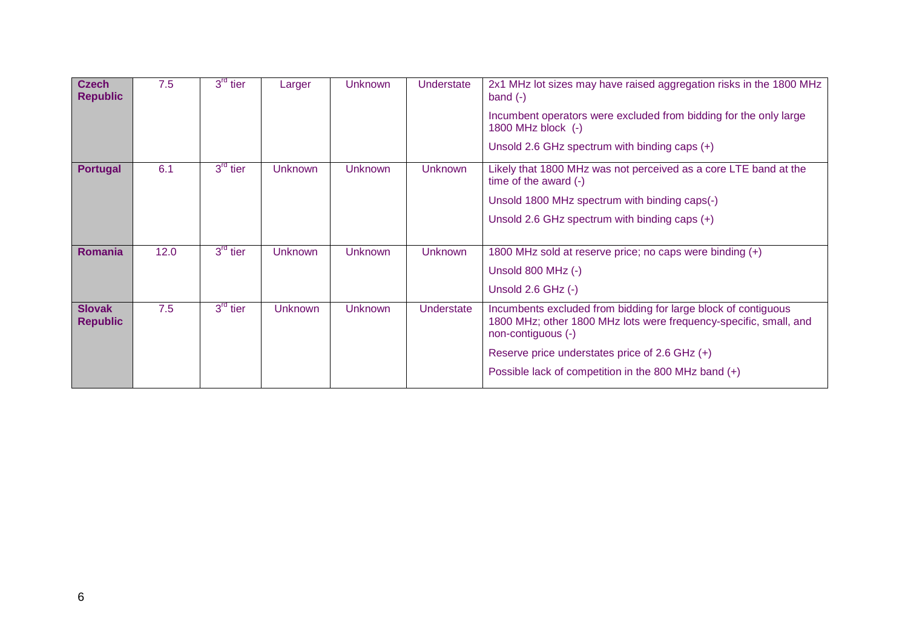| <b>Czech</b><br><b>Republic</b>  | 7.5  | $3^{rd}$ tier | Larger         | <b>Unknown</b> | <b>Understate</b> | 2x1 MHz lot sizes may have raised aggregation risks in the 1800 MHz<br>band $(-)$<br>Incumbent operators were excluded from bidding for the only large<br>1800 MHz block (-)<br>Unsold 2.6 GHz spectrum with binding caps $(+)$                                       |
|----------------------------------|------|---------------|----------------|----------------|-------------------|-----------------------------------------------------------------------------------------------------------------------------------------------------------------------------------------------------------------------------------------------------------------------|
| <b>Portugal</b>                  | 6.1  | $3rd$ tier    | <b>Unknown</b> | <b>Unknown</b> | <b>Unknown</b>    | Likely that 1800 MHz was not perceived as a core LTE band at the<br>time of the award (-)<br>Unsold 1800 MHz spectrum with binding caps(-)<br>Unsold 2.6 GHz spectrum with binding caps $(+)$                                                                         |
| <b>Romania</b>                   | 12.0 | $3rd$ tier    | <b>Unknown</b> | <b>Unknown</b> | <b>Unknown</b>    | 1800 MHz sold at reserve price; no caps were binding (+)<br>Unsold 800 MHz (-)<br>Unsold $2.6$ GHz $(-)$                                                                                                                                                              |
| <b>Slovak</b><br><b>Republic</b> | 7.5  | $3rd$ tier    | <b>Unknown</b> | <b>Unknown</b> | Understate        | Incumbents excluded from bidding for large block of contiguous<br>1800 MHz; other 1800 MHz lots were frequency-specific, small, and<br>non-contiguous (-)<br>Reserve price understates price of 2.6 GHz $(+)$<br>Possible lack of competition in the 800 MHz band (+) |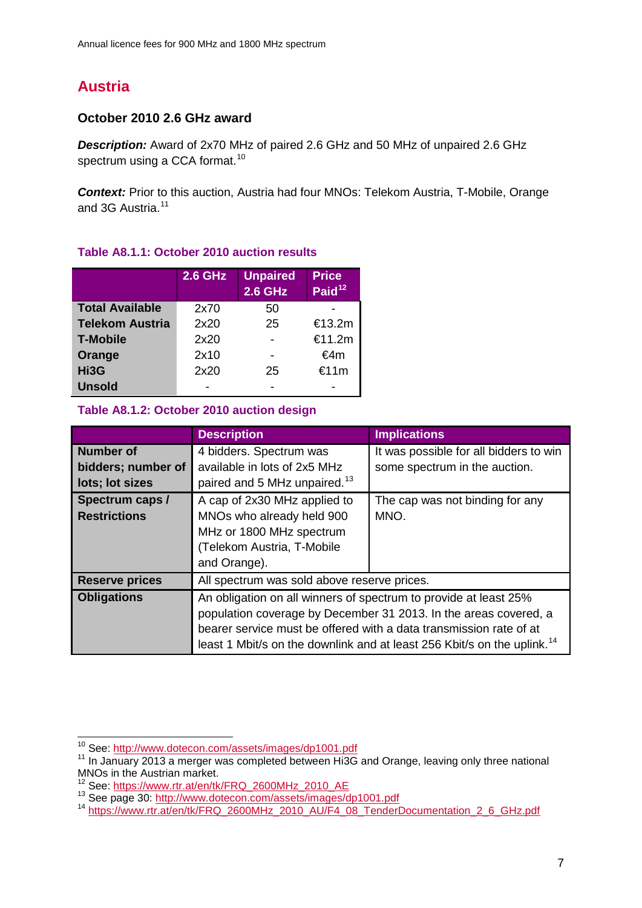# **Austria**

# **October 2010 2.6 GHz award**

*Description:* Award of 2x70 MHz of paired 2.6 GHz and 50 MHz of unpaired 2.6 GHz spectrum using a CCA format.<sup>[10](#page-6-0)</sup>

*Context:* Prior to this auction, Austria had four MNOs: Telekom Austria, T-Mobile, Orange and 3G Austria.<sup>[11](#page-6-1)</sup>

|                        | <b>2.6 GHz</b> | <b>Unpaired</b><br><b>2.6 GHz</b> | <b>Price</b><br>Paid <sup>12</sup> |
|------------------------|----------------|-----------------------------------|------------------------------------|
| <b>Total Available</b> | 2x70           | 50                                |                                    |
| <b>Telekom Austria</b> | 2x20           | 25                                | €13.2m                             |
| <b>T-Mobile</b>        | 2x20           |                                   | €11.2m                             |
| Orange                 | 2x10           |                                   | €4m                                |
| Hi3G                   | 2x20           | 25                                | €11m                               |
| <b>Unsold</b>          |                |                                   |                                    |

# **Table A8.1.1: October 2010 auction results**

# **Table A8.1.2: October 2010 auction design**

|                       | <b>Description</b>                                                 | <b>Implications</b>                                                                 |  |  |  |
|-----------------------|--------------------------------------------------------------------|-------------------------------------------------------------------------------------|--|--|--|
| <b>Number of</b>      | 4 bidders. Spectrum was                                            | It was possible for all bidders to win                                              |  |  |  |
| bidders; number of    | available in lots of 2x5 MHz                                       | some spectrum in the auction.                                                       |  |  |  |
| lots; lot sizes       | paired and 5 MHz unpaired. <sup>13</sup>                           |                                                                                     |  |  |  |
| Spectrum caps /       | A cap of 2x30 MHz applied to                                       | The cap was not binding for any                                                     |  |  |  |
| <b>Restrictions</b>   | MNOs who already held 900                                          | MNO.                                                                                |  |  |  |
|                       | MHz or 1800 MHz spectrum                                           |                                                                                     |  |  |  |
|                       | (Telekom Austria, T-Mobile                                         |                                                                                     |  |  |  |
|                       | and Orange).                                                       |                                                                                     |  |  |  |
| <b>Reserve prices</b> | All spectrum was sold above reserve prices.                        |                                                                                     |  |  |  |
| <b>Obligations</b>    | An obligation on all winners of spectrum to provide at least 25%   |                                                                                     |  |  |  |
|                       | population coverage by December 31 2013. In the areas covered, a   |                                                                                     |  |  |  |
|                       | bearer service must be offered with a data transmission rate of at |                                                                                     |  |  |  |
|                       |                                                                    | least 1 Mbit/s on the downlink and at least 256 Kbit/s on the uplink. <sup>14</sup> |  |  |  |

<span id="page-6-0"></span><sup>&</sup>lt;sup>10</sup> See: http://www.dotecon.com/assets/images/dp1001.pdf

<span id="page-6-1"></span><sup>&</sup>lt;sup>11</sup> In January 2013 a merger was completed between Hi3G and Orange, leaving only three national MNOs in the Austrian market.<br><sup>12</sup> See: https://www.rtr.at/en/tk/FRQ 2600MHz 2010 AE

<span id="page-6-4"></span><span id="page-6-3"></span><span id="page-6-2"></span><sup>13</sup> See page 30: http://www.rtr.at/en/tk/FRQ\_2600MHz\_2010\_AU/F4\_08\_TenderDocumentation\_2\_6\_GHz.pdf<br><sup>14</sup> https://www.rtr.at/en/tk/FRQ\_2600<u>MHz\_2010\_AU/F4\_08\_TenderDocumentation\_2\_6\_GHz.pdf</u>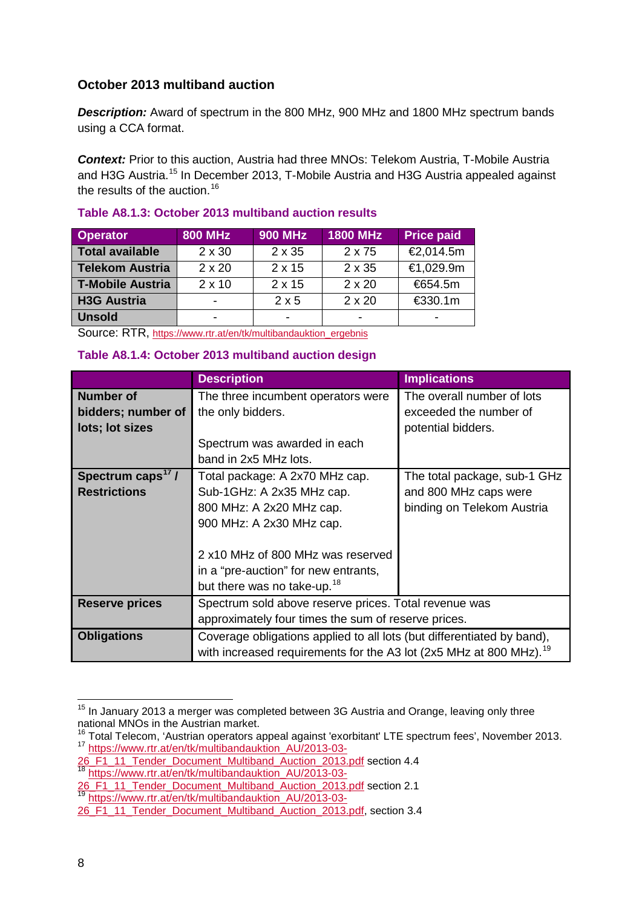# **October 2013 multiband auction**

*Description:* Award of spectrum in the 800 MHz, 900 MHz and 1800 MHz spectrum bands using a CCA format.

*Context:* Prior to this auction, Austria had three MNOs: Telekom Austria, T-Mobile Austria and H3G Austria.<sup>[15](#page-7-0)</sup> In December 2013, T-Mobile Austria and H3G Austria appealed against the results of the auction.<sup>[16](#page-7-1)</sup>

| <b>Operator</b>         | <b>800 MHz</b> | <b>900 MHz</b> | <b>1800 MHz</b> | <b>Price paid</b> |
|-------------------------|----------------|----------------|-----------------|-------------------|
| <b>Total available</b>  | $2 \times 30$  | 2 x 35         | 2 x 75          | €2,014.5m         |
| <b>Telekom Austria</b>  | $2 \times 20$  | $2 \times 15$  | 2 x 35          | €1,029.9m         |
| <b>T-Mobile Austria</b> | $2 \times 10$  | $2 \times 15$  | $2 \times 20$   | €654.5m           |
| <b>H3G Austria</b>      | -              | $2 \times 5$   | $2 \times 20$   | €330.1m           |
| <b>Unsold</b>           | -              |                |                 |                   |

### **Table A8.1.3: October 2013 multiband auction results**

Source: RTR, [https://www.rtr.at/en/tk/multibandauktion\\_ergebnis](https://www.rtr.at/en/tk/multibandauktion_ergebnis)

### **Table A8.1.4: October 2013 multiband auction design**

|                                                           | <b>Description</b>                                                                                                                                                                                                                          | <b>Implications</b>                                                                 |  |  |
|-----------------------------------------------------------|---------------------------------------------------------------------------------------------------------------------------------------------------------------------------------------------------------------------------------------------|-------------------------------------------------------------------------------------|--|--|
| <b>Number of</b><br>bidders; number of<br>lots; lot sizes | The three incumbent operators were<br>the only bidders.<br>Spectrum was awarded in each<br>band in 2x5 MHz lots.                                                                                                                            | The overall number of lots<br>exceeded the number of<br>potential bidders.          |  |  |
| Spectrum caps <sup>17</sup> /<br><b>Restrictions</b>      | Total package: A 2x70 MHz cap.<br>Sub-1GHz: A 2x35 MHz cap.<br>800 MHz: A 2x20 MHz cap.<br>900 MHz: A 2x30 MHz cap.<br>2 x10 MHz of 800 MHz was reserved<br>in a "pre-auction" for new entrants,<br>but there was no take-up. <sup>18</sup> | The total package, sub-1 GHz<br>and 800 MHz caps were<br>binding on Telekom Austria |  |  |
| <b>Reserve prices</b>                                     | Spectrum sold above reserve prices. Total revenue was<br>approximately four times the sum of reserve prices.                                                                                                                                |                                                                                     |  |  |
| <b>Obligations</b>                                        | Coverage obligations applied to all lots (but differentiated by band),<br>with increased requirements for the A3 lot (2x5 MHz at 800 MHz). <sup>19</sup>                                                                                    |                                                                                     |  |  |

<span id="page-7-0"></span><sup>&</sup>lt;sup>15</sup> In January 2013 a merger was completed between 3G Austria and Orange, leaving only three national MNOs in the Austrian market.  $\overline{a}$ 

<span id="page-7-2"></span><span id="page-7-1"></span> $^{16}_{-2}$  Total Telecom, 'Austrian operators appeal against 'exorbitant' LTE spectrum fees', November 2013. <sup>17</sup> [https://www.rtr.at/en/tk/multibandauktion\\_AU/2013-03-](https://www.rtr.at/en/tk/multibandauktion_AU/2013-03-26_F1_11_Tender_Document_Multiband_Auction_2013.pdf)

[<sup>26</sup>\\_F1\\_11\\_Tender\\_Document\\_Multiband\\_Auction\\_2013.pdf](https://www.rtr.at/en/tk/multibandauktion_AU/2013-03-26_F1_11_Tender_Document_Multiband_Auction_2013.pdf) section 4.4 <sup>18</sup> [https://www.rtr.at/en/tk/multibandauktion\\_AU/2013-03-](https://www.rtr.at/en/tk/multibandauktion_AU/2013-03-26_F1_11_Tender_Document_Multiband_Auction_2013.pdf)

<span id="page-7-3"></span><sup>26</sup> F1\_11\_Tender\_Document\_Multiband\_Auction\_2013.pdf section 2.1

<span id="page-7-4"></span><sup>19</sup> [https://www.rtr.at/en/tk/multibandauktion\\_AU/2013-03-](https://www.rtr.at/en/tk/multibandauktion_AU/2013-03-26_F1_11_Tender_Document_Multiband_Auction_2013.pdf)

<sup>26&</sup>lt;sup>F1</sup> 11 Tender Document Multiband Auction 2013.pdf, section 3.4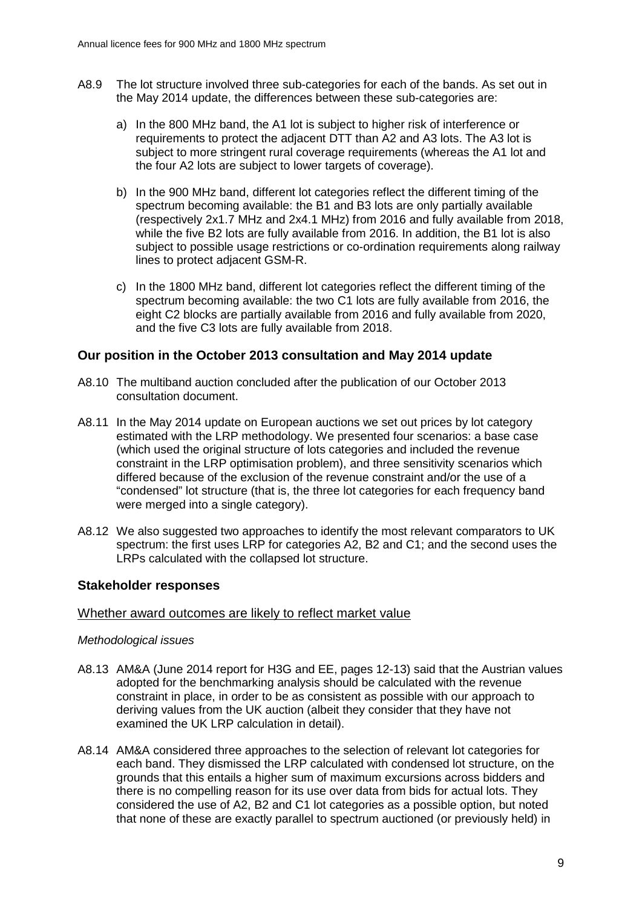- A8.9 The lot structure involved three sub-categories for each of the bands. As set out in the May 2014 update, the differences between these sub-categories are:
	- a) In the 800 MHz band, the A1 lot is subject to higher risk of interference or requirements to protect the adjacent DTT than A2 and A3 lots. The A3 lot is subject to more stringent rural coverage requirements (whereas the A1 lot and the four A2 lots are subject to lower targets of coverage).
	- b) In the 900 MHz band, different lot categories reflect the different timing of the spectrum becoming available: the B1 and B3 lots are only partially available (respectively 2x1.7 MHz and 2x4.1 MHz) from 2016 and fully available from 2018, while the five B2 lots are fully available from 2016. In addition, the B1 lot is also subject to possible usage restrictions or co-ordination requirements along railway lines to protect adjacent GSM-R.
	- c) In the 1800 MHz band, different lot categories reflect the different timing of the spectrum becoming available: the two C1 lots are fully available from 2016, the eight C2 blocks are partially available from 2016 and fully available from 2020, and the five C3 lots are fully available from 2018.

### **Our position in the October 2013 consultation and May 2014 update**

- A8.10 The multiband auction concluded after the publication of our October 2013 consultation document.
- A8.11 In the May 2014 update on European auctions we set out prices by lot category estimated with the LRP methodology. We presented four scenarios: a base case (which used the original structure of lots categories and included the revenue constraint in the LRP optimisation problem), and three sensitivity scenarios which differed because of the exclusion of the revenue constraint and/or the use of a "condensed" lot structure (that is, the three lot categories for each frequency band were merged into a single category).
- A8.12 We also suggested two approaches to identify the most relevant comparators to UK spectrum: the first uses LRP for categories A2, B2 and C1; and the second uses the LRPs calculated with the collapsed lot structure.

### **Stakeholder responses**

#### Whether award outcomes are likely to reflect market value

#### *Methodological issues*

- A8.13 AM&A (June 2014 report for H3G and EE, pages 12-13) said that the Austrian values adopted for the benchmarking analysis should be calculated with the revenue constraint in place, in order to be as consistent as possible with our approach to deriving values from the UK auction (albeit they consider that they have not examined the UK LRP calculation in detail).
- A8.14 AM&A considered three approaches to the selection of relevant lot categories for each band. They dismissed the LRP calculated with condensed lot structure, on the grounds that this entails a higher sum of maximum excursions across bidders and there is no compelling reason for its use over data from bids for actual lots. They considered the use of A2, B2 and C1 lot categories as a possible option, but noted that none of these are exactly parallel to spectrum auctioned (or previously held) in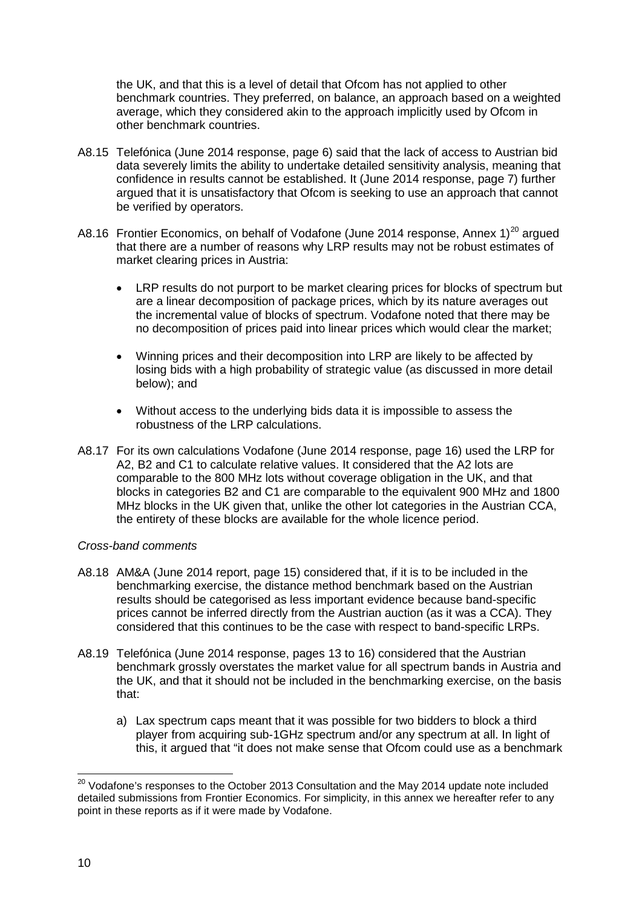the UK, and that this is a level of detail that Ofcom has not applied to other benchmark countries. They preferred, on balance, an approach based on a weighted average, which they considered akin to the approach implicitly used by Ofcom in other benchmark countries.

- A8.15 Telefónica (June 2014 response, page 6) said that the lack of access to Austrian bid data severely limits the ability to undertake detailed sensitivity analysis, meaning that confidence in results cannot be established. It (June 2014 response, page 7) further argued that it is unsatisfactory that Ofcom is seeking to use an approach that cannot be verified by operators.
- A8.16 Frontier Economics, on behalf of Vodafone (June [20](#page-9-0)14 response, Annex 1)<sup>20</sup> argued that there are a number of reasons why LRP results may not be robust estimates of market clearing prices in Austria:
	- LRP results do not purport to be market clearing prices for blocks of spectrum but are a linear decomposition of package prices, which by its nature averages out the incremental value of blocks of spectrum. Vodafone noted that there may be no decomposition of prices paid into linear prices which would clear the market;
	- Winning prices and their decomposition into LRP are likely to be affected by losing bids with a high probability of strategic value (as discussed in more detail below); and
	- Without access to the underlying bids data it is impossible to assess the robustness of the LRP calculations.
- A8.17 For its own calculations Vodafone (June 2014 response, page 16) used the LRP for A2, B2 and C1 to calculate relative values. It considered that the A2 lots are comparable to the 800 MHz lots without coverage obligation in the UK, and that blocks in categories B2 and C1 are comparable to the equivalent 900 MHz and 1800 MHz blocks in the UK given that, unlike the other lot categories in the Austrian CCA, the entirety of these blocks are available for the whole licence period.

### *Cross-band comments*

- A8.18 AM&A (June 2014 report, page 15) considered that, if it is to be included in the benchmarking exercise, the distance method benchmark based on the Austrian results should be categorised as less important evidence because band-specific prices cannot be inferred directly from the Austrian auction (as it was a CCA). They considered that this continues to be the case with respect to band-specific LRPs.
- A8.19 Telefónica (June 2014 response, pages 13 to 16) considered that the Austrian benchmark grossly overstates the market value for all spectrum bands in Austria and the UK, and that it should not be included in the benchmarking exercise, on the basis that:
	- a) Lax spectrum caps meant that it was possible for two bidders to block a third player from acquiring sub-1GHz spectrum and/or any spectrum at all. In light of this, it argued that "it does not make sense that Ofcom could use as a benchmark

<span id="page-9-0"></span> $^{20}$  Vodafone's responses to the October 2013 Consultation and the May 2014 update note included detailed submissions from Frontier Economics. For simplicity, in this annex we hereafter refer to any point in these reports as if it were made by Vodafone.  $\overline{a}$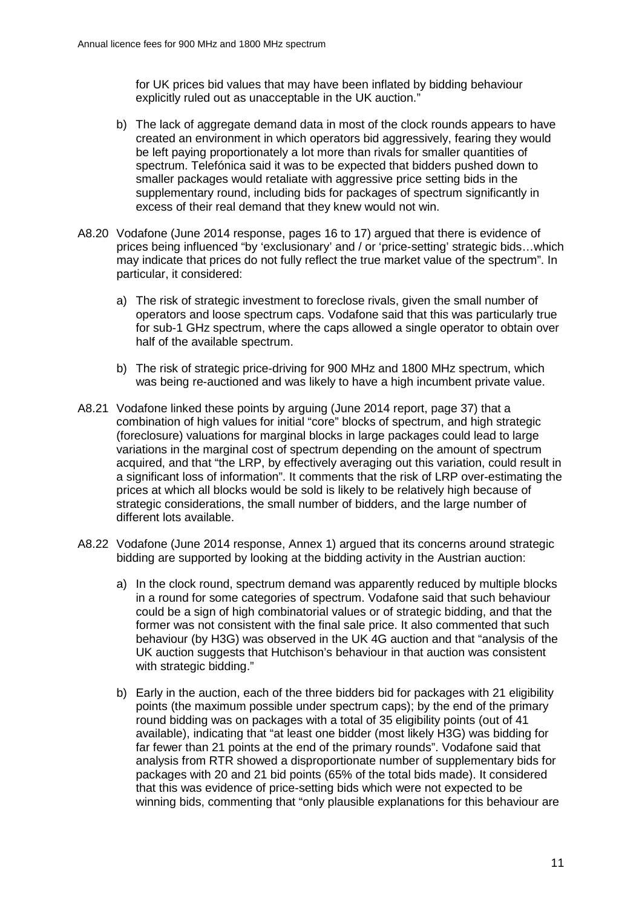for UK prices bid values that may have been inflated by bidding behaviour explicitly ruled out as unacceptable in the UK auction."

- b) The lack of aggregate demand data in most of the clock rounds appears to have created an environment in which operators bid aggressively, fearing they would be left paying proportionately a lot more than rivals for smaller quantities of spectrum. Telefónica said it was to be expected that bidders pushed down to smaller packages would retaliate with aggressive price setting bids in the supplementary round, including bids for packages of spectrum significantly in excess of their real demand that they knew would not win.
- A8.20 Vodafone (June 2014 response, pages 16 to 17) argued that there is evidence of prices being influenced "by 'exclusionary' and / or 'price-setting' strategic bids…which may indicate that prices do not fully reflect the true market value of the spectrum". In particular, it considered:
	- a) The risk of strategic investment to foreclose rivals, given the small number of operators and loose spectrum caps. Vodafone said that this was particularly true for sub-1 GHz spectrum, where the caps allowed a single operator to obtain over half of the available spectrum.
	- b) The risk of strategic price-driving for 900 MHz and 1800 MHz spectrum, which was being re-auctioned and was likely to have a high incumbent private value.
- A8.21 Vodafone linked these points by arguing (June 2014 report, page 37) that a combination of high values for initial "core" blocks of spectrum, and high strategic (foreclosure) valuations for marginal blocks in large packages could lead to large variations in the marginal cost of spectrum depending on the amount of spectrum acquired, and that "the LRP, by effectively averaging out this variation, could result in a significant loss of information". It comments that the risk of LRP over-estimating the prices at which all blocks would be sold is likely to be relatively high because of strategic considerations, the small number of bidders, and the large number of different lots available.
- A8.22 Vodafone (June 2014 response, Annex 1) argued that its concerns around strategic bidding are supported by looking at the bidding activity in the Austrian auction:
	- a) In the clock round, spectrum demand was apparently reduced by multiple blocks in a round for some categories of spectrum. Vodafone said that such behaviour could be a sign of high combinatorial values or of strategic bidding, and that the former was not consistent with the final sale price. It also commented that such behaviour (by H3G) was observed in the UK 4G auction and that "analysis of the UK auction suggests that Hutchison's behaviour in that auction was consistent with strategic bidding."
	- b) Early in the auction, each of the three bidders bid for packages with 21 eligibility points (the maximum possible under spectrum caps); by the end of the primary round bidding was on packages with a total of 35 eligibility points (out of 41 available), indicating that "at least one bidder (most likely H3G) was bidding for far fewer than 21 points at the end of the primary rounds". Vodafone said that analysis from RTR showed a disproportionate number of supplementary bids for packages with 20 and 21 bid points (65% of the total bids made). It considered that this was evidence of price-setting bids which were not expected to be winning bids, commenting that "only plausible explanations for this behaviour are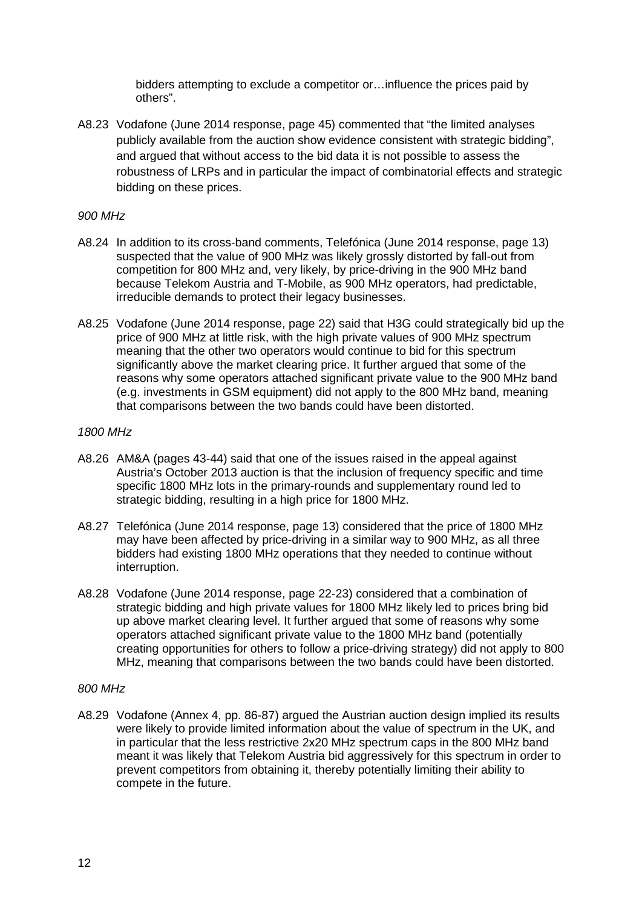bidders attempting to exclude a competitor or…influence the prices paid by others".

A8.23 Vodafone (June 2014 response, page 45) commented that "the limited analyses publicly available from the auction show evidence consistent with strategic bidding", and argued that without access to the bid data it is not possible to assess the robustness of LRPs and in particular the impact of combinatorial effects and strategic bidding on these prices.

### *900 MHz*

- A8.24 In addition to its cross-band comments, Telefónica (June 2014 response, page 13) suspected that the value of 900 MHz was likely grossly distorted by fall-out from competition for 800 MHz and, very likely, by price-driving in the 900 MHz band because Telekom Austria and T-Mobile, as 900 MHz operators, had predictable, irreducible demands to protect their legacy businesses.
- A8.25 Vodafone (June 2014 response, page 22) said that H3G could strategically bid up the price of 900 MHz at little risk, with the high private values of 900 MHz spectrum meaning that the other two operators would continue to bid for this spectrum significantly above the market clearing price. It further argued that some of the reasons why some operators attached significant private value to the 900 MHz band (e.g. investments in GSM equipment) did not apply to the 800 MHz band, meaning that comparisons between the two bands could have been distorted.

### *1800 MHz*

- A8.26 AM&A (pages 43-44) said that one of the issues raised in the appeal against Austria's October 2013 auction is that the inclusion of frequency specific and time specific 1800 MHz lots in the primary-rounds and supplementary round led to strategic bidding, resulting in a high price for 1800 MHz.
- A8.27 Telefónica (June 2014 response, page 13) considered that the price of 1800 MHz may have been affected by price-driving in a similar way to 900 MHz, as all three bidders had existing 1800 MHz operations that they needed to continue without interruption.
- A8.28 Vodafone (June 2014 response, page 22-23) considered that a combination of strategic bidding and high private values for 1800 MHz likely led to prices bring bid up above market clearing level. It further argued that some of reasons why some operators attached significant private value to the 1800 MHz band (potentially creating opportunities for others to follow a price-driving strategy) did not apply to 800 MHz, meaning that comparisons between the two bands could have been distorted.

#### *800 MHz*

A8.29 Vodafone (Annex 4, pp. 86-87) argued the Austrian auction design implied its results were likely to provide limited information about the value of spectrum in the UK, and in particular that the less restrictive 2x20 MHz spectrum caps in the 800 MHz band meant it was likely that Telekom Austria bid aggressively for this spectrum in order to prevent competitors from obtaining it, thereby potentially limiting their ability to compete in the future.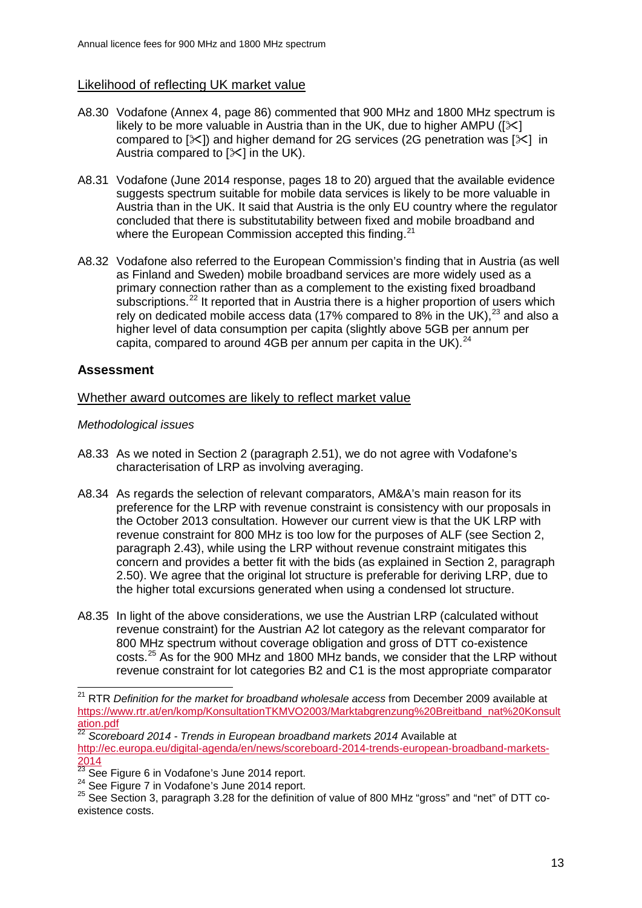# Likelihood of reflecting UK market value

- A8.30 Vodafone (Annex 4, page 86) commented that 900 MHz and 1800 MHz spectrum is likely to be more valuable in Austria than in the UK, due to higher AMPU ( $[\times]$ compared to  $[\times]$  and higher demand for 2G services (2G penetration was  $[\times]$  in Austria compared to  $[\times]$  in the UK).
- A8.31 Vodafone (June 2014 response, pages 18 to 20) argued that the available evidence suggests spectrum suitable for mobile data services is likely to be more valuable in Austria than in the UK. It said that Austria is the only EU country where the regulator concluded that there is substitutability between fixed and mobile broadband and where the European Commission accepted this finding.<sup>[21](#page-12-0)</sup>
- A8.32 Vodafone also referred to the European Commission's finding that in Austria (as well as Finland and Sweden) mobile broadband services are more widely used as a primary connection rather than as a complement to the existing fixed broadband subscriptions.<sup>[22](#page-12-1)</sup> It reported that in Austria there is a higher proportion of users which rely on dedicated mobile access data (17% compared to 8% in the UK),  $^{23}$  $^{23}$  $^{23}$  and also a higher level of data consumption per capita (slightly above 5GB per annum per capita, compared to around 4GB per annum per capita in the UK).<sup>[24](#page-12-3)</sup>

# **Assessment**

### Whether award outcomes are likely to reflect market value

### *Methodological issues*

- A8.33 As we noted in Section 2 (paragraph 2.51), we do not agree with Vodafone's characterisation of LRP as involving averaging.
- A8.34 As regards the selection of relevant comparators, AM&A's main reason for its preference for the LRP with revenue constraint is consistency with our proposals in the October 2013 consultation. However our current view is that the UK LRP with revenue constraint for 800 MHz is too low for the purposes of ALF (see Section 2, paragraph 2.43), while using the LRP without revenue constraint mitigates this concern and provides a better fit with the bids (as explained in Section 2, paragraph 2.50). We agree that the original lot structure is preferable for deriving LRP, due to the higher total excursions generated when using a condensed lot structure.
- A8.35 In light of the above considerations, we use the Austrian LRP (calculated without revenue constraint) for the Austrian A2 lot category as the relevant comparator for 800 MHz spectrum without coverage obligation and gross of DTT co-existence costs.[25](#page-12-4) As for the 900 MHz and 1800 MHz bands, we consider that the LRP without revenue constraint for lot categories B2 and C1 is the most appropriate comparator

<span id="page-12-0"></span><sup>&</sup>lt;sup>21</sup> RTR *Definition for the market for broadband wholesale access* from December 2009 available at [https://www.rtr.at/en/komp/KonsultationTKMVO2003/Marktabgrenzung%20Breitband\\_nat%20Konsult](https://www.rtr.at/en/komp/KonsultationTKMVO2003/Marktabgrenzung%20Breitband_nat%20Konsultation.pdf) [ation.pdf](https://www.rtr.at/en/komp/KonsultationTKMVO2003/Marktabgrenzung%20Breitband_nat%20Konsultation.pdf)  $\overline{a}$ 

<span id="page-12-1"></span><sup>22</sup> *Scoreboard 2014 - Trends in European broadband markets 2014* Available at [http://ec.europa.eu/digital-agenda/en/news/scoreboard-2014-trends-european-broadband-markets-](http://ec.europa.eu/digital-agenda/en/news/scoreboard-2014-trends-european-broadband-markets-2014) $\frac{2014}{^{23}}$  See Figure 6 in Vodafone's June 2014 report.<br><sup>24</sup> See Figure 7 in Vodafone's June 2014 report.<br><sup>25</sup> See Section 3, paragraph 3.28 for the definition of value of 800 MHz "gross" and "net" of DTT co-

<span id="page-12-2"></span>

<span id="page-12-3"></span>

<span id="page-12-4"></span>existence costs.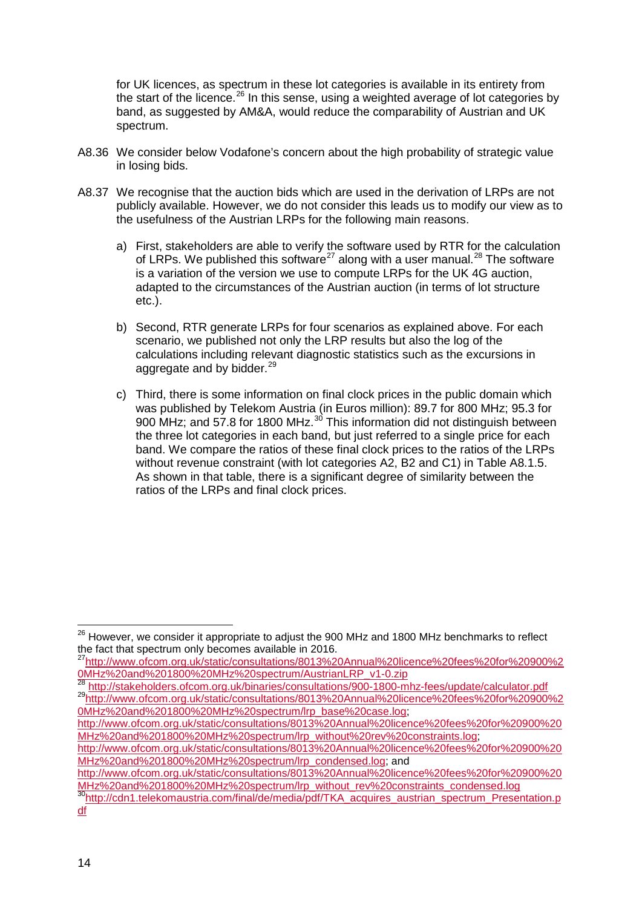for UK licences, as spectrum in these lot categories is available in its entirety from the start of the licence.<sup>[26](#page-13-0)</sup> In this sense, using a weighted average of lot categories by band, as suggested by AM&A, would reduce the comparability of Austrian and UK spectrum.

- A8.36 We consider below Vodafone's concern about the high probability of strategic value in losing bids.
- A8.37 We recognise that the auction bids which are used in the derivation of LRPs are not publicly available. However, we do not consider this leads us to modify our view as to the usefulness of the Austrian LRPs for the following main reasons.
	- a) First, stakeholders are able to verify the software used by RTR for the calculation of LRPs. We published this software<sup>[27](#page-13-1)</sup> along with a user manual.<sup>[28](#page-13-2)</sup> The software is a variation of the version we use to compute LRPs for the UK 4G auction, adapted to the circumstances of the Austrian auction (in terms of lot structure etc.).
	- b) Second, RTR generate LRPs for four scenarios as explained above. For each scenario, we published not only the LRP results but also the log of the calculations including relevant diagnostic statistics such as the excursions in aggregate and by bidder.<sup>[29](#page-13-3)</sup>
	- c) Third, there is some information on final clock prices in the public domain which was published by Telekom Austria (in Euros million): 89.7 for 800 MHz; 95.3 for 900 MHz; and 57.8 for 1800 MHz.<sup>[30](#page-13-4)</sup> This information did not distinguish between the three lot categories in each band, but just referred to a single price for each band. We compare the ratios of these final clock prices to the ratios of the LRPs without revenue constraint (with lot categories A2, B2 and C1) in Table A8.1.5. As shown in that table, there is a significant degree of similarity between the ratios of the LRPs and final clock prices.

<span id="page-13-3"></span>[0MHz%20and%201800%20MHz%20spectrum/lrp\\_base%20case.log;](http://www.ofcom.org.uk/static/consultations/8013%20Annual%20licence%20fees%20for%20900%20MHz%20and%201800%20MHz%20spectrum/lrp_base%20case.log)

[http://www.ofcom.org.uk/static/consultations/8013%20Annual%20licence%20fees%20for%20900%20](http://www.ofcom.org.uk/static/consultations/8013%20Annual%20licence%20fees%20for%20900%20MHz%20and%201800%20MHz%20spectrum/lrp_without%20rev%20constraints.log) [MHz%20and%201800%20MHz%20spectrum/lrp\\_without%20rev%20constraints.log;](http://www.ofcom.org.uk/static/consultations/8013%20Annual%20licence%20fees%20for%20900%20MHz%20and%201800%20MHz%20spectrum/lrp_without%20rev%20constraints.log)

[http://www.ofcom.org.uk/static/consultations/8013%20Annual%20licence%20fees%20for%20900%20](http://www.ofcom.org.uk/static/consultations/8013%20Annual%20licence%20fees%20for%20900%20MHz%20and%201800%20MHz%20spectrum/lrp_condensed.log) [MHz%20and%201800%20MHz%20spectrum/lrp\\_condensed.log;](http://www.ofcom.org.uk/static/consultations/8013%20Annual%20licence%20fees%20for%20900%20MHz%20and%201800%20MHz%20spectrum/lrp_condensed.log) and

[http://www.ofcom.org.uk/static/consultations/8013%20Annual%20licence%20fees%20for%20900%20](http://www.ofcom.org.uk/static/consultations/8013%20Annual%20licence%20fees%20for%20900%20MHz%20and%201800%20MHz%20spectrum/lrp_without_rev%20constraints_condensed.log)<br>MHz%20and%201800%20MHz%20spectrum/lrp\_without\_rev%20constraints\_condensed.log

<span id="page-13-0"></span> $^{26}$  However, we consider it appropriate to adjust the 900 MHz and 1800 MHz benchmarks to reflect the fact that spectrum only becomes available in 2016.  $\overline{a}$ 

<sup>&</sup>lt;sup>27</sup>http://www.ofcom.org.uk/static/consultations/8013%20Annual%20licence%20fees%20for%20900%2

<span id="page-13-2"></span><span id="page-13-1"></span>[<sup>0</sup>MHz%20and%201800%20MHz%20spectrum/AustrianLRP\\_v1-0.zip](http://www.ofcom.org.uk/static/consultations/8013%20Annual%20licence%20fees%20for%20900%20MHz%20and%201800%20MHz%20spectrum/AustrianLRP_v1-0.zip)<br><sup>28</sup><http://stakeholders.ofcom.org.uk/binaries/consultations/900-1800-mhz-fees/update/calculator.pdf><br><sup>29</sup>http://www.ofc<u>om.org.uk/static/consultations/8013%20Annual%20</u>

<span id="page-13-4"></span> $\frac{30}{30}$ http://cdn1.telekomaustria.com/final/de/media/pdf/TKA\_acquires\_austrian\_spectrum\_Presentation.p [df](http://cdn1.telekomaustria.com/final/de/media/pdf/TKA_acquires_austrian_spectrum_Presentation.pdf)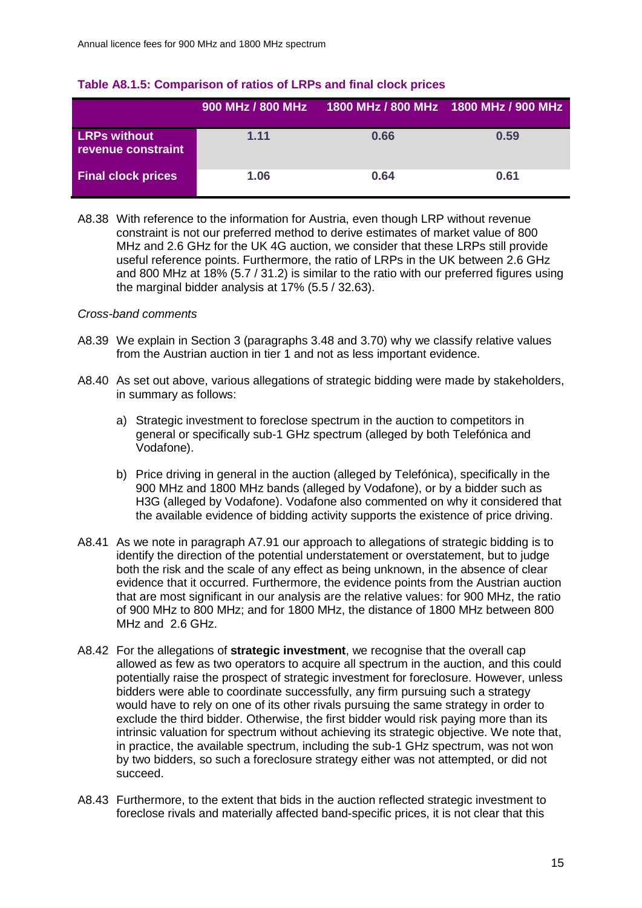|                                           | 900 MHz / 800 MHz | 1800 MHz / 800 MHz 1800 MHz / 900 MHz |      |
|-------------------------------------------|-------------------|---------------------------------------|------|
| <b>LRPs without</b><br>revenue constraint | 1.11              | 0.66                                  | 0.59 |
| <b>Final clock prices</b>                 | 1.06              | 0.64                                  | 0.61 |

#### **Table A8.1.5: Comparison of ratios of LRPs and final clock prices**

A8.38 With reference to the information for Austria, even though LRP without revenue constraint is not our preferred method to derive estimates of market value of 800 MHz and 2.6 GHz for the UK 4G auction, we consider that these LRPs still provide useful reference points. Furthermore, the ratio of LRPs in the UK between 2.6 GHz and 800 MHz at 18% (5.7 / 31.2) is similar to the ratio with our preferred figures using the marginal bidder analysis at 17% (5.5 / 32.63).

#### *Cross-band comments*

- A8.39 We explain in Section 3 (paragraphs 3.48 and 3.70) why we classify relative values from the Austrian auction in tier 1 and not as less important evidence.
- A8.40 As set out above, various allegations of strategic bidding were made by stakeholders, in summary as follows:
	- a) Strategic investment to foreclose spectrum in the auction to competitors in general or specifically sub-1 GHz spectrum (alleged by both Telefónica and Vodafone).
	- b) Price driving in general in the auction (alleged by Telefónica), specifically in the 900 MHz and 1800 MHz bands (alleged by Vodafone), or by a bidder such as H3G (alleged by Vodafone). Vodafone also commented on why it considered that the available evidence of bidding activity supports the existence of price driving.
- A8.41 As we note in paragraph A7.91 our approach to allegations of strategic bidding is to identify the direction of the potential understatement or overstatement, but to judge both the risk and the scale of any effect as being unknown, in the absence of clear evidence that it occurred. Furthermore, the evidence points from the Austrian auction that are most significant in our analysis are the relative values: for 900 MHz, the ratio of 900 MHz to 800 MHz; and for 1800 MHz, the distance of 1800 MHz between 800 MHz and 2.6 GHz.
- A8.42 For the allegations of **strategic investment**, we recognise that the overall cap allowed as few as two operators to acquire all spectrum in the auction, and this could potentially raise the prospect of strategic investment for foreclosure. However, unless bidders were able to coordinate successfully, any firm pursuing such a strategy would have to rely on one of its other rivals pursuing the same strategy in order to exclude the third bidder. Otherwise, the first bidder would risk paying more than its intrinsic valuation for spectrum without achieving its strategic objective. We note that, in practice, the available spectrum, including the sub-1 GHz spectrum, was not won by two bidders, so such a foreclosure strategy either was not attempted, or did not succeed.
- A8.43 Furthermore, to the extent that bids in the auction reflected strategic investment to foreclose rivals and materially affected band-specific prices, it is not clear that this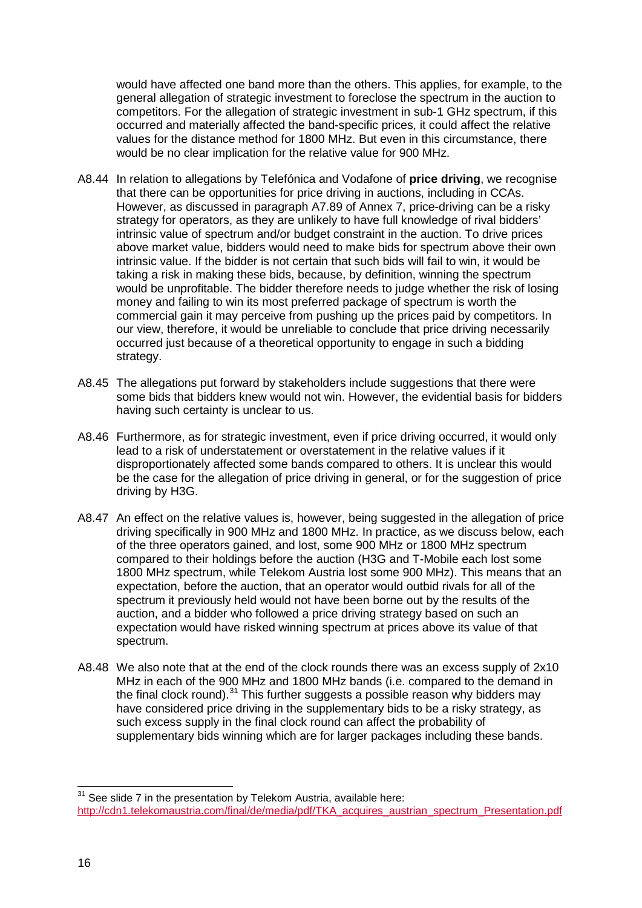would have affected one band more than the others. This applies, for example, to the general allegation of strategic investment to foreclose the spectrum in the auction to competitors. For the allegation of strategic investment in sub-1 GHz spectrum, if this occurred and materially affected the band-specific prices, it could affect the relative values for the distance method for 1800 MHz. But even in this circumstance, there would be no clear implication for the relative value for 900 MHz.

- A8.44 In relation to allegations by Telefónica and Vodafone of **price driving**, we recognise that there can be opportunities for price driving in auctions, including in CCAs. However, as discussed in paragraph A7.89 of Annex 7, price-driving can be a risky strategy for operators, as they are unlikely to have full knowledge of rival bidders' intrinsic value of spectrum and/or budget constraint in the auction. To drive prices above market value, bidders would need to make bids for spectrum above their own intrinsic value. If the bidder is not certain that such bids will fail to win, it would be taking a risk in making these bids, because, by definition, winning the spectrum would be unprofitable. The bidder therefore needs to judge whether the risk of losing money and failing to win its most preferred package of spectrum is worth the commercial gain it may perceive from pushing up the prices paid by competitors. In our view, therefore, it would be unreliable to conclude that price driving necessarily occurred just because of a theoretical opportunity to engage in such a bidding strategy.
- A8.45 The allegations put forward by stakeholders include suggestions that there were some bids that bidders knew would not win. However, the evidential basis for bidders having such certainty is unclear to us.
- A8.46 Furthermore, as for strategic investment, even if price driving occurred, it would only lead to a risk of understatement or overstatement in the relative values if it disproportionately affected some bands compared to others. It is unclear this would be the case for the allegation of price driving in general, or for the suggestion of price driving by H3G.
- A8.47 An effect on the relative values is, however, being suggested in the allegation of price driving specifically in 900 MHz and 1800 MHz. In practice, as we discuss below, each of the three operators gained, and lost, some 900 MHz or 1800 MHz spectrum compared to their holdings before the auction (H3G and T-Mobile each lost some 1800 MHz spectrum, while Telekom Austria lost some 900 MHz). This means that an expectation, before the auction, that an operator would outbid rivals for all of the spectrum it previously held would not have been borne out by the results of the auction, and a bidder who followed a price driving strategy based on such an expectation would have risked winning spectrum at prices above its value of that spectrum.
- A8.48 We also note that at the end of the clock rounds there was an excess supply of 2x10 MHz in each of the 900 MHz and 1800 MHz bands (i.e. compared to the demand in the final clock round).<sup>[31](#page-15-0)</sup> This further suggests a possible reason why bidders may have considered price driving in the supplementary bids to be a risky strategy, as such excess supply in the final clock round can affect the probability of supplementary bids winning which are for larger packages including these bands.

<span id="page-15-0"></span> $31$  See slide 7 in the presentation by Telekom Austria, available here: http://cdn1.telekomaustria.com/final/de/media/pdf/TKA\_acquires\_austrian\_spectrum\_Presentation.pdf  $\overline{a}$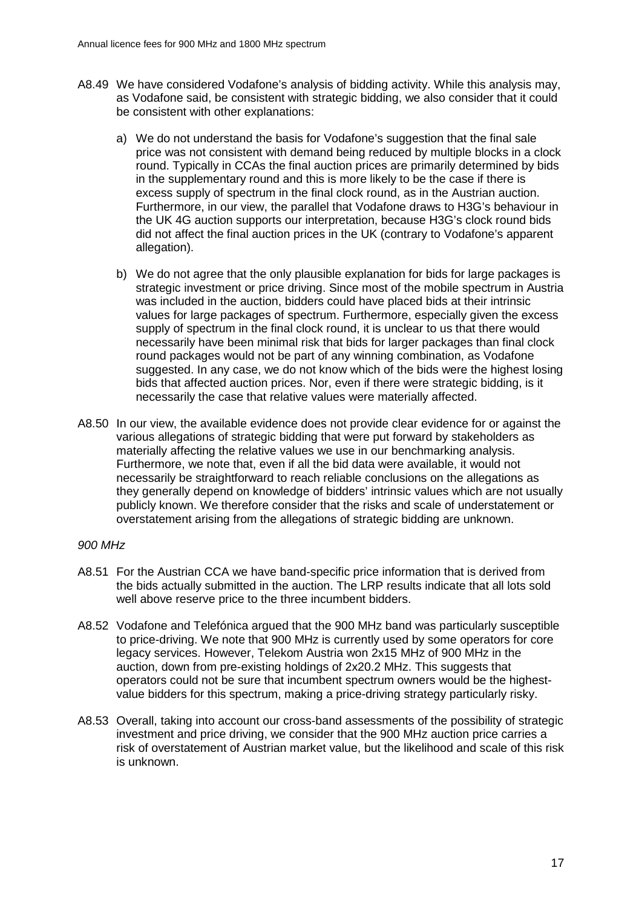- A8.49 We have considered Vodafone's analysis of bidding activity. While this analysis may, as Vodafone said, be consistent with strategic bidding, we also consider that it could be consistent with other explanations:
	- a) We do not understand the basis for Vodafone's suggestion that the final sale price was not consistent with demand being reduced by multiple blocks in a clock round. Typically in CCAs the final auction prices are primarily determined by bids in the supplementary round and this is more likely to be the case if there is excess supply of spectrum in the final clock round, as in the Austrian auction. Furthermore, in our view, the parallel that Vodafone draws to H3G's behaviour in the UK 4G auction supports our interpretation, because H3G's clock round bids did not affect the final auction prices in the UK (contrary to Vodafone's apparent allegation).
	- b) We do not agree that the only plausible explanation for bids for large packages is strategic investment or price driving. Since most of the mobile spectrum in Austria was included in the auction, bidders could have placed bids at their intrinsic values for large packages of spectrum. Furthermore, especially given the excess supply of spectrum in the final clock round, it is unclear to us that there would necessarily have been minimal risk that bids for larger packages than final clock round packages would not be part of any winning combination, as Vodafone suggested. In any case, we do not know which of the bids were the highest losing bids that affected auction prices. Nor, even if there were strategic bidding, is it necessarily the case that relative values were materially affected.
- A8.50 In our view, the available evidence does not provide clear evidence for or against the various allegations of strategic bidding that were put forward by stakeholders as materially affecting the relative values we use in our benchmarking analysis. Furthermore, we note that, even if all the bid data were available, it would not necessarily be straightforward to reach reliable conclusions on the allegations as they generally depend on knowledge of bidders' intrinsic values which are not usually publicly known. We therefore consider that the risks and scale of understatement or overstatement arising from the allegations of strategic bidding are unknown.

#### *900 MHz*

- A8.51 For the Austrian CCA we have band-specific price information that is derived from the bids actually submitted in the auction. The LRP results indicate that all lots sold well above reserve price to the three incumbent bidders.
- A8.52 Vodafone and Telefónica argued that the 900 MHz band was particularly susceptible to price-driving. We note that 900 MHz is currently used by some operators for core legacy services. However, Telekom Austria won 2x15 MHz of 900 MHz in the auction, down from pre-existing holdings of 2x20.2 MHz. This suggests that operators could not be sure that incumbent spectrum owners would be the highestvalue bidders for this spectrum, making a price-driving strategy particularly risky.
- A8.53 Overall, taking into account our cross-band assessments of the possibility of strategic investment and price driving, we consider that the 900 MHz auction price carries a risk of overstatement of Austrian market value, but the likelihood and scale of this risk is unknown.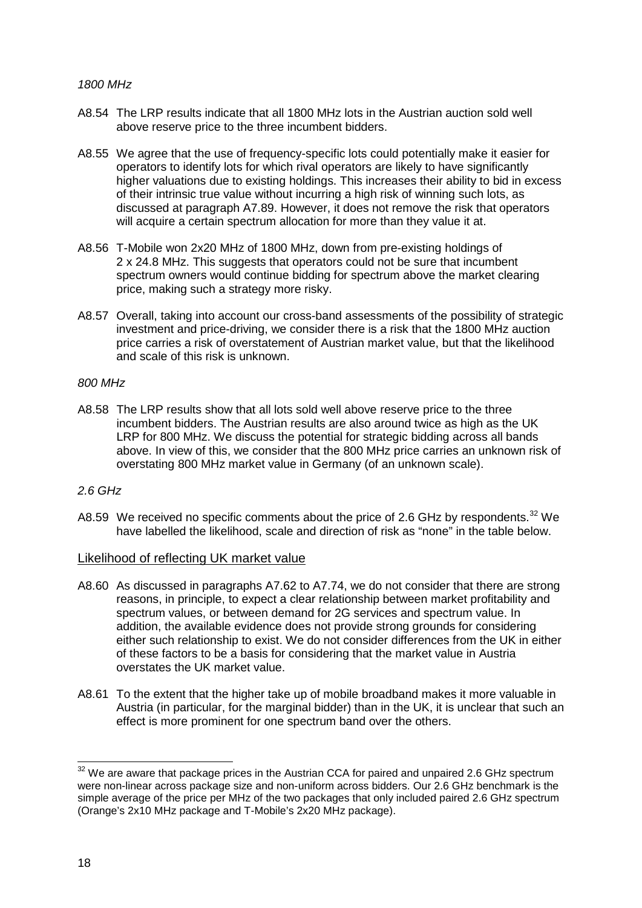### *1800 MHz*

- A8.54 The LRP results indicate that all 1800 MHz lots in the Austrian auction sold well above reserve price to the three incumbent bidders.
- A8.55 We agree that the use of frequency-specific lots could potentially make it easier for operators to identify lots for which rival operators are likely to have significantly higher valuations due to existing holdings. This increases their ability to bid in excess of their intrinsic true value without incurring a high risk of winning such lots, as discussed at paragraph A7.89. However, it does not remove the risk that operators will acquire a certain spectrum allocation for more than they value it at.
- A8.56 T-Mobile won 2x20 MHz of 1800 MHz, down from pre-existing holdings of 2 x 24.8 MHz. This suggests that operators could not be sure that incumbent spectrum owners would continue bidding for spectrum above the market clearing price, making such a strategy more risky.
- A8.57 Overall, taking into account our cross-band assessments of the possibility of strategic investment and price-driving, we consider there is a risk that the 1800 MHz auction price carries a risk of overstatement of Austrian market value, but that the likelihood and scale of this risk is unknown.

### *800 MHz*

A8.58 The LRP results show that all lots sold well above reserve price to the three incumbent bidders. The Austrian results are also around twice as high as the UK LRP for 800 MHz. We discuss the potential for strategic bidding across all bands above. In view of this, we consider that the 800 MHz price carries an unknown risk of overstating 800 MHz market value in Germany (of an unknown scale).

### *2.6 GHz*

A8.59 We received no specific comments about the price of 2.6 GHz by respondents.<sup>[32](#page-17-0)</sup> We have labelled the likelihood, scale and direction of risk as "none" in the table below.

### Likelihood of reflecting UK market value

- A8.60 As discussed in paragraphs A7.62 to A7.74, we do not consider that there are strong reasons, in principle, to expect a clear relationship between market profitability and spectrum values, or between demand for 2G services and spectrum value. In addition, the available evidence does not provide strong grounds for considering either such relationship to exist. We do not consider differences from the UK in either of these factors to be a basis for considering that the market value in Austria overstates the UK market value.
- A8.61 To the extent that the higher take up of mobile broadband makes it more valuable in Austria (in particular, for the marginal bidder) than in the UK, it is unclear that such an effect is more prominent for one spectrum band over the others.

<span id="page-17-0"></span> $32$  We are aware that package prices in the Austrian CCA for paired and unpaired 2.6 GHz spectrum were non-linear across package size and non-uniform across bidders. Our 2.6 GHz benchmark is the simple average of the price per MHz of the two packages that only included paired 2.6 GHz spectrum (Orange's 2x10 MHz package and T-Mobile's 2x20 MHz package).  $\overline{a}$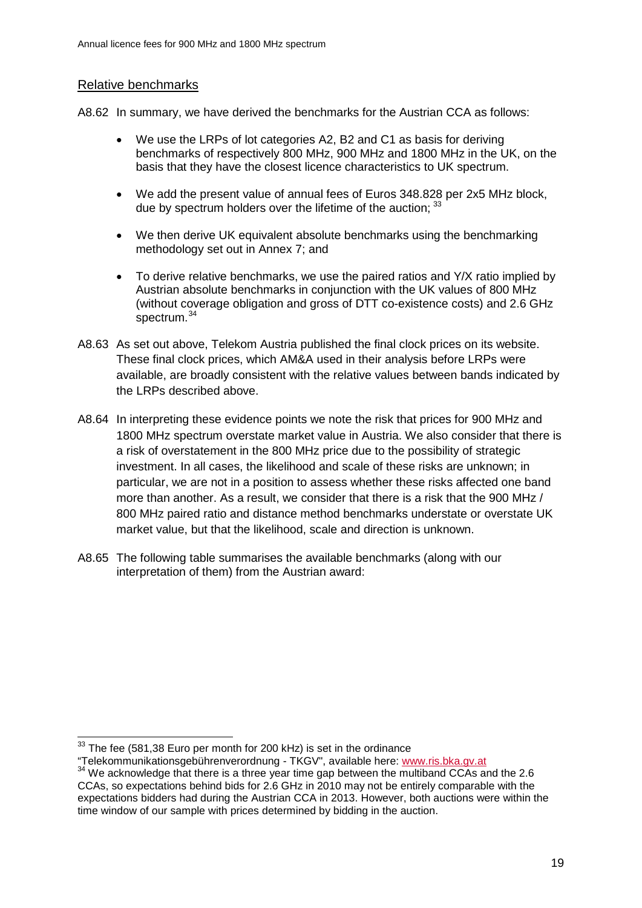# Relative benchmarks

A8.62 In summary, we have derived the benchmarks for the Austrian CCA as follows:

- We use the LRPs of lot categories A2, B2 and C1 as basis for deriving benchmarks of respectively 800 MHz, 900 MHz and 1800 MHz in the UK, on the basis that they have the closest licence characteristics to UK spectrum.
- We add the present value of annual fees of Euros 348.828 per 2x5 MHz block, due by spectrum holders over the lifetime of the auction; [33](#page-18-0)
- We then derive UK equivalent absolute benchmarks using the benchmarking methodology set out in Annex 7; and
- To derive relative benchmarks, we use the paired ratios and Y/X ratio implied by Austrian absolute benchmarks in conjunction with the UK values of 800 MHz (without coverage obligation and gross of DTT co-existence costs) and 2.6 GHz spectrum.<sup>34</sup>
- A8.63 As set out above, Telekom Austria published the final clock prices on its website. These final clock prices, which AM&A used in their analysis before LRPs were available, are broadly consistent with the relative values between bands indicated by the LRPs described above.
- A8.64 In interpreting these evidence points we note the risk that prices for 900 MHz and 1800 MHz spectrum overstate market value in Austria. We also consider that there is a risk of overstatement in the 800 MHz price due to the possibility of strategic investment. In all cases, the likelihood and scale of these risks are unknown; in particular, we are not in a position to assess whether these risks affected one band more than another. As a result, we consider that there is a risk that the 900 MHz / 800 MHz paired ratio and distance method benchmarks understate or overstate UK market value, but that the likelihood, scale and direction is unknown.
- A8.65 The following table summarises the available benchmarks (along with our interpretation of them) from the Austrian award:

 $33$  The fee (581,38 Euro per month for 200 kHz) is set in the ordinance  $\overline{a}$ 

<span id="page-18-1"></span><span id="page-18-0"></span><sup>&</sup>quot;Telekommunikationsgebührenverordnung - TKGV", available here: [www.ris.bka.gv.at](http://www.ris.bka.gv.at/)<br> $34$  We acknowledge that there is a three year time gap between the multiband CCAs and the 2.6 CCAs, so expectations behind bids for 2.6 GHz in 2010 may not be entirely comparable with the expectations bidders had during the Austrian CCA in 2013. However, both auctions were within the time window of our sample with prices determined by bidding in the auction.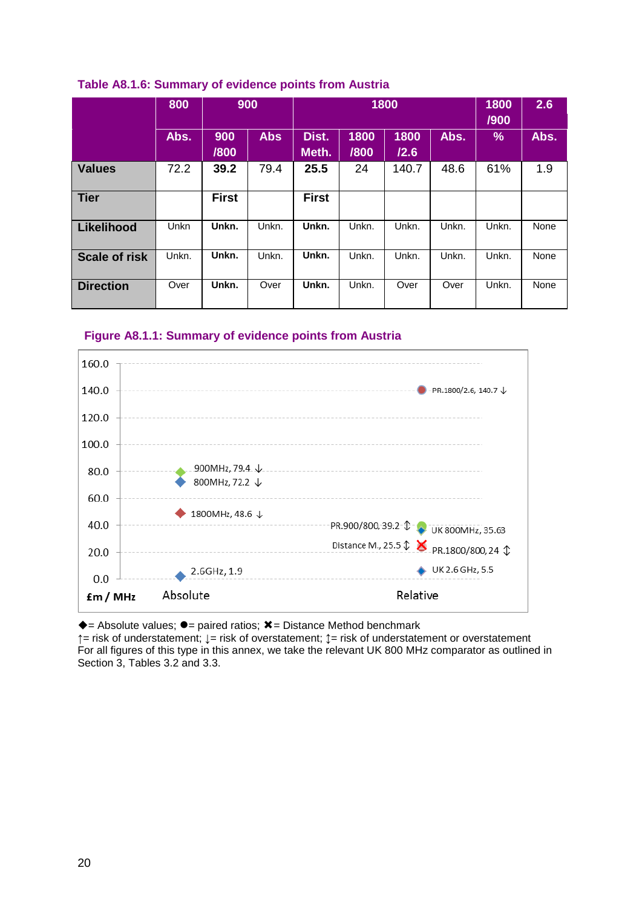|                      | 800   | 900          |            | 1800           |              |              |       | 1800<br>/900 | 2.6  |
|----------------------|-------|--------------|------------|----------------|--------------|--------------|-------|--------------|------|
|                      | Abs.  | 900<br>/800  | <b>Abs</b> | Dist.<br>Meth. | 1800<br>/800 | 1800<br>/2.6 | Abs.  | $\%$         | Abs. |
| <b>Values</b>        | 72.2  | 39.2         | 79.4       | 25.5           | 24           | 140.7        | 48.6  | 61%          | 1.9  |
| <b>Tier</b>          |       | <b>First</b> |            | <b>First</b>   |              |              |       |              |      |
| <b>Likelihood</b>    | Unkn  | Unkn.        | Unkn.      | Unkn.          | Unkn.        | Unkn.        | Unkn. | Unkn.        | None |
| <b>Scale of risk</b> | Unkn. | Unkn.        | Unkn.      | Unkn.          | Unkn.        | Unkn.        | Unkn. | Unkn.        | None |
| <b>Direction</b>     | Over  | Unkn.        | Over       | Unkn.          | Unkn.        | Over         | Over  | Unkn.        | None |

### **Table A8.1.6: Summary of evidence points from Austria**





 $\triangle$  = Absolute values;  $\bullet$  = paired ratios;  $\angle$  = Distance Method benchmark

**↑**= risk of understatement; **↓**= risk of overstatement; **↕**= risk of understatement or overstatement For all figures of this type in this annex, we take the relevant UK 800 MHz comparator as outlined in Section 3, Tables 3.2 and 3.3.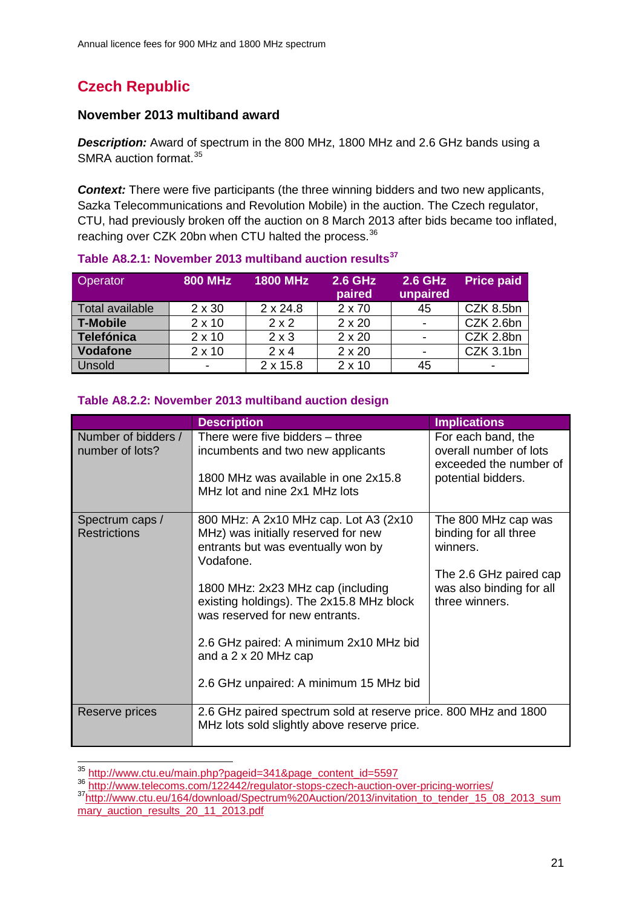# **Czech Republic**

# **November 2013 multiband award**

*Description:* Award of spectrum in the 800 MHz, 1800 MHz and 2.6 GHz bands using a SMRA auction format.<sup>[35](#page-20-0)</sup>

*Context:* There were five participants (the three winning bidders and two new applicants, Sazka Telecommunications and Revolution Mobile) in the auction. The Czech regulator, CTU, had previously broken off the auction on 8 March 2013 after bids became too inflated, reaching over CZK 20bn when CTU halted the process.<sup>[36](#page-20-1)</sup>

| Operator        | <b>800 MHz</b> | <b>1800 MHz</b> | <b>2.6 GHz</b><br>paired | <b>2.6 GHz</b><br>unpaired | <b>Price paid</b> |
|-----------------|----------------|-----------------|--------------------------|----------------------------|-------------------|
| Total available | $2 \times 30$  | $2 \times 24.8$ | 2 x 70                   | 45                         | CZK 8.5bn         |
| <b>T-Mobile</b> | $2 \times 10$  | $2 \times 2$    | $2 \times 20$            |                            | CZK 2.6bn         |
| Telefónica      | $2 \times 10$  | $2 \times 3$    | $2 \times 20$            |                            | CZK 2.8bn         |
| <b>Vodafone</b> | $2 \times 10$  | $2 \times 4$    | $2 \times 20$            |                            | CZK 3.1bn         |
| <b>Unsold</b>   |                | $2 \times 15.8$ | $2 \times 10$            | 45                         |                   |

# **Table A8.2.1: November 2013 multiband auction results[37](#page-20-2)**

# **Table A8.2.2: November 2013 multiband auction design**

|                                        | <b>Description</b>                                                                                                                                                                                                                                                                                                                                                     | <b>Implications</b>                                                                                                              |
|----------------------------------------|------------------------------------------------------------------------------------------------------------------------------------------------------------------------------------------------------------------------------------------------------------------------------------------------------------------------------------------------------------------------|----------------------------------------------------------------------------------------------------------------------------------|
| Number of bidders /<br>number of lots? | There were five bidders – three<br>incumbents and two new applicants<br>1800 MHz was available in one 2x15.8<br>MHz lot and nine 2x1 MHz lots                                                                                                                                                                                                                          | For each band, the<br>overall number of lots<br>exceeded the number of<br>potential bidders.                                     |
| Spectrum caps /<br><b>Restrictions</b> | 800 MHz: A 2x10 MHz cap. Lot A3 (2x10)<br>MHz) was initially reserved for new<br>entrants but was eventually won by<br>Vodafone.<br>1800 MHz: 2x23 MHz cap (including<br>existing holdings). The 2x15.8 MHz block<br>was reserved for new entrants.<br>2.6 GHz paired: A minimum 2x10 MHz bid<br>and a $2 \times 20$ MHz cap<br>2.6 GHz unpaired: A minimum 15 MHz bid | The 800 MHz cap was<br>binding for all three<br>winners.<br>The 2.6 GHz paired cap<br>was also binding for all<br>three winners. |
| Reserve prices                         | 2.6 GHz paired spectrum sold at reserve price. 800 MHz and 1800<br>MHz lots sold slightly above reserve price.                                                                                                                                                                                                                                                         |                                                                                                                                  |

<span id="page-20-0"></span><sup>35</sup> http://www.ctu.eu/main.php?pageid=341&page\_content\_id=5597

<span id="page-20-1"></span><sup>36</sup> http://www.ctu.cu.main.php?pageid=341&page\_content\_id=55597 36 <http://www.telecoms.com/122442/regulator-stops-czech-auction-over-pricing-worries/>

<span id="page-20-2"></span><sup>&</sup>lt;sup>37</sup>http://www.ctu.eu/164/download/Spectrum%20Auction/2013/invitation\_to\_tender\_15\_08\_2013\_sum mary auction results 20 11 2013.pdf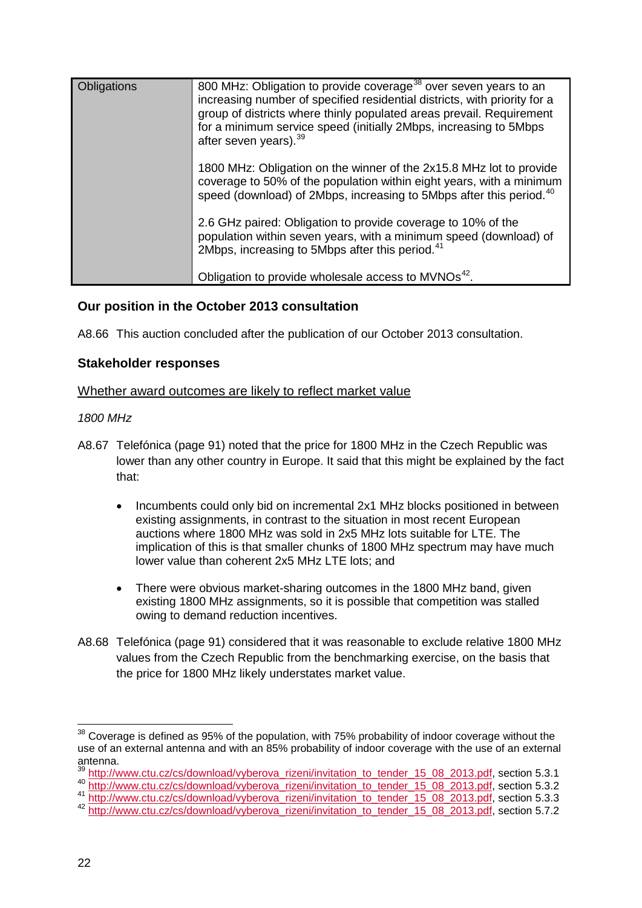| Obligations | 800 MHz: Obligation to provide coverage <sup>38</sup> over seven years to an<br>increasing number of specified residential districts, with priority for a<br>group of districts where thinly populated areas prevail. Requirement<br>for a minimum service speed (initially 2Mbps, increasing to 5Mbps<br>after seven years). <sup>39</sup> |
|-------------|---------------------------------------------------------------------------------------------------------------------------------------------------------------------------------------------------------------------------------------------------------------------------------------------------------------------------------------------|
|             | 1800 MHz: Obligation on the winner of the 2x15.8 MHz lot to provide<br>coverage to 50% of the population within eight years, with a minimum<br>speed (download) of 2Mbps, increasing to 5Mbps after this period. <sup>40</sup>                                                                                                              |
|             | 2.6 GHz paired: Obligation to provide coverage to 10% of the<br>population within seven years, with a minimum speed (download) of<br>2Mbps, increasing to 5Mbps after this period. <sup>41</sup>                                                                                                                                            |
|             | Obligation to provide wholesale access to MVNOs <sup>42</sup> .                                                                                                                                                                                                                                                                             |

# **Our position in the October 2013 consultation**

A8.66 This auction concluded after the publication of our October 2013 consultation.

### **Stakeholder responses**

### Whether award outcomes are likely to reflect market value

### *1800 MHz*

- A8.67 Telefónica (page 91) noted that the price for 1800 MHz in the Czech Republic was lower than any other country in Europe. It said that this might be explained by the fact that:
	- Incumbents could only bid on incremental 2x1 MHz blocks positioned in between existing assignments, in contrast to the situation in most recent European auctions where 1800 MHz was sold in 2x5 MHz lots suitable for LTE. The implication of this is that smaller chunks of 1800 MHz spectrum may have much lower value than coherent 2x5 MHz LTE lots; and
	- There were obvious market-sharing outcomes in the 1800 MHz band, given existing 1800 MHz assignments, so it is possible that competition was stalled owing to demand reduction incentives.
- A8.68 Telefónica (page 91) considered that it was reasonable to exclude relative 1800 MHz values from the Czech Republic from the benchmarking exercise, on the basis that the price for 1800 MHz likely understates market value.

<span id="page-21-0"></span> $38$  Coverage is defined as 95% of the population, with 75% probability of indoor coverage without the use of an external antenna and with an 85% probability of indoor coverage with the use of an external antenna.  $\overline{a}$ 

[http://www.ctu.cz/cs/download/vyberova\\_rizeni/invitation\\_to\\_tender\\_15\\_08\\_2013.pdf,](http://www.ctu.cz/cs/download/vyberova_rizeni/invitation_to_tender_15_08_2013.pdf) section 5.3.1

<span id="page-21-2"></span><span id="page-21-1"></span><sup>40</sup> [http://www.ctu.cz/cs/download/vyberova\\_rizeni/invitation\\_to\\_tender\\_15\\_08\\_2013.pdf,](http://www.ctu.cz/cs/download/vyberova_rizeni/invitation_to_tender_15_08_2013.pdf) section 5.3.2 41 [http://www.ctu.cz/cs/download/vyberova\\_rizeni/invitation\\_to\\_tender\\_15\\_08\\_2013.pdf,](http://www.ctu.cz/cs/download/vyberova_rizeni/invitation_to_tender_15_08_2013.pdf) section 5.3.3

<span id="page-21-4"></span><span id="page-21-3"></span><sup>42</sup> [http://www.ctu.cz/cs/download/vyberova\\_rizeni/invitation\\_to\\_tender\\_15\\_08\\_2013.pdf,](http://www.ctu.cz/cs/download/vyberova_rizeni/invitation_to_tender_15_08_2013.pdf) section 5.7.2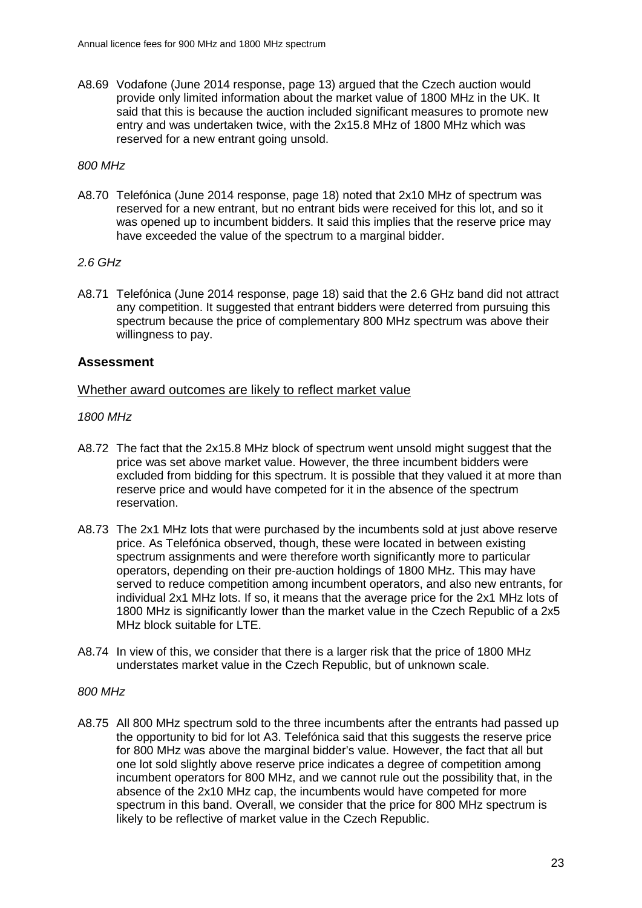A8.69 Vodafone (June 2014 response, page 13) argued that the Czech auction would provide only limited information about the market value of 1800 MHz in the UK. It said that this is because the auction included significant measures to promote new entry and was undertaken twice, with the 2x15.8 MHz of 1800 MHz which was reserved for a new entrant going unsold.

### *800 MHz*

A8.70 Telefónica (June 2014 response, page 18) noted that 2x10 MHz of spectrum was reserved for a new entrant, but no entrant bids were received for this lot, and so it was opened up to incumbent bidders. It said this implies that the reserve price may have exceeded the value of the spectrum to a marginal bidder.

### *2.6 GHz*

A8.71 Telefónica (June 2014 response, page 18) said that the 2.6 GHz band did not attract any competition. It suggested that entrant bidders were deterred from pursuing this spectrum because the price of complementary 800 MHz spectrum was above their willingness to pay.

### **Assessment**

### Whether award outcomes are likely to reflect market value

### *1800 MHz*

- A8.72 The fact that the 2x15.8 MHz block of spectrum went unsold might suggest that the price was set above market value. However, the three incumbent bidders were excluded from bidding for this spectrum. It is possible that they valued it at more than reserve price and would have competed for it in the absence of the spectrum reservation.
- A8.73 The 2x1 MHz lots that were purchased by the incumbents sold at just above reserve price. As Telefónica observed, though, these were located in between existing spectrum assignments and were therefore worth significantly more to particular operators, depending on their pre-auction holdings of 1800 MHz. This may have served to reduce competition among incumbent operators, and also new entrants, for individual 2x1 MHz lots. If so, it means that the average price for the 2x1 MHz lots of 1800 MHz is significantly lower than the market value in the Czech Republic of a 2x5 MHz block suitable for LTE.
- A8.74 In view of this, we consider that there is a larger risk that the price of 1800 MHz understates market value in the Czech Republic, but of unknown scale.

### *800 MHz*

A8.75 All 800 MHz spectrum sold to the three incumbents after the entrants had passed up the opportunity to bid for lot A3. Telefónica said that this suggests the reserve price for 800 MHz was above the marginal bidder's value. However, the fact that all but one lot sold slightly above reserve price indicates a degree of competition among incumbent operators for 800 MHz, and we cannot rule out the possibility that, in the absence of the 2x10 MHz cap, the incumbents would have competed for more spectrum in this band. Overall, we consider that the price for 800 MHz spectrum is likely to be reflective of market value in the Czech Republic.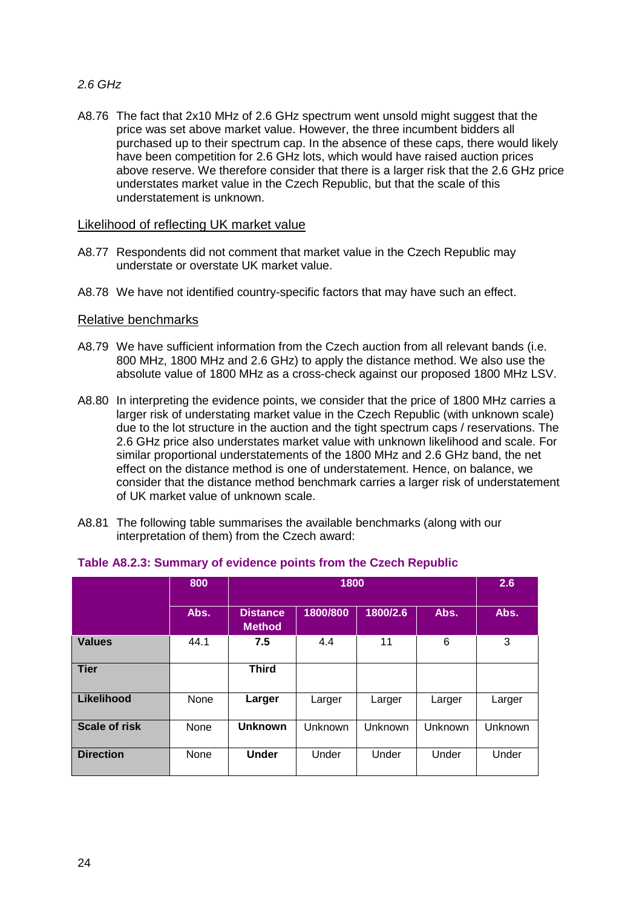# *2.6 GHz*

A8.76 The fact that 2x10 MHz of 2.6 GHz spectrum went unsold might suggest that the price was set above market value. However, the three incumbent bidders all purchased up to their spectrum cap. In the absence of these caps, there would likely have been competition for 2.6 GHz lots, which would have raised auction prices above reserve. We therefore consider that there is a larger risk that the 2.6 GHz price understates market value in the Czech Republic, but that the scale of this understatement is unknown.

### Likelihood of reflecting UK market value

- A8.77 Respondents did not comment that market value in the Czech Republic may understate or overstate UK market value.
- A8.78 We have not identified country-specific factors that may have such an effect.

### Relative benchmarks

- A8.79 We have sufficient information from the Czech auction from all relevant bands (i.e. 800 MHz, 1800 MHz and 2.6 GHz) to apply the distance method. We also use the absolute value of 1800 MHz as a cross-check against our proposed 1800 MHz LSV.
- A8.80 In interpreting the evidence points, we consider that the price of 1800 MHz carries a larger risk of understating market value in the Czech Republic (with unknown scale) due to the lot structure in the auction and the tight spectrum caps / reservations. The 2.6 GHz price also understates market value with unknown likelihood and scale. For similar proportional understatements of the 1800 MHz and 2.6 GHz band, the net effect on the distance method is one of understatement. Hence, on balance, we consider that the distance method benchmark carries a larger risk of understatement of UK market value of unknown scale.
- A8.81 The following table summarises the available benchmarks (along with our interpretation of them) from the Czech award:

|                      | 800  |                                  | 1800     |          |         |         |  |
|----------------------|------|----------------------------------|----------|----------|---------|---------|--|
|                      | Abs. | <b>Distance</b><br><b>Method</b> | 1800/800 | 1800/2.6 | Abs.    | Abs.    |  |
| <b>Values</b>        | 44.1 | 7.5                              | 4.4      | 11       | 6       | 3       |  |
| <b>Tier</b>          |      | <b>Third</b>                     |          |          |         |         |  |
| Likelihood           | None | Larger                           | Larger   | Larger   | Larger  | Larger  |  |
| <b>Scale of risk</b> | None | <b>Unknown</b>                   | Unknown  | Unknown  | Unknown | Unknown |  |
| <b>Direction</b>     | None | <b>Under</b>                     | Under    | Under    | Under   | Under   |  |

### **Table A8.2.3: Summary of evidence points from the Czech Republic**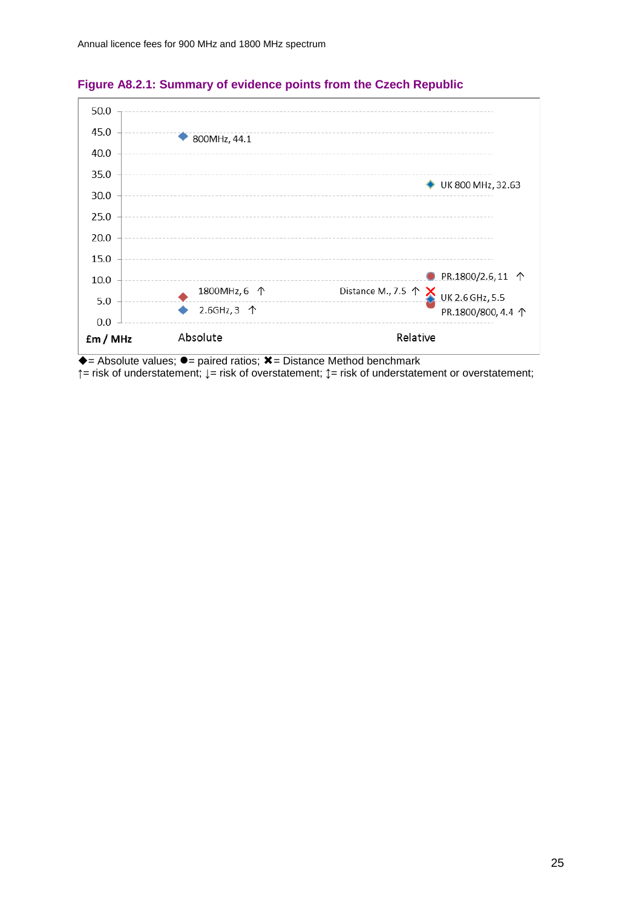

# **Figure A8.2.1: Summary of evidence points from the Czech Republic**

 $\overline{\bullet}$  = Absolute values;  $\overline{\bullet}$  = paired ratios;  $\overline{\mathbf{x}}$  = Distance Method benchmark

**↑**= risk of understatement; **↓**= risk of overstatement; **↕**= risk of understatement or overstatement;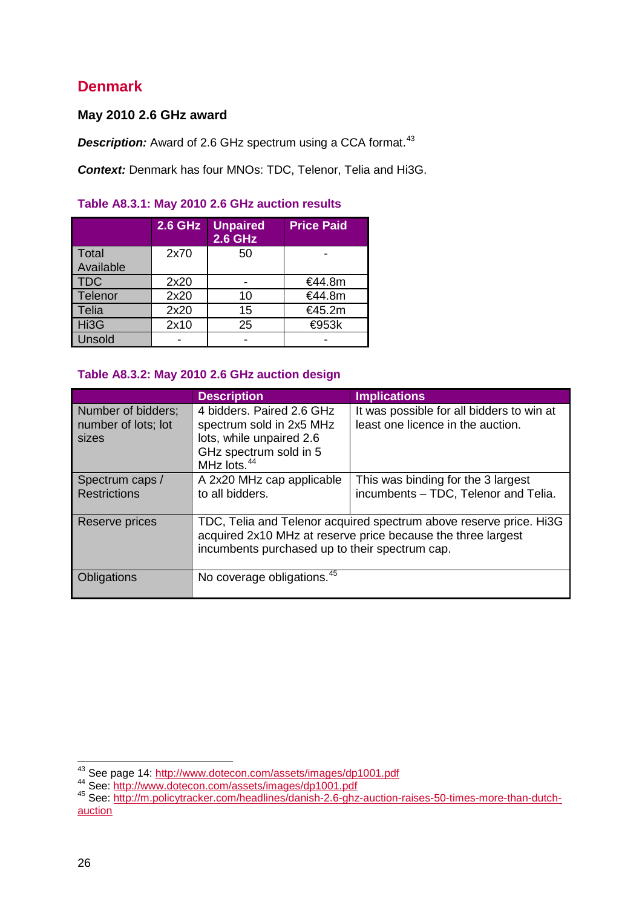# **Denmark**

# **May 2010 2.6 GHz award**

**Description:** Award of 2.6 GHz spectrum using a CCA format.<sup>[43](#page-25-0)</sup>

*Context:* Denmark has four MNOs: TDC, Telenor, Telia and Hi3G.

### **Table A8.3.1: May 2010 2.6 GHz auction results**

|                    | <b>2.6 GHz</b> | <b>Unpaired</b><br><b>2.6 GHz</b> | <b>Price Paid</b> |
|--------------------|----------------|-----------------------------------|-------------------|
| Total<br>Available | 2x70           | 50                                |                   |
| <b>TDC</b>         | 2x20           |                                   | €44.8m            |
| Telenor            | 2x20           | 10                                | €44.8m            |
| <b>Telia</b>       | 2x20           | 15                                | €45.2m            |
| Hi3G               | 2x10           | 25                                | <b>€953k</b>      |
| Unsold             |                |                                   |                   |

### **Table A8.3.2: May 2010 2.6 GHz auction design**

|                                                    | <b>Description</b>                                                                                                                     | <b>Implications</b>                                                                                                                |
|----------------------------------------------------|----------------------------------------------------------------------------------------------------------------------------------------|------------------------------------------------------------------------------------------------------------------------------------|
| Number of bidders;<br>number of lots; lot<br>sizes | 4 bidders. Paired 2.6 GHz<br>spectrum sold in 2x5 MHz<br>lots, while unpaired 2.6<br>GHz spectrum sold in 5<br>MHz lots. <sup>44</sup> | It was possible for all bidders to win at<br>least one licence in the auction.                                                     |
| Spectrum caps /<br><b>Restrictions</b>             | A 2x20 MHz cap applicable<br>to all bidders.                                                                                           | This was binding for the 3 largest<br>incumbents - TDC, Telenor and Telia.                                                         |
| Reserve prices                                     | incumbents purchased up to their spectrum cap.                                                                                         | TDC, Telia and Telenor acquired spectrum above reserve price. Hi3G<br>acquired 2x10 MHz at reserve price because the three largest |
| Obligations                                        | No coverage obligations. <sup>45</sup>                                                                                                 |                                                                                                                                    |

 $\overline{a}$ 

<span id="page-25-2"></span>

<span id="page-25-1"></span><span id="page-25-0"></span><sup>&</sup>lt;sup>43</sup> See page 14: <u>http://www.dotecon.com/assets/images/dp1001.pdf</u><br><sup>44</sup> See: <u>http://www.dotecon.com/assets/images/dp1001.pdf</u><br><sup>45</sup> See: <u>http://m.policytracker.com/headlines/danish-2.6-ghz-auction-raises-50-times-more-th</u> 45 See: http://m.policytracker.com/headlines/danish-2.6-ghz-[auction](http://m.policytracker.com/headlines/danish-2.6-ghz-auction-raises-50-times-more-than-dutch-auction)-raises-50-times-more-than-dutch-<br>auction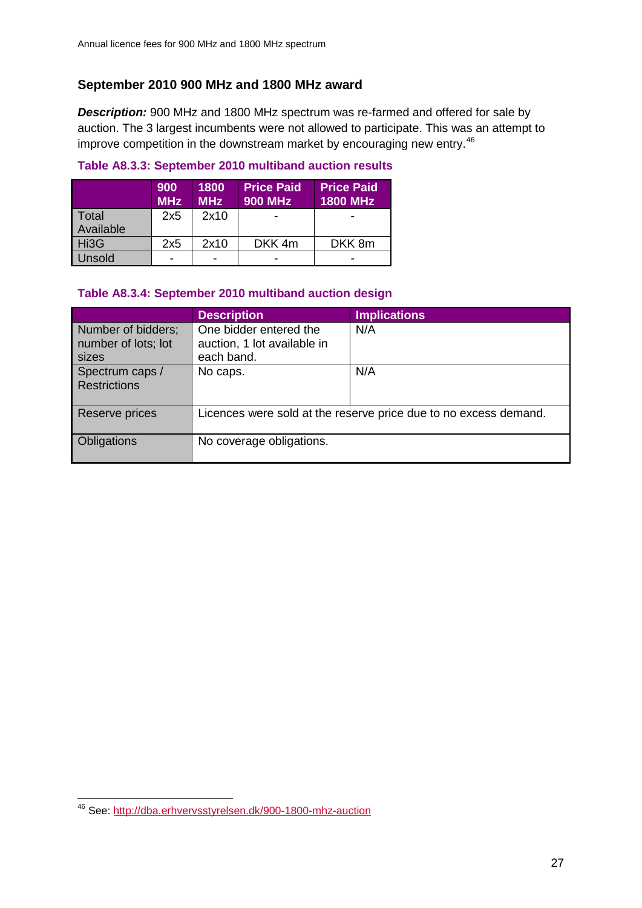# **September 2010 900 MHz and 1800 MHz award**

*Description:* 900 MHz and 1800 MHz spectrum was re-farmed and offered for sale by auction. The 3 largest incumbents were not allowed to participate. This was an attempt to improve competition in the downstream market by encouraging new entry.<sup>[46](#page-26-0)</sup>

# **Table A8.3.3: September 2010 multiband auction results**

|                    | 900<br><b>MHz</b> | 1800<br><b>MHz</b> | <b>Price Paid</b><br><b>900 MHz</b> | <b>Price Paid</b><br><b>1800 MHz</b> |
|--------------------|-------------------|--------------------|-------------------------------------|--------------------------------------|
| Total<br>Available | 2x5               | 2x10               |                                     |                                      |
| Hi3G               | 2x5               | 2x10               | DKK 4m                              | DKK 8m                               |
| Unsold             | -                 |                    |                                     |                                      |

### **Table A8.3.4: September 2010 multiband auction design**

|                                                    | <b>Description</b>                                                  | <b>Implications</b>                                              |
|----------------------------------------------------|---------------------------------------------------------------------|------------------------------------------------------------------|
| Number of bidders;<br>number of lots; lot<br>sizes | One bidder entered the<br>auction, 1 lot available in<br>each band. | N/A                                                              |
| Spectrum caps /<br>Restrictions                    | No caps.                                                            | N/A                                                              |
| Reserve prices                                     |                                                                     | Licences were sold at the reserve price due to no excess demand. |
| Obligations                                        | No coverage obligations.                                            |                                                                  |

<span id="page-26-0"></span><sup>&</sup>lt;sup>46</sup> See:<http://dba.erhvervsstyrelsen.dk/900-1800-mhz-auction>  $\overline{a}$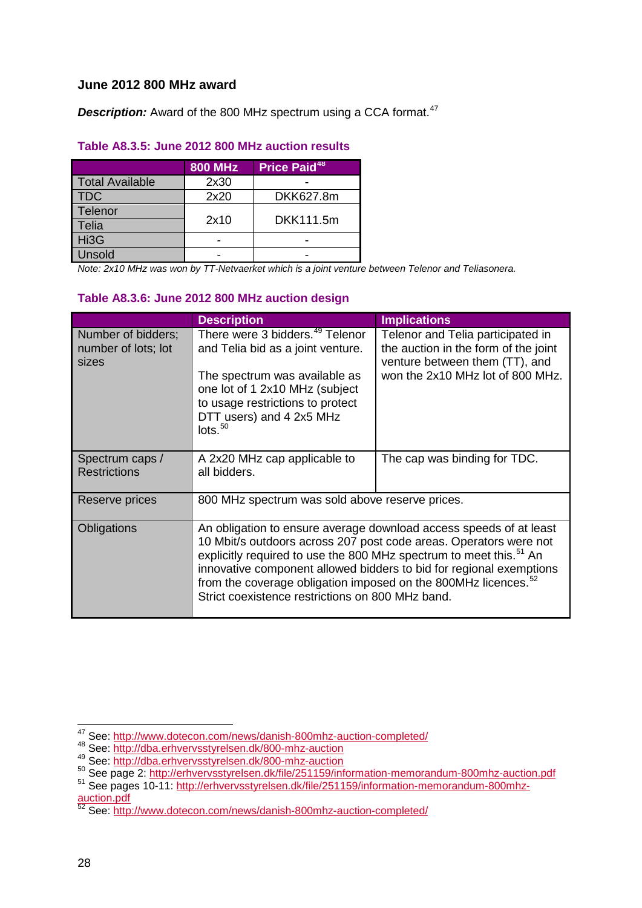# **June 2012 800 MHz award**

**Description:** Award of the 800 MHz spectrum using a CCA format.<sup>[47](#page-27-0)</sup>

# **Table A8.3.5: June 2012 800 MHz auction results**

|                        | <b>800 MHz</b> | Price Paid <sup>48</sup> |
|------------------------|----------------|--------------------------|
| <b>Total Available</b> | 2x30           |                          |
| <b>TDC</b>             | 2x20           | DKK627.8m                |
| Telenor                |                |                          |
| Telia                  | 2x10           | DKK111.5m                |
| Hi3G                   |                |                          |
| Unsold                 |                |                          |

*Note: 2x10 MHz was won by TT-Netvaerket which is a joint venture between Telenor and Teliasonera.*

### **Table A8.3.6: June 2012 800 MHz auction design**

|                                                    | <b>Description</b>                                                                                                                                                                                                                          | <b>Implications</b>                                                                                                                                                                                            |
|----------------------------------------------------|---------------------------------------------------------------------------------------------------------------------------------------------------------------------------------------------------------------------------------------------|----------------------------------------------------------------------------------------------------------------------------------------------------------------------------------------------------------------|
| Number of bidders;<br>number of lots; lot<br>sizes | There were 3 bidders. <sup>49</sup> Telenor<br>and Telia bid as a joint venture.<br>The spectrum was available as<br>one lot of 1 2x10 MHz (subject<br>to usage restrictions to protect<br>DTT users) and 4 2x5 MHz<br>losts. <sup>50</sup> | Telenor and Telia participated in<br>the auction in the form of the joint<br>venture between them (TT), and<br>won the 2x10 MHz lot of 800 MHz.                                                                |
| Spectrum caps /<br><b>Restrictions</b>             | A 2x20 MHz cap applicable to<br>all bidders.                                                                                                                                                                                                | The cap was binding for TDC.                                                                                                                                                                                   |
| Reserve prices                                     | 800 MHz spectrum was sold above reserve prices.                                                                                                                                                                                             |                                                                                                                                                                                                                |
| Obligations                                        | explicitly required to use the 800 MHz spectrum to meet this. <sup>51</sup> An<br>from the coverage obligation imposed on the 800MHz licences. <sup>52</sup><br>Strict coexistence restrictions on 800 MHz band.                            | An obligation to ensure average download access speeds of at least<br>10 Mbit/s outdoors across 207 post code areas. Operators were not<br>innovative component allowed bidders to bid for regional exemptions |

<sup>&</sup>lt;sup>47</sup> See: <u>http://www.dotecon.com/news/danish-800mhz-auction-completed/</u><br><sup>48</sup> See: <u>http://dba.erhvervsstyrelsen.dk/800-mhz-auction</u>  $\overline{a}$ 

<span id="page-27-1"></span><span id="page-27-0"></span><sup>48</sup> See:<http://dba.erhvervsstyrelsen.dk/800-mhz-auction><br>49 See: http://dba.erhvervsstyrelsen.dk/800-mhz-auction

<span id="page-27-3"></span><span id="page-27-2"></span><sup>50</sup> See page 2:<http://erhvervsstyrelsen.dk/file/251159/information-memorandum-800mhz-auction.pdf><br>
<sup>51</sup> See pages 10-11: [http://erhvervsstyrelsen.dk/file/251159/information-memorandum-800mhz-](http://erhvervsstyrelsen.dk/file/251159/information-memorandum-800mhz-auction.pdf)

<span id="page-27-4"></span>[auction.pdf](http://erhvervsstyrelsen.dk/file/251159/information-memorandum-800mhz-auction.pdf)

<span id="page-27-5"></span><sup>&</sup>lt;sup>52</sup> See:<http://www.dotecon.com/news/danish-800mhz-auction-completed/>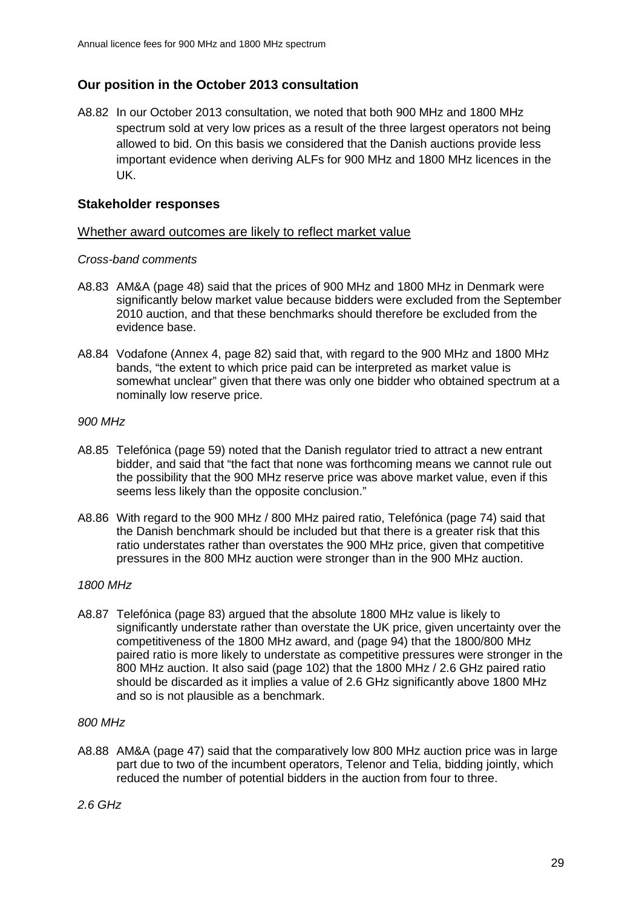# **Our position in the October 2013 consultation**

A8.82 In our October 2013 consultation, we noted that both 900 MHz and 1800 MHz spectrum sold at very low prices as a result of the three largest operators not being allowed to bid. On this basis we considered that the Danish auctions provide less important evidence when deriving ALFs for 900 MHz and 1800 MHz licences in the UK.

### **Stakeholder responses**

### Whether award outcomes are likely to reflect market value

### *Cross-band comments*

- A8.83 AM&A (page 48) said that the prices of 900 MHz and 1800 MHz in Denmark were significantly below market value because bidders were excluded from the September 2010 auction, and that these benchmarks should therefore be excluded from the evidence base.
- A8.84 Vodafone (Annex 4, page 82) said that, with regard to the 900 MHz and 1800 MHz bands, "the extent to which price paid can be interpreted as market value is somewhat unclear" given that there was only one bidder who obtained spectrum at a nominally low reserve price.

### *900 MHz*

- A8.85 Telefónica (page 59) noted that the Danish regulator tried to attract a new entrant bidder, and said that "the fact that none was forthcoming means we cannot rule out the possibility that the 900 MHz reserve price was above market value, even if this seems less likely than the opposite conclusion."
- A8.86 With regard to the 900 MHz / 800 MHz paired ratio, Telefónica (page 74) said that the Danish benchmark should be included but that there is a greater risk that this ratio understates rather than overstates the 900 MHz price, given that competitive pressures in the 800 MHz auction were stronger than in the 900 MHz auction.

# *1800 MHz*

A8.87 Telefónica (page 83) argued that the absolute 1800 MHz value is likely to significantly understate rather than overstate the UK price, given uncertainty over the competitiveness of the 1800 MHz award, and (page 94) that the 1800/800 MHz paired ratio is more likely to understate as competitive pressures were stronger in the 800 MHz auction. It also said (page 102) that the 1800 MHz / 2.6 GHz paired ratio should be discarded as it implies a value of 2.6 GHz significantly above 1800 MHz and so is not plausible as a benchmark.

#### *800 MHz*

A8.88 AM&A (page 47) said that the comparatively low 800 MHz auction price was in large part due to two of the incumbent operators, Telenor and Telia, bidding jointly, which reduced the number of potential bidders in the auction from four to three.

*2.6 GHz*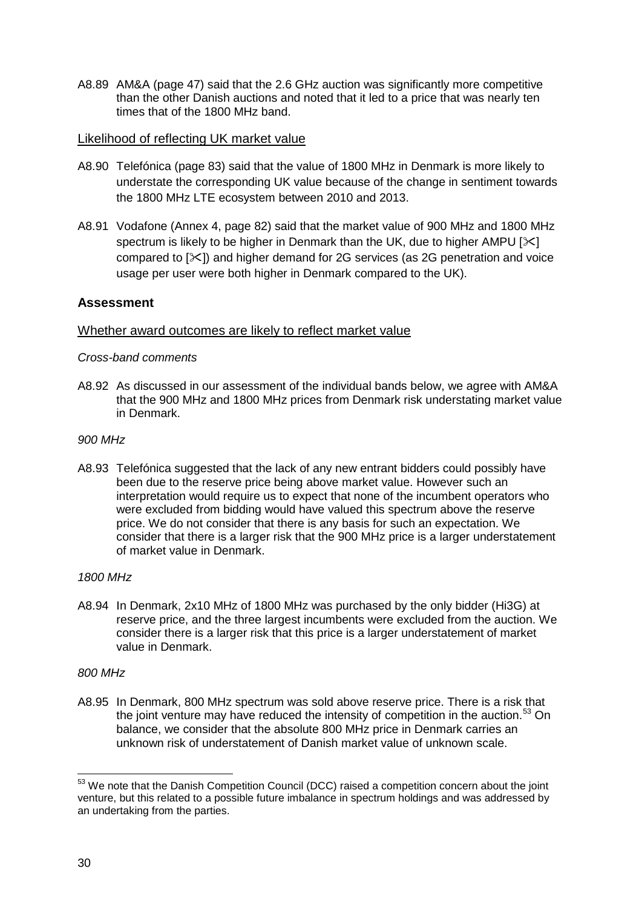A8.89 AM&A (page 47) said that the 2.6 GHz auction was significantly more competitive than the other Danish auctions and noted that it led to a price that was nearly ten times that of the 1800 MHz band.

### Likelihood of reflecting UK market value

- A8.90 Telefónica (page 83) said that the value of 1800 MHz in Denmark is more likely to understate the corresponding UK value because of the change in sentiment towards the 1800 MHz LTE ecosystem between 2010 and 2013.
- A8.91 Vodafone (Annex 4, page 82) said that the market value of 900 MHz and 1800 MHz spectrum is likely to be higher in Denmark than the UK, due to higher AMPU  $[\times]$ compared to  $[\infty]$ ) and higher demand for 2G services (as 2G penetration and voice usage per user were both higher in Denmark compared to the UK).

# **Assessment**

### Whether award outcomes are likely to reflect market value

### *Cross-band comments*

A8.92 As discussed in our assessment of the individual bands below, we agree with AM&A that the 900 MHz and 1800 MHz prices from Denmark risk understating market value in Denmark.

### *900 MHz*

A8.93 Telefónica suggested that the lack of any new entrant bidders could possibly have been due to the reserve price being above market value. However such an interpretation would require us to expect that none of the incumbent operators who were excluded from bidding would have valued this spectrum above the reserve price. We do not consider that there is any basis for such an expectation. We consider that there is a larger risk that the 900 MHz price is a larger understatement of market value in Denmark.

### *1800 MHz*

A8.94 In Denmark, 2x10 MHz of 1800 MHz was purchased by the only bidder (Hi3G) at reserve price, and the three largest incumbents were excluded from the auction. We consider there is a larger risk that this price is a larger understatement of market value in Denmark.

### *800 MHz*

A8.95 In Denmark, 800 MHz spectrum was sold above reserve price. There is a risk that the joint venture may have reduced the intensity of competition in the auction.<sup>[53](#page-29-0)</sup> On balance, we consider that the absolute 800 MHz price in Denmark carries an unknown risk of understatement of Danish market value of unknown scale.

<span id="page-29-0"></span> $53$  We note that the Danish Competition Council (DCC) raised a competition concern about the joint venture, but this related to a possible future imbalance in spectrum holdings and was addressed by an undertaking from the parties.  $\overline{a}$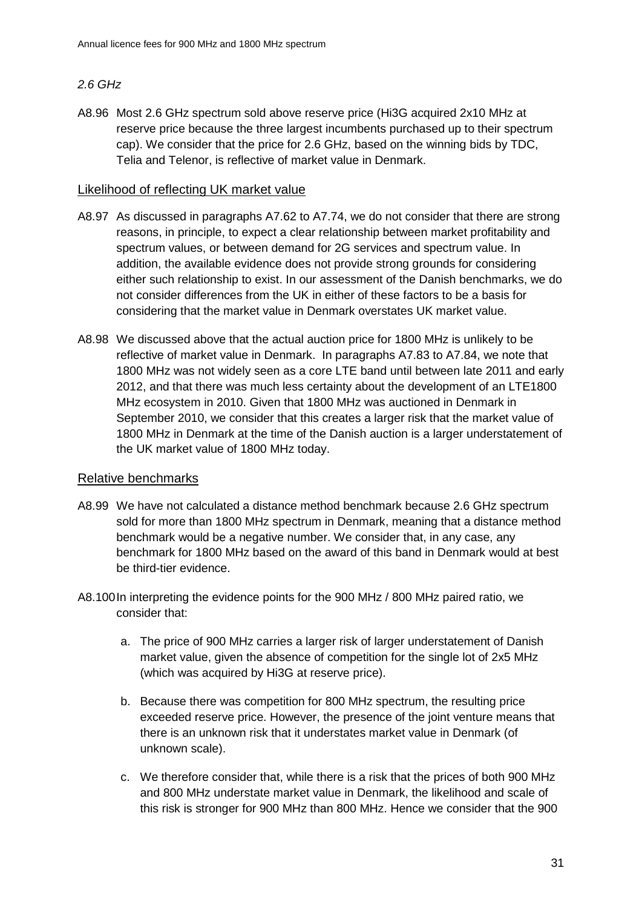# *2.6 GHz*

A8.96 Most 2.6 GHz spectrum sold above reserve price (Hi3G acquired 2x10 MHz at reserve price because the three largest incumbents purchased up to their spectrum cap). We consider that the price for 2.6 GHz, based on the winning bids by TDC, Telia and Telenor, is reflective of market value in Denmark.

# Likelihood of reflecting UK market value

- A8.97 As discussed in paragraphs A7.62 to A7.74, we do not consider that there are strong reasons, in principle, to expect a clear relationship between market profitability and spectrum values, or between demand for 2G services and spectrum value. In addition, the available evidence does not provide strong grounds for considering either such relationship to exist. In our assessment of the Danish benchmarks, we do not consider differences from the UK in either of these factors to be a basis for considering that the market value in Denmark overstates UK market value.
- A8.98 We discussed above that the actual auction price for 1800 MHz is unlikely to be reflective of market value in Denmark. In paragraphs A7.83 to A7.84, we note that 1800 MHz was not widely seen as a core LTE band until between late 2011 and early 2012, and that there was much less certainty about the development of an LTE1800 MHz ecosystem in 2010. Given that 1800 MHz was auctioned in Denmark in September 2010, we consider that this creates a larger risk that the market value of 1800 MHz in Denmark at the time of the Danish auction is a larger understatement of the UK market value of 1800 MHz today.

# Relative benchmarks

- A8.99 We have not calculated a distance method benchmark because 2.6 GHz spectrum sold for more than 1800 MHz spectrum in Denmark, meaning that a distance method benchmark would be a negative number. We consider that, in any case, any benchmark for 1800 MHz based on the award of this band in Denmark would at best be third-tier evidence.
- A8.100In interpreting the evidence points for the 900 MHz / 800 MHz paired ratio, we consider that:
	- a. The price of 900 MHz carries a larger risk of larger understatement of Danish market value, given the absence of competition for the single lot of 2x5 MHz (which was acquired by Hi3G at reserve price).
	- b. Because there was competition for 800 MHz spectrum, the resulting price exceeded reserve price. However, the presence of the joint venture means that there is an unknown risk that it understates market value in Denmark (of unknown scale).
	- c. We therefore consider that, while there is a risk that the prices of both 900 MHz and 800 MHz understate market value in Denmark, the likelihood and scale of this risk is stronger for 900 MHz than 800 MHz. Hence we consider that the 900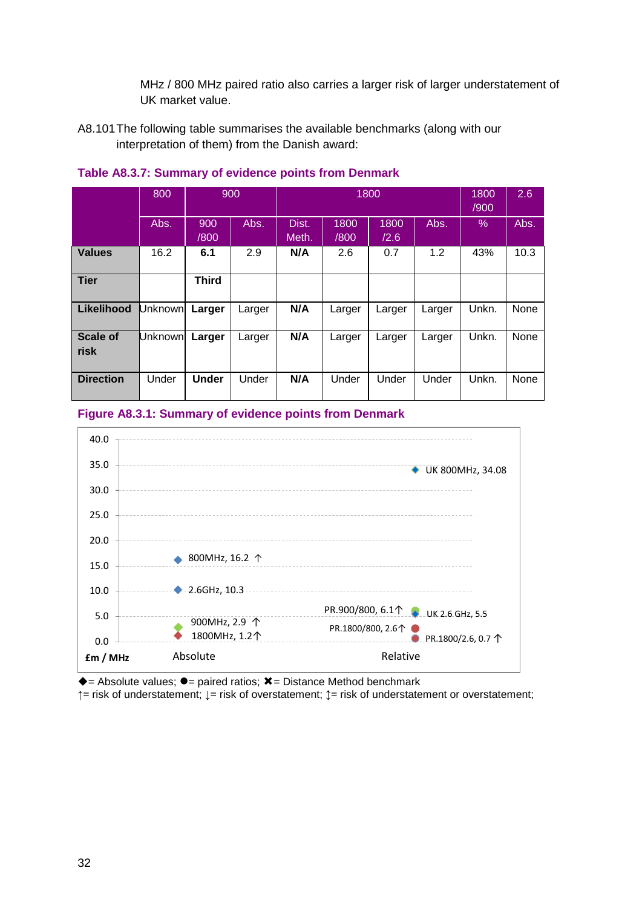MHz / 800 MHz paired ratio also carries a larger risk of larger understatement of UK market value.

A8.101The following table summarises the available benchmarks (along with our interpretation of them) from the Danish award:

|                         | 800            |              | 900    |                |              | 1800         |        | 1800<br>/900 | 2.6  |
|-------------------------|----------------|--------------|--------|----------------|--------------|--------------|--------|--------------|------|
|                         | Abs.           | 900<br>/800  | Abs.   | Dist.<br>Meth. | 1800<br>/800 | 1800<br>/2.6 | Abs.   | %            | Abs. |
| <b>Values</b>           | 16.2           | 6.1          | 2.9    | N/A            | 2.6          | 0.7          | 1.2    | 43%          | 10.3 |
| <b>Tier</b>             |                | <b>Third</b> |        |                |              |              |        |              |      |
| <b>Likelihood</b>       | <b>Unknown</b> | Larger       | Larger | N/A            | Larger       | Larger       | Larger | Unkn.        | None |
| <b>Scale of</b><br>risk | <b>Unknown</b> | Larger       | Larger | N/A            | Larger       | Larger       | Larger | Unkn.        | None |
| <b>Direction</b>        | Under          | <b>Under</b> | Under  | N/A            | Under        | Under        | Under  | Unkn.        | None |

# **Table A8.3.7: Summary of evidence points from Denmark**

### **Figure A8.3.1: Summary of evidence points from Denmark**



 $\triangle$  = Absolute values;  $\bullet$  = paired ratios;  $\angle$  = Distance Method benchmark

**↑**= risk of understatement; **↓**= risk of overstatement; **↕**= risk of understatement or overstatement;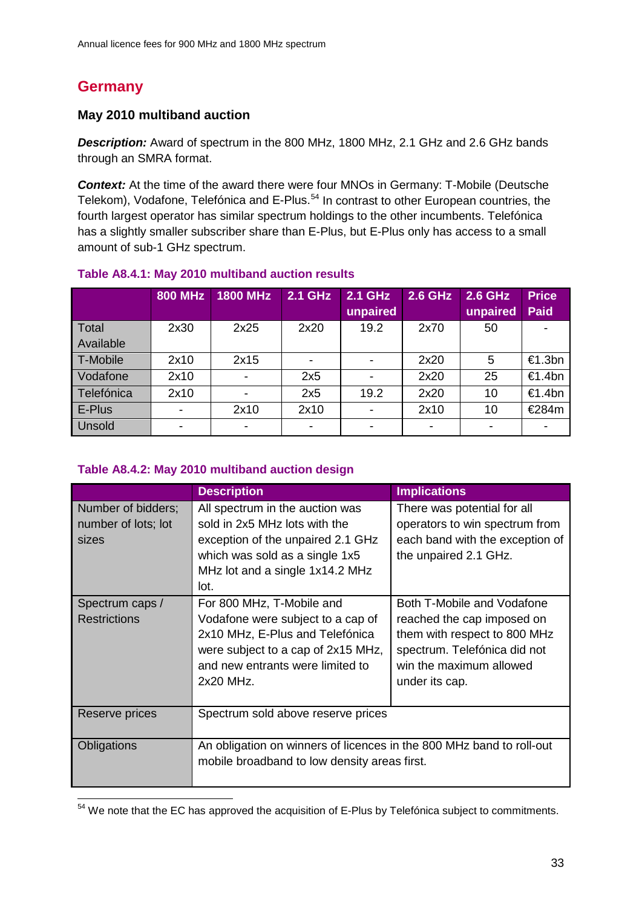# **Germany**

# **May 2010 multiband auction**

*Description:* Award of spectrum in the 800 MHz, 1800 MHz, 2.1 GHz and 2.6 GHz bands through an SMRA format.

*Context:* At the time of the award there were four MNOs in Germany: T-Mobile (Deutsche Telekom), Vodafone, Telefónica and E-Plus.<sup>[54](#page-32-0)</sup> In contrast to other European countries, the fourth largest operator has similar spectrum holdings to the other incumbents. Telefónica has a slightly smaller subscriber share than E-Plus, but E-Plus only has access to a small amount of sub-1 GHz spectrum.

|              | <b>800 MHz</b> | <b>1800 MHz</b> | <b>2.1 GHz</b> | 2.1 GHz  | <b>2.6 GHz</b> | 2.6 GHz  | <b>Price</b> |
|--------------|----------------|-----------------|----------------|----------|----------------|----------|--------------|
|              |                |                 |                | unpaired |                | unpaired | <b>Paid</b>  |
| <b>Total</b> | 2x30           | 2x25            | 2x20           | 19.2     | 2x70           | 50       |              |
| Available    |                |                 |                |          |                |          |              |
| T-Mobile     | 2x10           | 2x15            |                |          | 2x20           | 5        | €1.3bn       |
| Vodafone     | 2x10           |                 | 2x5            |          | 2x20           | 25       | €1.4bn       |
| Telefónica   | 2x10           |                 | 2x5            | 19.2     | 2x20           | 10       | €1.4bn       |
| E-Plus       |                | 2x10            | 2x10           |          | 2x10           | 10       | €284m        |
| Unsold       |                |                 |                |          |                |          |              |

### **Table A8.4.1: May 2010 multiband auction results**

### **Table A8.4.2: May 2010 multiband auction design**

|                                                    | <b>Description</b>                                                                                                                                                                       | <b>Implications</b>                                                                                                                                                   |
|----------------------------------------------------|------------------------------------------------------------------------------------------------------------------------------------------------------------------------------------------|-----------------------------------------------------------------------------------------------------------------------------------------------------------------------|
| Number of bidders;<br>number of lots; lot<br>sizes | All spectrum in the auction was<br>sold in 2x5 MHz lots with the<br>exception of the unpaired 2.1 GHz<br>which was sold as a single 1x5<br>MHz lot and a single 1x14.2 MHz<br>lot.       | There was potential for all<br>operators to win spectrum from<br>each band with the exception of<br>the unpaired 2.1 GHz.                                             |
| Spectrum caps /<br><b>Restrictions</b>             | For 800 MHz, T-Mobile and<br>Vodafone were subject to a cap of<br>2x10 MHz, E-Plus and Telefónica<br>were subject to a cap of 2x15 MHz,<br>and new entrants were limited to<br>2x20 MHz. | Both T-Mobile and Vodafone<br>reached the cap imposed on<br>them with respect to 800 MHz<br>spectrum. Telefónica did not<br>win the maximum allowed<br>under its cap. |
| Reserve prices                                     | Spectrum sold above reserve prices                                                                                                                                                       |                                                                                                                                                                       |
| Obligations                                        | An obligation on winners of licences in the 800 MHz band to roll-out<br>mobile broadband to low density areas first.                                                                     |                                                                                                                                                                       |

<span id="page-32-0"></span> $54$  We note that the EC has approved the acquisition of E-Plus by Telefónica subject to commitments.  $\overline{a}$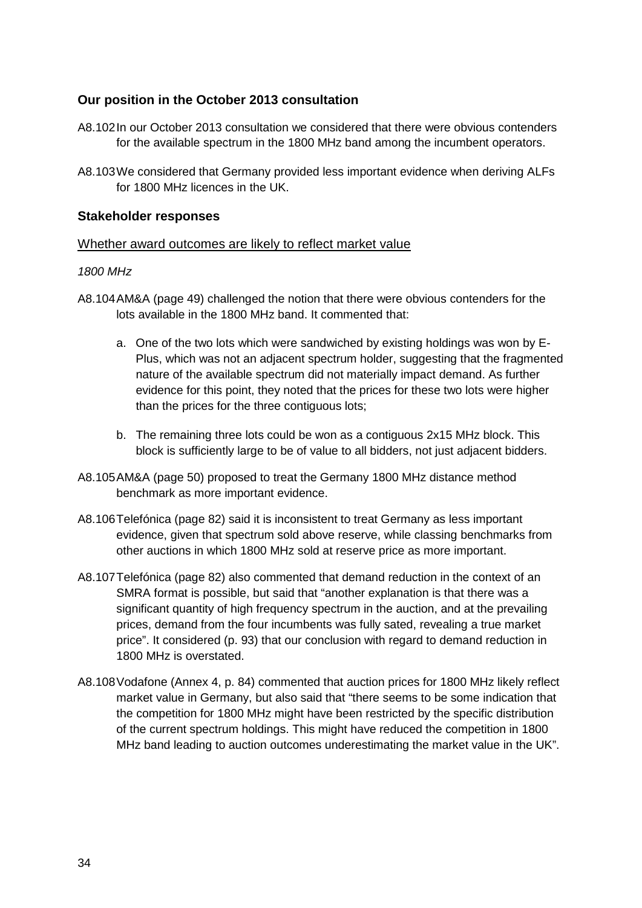# **Our position in the October 2013 consultation**

- A8.102In our October 2013 consultation we considered that there were obvious contenders for the available spectrum in the 1800 MHz band among the incumbent operators.
- A8.103We considered that Germany provided less important evidence when deriving ALFs for 1800 MHz licences in the UK.

# **Stakeholder responses**

### Whether award outcomes are likely to reflect market value

### *1800 MHz*

- A8.104AM&A (page 49) challenged the notion that there were obvious contenders for the lots available in the 1800 MHz band. It commented that:
	- a. One of the two lots which were sandwiched by existing holdings was won by E-Plus, which was not an adjacent spectrum holder, suggesting that the fragmented nature of the available spectrum did not materially impact demand. As further evidence for this point, they noted that the prices for these two lots were higher than the prices for the three contiguous lots;
	- b. The remaining three lots could be won as a contiguous 2x15 MHz block. This block is sufficiently large to be of value to all bidders, not just adjacent bidders.
- A8.105AM&A (page 50) proposed to treat the Germany 1800 MHz distance method benchmark as more important evidence.
- A8.106Telefónica (page 82) said it is inconsistent to treat Germany as less important evidence, given that spectrum sold above reserve, while classing benchmarks from other auctions in which 1800 MHz sold at reserve price as more important.
- A8.107Telefónica (page 82) also commented that demand reduction in the context of an SMRA format is possible, but said that "another explanation is that there was a significant quantity of high frequency spectrum in the auction, and at the prevailing prices, demand from the four incumbents was fully sated, revealing a true market price". It considered (p. 93) that our conclusion with regard to demand reduction in 1800 MHz is overstated.
- A8.108Vodafone (Annex 4, p. 84) commented that auction prices for 1800 MHz likely reflect market value in Germany, but also said that "there seems to be some indication that the competition for 1800 MHz might have been restricted by the specific distribution of the current spectrum holdings. This might have reduced the competition in 1800 MHz band leading to auction outcomes underestimating the market value in the UK".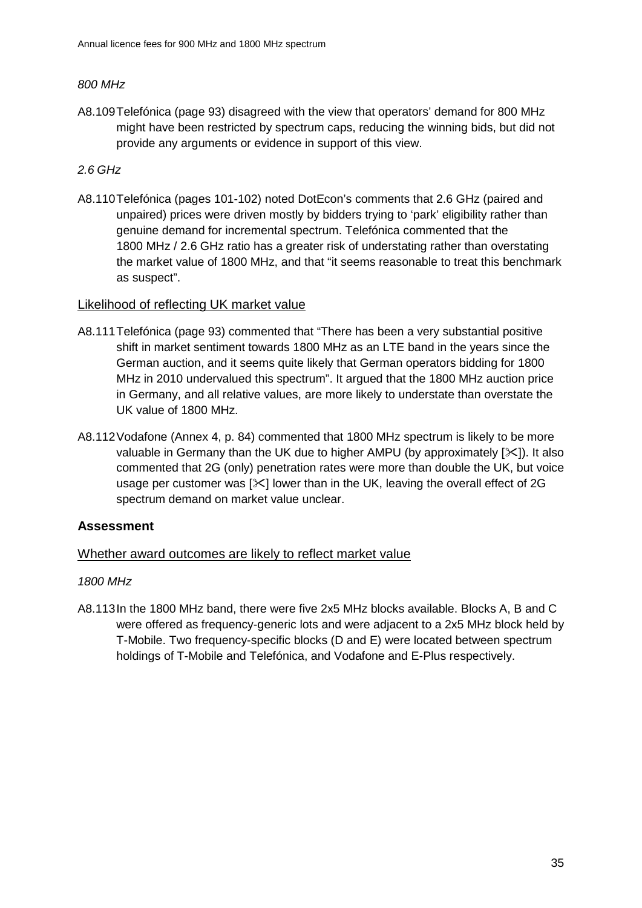# *800 MHz*

A8.109Telefónica (page 93) disagreed with the view that operators' demand for 800 MHz might have been restricted by spectrum caps, reducing the winning bids, but did not provide any arguments or evidence in support of this view.

# *2.6 GHz*

A8.110Telefónica (pages 101-102) noted DotEcon's comments that 2.6 GHz (paired and unpaired) prices were driven mostly by bidders trying to 'park' eligibility rather than genuine demand for incremental spectrum. Telefónica commented that the 1800 MHz / 2.6 GHz ratio has a greater risk of understating rather than overstating the market value of 1800 MHz, and that "it seems reasonable to treat this benchmark as suspect".

### Likelihood of reflecting UK market value

- A8.111Telefónica (page 93) commented that "There has been a very substantial positive shift in market sentiment towards 1800 MHz as an LTE band in the years since the German auction, and it seems quite likely that German operators bidding for 1800 MHz in 2010 undervalued this spectrum". It argued that the 1800 MHz auction price in Germany, and all relative values, are more likely to understate than overstate the UK value of 1800 MHz.
- A8.112Vodafone (Annex 4, p. 84) commented that 1800 MHz spectrum is likely to be more valuable in Germany than the UK due to higher AMPU (by approximately  $[\times]$ ). It also commented that 2G (only) penetration rates were more than double the UK, but voice usage per customer was  $[\times]$  lower than in the UK, leaving the overall effect of 2G spectrum demand on market value unclear.

# **Assessment**

# Whether award outcomes are likely to reflect market value

# *1800 MHz*

A8.113In the 1800 MHz band, there were five 2x5 MHz blocks available. Blocks A, B and C were offered as frequency-generic lots and were adjacent to a 2x5 MHz block held by T-Mobile. Two frequency-specific blocks (D and E) were located between spectrum holdings of T-Mobile and Telefónica, and Vodafone and E-Plus respectively.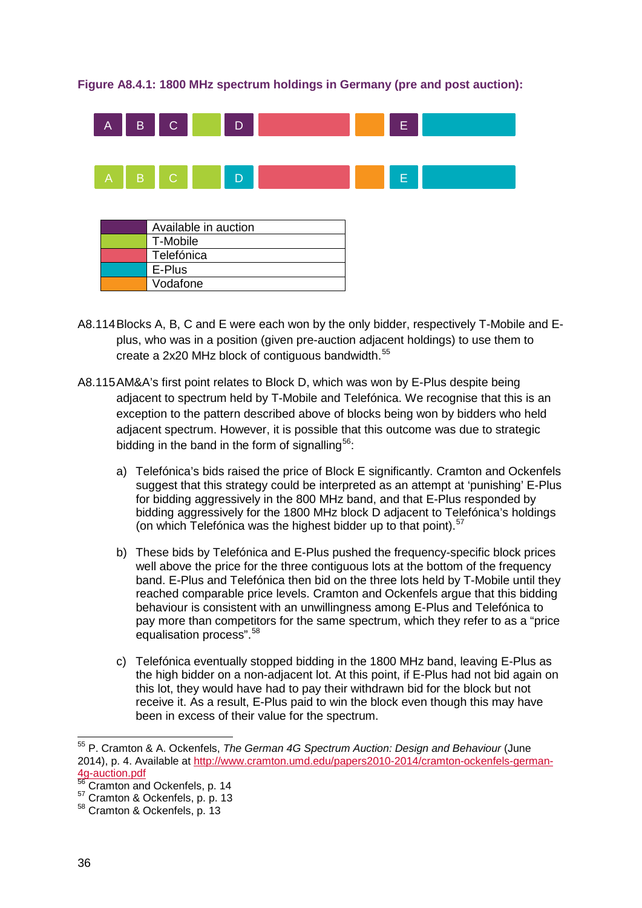## **Figure A8.4.1: 1800 MHz spectrum holdings in Germany (pre and post auction):**



| T-Mobile   |  |
|------------|--|
| Telefónica |  |
| E-Plus     |  |
| Vodafone   |  |

- A8.114Blocks A, B, C and E were each won by the only bidder, respectively T-Mobile and Eplus, who was in a position (given pre-auction adjacent holdings) to use them to create a 2x20 MHz block of contiguous bandwidth.<sup>[55](#page-35-0)</sup>
- A8.115AM&A's first point relates to Block D, which was won by E-Plus despite being adjacent to spectrum held by T-Mobile and Telefónica. We recognise that this is an exception to the pattern described above of blocks being won by bidders who held adjacent spectrum. However, it is possible that this outcome was due to strategic bidding in the band in the form of signalling<sup>[56](#page-35-1)</sup>:
	- a) Telefónica's bids raised the price of Block E significantly. Cramton and Ockenfels suggest that this strategy could be interpreted as an attempt at 'punishing' E-Plus for bidding aggressively in the 800 MHz band, and that E-Plus responded by bidding aggressively for the 1800 MHz block D adjacent to Telefónica's holdings (on which Telefónica was the highest bidder up to that point). $57$
	- b) These bids by Telefónica and E-Plus pushed the frequency-specific block prices well above the price for the three contiguous lots at the bottom of the frequency band. E-Plus and Telefónica then bid on the three lots held by T-Mobile until they reached comparable price levels. Cramton and Ockenfels argue that this bidding behaviour is consistent with an unwillingness among E-Plus and Telefónica to pay more than competitors for the same spectrum, which they refer to as a "price equalisation process".<sup>[58](#page-35-3)</sup>
	- c) Telefónica eventually stopped bidding in the 1800 MHz band, leaving E-Plus as the high bidder on a non-adjacent lot. At this point, if E-Plus had not bid again on this lot, they would have had to pay their withdrawn bid for the block but not receive it. As a result, E-Plus paid to win the block even though this may have been in excess of their value for the spectrum.

<span id="page-35-0"></span><sup>55</sup> P. Cramton & A. Ockenfels, *The German 4G Spectrum Auction: Design and Behaviour* (June 2014), p. 4. Available at http://www.cramton.umd.edu/papers2010-2014/cramton-ockenfels-german-<br>4q-auction.pdf  $\overline{a}$ 

<span id="page-35-2"></span><span id="page-35-1"></span><sup>4</sup>g duction.pdf<br>
<sup>56</sup> Cramton and Ockenfels, p. 14<br>
<sup>57</sup> Cramton & Ockenfels, p. p. 13<br>
<sup>58</sup> Cramton & Ockenfels, p. 13

<span id="page-35-3"></span>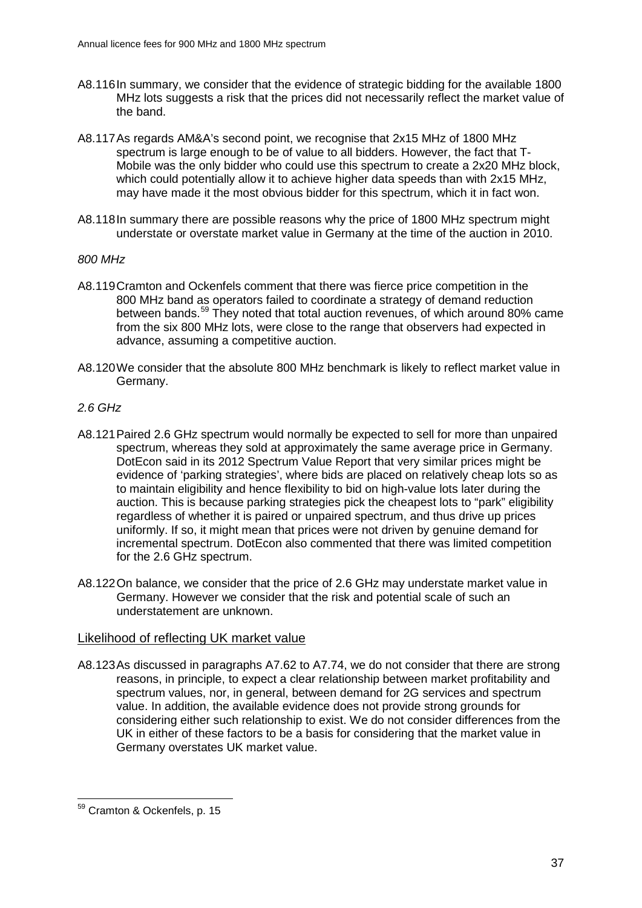- A8.116In summary, we consider that the evidence of strategic bidding for the available 1800 MHz lots suggests a risk that the prices did not necessarily reflect the market value of the band.
- A8.117As regards AM&A's second point, we recognise that 2x15 MHz of 1800 MHz spectrum is large enough to be of value to all bidders. However, the fact that T-Mobile was the only bidder who could use this spectrum to create a 2x20 MHz block, which could potentially allow it to achieve higher data speeds than with 2x15 MHz, may have made it the most obvious bidder for this spectrum, which it in fact won.
- A8.118In summary there are possible reasons why the price of 1800 MHz spectrum might understate or overstate market value in Germany at the time of the auction in 2010.

#### *800 MHz*

- A8.119Cramton and Ockenfels comment that there was fierce price competition in the 800 MHz band as operators failed to coordinate a strategy of demand reduction between bands.<sup>[59](#page-36-0)</sup> They noted that total auction revenues, of which around 80% came from the six 800 MHz lots, were close to the range that observers had expected in advance, assuming a competitive auction.
- A8.120We consider that the absolute 800 MHz benchmark is likely to reflect market value in Germany.

## *2.6 GHz*

- A8.121Paired 2.6 GHz spectrum would normally be expected to sell for more than unpaired spectrum, whereas they sold at approximately the same average price in Germany. DotEcon said in its 2012 Spectrum Value Report that very similar prices might be evidence of 'parking strategies', where bids are placed on relatively cheap lots so as to maintain eligibility and hence flexibility to bid on high-value lots later during the auction. This is because parking strategies pick the cheapest lots to "park" eligibility regardless of whether it is paired or unpaired spectrum, and thus drive up prices uniformly. If so, it might mean that prices were not driven by genuine demand for incremental spectrum. DotEcon also commented that there was limited competition for the 2.6 GHz spectrum.
- A8.122On balance, we consider that the price of 2.6 GHz may understate market value in Germany. However we consider that the risk and potential scale of such an understatement are unknown.

## Likelihood of reflecting UK market value

A8.123As discussed in paragraphs A7.62 to A7.74, we do not consider that there are strong reasons, in principle, to expect a clear relationship between market profitability and spectrum values, nor, in general, between demand for 2G services and spectrum value. In addition, the available evidence does not provide strong grounds for considering either such relationship to exist. We do not consider differences from the UK in either of these factors to be a basis for considering that the market value in Germany overstates UK market value.

<span id="page-36-0"></span><sup>&</sup>lt;sup>59</sup> Cramton & Ockenfels, p. 15  $\overline{a}$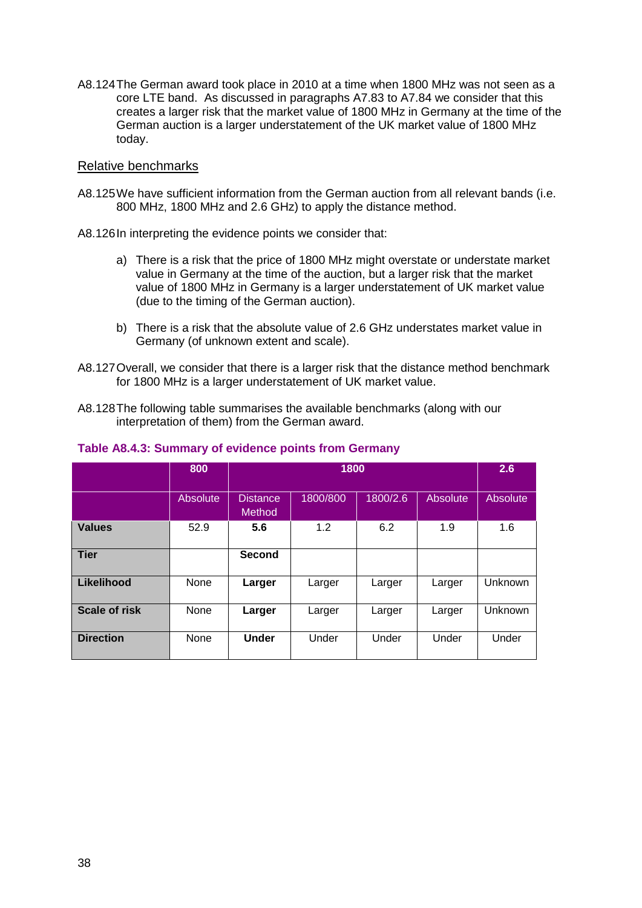A8.124The German award took place in 2010 at a time when 1800 MHz was not seen as a core LTE band. As discussed in paragraphs A7.83 to A7.84 we consider that this creates a larger risk that the market value of 1800 MHz in Germany at the time of the German auction is a larger understatement of the UK market value of 1800 MHz today.

#### Relative benchmarks

- A8.125We have sufficient information from the German auction from all relevant bands (i.e. 800 MHz, 1800 MHz and 2.6 GHz) to apply the distance method.
- A8.126In interpreting the evidence points we consider that:
	- a) There is a risk that the price of 1800 MHz might overstate or understate market value in Germany at the time of the auction, but a larger risk that the market value of 1800 MHz in Germany is a larger understatement of UK market value (due to the timing of the German auction).
	- b) There is a risk that the absolute value of 2.6 GHz understates market value in Germany (of unknown extent and scale).
- A8.127Overall, we consider that there is a larger risk that the distance method benchmark for 1800 MHz is a larger understatement of UK market value.
- A8.128The following table summarises the available benchmarks (along with our interpretation of them) from the German award.

|                      | 800      | 1800                      |          |          |          | 2.6             |
|----------------------|----------|---------------------------|----------|----------|----------|-----------------|
|                      | Absolute | <b>Distance</b><br>Method | 1800/800 | 1800/2.6 | Absolute | <b>Absolute</b> |
| <b>Values</b>        | 52.9     | 5.6                       | 1.2      | 6.2      | 1.9      | 1.6             |
| <b>Tier</b>          |          | <b>Second</b>             |          |          |          |                 |
| Likelihood           | None     | Larger                    | Larger   | Larger   | Larger   | <b>Unknown</b>  |
| <b>Scale of risk</b> | None     | Larger                    | Larger   | Larger   | Larger   | Unknown         |
| <b>Direction</b>     | None     | <b>Under</b>              | Under    | Under    | Under    | Under           |

#### **Table A8.4.3: Summary of evidence points from Germany**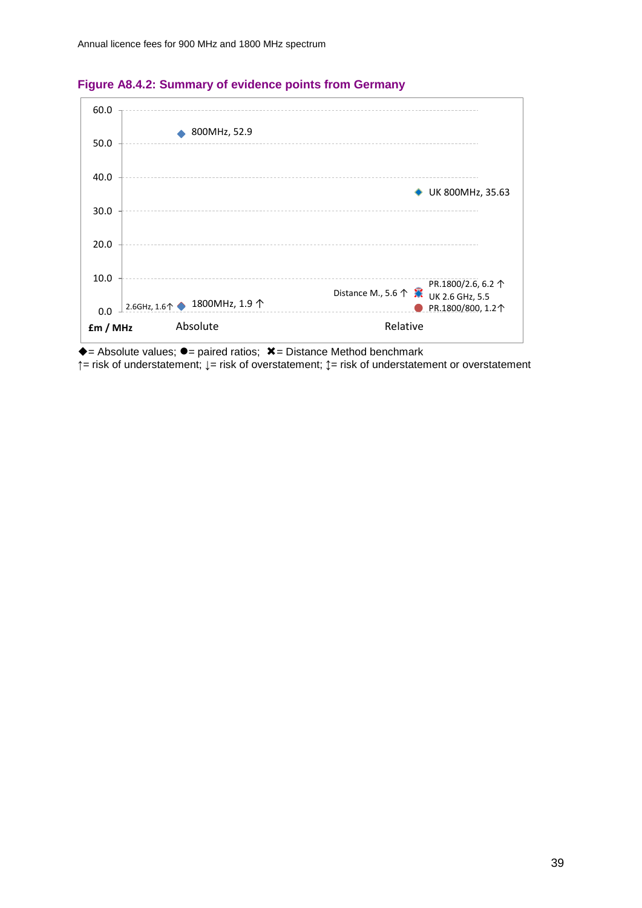

#### **Figure A8.4.2: Summary of evidence points from Germany**

 $\triangle$  = Absolute values;  $\bullet$  = paired ratios;  $\angle$  = Distance Method benchmark **↑**= risk of understatement; **↓**= risk of overstatement; **↕**= risk of understatement or overstatement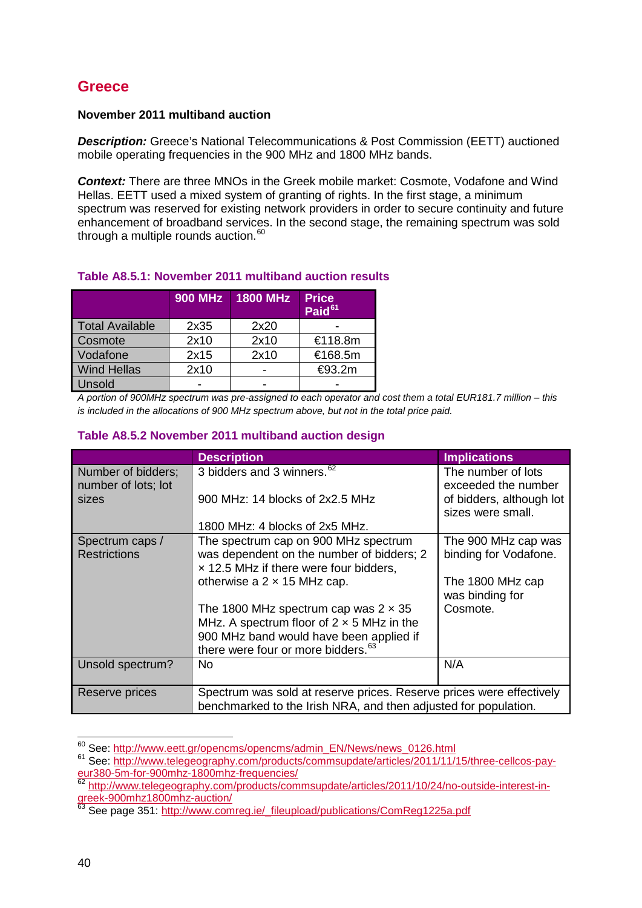# **Greece**

## **November 2011 multiband auction**

*Description:* Greece's National Telecommunications & Post Commission (EETT) auctioned mobile operating frequencies in the 900 MHz and 1800 MHz bands.

*Context:* There are three MNOs in the Greek mobile market: Cosmote, Vodafone and Wind Hellas. EETT used a mixed system of granting of rights. In the first stage, a minimum spectrum was reserved for existing network providers in order to secure continuity and future enhancement of broadband services. In the second stage, the remaining spectrum was sold through a multiple rounds auction. $60$ 

# **Table A8.5.1: November 2011 multiband auction results**

|                        | <b>900 MHz</b> | <b>1800 MHz</b> | <b>Price</b><br>Paid <sup>61</sup> |
|------------------------|----------------|-----------------|------------------------------------|
| <b>Total Available</b> | 2x35           | 2x20            |                                    |
| Cosmote                | 2x10           | 2x10            | €118.8m                            |
| Vodafone               | 2x15           | 2x10            | €168.5m                            |
| <b>Wind Hellas</b>     | 2x10           |                 | €93.2m                             |
| Unsold                 |                |                 |                                    |

*A portion of 900MHz spectrum was pre-assigned to each operator and cost them a total EUR181.7 million – this is included in the allocations of 900 MHz spectrum above, but not in the total price paid.*

## **Table A8.5.2 November 2011 multiband auction design**

|                                           | <b>Description</b>                                                                                                                      | <b>Implications</b>                           |  |  |
|-------------------------------------------|-----------------------------------------------------------------------------------------------------------------------------------------|-----------------------------------------------|--|--|
| Number of bidders;<br>number of lots; lot | 3 bidders and 3 winners. <sup>62</sup>                                                                                                  | The number of lots<br>exceeded the number     |  |  |
| sizes                                     | 900 MHz: 14 blocks of 2x2.5 MHz                                                                                                         | of bidders, although lot<br>sizes were small. |  |  |
|                                           | 1800 MHz: 4 blocks of 2x5 MHz.                                                                                                          |                                               |  |  |
| Spectrum caps /<br><b>Restrictions</b>    | The spectrum cap on 900 MHz spectrum<br>was dependent on the number of bidders; 2<br>x 12.5 MHz if there were four bidders,             | The 900 MHz cap was<br>binding for Vodafone.  |  |  |
|                                           | otherwise a $2 \times 15$ MHz cap.                                                                                                      | The 1800 MHz cap<br>was binding for           |  |  |
|                                           | The 1800 MHz spectrum cap was $2 \times 35$<br>MHz. A spectrum floor of $2 \times 5$ MHz in the                                         | Cosmote.                                      |  |  |
|                                           | 900 MHz band would have been applied if                                                                                                 |                                               |  |  |
|                                           | there were four or more bidders. <sup>63</sup>                                                                                          |                                               |  |  |
| Unsold spectrum?                          | No.                                                                                                                                     | N/A                                           |  |  |
| Reserve prices                            | Spectrum was sold at reserve prices. Reserve prices were effectively<br>benchmarked to the Irish NRA, and then adjusted for population. |                                               |  |  |

<sup>60</sup> See: http://www.eett.gr/opencms/opencms/admin\_EN/News/news\_0126.html

<span id="page-39-1"></span><span id="page-39-0"></span><sup>61</sup> See: [http://www.telegeography.com/products/commsupdate/articles/2011/11/15/three-cellcos-pay](http://www.telegeography.com/products/commsupdate/articles/2011/11/15/three-cellcos-pay-eur380-5m-for-900mhz-1800mhz-frequencies/)[eur380-5m-for-900mhz-1800mhz-frequencies/](http://www.telegeography.com/products/commsupdate/articles/2011/11/15/three-cellcos-pay-eur380-5m-for-900mhz-1800mhz-frequencies/)<br>
<sup>62</sup> [http://www.telegeography.com/products/commsupdate/articles/2011/10/24/no-outside-interest-in-](http://www.telegeography.com/products/commsupdate/articles/2011/10/24/no-outside-interest-in-greek-900mhz1800mhz-auction/)

<span id="page-39-2"></span>[greek-900mhz1800mhz-auction/](http://www.telegeography.com/products/commsupdate/articles/2011/10/24/no-outside-interest-in-greek-900mhz1800mhz-auction/)

<span id="page-39-3"></span><sup>&</sup>lt;sup>63</sup> See page 351: [http://www.comreg.ie/\\_fileupload/publications/ComReg1225a.pdf](http://www.comreg.ie/_fileupload/publications/ComReg1225a.pdf)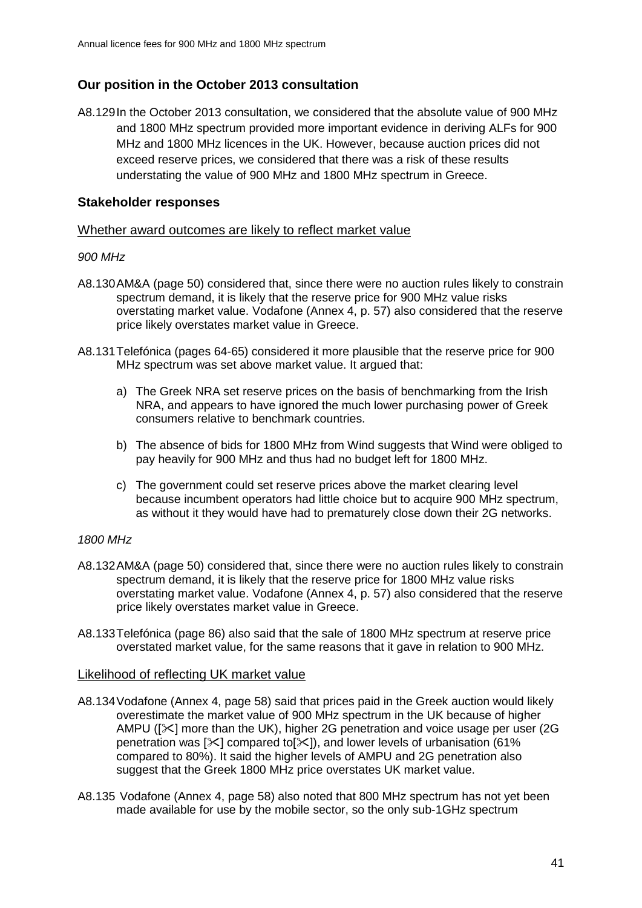# **Our position in the October 2013 consultation**

A8.129In the October 2013 consultation, we considered that the absolute value of 900 MHz and 1800 MHz spectrum provided more important evidence in deriving ALFs for 900 MHz and 1800 MHz licences in the UK. However, because auction prices did not exceed reserve prices, we considered that there was a risk of these results understating the value of 900 MHz and 1800 MHz spectrum in Greece.

## **Stakeholder responses**

#### Whether award outcomes are likely to reflect market value

#### *900 MHz*

- A8.130AM&A (page 50) considered that, since there were no auction rules likely to constrain spectrum demand, it is likely that the reserve price for 900 MHz value risks overstating market value. Vodafone (Annex 4, p. 57) also considered that the reserve price likely overstates market value in Greece.
- A8.131Telefónica (pages 64-65) considered it more plausible that the reserve price for 900 MHz spectrum was set above market value. It argued that:
	- a) The Greek NRA set reserve prices on the basis of benchmarking from the Irish NRA, and appears to have ignored the much lower purchasing power of Greek consumers relative to benchmark countries.
	- b) The absence of bids for 1800 MHz from Wind suggests that Wind were obliged to pay heavily for 900 MHz and thus had no budget left for 1800 MHz.
	- c) The government could set reserve prices above the market clearing level because incumbent operators had little choice but to acquire 900 MHz spectrum, as without it they would have had to prematurely close down their 2G networks.

## *1800 MHz*

- A8.132AM&A (page 50) considered that, since there were no auction rules likely to constrain spectrum demand, it is likely that the reserve price for 1800 MHz value risks overstating market value. Vodafone (Annex 4, p. 57) also considered that the reserve price likely overstates market value in Greece.
- A8.133Telefónica (page 86) also said that the sale of 1800 MHz spectrum at reserve price overstated market value, for the same reasons that it gave in relation to 900 MHz.

#### Likelihood of reflecting UK market value

- A8.134Vodafone (Annex 4, page 58) said that prices paid in the Greek auction would likely overestimate the market value of 900 MHz spectrum in the UK because of higher AMPU ( $[\<]$  more than the UK), higher 2G penetration and voice usage per user (2G penetration was  $[\times]$  compared to  $[\times]$ , and lower levels of urbanisation (61%) compared to 80%). It said the higher levels of AMPU and 2G penetration also suggest that the Greek 1800 MHz price overstates UK market value.
- A8.135 Vodafone (Annex 4, page 58) also noted that 800 MHz spectrum has not yet been made available for use by the mobile sector, so the only sub-1GHz spectrum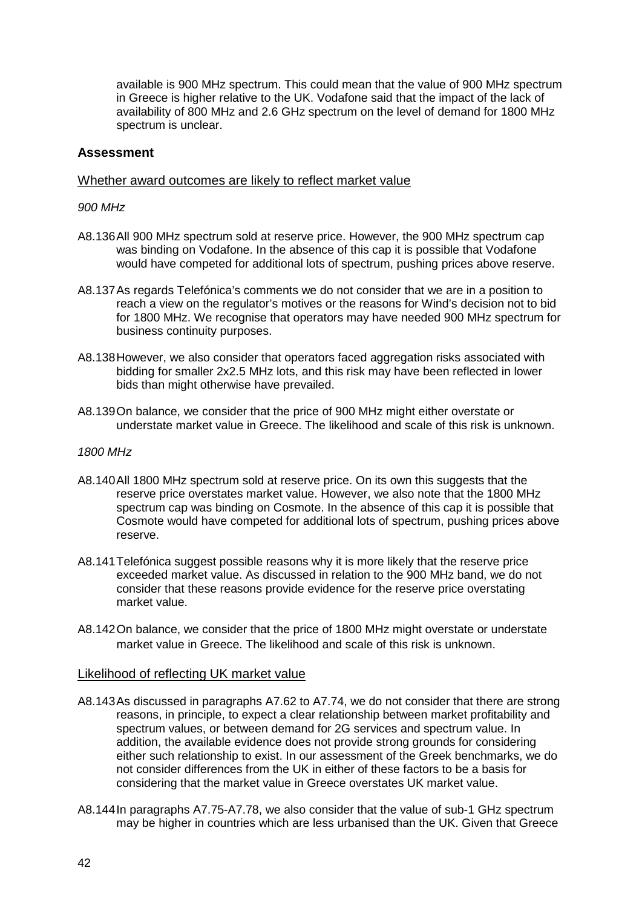available is 900 MHz spectrum. This could mean that the value of 900 MHz spectrum in Greece is higher relative to the UK. Vodafone said that the impact of the lack of availability of 800 MHz and 2.6 GHz spectrum on the level of demand for 1800 MHz spectrum is unclear.

## **Assessment**

## Whether award outcomes are likely to reflect market value

#### *900 MHz*

- A8.136All 900 MHz spectrum sold at reserve price. However, the 900 MHz spectrum cap was binding on Vodafone. In the absence of this cap it is possible that Vodafone would have competed for additional lots of spectrum, pushing prices above reserve.
- A8.137As regards Telefónica's comments we do not consider that we are in a position to reach a view on the regulator's motives or the reasons for Wind's decision not to bid for 1800 MHz. We recognise that operators may have needed 900 MHz spectrum for business continuity purposes.
- A8.138However, we also consider that operators faced aggregation risks associated with bidding for smaller 2x2.5 MHz lots, and this risk may have been reflected in lower bids than might otherwise have prevailed.
- A8.139On balance, we consider that the price of 900 MHz might either overstate or understate market value in Greece. The likelihood and scale of this risk is unknown.

#### *1800 MHz*

- A8.140All 1800 MHz spectrum sold at reserve price. On its own this suggests that the reserve price overstates market value. However, we also note that the 1800 MHz spectrum cap was binding on Cosmote. In the absence of this cap it is possible that Cosmote would have competed for additional lots of spectrum, pushing prices above reserve.
- A8.141 Telefónica suggest possible reasons why it is more likely that the reserve price exceeded market value. As discussed in relation to the 900 MHz band, we do not consider that these reasons provide evidence for the reserve price overstating market value.
- A8.142On balance, we consider that the price of 1800 MHz might overstate or understate market value in Greece. The likelihood and scale of this risk is unknown.

## Likelihood of reflecting UK market value

- A8.143As discussed in paragraphs A7.62 to A7.74, we do not consider that there are strong reasons, in principle, to expect a clear relationship between market profitability and spectrum values, or between demand for 2G services and spectrum value. In addition, the available evidence does not provide strong grounds for considering either such relationship to exist. In our assessment of the Greek benchmarks, we do not consider differences from the UK in either of these factors to be a basis for considering that the market value in Greece overstates UK market value.
- A8.144In paragraphs A7.75-A7.78, we also consider that the value of sub-1 GHz spectrum may be higher in countries which are less urbanised than the UK. Given that Greece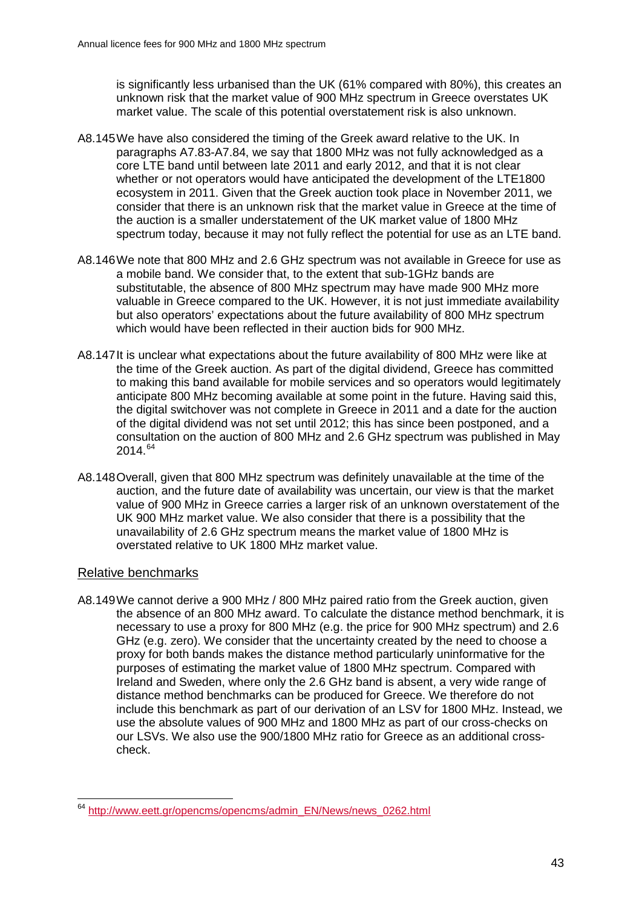is significantly less urbanised than the UK (61% compared with 80%), this creates an unknown risk that the market value of 900 MHz spectrum in Greece overstates UK market value. The scale of this potential overstatement risk is also unknown.

- A8.145We have also considered the timing of the Greek award relative to the UK. In paragraphs A7.83-A7.84, we say that 1800 MHz was not fully acknowledged as a core LTE band until between late 2011 and early 2012, and that it is not clear whether or not operators would have anticipated the development of the LTE1800 ecosystem in 2011. Given that the Greek auction took place in November 2011, we consider that there is an unknown risk that the market value in Greece at the time of the auction is a smaller understatement of the UK market value of 1800 MHz spectrum today, because it may not fully reflect the potential for use as an LTE band.
- A8.146We note that 800 MHz and 2.6 GHz spectrum was not available in Greece for use as a mobile band. We consider that, to the extent that sub-1GHz bands are substitutable, the absence of 800 MHz spectrum may have made 900 MHz more valuable in Greece compared to the UK. However, it is not just immediate availability but also operators' expectations about the future availability of 800 MHz spectrum which would have been reflected in their auction bids for 900 MHz.
- A8.147It is unclear what expectations about the future availability of 800 MHz were like at the time of the Greek auction. As part of the digital dividend, Greece has committed to making this band available for mobile services and so operators would legitimately anticipate 800 MHz becoming available at some point in the future. Having said this, the digital switchover was not complete in Greece in 2011 and a date for the auction of the digital dividend was not set until 2012; this has since been postponed, and a consultation on the auction of 800 MHz and 2.6 GHz spectrum was published in May 2014.[64](#page-42-0)
- A8.148Overall, given that 800 MHz spectrum was definitely unavailable at the time of the auction, and the future date of availability was uncertain, our view is that the market value of 900 MHz in Greece carries a larger risk of an unknown overstatement of the UK 900 MHz market value. We also consider that there is a possibility that the unavailability of 2.6 GHz spectrum means the market value of 1800 MHz is overstated relative to UK 1800 MHz market value.

## Relative benchmarks

A8.149We cannot derive a 900 MHz / 800 MHz paired ratio from the Greek auction, given the absence of an 800 MHz award. To calculate the distance method benchmark, it is necessary to use a proxy for 800 MHz (e.g. the price for 900 MHz spectrum) and 2.6 GHz (e.g. zero). We consider that the uncertainty created by the need to choose a proxy for both bands makes the distance method particularly uninformative for the purposes of estimating the market value of 1800 MHz spectrum. Compared with Ireland and Sweden, where only the 2.6 GHz band is absent, a very wide range of distance method benchmarks can be produced for Greece. We therefore do not include this benchmark as part of our derivation of an LSV for 1800 MHz. Instead, we use the absolute values of 900 MHz and 1800 MHz as part of our cross-checks on our LSVs. We also use the 900/1800 MHz ratio for Greece as an additional crosscheck.

<span id="page-42-0"></span><sup>&</sup>lt;sup>64</sup> [http://www.eett.gr/opencms/opencms/admin\\_EN/News/news\\_0262.html](http://www.eett.gr/opencms/opencms/admin_EN/News/news_0262.html)  $\overline{a}$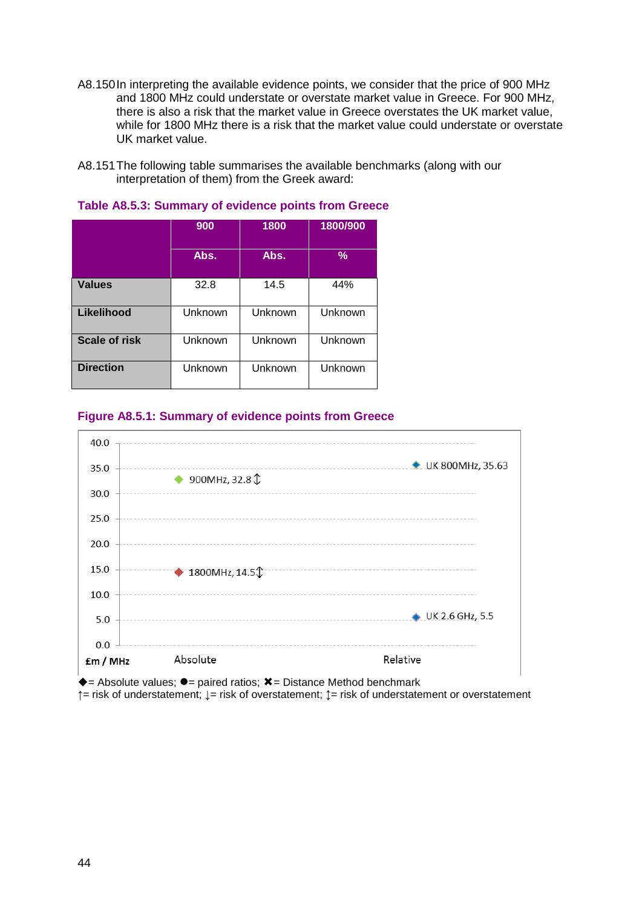- A8.150In interpreting the available evidence points, we consider that the price of 900 MHz and 1800 MHz could understate or overstate market value in Greece. For 900 MHz, there is also a risk that the market value in Greece overstates the UK market value, while for 1800 MHz there is a risk that the market value could understate or overstate UK market value.
- A8.151The following table summarises the available benchmarks (along with our interpretation of them) from the Greek award:

|                      | 900     | 1800    | 1800/900      |
|----------------------|---------|---------|---------------|
|                      | Abs.    | Abs.    | $\frac{9}{6}$ |
| <b>Values</b>        | 32.8    | 14.5    | 44%           |
| Likelihood           | Unknown | Unknown | Unknown       |
| <b>Scale of risk</b> | Unknown | Unknown | Unknown       |
| <b>Direction</b>     | Unknown | Unknown | Unknown       |

#### **Table A8.5.3: Summary of evidence points from Greece**

## **Figure A8.5.1: Summary of evidence points from Greece**



 $\triangle$  = Absolute values;  $\bullet$  = paired ratios;  $\angle$  = Distance Method benchmark **↑**= risk of understatement; **↓**= risk of overstatement; **↕**= risk of understatement or overstatement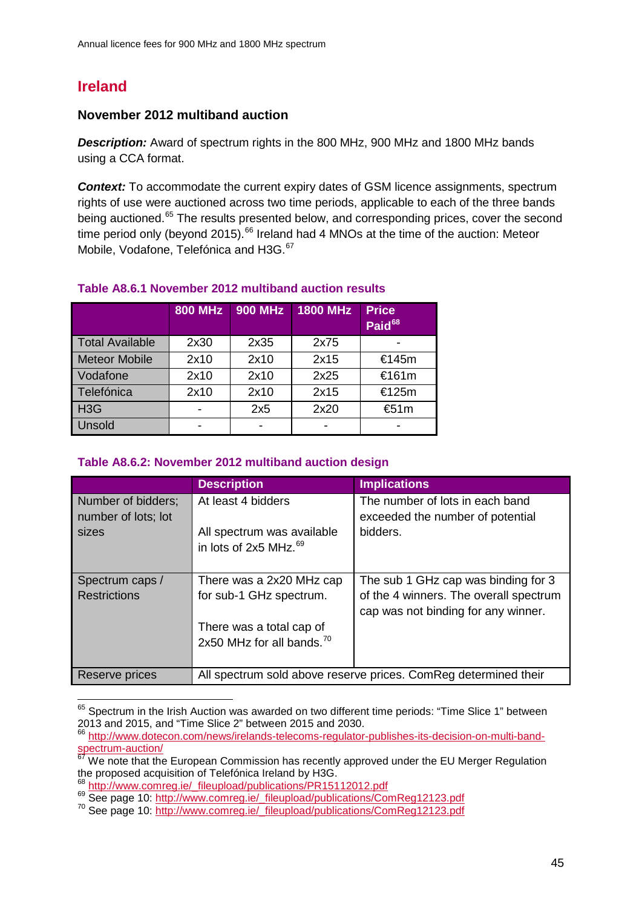# **Ireland**

## **November 2012 multiband auction**

*Description:* Award of spectrum rights in the 800 MHz, 900 MHz and 1800 MHz bands using a CCA format.

**Context:** To accommodate the current expiry dates of GSM licence assignments, spectrum rights of use were auctioned across two time periods, applicable to each of the three bands being auctioned.<sup>[65](#page-44-0)</sup> The results presented below, and corresponding prices, cover the second time period only (beyond 2015).<sup>[66](#page-44-1)</sup> Ireland had 4 MNOs at the time of the auction: Meteor Mobile, Vodafone, Telefónica and H3G.<sup>[67](#page-44-2)</sup>

|                        | <b>800 MHz</b> | 900 MHz | <b>1800 MHz</b> | <b>Price</b><br>Paid <sup>68</sup> |
|------------------------|----------------|---------|-----------------|------------------------------------|
| <b>Total Available</b> | 2x30           | 2x35    | 2x75            |                                    |
| <b>Meteor Mobile</b>   | 2x10           | 2x10    | 2x15            | €145m                              |
| Vodafone               | 2x10           | 2x10    | 2x25            | €161m                              |
| Telefónica             | 2x10           | 2x10    | 2x15            | €125m                              |
| H3G                    |                | 2x5     | 2x20            | €51m                               |
| Unsold                 |                |         |                 |                                    |

## **Table A8.6.1 November 2012 multiband auction results**

# **Table A8.6.2: November 2012 multiband auction design**

|                     | <b>Description</b>                    | <b>Implications</b>                                             |
|---------------------|---------------------------------------|-----------------------------------------------------------------|
| Number of bidders;  | At least 4 bidders                    | The number of lots in each band                                 |
| number of lots; lot |                                       | exceeded the number of potential                                |
| sizes               | All spectrum was available            | bidders.                                                        |
|                     | in lots of 2x5 MHz. $^{69}$           |                                                                 |
|                     |                                       |                                                                 |
| Spectrum caps /     | There was a 2x20 MHz cap              | The sub 1 GHz cap was binding for 3                             |
| <b>Restrictions</b> | for sub-1 GHz spectrum.               | of the 4 winners. The overall spectrum                          |
|                     |                                       | cap was not binding for any winner.                             |
|                     | There was a total cap of              |                                                                 |
|                     | 2x50 MHz for all bands. <sup>70</sup> |                                                                 |
|                     |                                       |                                                                 |
| Reserve prices      |                                       | All spectrum sold above reserve prices. ComReg determined their |

<span id="page-44-0"></span> $<sup>65</sup>$  Spectrum in the Irish Auction was awarded on two different time periods: "Time Slice 1" between</sup> 2013 and 2015, and "Time Slice 2" between 2015 and 2030.  $\overline{a}$ 

<span id="page-44-1"></span><sup>&</sup>lt;sup>6</sup> [http://www.dotecon.com/news/irelands-telecoms-regulator-publishes-its-decision-on-multi-band](http://www.dotecon.com/news/irelands-telecoms-regulator-publishes-its-decision-on-multi-band-spectrum-auction/)[spectrum-auction/](http://www.dotecon.com/news/irelands-telecoms-regulator-publishes-its-decision-on-multi-band-spectrum-auction/)

<span id="page-44-2"></span> $67$  We note that the European Commission has recently approved under the EU Merger Regulation the proposed acquisition of Telefónica Ireland by H3G.<br>
<sup>68</sup> [http://www.comreg.ie/\\_fileupload/publications/PR15112012.pdf](http://www.comreg.ie/_fileupload/publications/PR15112012.pdf)<br>
<sup>69</sup> See page 10: [http://www.comreg.ie/\\_fileupload/publications/ComReg12123.pdf](http://www.comreg.ie/_fileupload/publications/ComReg12123.pdf)<br>
<sup>70</sup> See page 10:

<span id="page-44-3"></span>

<span id="page-44-4"></span>

<span id="page-44-5"></span>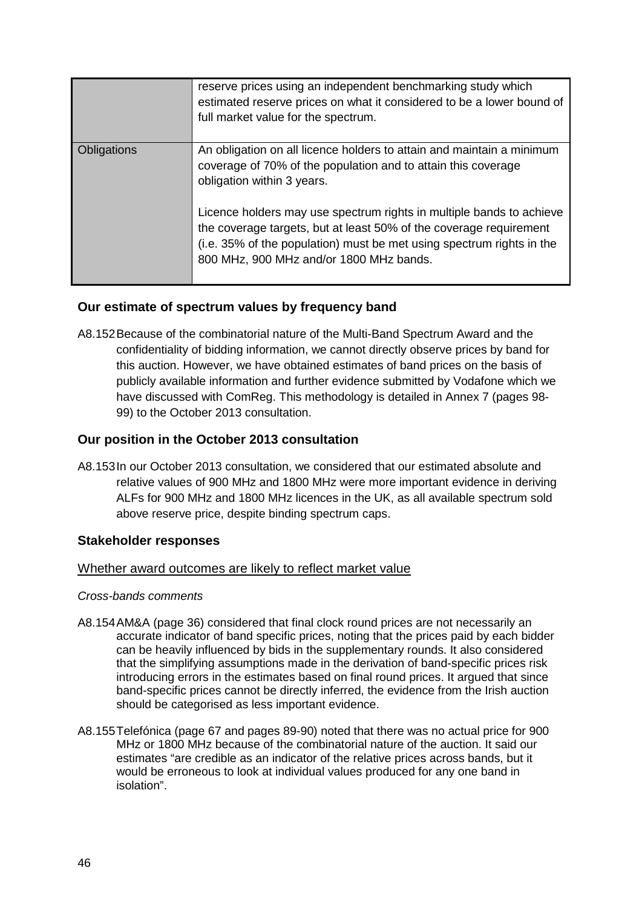|             | reserve prices using an independent benchmarking study which<br>estimated reserve prices on what it considered to be a lower bound of<br>full market value for the spectrum.                                                                                   |
|-------------|----------------------------------------------------------------------------------------------------------------------------------------------------------------------------------------------------------------------------------------------------------------|
| Obligations | An obligation on all licence holders to attain and maintain a minimum<br>coverage of 70% of the population and to attain this coverage<br>obligation within 3 years.                                                                                           |
|             | Licence holders may use spectrum rights in multiple bands to achieve<br>the coverage targets, but at least 50% of the coverage requirement<br>(i.e. 35% of the population) must be met using spectrum rights in the<br>800 MHz, 900 MHz and/or 1800 MHz bands. |

# **Our estimate of spectrum values by frequency band**

A8.152Because of the combinatorial nature of the Multi-Band Spectrum Award and the confidentiality of bidding information, we cannot directly observe prices by band for this auction. However, we have obtained estimates of band prices on the basis of publicly available information and further evidence submitted by Vodafone which we have discussed with ComReg. This methodology is detailed in Annex 7 (pages 98- 99) to the October 2013 consultation.

# **Our position in the October 2013 consultation**

A8.153In our October 2013 consultation, we considered that our estimated absolute and relative values of 900 MHz and 1800 MHz were more important evidence in deriving ALFs for 900 MHz and 1800 MHz licences in the UK, as all available spectrum sold above reserve price, despite binding spectrum caps.

# **Stakeholder responses**

## Whether award outcomes are likely to reflect market value

## *Cross-bands comments*

- A8.154AM&A (page 36) considered that final clock round prices are not necessarily an accurate indicator of band specific prices, noting that the prices paid by each bidder can be heavily influenced by bids in the supplementary rounds. It also considered that the simplifying assumptions made in the derivation of band-specific prices risk introducing errors in the estimates based on final round prices. It argued that since band-specific prices cannot be directly inferred, the evidence from the Irish auction should be categorised as less important evidence.
- A8.155Telefónica (page 67 and pages 89-90) noted that there was no actual price for 900 MHz or 1800 MHz because of the combinatorial nature of the auction. It said our estimates "are credible as an indicator of the relative prices across bands, but it would be erroneous to look at individual values produced for any one band in isolation".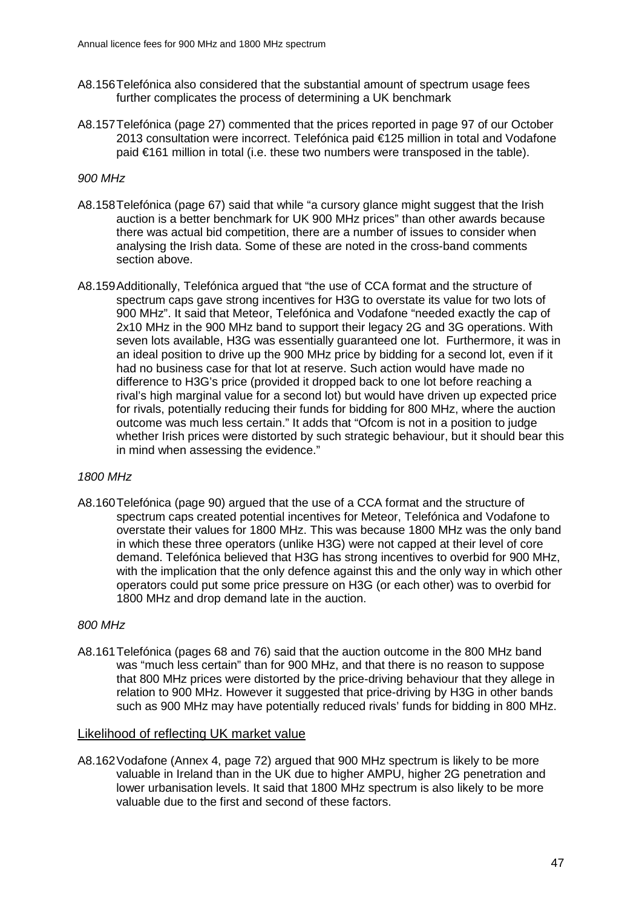- A8.156Telefónica also considered that the substantial amount of spectrum usage fees further complicates the process of determining a UK benchmark
- A8.157Telefónica (page 27) commented that the prices reported in page 97 of our October 2013 consultation were incorrect. Telefónica paid €125 million in total and Vodafone paid €161 million in total (i.e. these two numbers were transposed in the table).

#### *900 MHz*

- A8.158Telefónica (page 67) said that while "a cursory glance might suggest that the Irish auction is a better benchmark for UK 900 MHz prices" than other awards because there was actual bid competition, there are a number of issues to consider when analysing the Irish data. Some of these are noted in the cross-band comments section above.
- A8.159Additionally, Telefónica argued that "the use of CCA format and the structure of spectrum caps gave strong incentives for H3G to overstate its value for two lots of 900 MHz". It said that Meteor, Telefónica and Vodafone "needed exactly the cap of 2x10 MHz in the 900 MHz band to support their legacy 2G and 3G operations. With seven lots available, H3G was essentially guaranteed one lot. Furthermore, it was in an ideal position to drive up the 900 MHz price by bidding for a second lot, even if it had no business case for that lot at reserve. Such action would have made no difference to H3G's price (provided it dropped back to one lot before reaching a rival's high marginal value for a second lot) but would have driven up expected price for rivals, potentially reducing their funds for bidding for 800 MHz, where the auction outcome was much less certain." It adds that "Ofcom is not in a position to judge whether Irish prices were distorted by such strategic behaviour, but it should bear this in mind when assessing the evidence."

#### *1800 MHz*

A8.160Telefónica (page 90) argued that the use of a CCA format and the structure of spectrum caps created potential incentives for Meteor, Telefónica and Vodafone to overstate their values for 1800 MHz. This was because 1800 MHz was the only band in which these three operators (unlike H3G) were not capped at their level of core demand. Telefónica believed that H3G has strong incentives to overbid for 900 MHz, with the implication that the only defence against this and the only way in which other operators could put some price pressure on H3G (or each other) was to overbid for 1800 MHz and drop demand late in the auction.

#### *800 MHz*

A8.161Telefónica (pages 68 and 76) said that the auction outcome in the 800 MHz band was "much less certain" than for 900 MHz, and that there is no reason to suppose that 800 MHz prices were distorted by the price-driving behaviour that they allege in relation to 900 MHz. However it suggested that price-driving by H3G in other bands such as 900 MHz may have potentially reduced rivals' funds for bidding in 800 MHz.

#### Likelihood of reflecting UK market value

A8.162Vodafone (Annex 4, page 72) argued that 900 MHz spectrum is likely to be more valuable in Ireland than in the UK due to higher AMPU, higher 2G penetration and lower urbanisation levels. It said that 1800 MHz spectrum is also likely to be more valuable due to the first and second of these factors.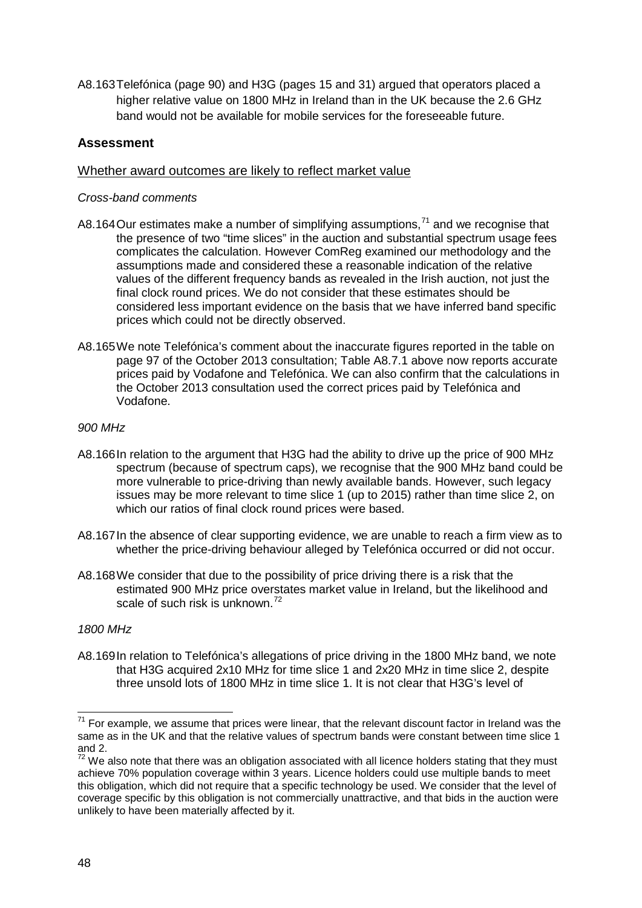A8.163Telefónica (page 90) and H3G (pages 15 and 31) argued that operators placed a higher relative value on 1800 MHz in Ireland than in the UK because the 2.6 GHz band would not be available for mobile services for the foreseeable future.

# **Assessment**

## Whether award outcomes are likely to reflect market value

## *Cross-band comments*

- A8.164 Our estimates make a number of simplifying assumptions, $71$  and we recognise that the presence of two "time slices" in the auction and substantial spectrum usage fees complicates the calculation. However ComReg examined our methodology and the assumptions made and considered these a reasonable indication of the relative values of the different frequency bands as revealed in the Irish auction, not just the final clock round prices. We do not consider that these estimates should be considered less important evidence on the basis that we have inferred band specific prices which could not be directly observed.
- A8.165We note Telefónica's comment about the inaccurate figures reported in the table on page 97 of the October 2013 consultation; Table A8.7.1 above now reports accurate prices paid by Vodafone and Telefónica. We can also confirm that the calculations in the October 2013 consultation used the correct prices paid by Telefónica and Vodafone.

## *900 MHz*

- A8.166In relation to the argument that H3G had the ability to drive up the price of 900 MHz spectrum (because of spectrum caps), we recognise that the 900 MHz band could be more vulnerable to price-driving than newly available bands. However, such legacy issues may be more relevant to time slice 1 (up to 2015) rather than time slice 2, on which our ratios of final clock round prices were based.
- A8.167In the absence of clear supporting evidence, we are unable to reach a firm view as to whether the price-driving behaviour alleged by Telefónica occurred or did not occur.
- A8.168We consider that due to the possibility of price driving there is a risk that the estimated 900 MHz price overstates market value in Ireland, but the likelihood and scale of such risk is unknown.<sup>[72](#page-47-1)</sup>

## *1800 MHz*

A8.169In relation to Telefónica's allegations of price driving in the 1800 MHz band, we note that H3G acquired 2x10 MHz for time slice 1 and 2x20 MHz in time slice 2, despite three unsold lots of 1800 MHz in time slice 1. It is not clear that H3G's level of

<span id="page-47-0"></span> $71$  For example, we assume that prices were linear, that the relevant discount factor in Ireland was the same as in the UK and that the relative values of spectrum bands were constant between time slice 1 and 2.  $\overline{a}$ 

<span id="page-47-1"></span> $72$  We also note that there was an obligation associated with all licence holders stating that they must achieve 70% population coverage within 3 years. Licence holders could use multiple bands to meet this obligation, which did not require that a specific technology be used. We consider that the level of coverage specific by this obligation is not commercially unattractive, and that bids in the auction were unlikely to have been materially affected by it.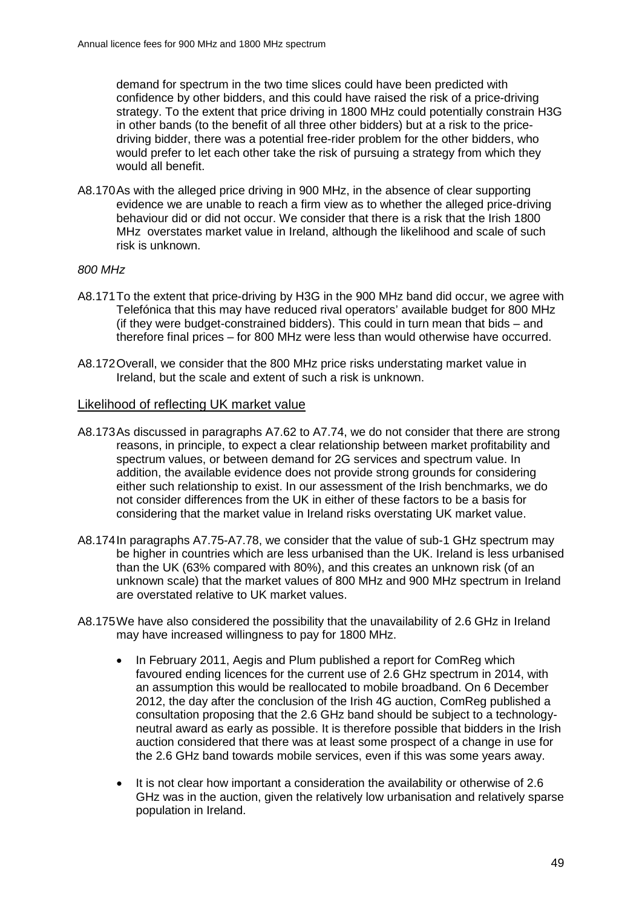demand for spectrum in the two time slices could have been predicted with confidence by other bidders, and this could have raised the risk of a price-driving strategy. To the extent that price driving in 1800 MHz could potentially constrain H3G in other bands (to the benefit of all three other bidders) but at a risk to the pricedriving bidder, there was a potential free-rider problem for the other bidders, who would prefer to let each other take the risk of pursuing a strategy from which they would all benefit.

A8.170As with the alleged price driving in 900 MHz, in the absence of clear supporting evidence we are unable to reach a firm view as to whether the alleged price-driving behaviour did or did not occur. We consider that there is a risk that the Irish 1800 MHz overstates market value in Ireland, although the likelihood and scale of such risk is unknown.

#### *800 MHz*

- A8.171To the extent that price-driving by H3G in the 900 MHz band did occur, we agree with Telefónica that this may have reduced rival operators' available budget for 800 MHz (if they were budget-constrained bidders). This could in turn mean that bids – and therefore final prices – for 800 MHz were less than would otherwise have occurred.
- A8.172Overall, we consider that the 800 MHz price risks understating market value in Ireland, but the scale and extent of such a risk is unknown.

#### Likelihood of reflecting UK market value

- A8.173As discussed in paragraphs A7.62 to A7.74, we do not consider that there are strong reasons, in principle, to expect a clear relationship between market profitability and spectrum values, or between demand for 2G services and spectrum value. In addition, the available evidence does not provide strong grounds for considering either such relationship to exist. In our assessment of the Irish benchmarks, we do not consider differences from the UK in either of these factors to be a basis for considering that the market value in Ireland risks overstating UK market value.
- A8.174In paragraphs A7.75-A7.78, we consider that the value of sub-1 GHz spectrum may be higher in countries which are less urbanised than the UK. Ireland is less urbanised than the UK (63% compared with 80%), and this creates an unknown risk (of an unknown scale) that the market values of 800 MHz and 900 MHz spectrum in Ireland are overstated relative to UK market values.
- A8.175We have also considered the possibility that the unavailability of 2.6 GHz in Ireland may have increased willingness to pay for 1800 MHz.
	- In February 2011, Aegis and Plum published a report for ComReg which favoured ending licences for the current use of 2.6 GHz spectrum in 2014, with an assumption this would be reallocated to mobile broadband. On 6 December 2012, the day after the conclusion of the Irish 4G auction, ComReg published a consultation proposing that the 2.6 GHz band should be subject to a technologyneutral award as early as possible. It is therefore possible that bidders in the Irish auction considered that there was at least some prospect of a change in use for the 2.6 GHz band towards mobile services, even if this was some years away.
	- It is not clear how important a consideration the availability or otherwise of 2.6 GHz was in the auction, given the relatively low urbanisation and relatively sparse population in Ireland.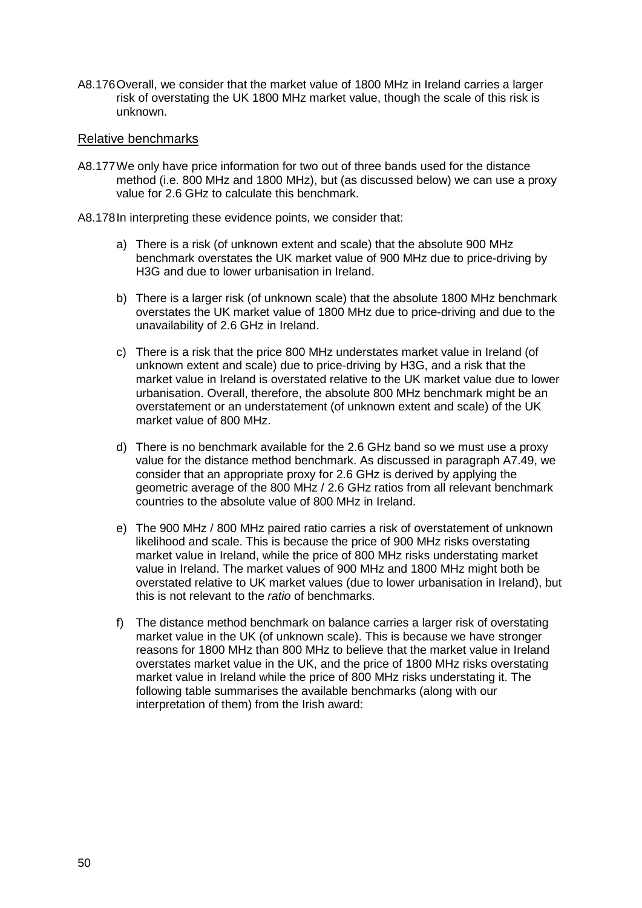A8.176Overall, we consider that the market value of 1800 MHz in Ireland carries a larger risk of overstating the UK 1800 MHz market value, though the scale of this risk is unknown.

#### Relative benchmarks

- A8.177We only have price information for two out of three bands used for the distance method (i.e. 800 MHz and 1800 MHz), but (as discussed below) we can use a proxy value for 2.6 GHz to calculate this benchmark.
- A8.178In interpreting these evidence points, we consider that:
	- a) There is a risk (of unknown extent and scale) that the absolute 900 MHz benchmark overstates the UK market value of 900 MHz due to price-driving by H3G and due to lower urbanisation in Ireland.
	- b) There is a larger risk (of unknown scale) that the absolute 1800 MHz benchmark overstates the UK market value of 1800 MHz due to price-driving and due to the unavailability of 2.6 GHz in Ireland.
	- c) There is a risk that the price 800 MHz understates market value in Ireland (of unknown extent and scale) due to price-driving by H3G, and a risk that the market value in Ireland is overstated relative to the UK market value due to lower urbanisation. Overall, therefore, the absolute 800 MHz benchmark might be an overstatement or an understatement (of unknown extent and scale) of the UK market value of 800 MHz.
	- d) There is no benchmark available for the 2.6 GHz band so we must use a proxy value for the distance method benchmark. As discussed in paragraph A7.49, we consider that an appropriate proxy for 2.6 GHz is derived by applying the geometric average of the 800 MHz / 2.6 GHz ratios from all relevant benchmark countries to the absolute value of 800 MHz in Ireland.
	- e) The 900 MHz / 800 MHz paired ratio carries a risk of overstatement of unknown likelihood and scale. This is because the price of 900 MHz risks overstating market value in Ireland, while the price of 800 MHz risks understating market value in Ireland. The market values of 900 MHz and 1800 MHz might both be overstated relative to UK market values (due to lower urbanisation in Ireland), but this is not relevant to the *ratio* of benchmarks.
	- f) The distance method benchmark on balance carries a larger risk of overstating market value in the UK (of unknown scale). This is because we have stronger reasons for 1800 MHz than 800 MHz to believe that the market value in Ireland overstates market value in the UK, and the price of 1800 MHz risks overstating market value in Ireland while the price of 800 MHz risks understating it. The following table summarises the available benchmarks (along with our interpretation of them) from the Irish award: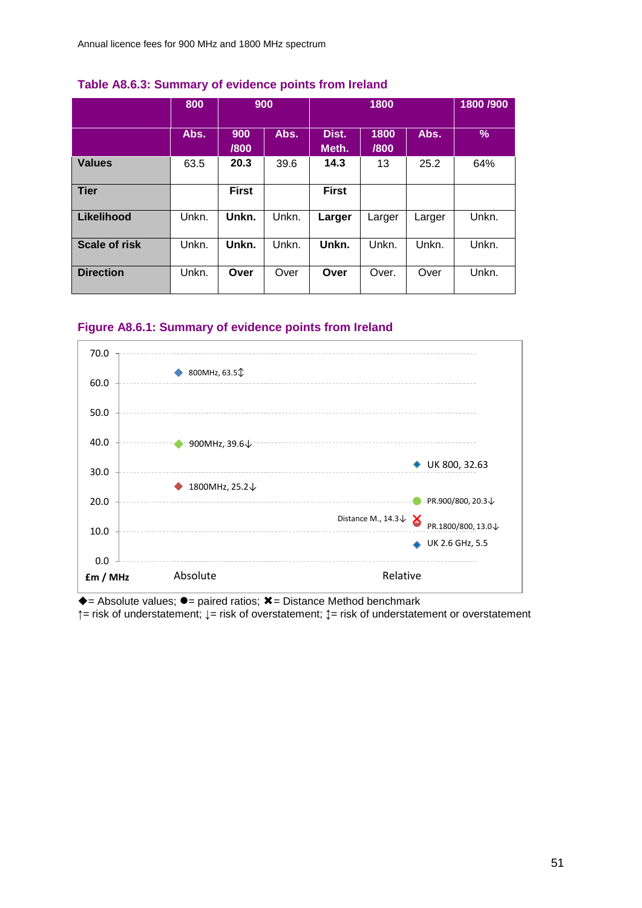|                      | 800   | 900          |       | 1800           |              | 1800 /900 |       |
|----------------------|-------|--------------|-------|----------------|--------------|-----------|-------|
|                      | Abs.  | 900<br>/800  | Abs.  | Dist.<br>Meth. | 1800<br>/800 | Abs.      | $\%$  |
| <b>Values</b>        | 63.5  | 20.3         | 39.6  | 14.3           | 13           | 25.2      | 64%   |
| <b>Tier</b>          |       | <b>First</b> |       | <b>First</b>   |              |           |       |
| Likelihood           | Unkn. | Unkn.        | Unkn. | Larger         | Larger       | Larger    | Unkn. |
| <b>Scale of risk</b> | Unkn. | Unkn.        | Unkn. | Unkn.          | Unkn.        | Unkn.     | Unkn. |
| <b>Direction</b>     | Unkn. | Over         | Over  | Over           | Over.        | Over      | Unkn. |

## **Table A8.6.3: Summary of evidence points from Ireland**

## **Figure A8.6.1: Summary of evidence points from Ireland**



 $\triangle$  = Absolute values;  $\bullet$  = paired ratios;  $\angle$  = Distance Method benchmark

**↑**= risk of understatement; **↓**= risk of overstatement; **↕**= risk of understatement or overstatement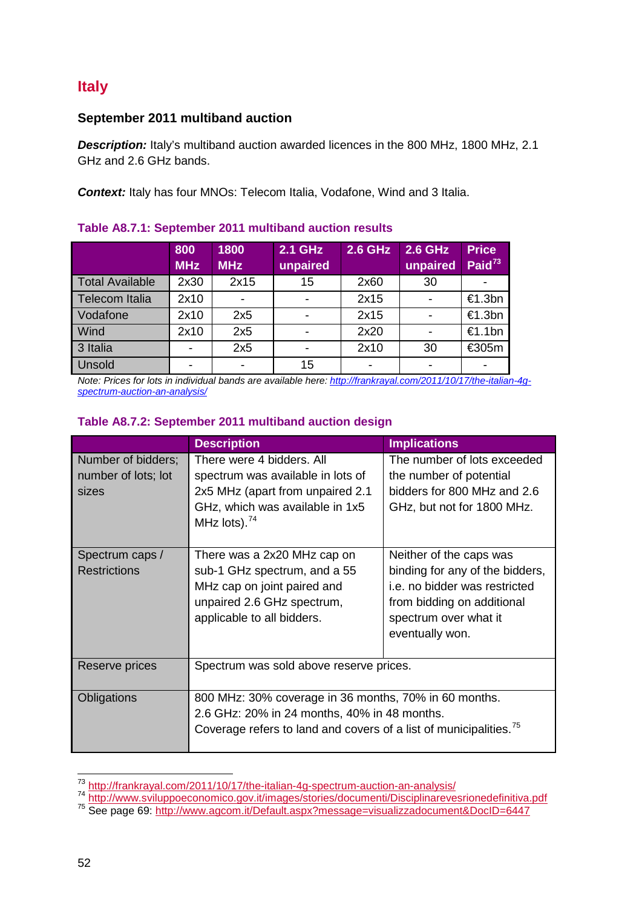# **Italy**

# **September 2011 multiband auction**

**Description:** Italy's multiband auction awarded licences in the 800 MHz, 1800 MHz, 2.1 GHz and 2.6 GHz bands.

**Context:** Italy has four MNOs: Telecom Italia, Vodafone, Wind and 3 Italia.

# **Table A8.7.1: September 2011 multiband auction results**

|                        | 800<br><b>MHz</b> | 1800<br><b>MHz</b> | 2.1 GHz<br>unpaired | <b>2.6 GHz</b> | 2.6 GHz<br>unpaired | <b>Price</b><br>Paid $^{73}$ |
|------------------------|-------------------|--------------------|---------------------|----------------|---------------------|------------------------------|
| <b>Total Available</b> | 2x30              | 2x15               | 15                  | 2x60           | 30                  |                              |
| <b>Telecom Italia</b>  | 2x10              |                    |                     | 2x15           |                     | €1.3bn                       |
| Vodafone               | 2x10              | 2x5                |                     | 2x15           |                     | €1.3bn                       |
| Wind                   | 2x10              | 2x5                |                     | 2x20           |                     | €1.1bn                       |
| 3 Italia               |                   | 2x5                |                     | 2x10           | 30                  | €305m                        |
| Unsold                 |                   |                    | 15                  |                |                     |                              |

*Note: Prices for lots in individual bands are available here: [http://frankrayal.com/2011/10/17/the-italian-4g](http://frankrayal.com/2011/10/17/the-italian-4g-spectrum-auction-an-analysis/)[spectrum-auction-an-analysis/](http://frankrayal.com/2011/10/17/the-italian-4g-spectrum-auction-an-analysis/)*

# **Table A8.7.2: September 2011 multiband auction design**

|                                                    | <b>Description</b>                                                                                                                                          | <b>Implications</b>                                                                                                                                                                    |  |  |  |
|----------------------------------------------------|-------------------------------------------------------------------------------------------------------------------------------------------------------------|----------------------------------------------------------------------------------------------------------------------------------------------------------------------------------------|--|--|--|
| Number of bidders;<br>number of lots; lot<br>sizes | There were 4 bidders. All<br>spectrum was available in lots of<br>2x5 MHz (apart from unpaired 2.1<br>GHz, which was available in 1x5<br>MHz lots). $^{74}$ | The number of lots exceeded<br>the number of potential<br>bidders for 800 MHz and 2.6<br>GHz, but not for 1800 MHz.                                                                    |  |  |  |
| Spectrum caps /<br><b>Restrictions</b>             | There was a 2x20 MHz cap on<br>sub-1 GHz spectrum, and a 55<br>MHz cap on joint paired and<br>unpaired 2.6 GHz spectrum,<br>applicable to all bidders.      | Neither of the caps was<br>binding for any of the bidders,<br>i.e. no bidder was restricted<br>from bidding on additional<br>spectrum over what it<br>eventually won.                  |  |  |  |
| Reserve prices                                     | Spectrum was sold above reserve prices.                                                                                                                     |                                                                                                                                                                                        |  |  |  |
| Obligations                                        |                                                                                                                                                             | 800 MHz: 30% coverage in 36 months, 70% in 60 months.<br>2.6 GHz: 20% in 24 months, 40% in 48 months.<br>Coverage refers to land and covers of a list of municipalities. <sup>75</sup> |  |  |  |

<span id="page-51-0"></span><sup>73</sup> http://frankrayal.com/2011/10/17/the-italian-4g-spectrum-auction-an-analysis/

<span id="page-51-2"></span><span id="page-51-1"></span><sup>74</sup> <http://www.sviluppoeconomico.gov.it/images/stories/documenti/Disciplinarevesrionedefinitiva.pdf><br>75 See page 69:<http://www.agcom.it/Default.aspx?message=visualizzadocument&DocID=6447>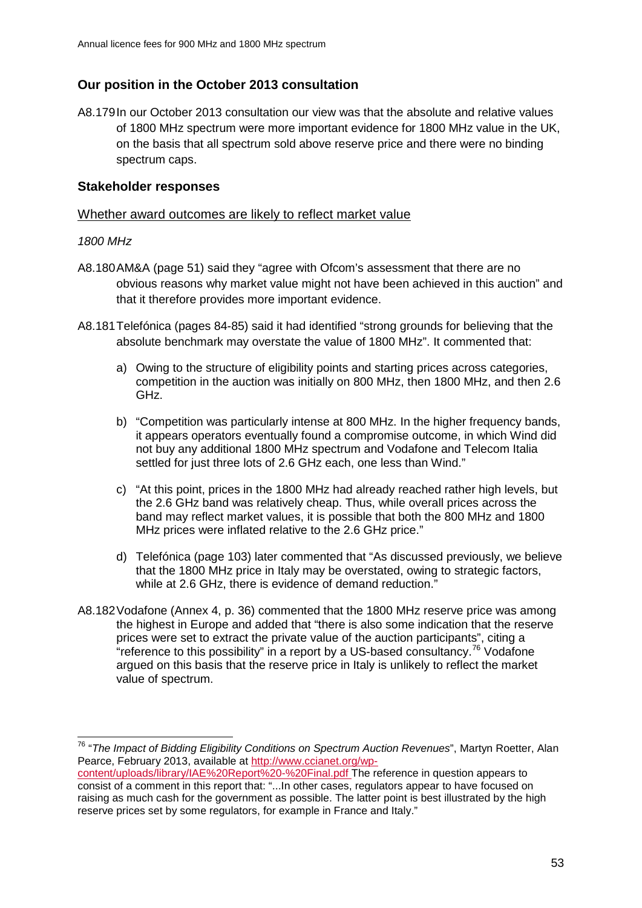# **Our position in the October 2013 consultation**

A8.179In our October 2013 consultation our view was that the absolute and relative values of 1800 MHz spectrum were more important evidence for 1800 MHz value in the UK, on the basis that all spectrum sold above reserve price and there were no binding spectrum caps.

## **Stakeholder responses**

## Whether award outcomes are likely to reflect market value

#### *1800 MHz*

- A8.180AM&A (page 51) said they "agree with Ofcom's assessment that there are no obvious reasons why market value might not have been achieved in this auction" and that it therefore provides more important evidence.
- A8.181Telefónica (pages 84-85) said it had identified "strong grounds for believing that the absolute benchmark may overstate the value of 1800 MHz". It commented that:
	- a) Owing to the structure of eligibility points and starting prices across categories, competition in the auction was initially on 800 MHz, then 1800 MHz, and then 2.6 GHz.
	- b) "Competition was particularly intense at 800 MHz. In the higher frequency bands, it appears operators eventually found a compromise outcome, in which Wind did not buy any additional 1800 MHz spectrum and Vodafone and Telecom Italia settled for just three lots of 2.6 GHz each, one less than Wind."
	- c) "At this point, prices in the 1800 MHz had already reached rather high levels, but the 2.6 GHz band was relatively cheap. Thus, while overall prices across the band may reflect market values, it is possible that both the 800 MHz and 1800 MHz prices were inflated relative to the 2.6 GHz price."
	- d) Telefónica (page 103) later commented that "As discussed previously, we believe that the 1800 MHz price in Italy may be overstated, owing to strategic factors, while at 2.6 GHz, there is evidence of demand reduction."
- A8.182Vodafone (Annex 4, p. 36) commented that the 1800 MHz reserve price was among the highest in Europe and added that "there is also some indication that the reserve prices were set to extract the private value of the auction participants", citing a "reference to this possibility" in a report by a US-based consultancy.<sup>[76](#page-52-0)</sup> Vodafone argued on this basis that the reserve price in Italy is unlikely to reflect the market value of spectrum.

<span id="page-52-0"></span><sup>76</sup> "*The Impact of Bidding Eligibility Conditions on Spectrum Auction Revenues*", Martyn Roetter, Alan Pearce, February 2013, available at [http://www.ccianet.org/wp-](http://www.ccianet.org/wp-content/uploads/library/IAE%20Report%20-%20Final.pdf) $\overline{a}$ 

[content/uploads/library/IAE%20Report%20-%20Final.pdf](http://www.ccianet.org/wp-content/uploads/library/IAE%20Report%20-%20Final.pdf) The reference in question appears to consist of a comment in this report that: "...In other cases, regulators appear to have focused on raising as much cash for the government as possible. The latter point is best illustrated by the high reserve prices set by some regulators, for example in France and Italy."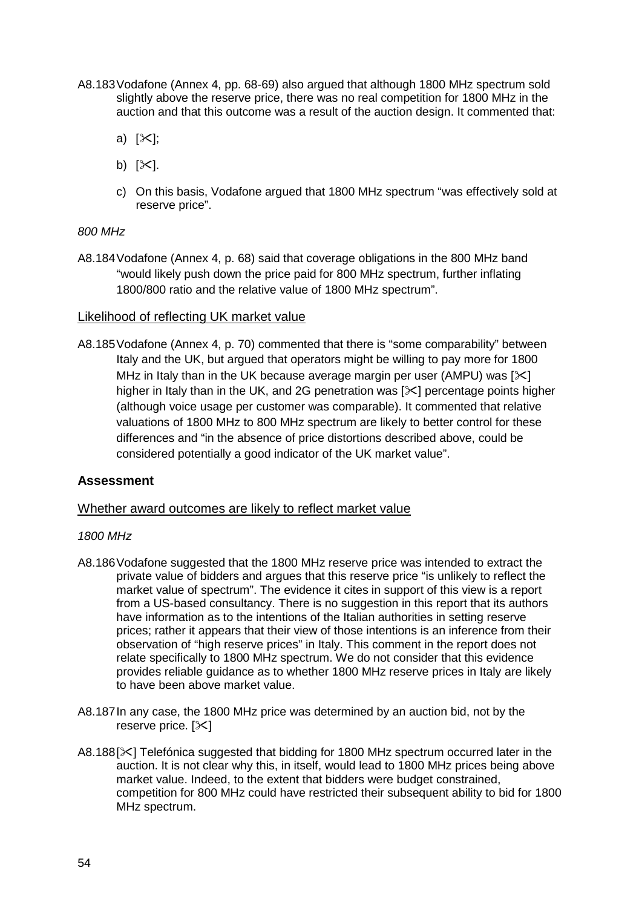- A8.183Vodafone (Annex 4, pp. 68-69) also argued that although 1800 MHz spectrum sold slightly above the reserve price, there was no real competition for 1800 MHz in the auction and that this outcome was a result of the auction design. It commented that:
	- a)  $[\&$ ];
	- b)  $[\times]$ .
	- c) On this basis, Vodafone argued that 1800 MHz spectrum "was effectively sold at reserve price".

#### *800 MHz*

A8.184Vodafone (Annex 4, p. 68) said that coverage obligations in the 800 MHz band "would likely push down the price paid for 800 MHz spectrum, further inflating 1800/800 ratio and the relative value of 1800 MHz spectrum".

## Likelihood of reflecting UK market value

A8.185Vodafone (Annex 4, p. 70) commented that there is "some comparability" between Italy and the UK, but argued that operators might be willing to pay more for 1800 MHz in Italy than in the UK because average margin per user (AMPU) was  $[\times]$ higher in Italy than in the UK, and 2G penetration was  $[\times]$  percentage points higher (although voice usage per customer was comparable). It commented that relative valuations of 1800 MHz to 800 MHz spectrum are likely to better control for these differences and "in the absence of price distortions described above, could be considered potentially a good indicator of the UK market value".

## **Assessment**

#### Whether award outcomes are likely to reflect market value

#### *1800 MHz*

- A8.186Vodafone suggested that the 1800 MHz reserve price was intended to extract the private value of bidders and argues that this reserve price "is unlikely to reflect the market value of spectrum". The evidence it cites in support of this view is a report from a US-based consultancy. There is no suggestion in this report that its authors have information as to the intentions of the Italian authorities in setting reserve prices; rather it appears that their view of those intentions is an inference from their observation of "high reserve prices" in Italy. This comment in the report does not relate specifically to 1800 MHz spectrum. We do not consider that this evidence provides reliable guidance as to whether 1800 MHz reserve prices in Italy are likely to have been above market value.
- A8.187In any case, the 1800 MHz price was determined by an auction bid, not by the reserve price.  $[\times]$
- A8.188[ $\times$ ] Telefónica suggested that bidding for 1800 MHz spectrum occurred later in the auction. It is not clear why this, in itself, would lead to 1800 MHz prices being above market value. Indeed, to the extent that bidders were budget constrained, competition for 800 MHz could have restricted their subsequent ability to bid for 1800 MHz spectrum.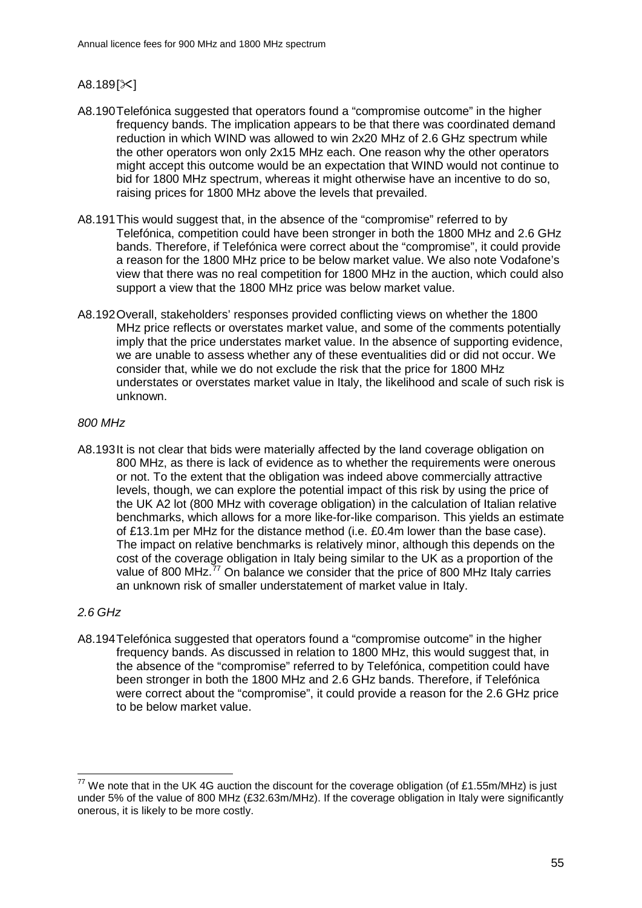# $A8.189$ [ $\times$ ]

- A8.190Telefónica suggested that operators found a "compromise outcome" in the higher frequency bands. The implication appears to be that there was coordinated demand reduction in which WIND was allowed to win 2x20 MHz of 2.6 GHz spectrum while the other operators won only 2x15 MHz each. One reason why the other operators might accept this outcome would be an expectation that WIND would not continue to bid for 1800 MHz spectrum, whereas it might otherwise have an incentive to do so, raising prices for 1800 MHz above the levels that prevailed.
- A8.191This would suggest that, in the absence of the "compromise" referred to by Telefónica, competition could have been stronger in both the 1800 MHz and 2.6 GHz bands. Therefore, if Telefónica were correct about the "compromise", it could provide a reason for the 1800 MHz price to be below market value. We also note Vodafone's view that there was no real competition for 1800 MHz in the auction, which could also support a view that the 1800 MHz price was below market value.
- A8.192Overall, stakeholders' responses provided conflicting views on whether the 1800 MHz price reflects or overstates market value, and some of the comments potentially imply that the price understates market value. In the absence of supporting evidence, we are unable to assess whether any of these eventualities did or did not occur. We consider that, while we do not exclude the risk that the price for 1800 MHz understates or overstates market value in Italy, the likelihood and scale of such risk is unknown.

## *800 MHz*

A8.193It is not clear that bids were materially affected by the land coverage obligation on 800 MHz, as there is lack of evidence as to whether the requirements were onerous or not. To the extent that the obligation was indeed above commercially attractive levels, though, we can explore the potential impact of this risk by using the price of the UK A2 lot (800 MHz with coverage obligation) in the calculation of Italian relative benchmarks, which allows for a more like-for-like comparison. This yields an estimate of £13.1m per MHz for the distance method (i.e. £0.4m lower than the base case). The impact on relative benchmarks is relatively minor, although this depends on the cost of the coverage obligation in Italy being similar to the UK as a proportion of the value of 800 MHz.<sup>[77](#page-54-0)</sup> On balance we consider that the price of 800 MHz Italy carries an unknown risk of smaller understatement of market value in Italy.

# *2.6 GHz*

A8.194Telefónica suggested that operators found a "compromise outcome" in the higher frequency bands. As discussed in relation to 1800 MHz, this would suggest that, in the absence of the "compromise" referred to by Telefónica, competition could have been stronger in both the 1800 MHz and 2.6 GHz bands. Therefore, if Telefónica were correct about the "compromise", it could provide a reason for the 2.6 GHz price to be below market value.

<span id="page-54-0"></span> $^{77}$  We note that in the UK 4G auction the discount for the coverage obligation (of £1.55m/MHz) is just under 5% of the value of 800 MHz (£32.63m/MHz). If the coverage obligation in Italy were significantly onerous, it is likely to be more costly.  $\overline{a}$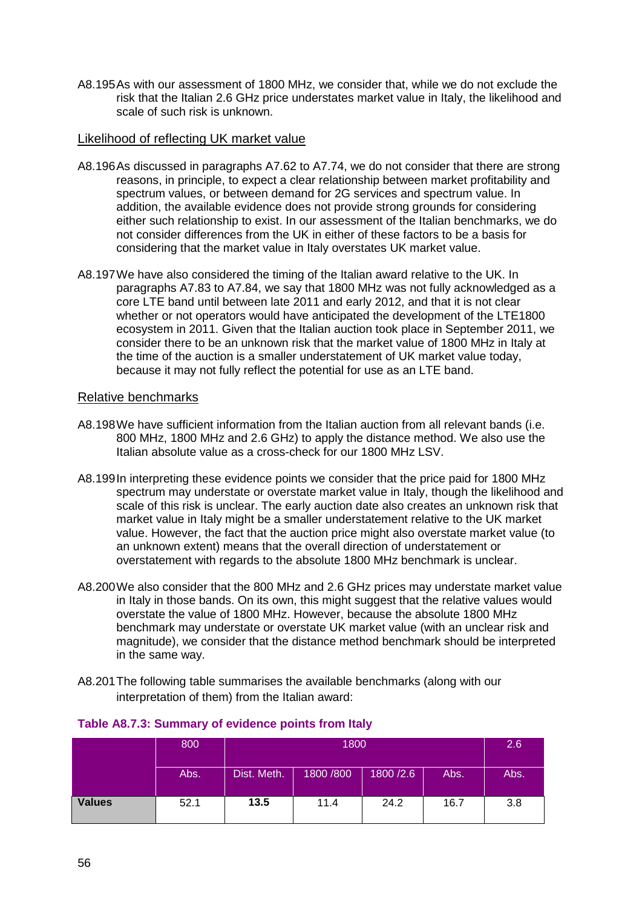A8.195As with our assessment of 1800 MHz, we consider that, while we do not exclude the risk that the Italian 2.6 GHz price understates market value in Italy, the likelihood and scale of such risk is unknown.

## Likelihood of reflecting UK market value

- A8.196As discussed in paragraphs A7.62 to A7.74, we do not consider that there are strong reasons, in principle, to expect a clear relationship between market profitability and spectrum values, or between demand for 2G services and spectrum value. In addition, the available evidence does not provide strong grounds for considering either such relationship to exist. In our assessment of the Italian benchmarks, we do not consider differences from the UK in either of these factors to be a basis for considering that the market value in Italy overstates UK market value.
- A8.197We have also considered the timing of the Italian award relative to the UK. In paragraphs A7.83 to A7.84, we say that 1800 MHz was not fully acknowledged as a core LTE band until between late 2011 and early 2012, and that it is not clear whether or not operators would have anticipated the development of the LTE1800 ecosystem in 2011. Given that the Italian auction took place in September 2011, we consider there to be an unknown risk that the market value of 1800 MHz in Italy at the time of the auction is a smaller understatement of UK market value today, because it may not fully reflect the potential for use as an LTE band.

## Relative benchmarks

- A8.198We have sufficient information from the Italian auction from all relevant bands (i.e. 800 MHz, 1800 MHz and 2.6 GHz) to apply the distance method. We also use the Italian absolute value as a cross-check for our 1800 MHz LSV.
- A8.199In interpreting these evidence points we consider that the price paid for 1800 MHz spectrum may understate or overstate market value in Italy, though the likelihood and scale of this risk is unclear. The early auction date also creates an unknown risk that market value in Italy might be a smaller understatement relative to the UK market value. However, the fact that the auction price might also overstate market value (to an unknown extent) means that the overall direction of understatement or overstatement with regards to the absolute 1800 MHz benchmark is unclear.
- A8.200We also consider that the 800 MHz and 2.6 GHz prices may understate market value in Italy in those bands. On its own, this might suggest that the relative values would overstate the value of 1800 MHz. However, because the absolute 1800 MHz benchmark may understate or overstate UK market value (with an unclear risk and magnitude), we consider that the distance method benchmark should be interpreted in the same way.
- A8.201The following table summarises the available benchmarks (along with our interpretation of them) from the Italian award:

|               | 800  | 1800        |            |            |      | 2.6  |
|---------------|------|-------------|------------|------------|------|------|
|               | Abs. | Dist. Meth. | 1800 / 800 | 1800 / 2.6 | Abs. | Abs. |
| <b>Values</b> | 52.1 | 13.5        | 11.4       | 24.2       | 16.7 | 3.8  |

## **Table A8.7.3: Summary of evidence points from Italy**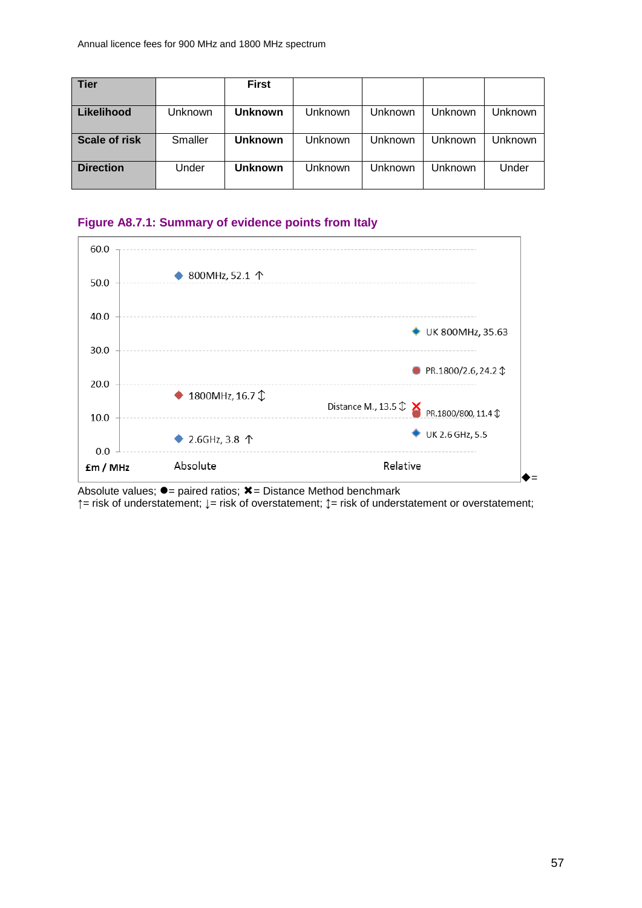| <b>Tier</b>      |         | First          |         |                |         |                |
|------------------|---------|----------------|---------|----------------|---------|----------------|
| Likelihood       | Unknown | <b>Unknown</b> | Unknown | Unknown        | Unknown | <b>Unknown</b> |
|                  |         |                |         |                |         |                |
| Scale of risk    | Smaller | <b>Unknown</b> | Unknown | <b>Jnknown</b> | Unknown | <b>Unknown</b> |
|                  |         |                |         |                |         |                |
| <b>Direction</b> | Under   | <b>Unknown</b> | Unknown | <b>Unknown</b> | Unknown | Under          |
|                  |         |                |         |                |         |                |

## **Figure A8.7.1: Summary of evidence points from Italy**



Absolute values;  $\bullet$  = paired ratios;  $\ast$  = Distance Method benchmark

**↑**= risk of understatement; **↓**= risk of overstatement; **↕**= risk of understatement or overstatement;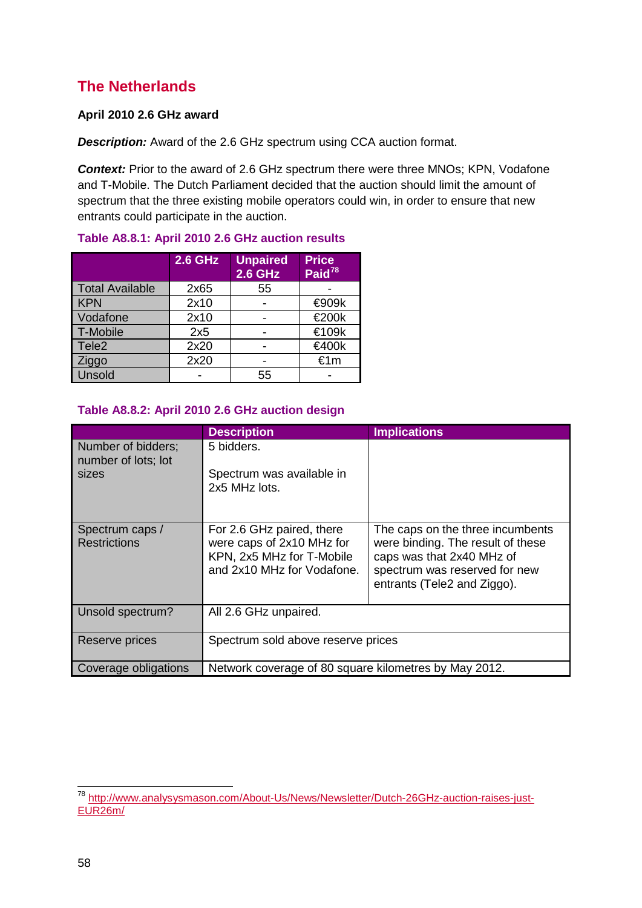# **The Netherlands**

## **April 2010 2.6 GHz award**

*Description:* Award of the 2.6 GHz spectrum using CCA auction format.

**Context:** Prior to the award of 2.6 GHz spectrum there were three MNOs; KPN, Vodafone and T-Mobile. The Dutch Parliament decided that the auction should limit the amount of spectrum that the three existing mobile operators could win, in order to ensure that new entrants could participate in the auction.

|                        | <b>2.6 GHz</b> | <b>Unpaired</b><br><b>2.6 GHz</b> | <b>Price</b><br>Paid <sup>78</sup> |
|------------------------|----------------|-----------------------------------|------------------------------------|
| <b>Total Available</b> | 2x65           | 55                                |                                    |
| <b>KPN</b>             | 2x10           |                                   | <b>€909k</b>                       |
| Vodafone               | 2x10           |                                   | €200k                              |
| T-Mobile               | 2x5            |                                   | €109k                              |
| Tele <sub>2</sub>      | 2x20           |                                   | €400k                              |
| Ziggo                  | 2x20           |                                   | €1m                                |
| Unsold                 |                | 55                                |                                    |

## **Table A8.8.1: April 2010 2.6 GHz auction results**

## **Table A8.8.2: April 2010 2.6 GHz auction design**

|                                                    | <b>Description</b>                                                                                                | <b>Implications</b>                                                                                                                                                |  |  |  |
|----------------------------------------------------|-------------------------------------------------------------------------------------------------------------------|--------------------------------------------------------------------------------------------------------------------------------------------------------------------|--|--|--|
| Number of bidders;<br>number of lots; lot<br>sizes | 5 bidders.<br>Spectrum was available in<br>2x5 MHz lots.                                                          |                                                                                                                                                                    |  |  |  |
|                                                    |                                                                                                                   |                                                                                                                                                                    |  |  |  |
| Spectrum caps /<br><b>Restrictions</b>             | For 2.6 GHz paired, there<br>were caps of 2x10 MHz for<br>KPN, 2x5 MHz for T-Mobile<br>and 2x10 MHz for Vodafone. | The caps on the three incumbents<br>were binding. The result of these<br>caps was that 2x40 MHz of<br>spectrum was reserved for new<br>entrants (Tele2 and Ziggo). |  |  |  |
| Unsold spectrum?                                   | All 2.6 GHz unpaired.                                                                                             |                                                                                                                                                                    |  |  |  |
| Reserve prices                                     | Spectrum sold above reserve prices                                                                                |                                                                                                                                                                    |  |  |  |
| Coverage obligations                               | Network coverage of 80 square kilometres by May 2012.                                                             |                                                                                                                                                                    |  |  |  |

<span id="page-57-0"></span><sup>&</sup>lt;sup>78</sup> [http://www.analysysmason.com/About-Us/News/Newsletter/Dutch-26GHz-auction-raises-just-](http://www.analysysmason.com/About-Us/News/Newsletter/Dutch-26GHz-auction-raises-just-EUR26m/)[EUR26m/](http://www.analysysmason.com/About-Us/News/Newsletter/Dutch-26GHz-auction-raises-just-EUR26m/)  $\overline{a}$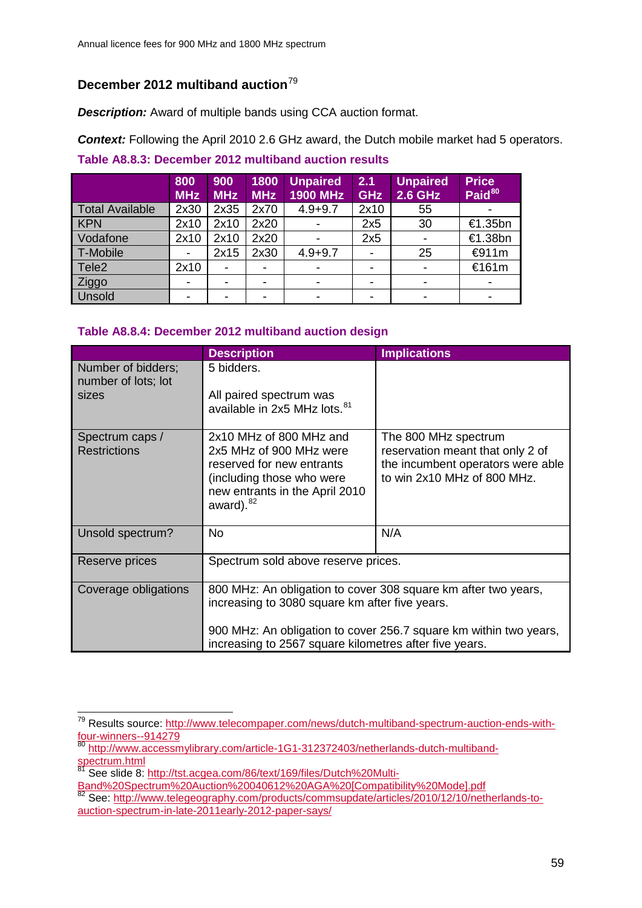# **December 2012 multiband auction**[79](#page-58-0)

*Description:* Award of multiple bands using CCA auction format.

*Context:* Following the April 2010 2.6 GHz award, the Dutch mobile market had 5 operators.

## **Table A8.8.3: December 2012 multiband auction results**

|                        | 800<br><b>MHz</b> | 900<br><b>MHz</b> | 1800<br><b>MHz</b> | <b>Unpaired</b><br>1900 MHz | 2.1<br><b>GHz</b> | <b>Unpaired</b><br><b>2.6 GHz</b> | <b>Price</b><br>Paid <sup>80</sup> |
|------------------------|-------------------|-------------------|--------------------|-----------------------------|-------------------|-----------------------------------|------------------------------------|
| <b>Total Available</b> | 2x30              | 2x35              | 2x70               | $4.9 + 9.7$                 | 2x10              | 55                                |                                    |
| <b>KPN</b>             | 2x10              | 2x10              | 2x20               |                             | 2x5               | 30                                | €1.35bn                            |
| Vodafone               | 2x10              | 2x10              | 2x20               |                             | 2x5               |                                   | €1.38bn                            |
| T-Mobile               | ۰                 | 2x15              | 2x30               | $4.9 + 9.7$                 |                   | 25                                | €911m                              |
| Tele <sub>2</sub>      | 2x10              |                   |                    |                             |                   |                                   | €161m                              |
| Ziggo                  | ۰                 |                   | -                  | -                           |                   | -                                 |                                    |
| Unsold                 | ۰                 |                   |                    | -                           |                   |                                   |                                    |

# **Table A8.8.4: December 2012 multiband auction design**

|                                           | <b>Description</b>                                                  | <b>Implications</b>                                                   |  |  |  |  |
|-------------------------------------------|---------------------------------------------------------------------|-----------------------------------------------------------------------|--|--|--|--|
| Number of bidders;<br>number of lots; lot | 5 bidders.                                                          |                                                                       |  |  |  |  |
| sizes                                     | All paired spectrum was<br>available in 2x5 MHz lots. <sup>81</sup> |                                                                       |  |  |  |  |
| Spectrum caps /                           | 2x10 MHz of 800 MHz and                                             | The 800 MHz spectrum                                                  |  |  |  |  |
| <b>Restrictions</b>                       | 2x5 MHz of 900 MHz were<br>reserved for new entrants                | reservation meant that only 2 of<br>the incumbent operators were able |  |  |  |  |
|                                           | (including those who were                                           | to win 2x10 MHz of 800 MHz.                                           |  |  |  |  |
|                                           | new entrants in the April 2010<br>award). $82$                      |                                                                       |  |  |  |  |
| Unsold spectrum?                          | <b>No</b>                                                           | N/A                                                                   |  |  |  |  |
|                                           |                                                                     |                                                                       |  |  |  |  |
| Reserve prices                            | Spectrum sold above reserve prices.                                 |                                                                       |  |  |  |  |
| Coverage obligations                      |                                                                     | 800 MHz: An obligation to cover 308 square km after two years,        |  |  |  |  |
|                                           | increasing to 3080 square km after five years.                      |                                                                       |  |  |  |  |
|                                           |                                                                     | 900 MHz: An obligation to cover 256.7 square km within two years,     |  |  |  |  |
|                                           | increasing to 2567 square kilometres after five years.              |                                                                       |  |  |  |  |

<span id="page-58-0"></span><sup>&</sup>lt;sup>79</sup> Results source: <u>http://www.telecompaper.com/news/dutch-multiband-spectrum-auction-ends-with-</u> [four-winners--914279](http://www.telecompaper.com/news/dutch-multiband-spectrum-auction-ends-with-four-winners--914279)  $\overline{a}$ 

<span id="page-58-1"></span><sup>&</sup>lt;sup>80</sup> [http://www.accessmylibrary.com/article-1G1-312372403/netherlands-dutch-multiband](http://www.accessmylibrary.com/article-1G1-312372403/netherlands-dutch-multiband-spectrum.html)[spectrum.html](http://www.accessmylibrary.com/article-1G1-312372403/netherlands-dutch-multiband-spectrum.html)

<sup>&</sup>lt;sup>81</sup> See slide 8: [http://tst.acgea.com/86/text/169/files/Dutch%20Multi-](http://tst.acgea.com/86/text/169/files/Dutch%20Multi-Band%20Spectrum%20Auction%20040612%20AGA%20%5bCompatibility%20Mode%5d.pdf)

<span id="page-58-3"></span><span id="page-58-2"></span>[Band%20Spectrum%20Auction%20040612%20AGA%20\[Compatibility%20Mode\].pdf](http://tst.acgea.com/86/text/169/files/Dutch%20Multi-Band%20Spectrum%20Auction%20040612%20AGA%20%5bCompatibility%20Mode%5d.pdf) <sup>82</sup> See: [http://www.telegeography.com/products/commsupdate/articles/2010/12/10/netherlands-to](http://www.telegeography.com/products/commsupdate/articles/2010/12/10/netherlands-to-auction-spectrum-in-late-2011early-2012-paper-says/)[auction-spectrum-in-late-2011early-2012-paper-says/](http://www.telegeography.com/products/commsupdate/articles/2010/12/10/netherlands-to-auction-spectrum-in-late-2011early-2012-paper-says/)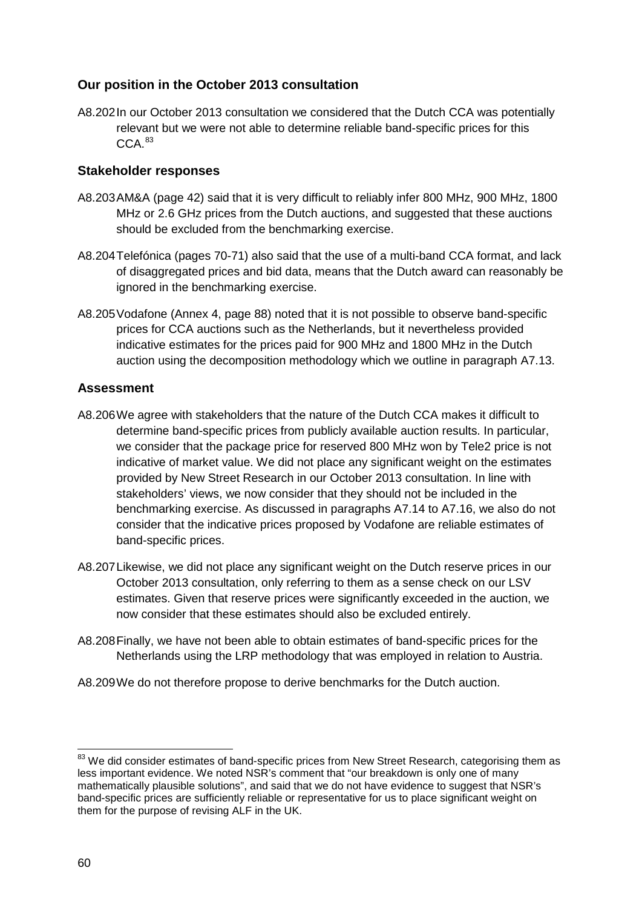# **Our position in the October 2013 consultation**

A8.202In our October 2013 consultation we considered that the Dutch CCA was potentially relevant but we were not able to determine reliable band-specific prices for this  $CCA$ <sup>[83](#page-59-0)</sup>

# **Stakeholder responses**

- A8.203AM&A (page 42) said that it is very difficult to reliably infer 800 MHz, 900 MHz, 1800 MHz or 2.6 GHz prices from the Dutch auctions, and suggested that these auctions should be excluded from the benchmarking exercise.
- A8.204Telefónica (pages 70-71) also said that the use of a multi-band CCA format, and lack of disaggregated prices and bid data, means that the Dutch award can reasonably be ignored in the benchmarking exercise.
- A8.205Vodafone (Annex 4, page 88) noted that it is not possible to observe band-specific prices for CCA auctions such as the Netherlands, but it nevertheless provided indicative estimates for the prices paid for 900 MHz and 1800 MHz in the Dutch auction using the decomposition methodology which we outline in paragraph A7.13.

# **Assessment**

- A8.206We agree with stakeholders that the nature of the Dutch CCA makes it difficult to determine band-specific prices from publicly available auction results. In particular, we consider that the package price for reserved 800 MHz won by Tele2 price is not indicative of market value. We did not place any significant weight on the estimates provided by New Street Research in our October 2013 consultation. In line with stakeholders' views, we now consider that they should not be included in the benchmarking exercise. As discussed in paragraphs A7.14 to A7.16, we also do not consider that the indicative prices proposed by Vodafone are reliable estimates of band-specific prices.
- A8.207Likewise, we did not place any significant weight on the Dutch reserve prices in our October 2013 consultation, only referring to them as a sense check on our LSV estimates. Given that reserve prices were significantly exceeded in the auction, we now consider that these estimates should also be excluded entirely.
- A8.208Finally, we have not been able to obtain estimates of band-specific prices for the Netherlands using the LRP methodology that was employed in relation to Austria.
- A8.209We do not therefore propose to derive benchmarks for the Dutch auction.

<span id="page-59-0"></span><sup>&</sup>lt;sup>83</sup> We did consider estimates of band-specific prices from New Street Research, categorising them as less important evidence. We noted NSR's comment that "our breakdown is only one of many mathematically plausible solutions", and said that we do not have evidence to suggest that NSR's band-specific prices are sufficiently reliable or representative for us to place significant weight on them for the purpose of revising ALF in the UK.  $\overline{a}$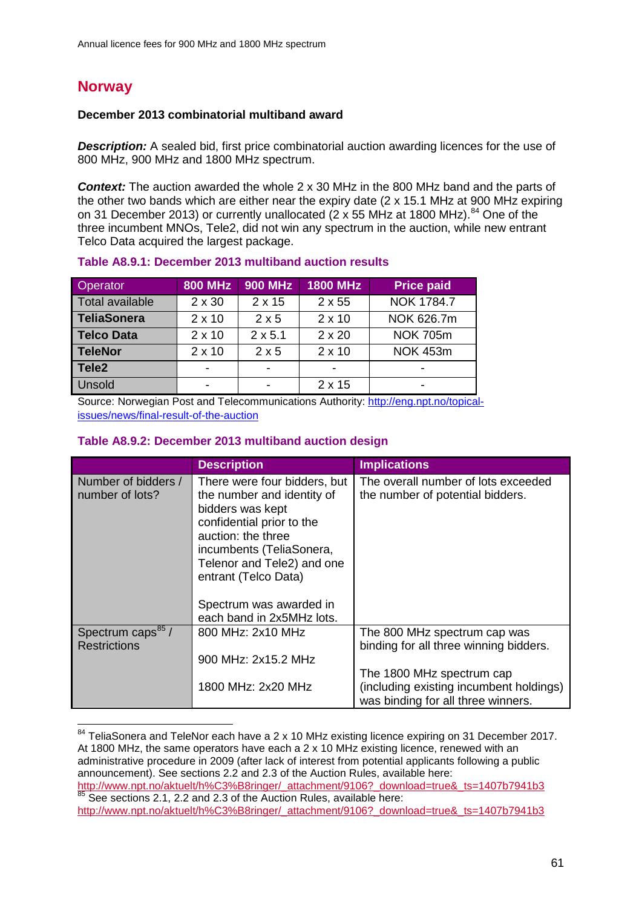# **Norway**

 $\overline{a}$ 

## **December 2013 combinatorial multiband award**

**Description:** A sealed bid, first price combinatorial auction awarding licences for the use of 800 MHz, 900 MHz and 1800 MHz spectrum.

**Context:** The auction awarded the whole 2 x 30 MHz in the 800 MHz band and the parts of the other two bands which are either near the expiry date (2 x 15.1 MHz at 900 MHz expiring on 31 December 2013) or currently unallocated (2 x 55 MHz at 1800 MHz).<sup>[84](#page-60-0)</sup> One of the three incumbent MNOs, Tele2, did not win any spectrum in the auction, while new entrant Telco Data acquired the largest package.

| Operator           | <b>800 MHz</b> | <b>900 MHz</b> | <b>1800 MHz</b>          | <b>Price paid</b> |
|--------------------|----------------|----------------|--------------------------|-------------------|
| Total available    | $2 \times 30$  | $2 \times 15$  | $2 \times 55$            | NOK 1784.7        |
| <b>TeliaSonera</b> | $2 \times 10$  | 2x5            | $2 \times 10$            | NOK 626.7m        |
| <b>Telco Data</b>  | $2 \times 10$  | $2 \times 5.1$ | $2 \times 20$            | <b>NOK 705m</b>   |
| <b>TeleNor</b>     | $2 \times 10$  | $2 \times 5$   | $2 \times 10$            | <b>NOK 453m</b>   |
| Tele <sub>2</sub>  |                | -              | $\overline{\phantom{a}}$ |                   |
| Unsold             |                |                | $2 \times 15$            |                   |

#### **Table A8.9.1: December 2013 multiband auction results**

Source: Norwegian Post and Telecommunications Authority: [http://eng.npt.no/topical](http://eng.npt.no/topical-issues/news/final-result-of-the-auction)[issues/news/final-result-of-the-auction](http://eng.npt.no/topical-issues/news/final-result-of-the-auction) 

#### **Table A8.9.2: December 2013 multiband auction design**

|                                                      | <b>Description</b>                                                                                                                                                                                                  | <b>Implications</b>                                                           |
|------------------------------------------------------|---------------------------------------------------------------------------------------------------------------------------------------------------------------------------------------------------------------------|-------------------------------------------------------------------------------|
| Number of bidders /<br>number of lots?               | There were four bidders, but<br>the number and identity of<br>bidders was kept<br>confidential prior to the<br>auction: the three<br>incumbents (TeliaSonera,<br>Telenor and Tele2) and one<br>entrant (Telco Data) | The overall number of lots exceeded<br>the number of potential bidders.       |
|                                                      | Spectrum was awarded in<br>each band in 2x5MHz lots.                                                                                                                                                                |                                                                               |
| Spectrum caps <sup>85</sup> /<br><b>Restrictions</b> | 800 MHz: 2x10 MHz                                                                                                                                                                                                   | The 800 MHz spectrum cap was<br>binding for all three winning bidders.        |
|                                                      | 900 MHz: 2x15.2 MHz                                                                                                                                                                                                 | The 1800 MHz spectrum cap                                                     |
|                                                      | 1800 MHz: 2x20 MHz                                                                                                                                                                                                  | (including existing incumbent holdings)<br>was binding for all three winners. |

<span id="page-60-0"></span> $84$  TeliaSonera and TeleNor each have a 2 x 10 MHz existing licence expiring on 31 December 2017. At 1800 MHz, the same operators have each a 2 x 10 MHz existing licence, renewed with an administrative procedure in 2009 (after lack of interest from potential applicants following a public announcement). See sections 2.2 and 2.3 of the Auction Rules, available here: [http://www.npt.no/aktuelt/h%C3%B8ringer/\\_attachment/9106?\\_download=true&\\_ts=1407b7941b3](http://www.npt.no/aktuelt/h%C3%B8ringer/_attachment/9106?_download=true&_ts=1407b7941b3) 85 See sections 2.1, 2.2 and 2.3 of the Auction Rules, available here:

<span id="page-60-1"></span>[http://www.npt.no/aktuelt/h%C3%B8ringer/\\_attachment/9106?\\_download=true&\\_ts=1407b7941b3](http://www.npt.no/aktuelt/h%C3%B8ringer/_attachment/9106?_download=true&_ts=1407b7941b3)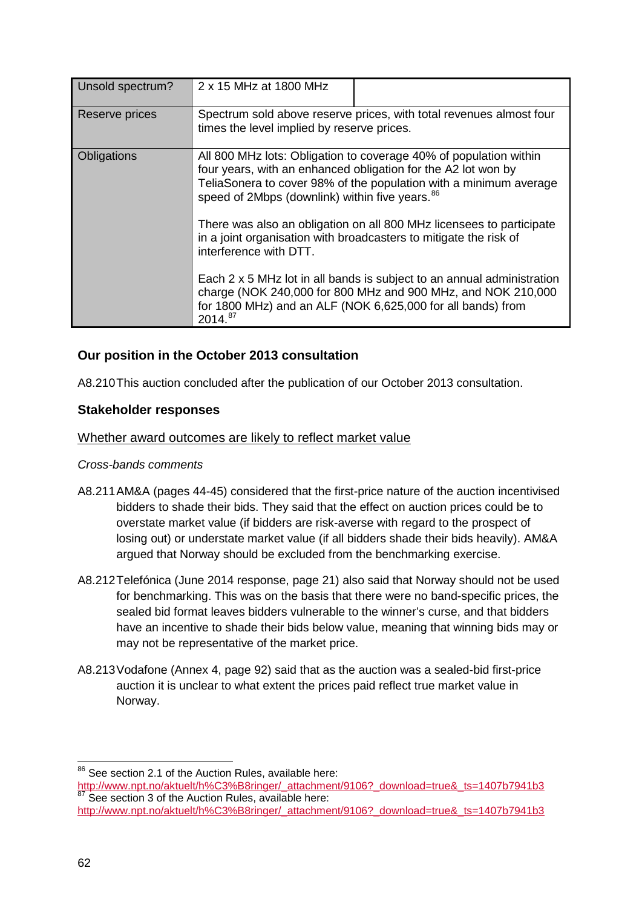| Unsold spectrum? | 2 x 15 MHz at 1800 MHz                                                                                                                                                                                                       |                                                                                                                                                                                                         |  |  |  |  |
|------------------|------------------------------------------------------------------------------------------------------------------------------------------------------------------------------------------------------------------------------|---------------------------------------------------------------------------------------------------------------------------------------------------------------------------------------------------------|--|--|--|--|
| Reserve prices   | times the level implied by reserve prices.                                                                                                                                                                                   | Spectrum sold above reserve prices, with total revenues almost four                                                                                                                                     |  |  |  |  |
| Obligations      | speed of 2Mbps (downlink) within five vears. 86                                                                                                                                                                              | All 800 MHz lots: Obligation to coverage 40% of population within<br>four years, with an enhanced obligation for the A2 lot won by<br>TeliaSonera to cover 98% of the population with a minimum average |  |  |  |  |
|                  | There was also an obligation on all 800 MHz licensees to participate<br>in a joint organisation with broadcasters to mitigate the risk of<br>interference with DTT.                                                          |                                                                                                                                                                                                         |  |  |  |  |
|                  | Each 2 x 5 MHz lot in all bands is subject to an annual administration<br>charge (NOK 240,000 for 800 MHz and 900 MHz, and NOK 210,000<br>for 1800 MHz) and an ALF (NOK 6,625,000 for all bands) from<br>2014. <sup>87</sup> |                                                                                                                                                                                                         |  |  |  |  |

# **Our position in the October 2013 consultation**

A8.210This auction concluded after the publication of our October 2013 consultation.

## **Stakeholder responses**

## Whether award outcomes are likely to reflect market value

## *Cross-bands comments*

- A8.211AM&A (pages 44-45) considered that the first-price nature of the auction incentivised bidders to shade their bids. They said that the effect on auction prices could be to overstate market value (if bidders are risk-averse with regard to the prospect of losing out) or understate market value (if all bidders shade their bids heavily). AM&A argued that Norway should be excluded from the benchmarking exercise.
- A8.212Telefónica (June 2014 response, page 21) also said that Norway should not be used for benchmarking. This was on the basis that there were no band-specific prices, the sealed bid format leaves bidders vulnerable to the winner's curse, and that bidders have an incentive to shade their bids below value, meaning that winning bids may or may not be representative of the market price.
- A8.213Vodafone (Annex 4, page 92) said that as the auction was a sealed-bid first-price auction it is unclear to what extent the prices paid reflect true market value in Norway.

<sup>&</sup>lt;sup>86</sup> See section 2.1 of the Auction Rules, available here:  $\overline{a}$ 

<span id="page-61-0"></span>[http://www.npt.no/aktuelt/h%C3%B8ringer/\\_attachment/9106?\\_download=true&\\_ts=1407b7941b3](http://www.npt.no/aktuelt/h%C3%B8ringer/_attachment/9106?_download=true&_ts=1407b7941b3) <sup>87</sup> See section 3 of the Auction Rules, available here:

<span id="page-61-1"></span>[http://www.npt.no/aktuelt/h%C3%B8ringer/\\_attachment/9106?\\_download=true&\\_ts=1407b7941b3](http://www.npt.no/aktuelt/h%C3%B8ringer/_attachment/9106?_download=true&_ts=1407b7941b3)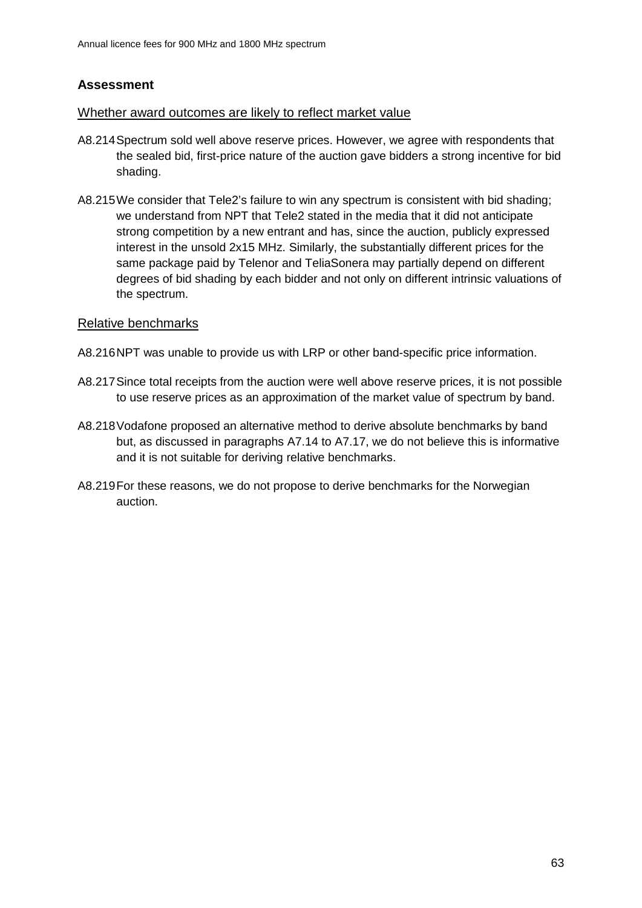# **Assessment**

## Whether award outcomes are likely to reflect market value

- A8.214Spectrum sold well above reserve prices. However, we agree with respondents that the sealed bid, first-price nature of the auction gave bidders a strong incentive for bid shading.
- A8.215We consider that Tele2's failure to win any spectrum is consistent with bid shading; we understand from NPT that Tele2 stated in the media that it did not anticipate strong competition by a new entrant and has, since the auction, publicly expressed interest in the unsold 2x15 MHz. Similarly, the substantially different prices for the same package paid by Telenor and TeliaSonera may partially depend on different degrees of bid shading by each bidder and not only on different intrinsic valuations of the spectrum.

## Relative benchmarks

- A8.216NPT was unable to provide us with LRP or other band-specific price information.
- A8.217Since total receipts from the auction were well above reserve prices, it is not possible to use reserve prices as an approximation of the market value of spectrum by band.
- A8.218Vodafone proposed an alternative method to derive absolute benchmarks by band but, as discussed in paragraphs A7.14 to A7.17, we do not believe this is informative and it is not suitable for deriving relative benchmarks.
- A8.219For these reasons, we do not propose to derive benchmarks for the Norwegian auction.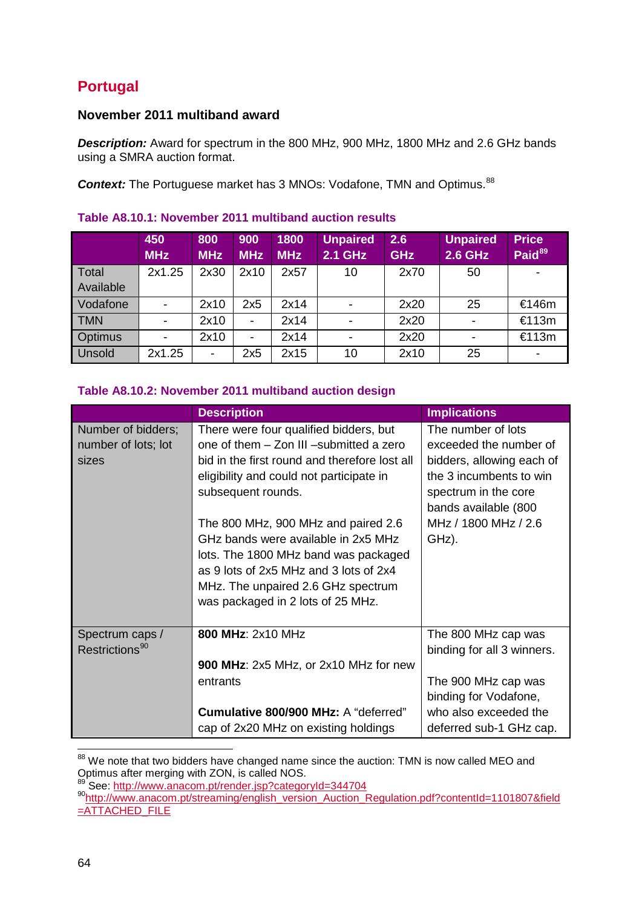# **Portugal**

# **November 2011 multiband award**

*Description:* Award for spectrum in the 800 MHz, 900 MHz, 1800 MHz and 2.6 GHz bands using a SMRA auction format.

**Context:** The Portuguese market has 3 MNOs: Vodafone, TMN and Optimus.<sup>[88](#page-63-0)</sup>

|                | 450<br><b>MHz</b> | 800<br><b>MHz</b> | 900<br><b>MHz</b> | 1800<br><b>MHz</b> | <b>Unpaired</b><br><b>2.1 GHz</b> | 2.6<br><b>GHz</b> | <b>Unpaired</b><br><b>2.6 GHz</b> | <b>Price</b><br>Paid <sup>89</sup> |
|----------------|-------------------|-------------------|-------------------|--------------------|-----------------------------------|-------------------|-----------------------------------|------------------------------------|
| Total          | 2x1.25            | 2x30              | 2x10              | 2x57               | 10                                | 2x70              | 50                                |                                    |
| Available      |                   |                   |                   |                    |                                   |                   |                                   |                                    |
| Vodafone       |                   | 2x10              | 2x5               | 2x14               |                                   | 2x20              | 25                                | €146m                              |
| <b>TMN</b>     |                   | 2x10              | ۰                 | 2x14               |                                   | 2x20              |                                   | €113m                              |
| <b>Optimus</b> |                   | 2x10              |                   | 2x14               |                                   | 2x20              |                                   | €113m                              |
| Unsold         | 2x1.25            | ۰                 | 2x5               | 2x15               | 10                                | 2x10              | 25                                |                                    |

# **Table A8.10.1: November 2011 multiband auction results**

## **Table A8.10.2: November 2011 multiband auction design**

|                                                    | <b>Description</b>                                                                                                                                                                                                                      | <b>Implications</b>                                                                                                                                  |  |  |
|----------------------------------------------------|-----------------------------------------------------------------------------------------------------------------------------------------------------------------------------------------------------------------------------------------|------------------------------------------------------------------------------------------------------------------------------------------------------|--|--|
| Number of bidders;<br>number of lots; lot<br>sizes | There were four qualified bidders, but<br>one of them - Zon III -submitted a zero<br>bid in the first round and therefore lost all<br>eligibility and could not participate in<br>subsequent rounds.                                    | The number of lots<br>exceeded the number of<br>bidders, allowing each of<br>the 3 incumbents to win<br>spectrum in the core<br>bands available (800 |  |  |
|                                                    | The 800 MHz, 900 MHz and paired 2.6<br>GHz bands were available in 2x5 MHz<br>lots. The 1800 MHz band was packaged<br>as 9 lots of 2x5 MHz and 3 lots of 2x4<br>MHz. The unpaired 2.6 GHz spectrum<br>was packaged in 2 lots of 25 MHz. | MHz / 1800 MHz / 2.6<br>GHz).                                                                                                                        |  |  |
| Spectrum caps /<br>Restrictions <sup>90</sup>      | 800 MHz: 2x10 MHz                                                                                                                                                                                                                       | The 800 MHz cap was<br>binding for all 3 winners.                                                                                                    |  |  |
|                                                    | 900 MHz: 2x5 MHz, or 2x10 MHz for new<br>entrants                                                                                                                                                                                       | The 900 MHz cap was<br>binding for Vodafone,                                                                                                         |  |  |
|                                                    | Cumulative 800/900 MHz: A "deferred"<br>cap of 2x20 MHz on existing holdings                                                                                                                                                            | who also exceeded the<br>deferred sub-1 GHz cap.                                                                                                     |  |  |

<span id="page-63-0"></span> $88$  We note that two bidders have changed name since the auction: TMN is now called MEO and Optimus after merging with ZON, is called NOS.<br>
<sup>89</sup> See: http://www.anacom.pt/render.jsp?categoryId=344704  $\overline{a}$ 

<span id="page-63-2"></span><span id="page-63-1"></span><sup>80</sup> Sec. http://www.anacom.pt/streaming/english\_version\_Auction\_Regulation.pdf?contentId=1101807&field  $=$  $ATTACHED$  FILE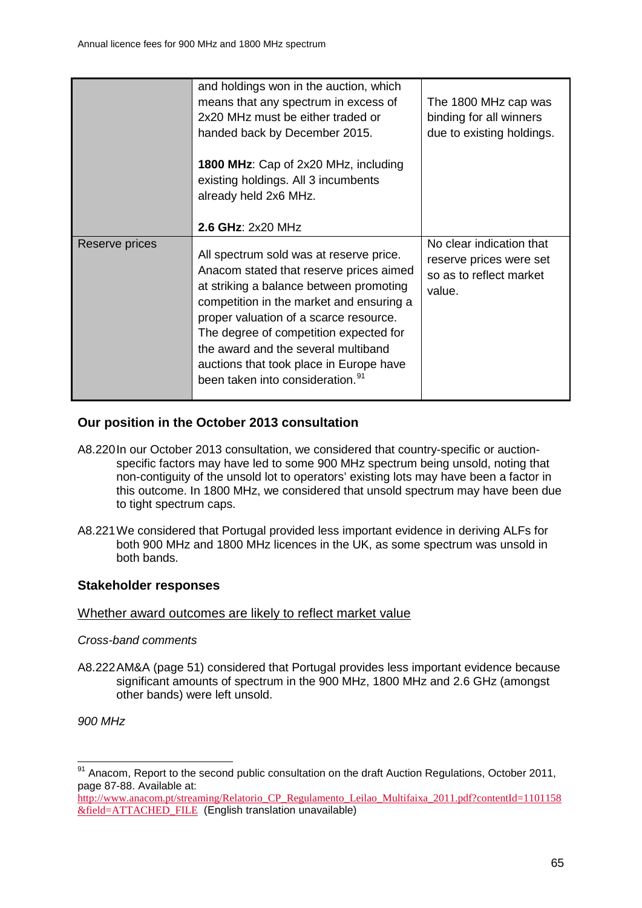|                | and holdings won in the auction, which<br>means that any spectrum in excess of<br>2x20 MHz must be either traded or<br>handed back by December 2015.<br>1800 MHz: Cap of 2x20 MHz, including<br>existing holdings. All 3 incumbents<br>already held 2x6 MHz.<br>2.6 GHz: 2x20 MHz                                                                                                               | The 1800 MHz cap was<br>binding for all winners<br>due to existing holdings.             |
|----------------|-------------------------------------------------------------------------------------------------------------------------------------------------------------------------------------------------------------------------------------------------------------------------------------------------------------------------------------------------------------------------------------------------|------------------------------------------------------------------------------------------|
| Reserve prices | All spectrum sold was at reserve price.<br>Anacom stated that reserve prices aimed<br>at striking a balance between promoting<br>competition in the market and ensuring a<br>proper valuation of a scarce resource.<br>The degree of competition expected for<br>the award and the several multiband<br>auctions that took place in Europe have<br>been taken into consideration. <sup>91</sup> | No clear indication that<br>reserve prices were set<br>so as to reflect market<br>value. |

# **Our position in the October 2013 consultation**

- A8.220In our October 2013 consultation, we considered that country-specific or auctionspecific factors may have led to some 900 MHz spectrum being unsold, noting that non-contiguity of the unsold lot to operators' existing lots may have been a factor in this outcome. In 1800 MHz, we considered that unsold spectrum may have been due to tight spectrum caps.
- A8.221We considered that Portugal provided less important evidence in deriving ALFs for both 900 MHz and 1800 MHz licences in the UK, as some spectrum was unsold in both bands.

# **Stakeholder responses**

## Whether award outcomes are likely to reflect market value

## *Cross-band comments*

A8.222AM&A (page 51) considered that Portugal provides less important evidence because significant amounts of spectrum in the 900 MHz, 1800 MHz and 2.6 GHz (amongst other bands) were left unsold.

*900 MHz*

 $\overline{a}$ 

<span id="page-64-0"></span><sup>&</sup>lt;sup>91</sup> Anacom, Report to the second public consultation on the draft Auction Regulations, October 2011, page 87-88. Available at:

[http://www.anacom.pt/streaming/Relatorio\\_CP\\_Regulamento\\_Leilao\\_Multifaixa\\_2011.pdf?contentId=1101158](http://www.anacom.pt/streaming/Relatorio_CP_Regulamento_Leilao_Multifaixa_2011.pdf?contentId=1101158&field=ATTACHED_FILE) [&field=ATTACHED\\_FILE](http://www.anacom.pt/streaming/Relatorio_CP_Regulamento_Leilao_Multifaixa_2011.pdf?contentId=1101158&field=ATTACHED_FILE) (English translation unavailable)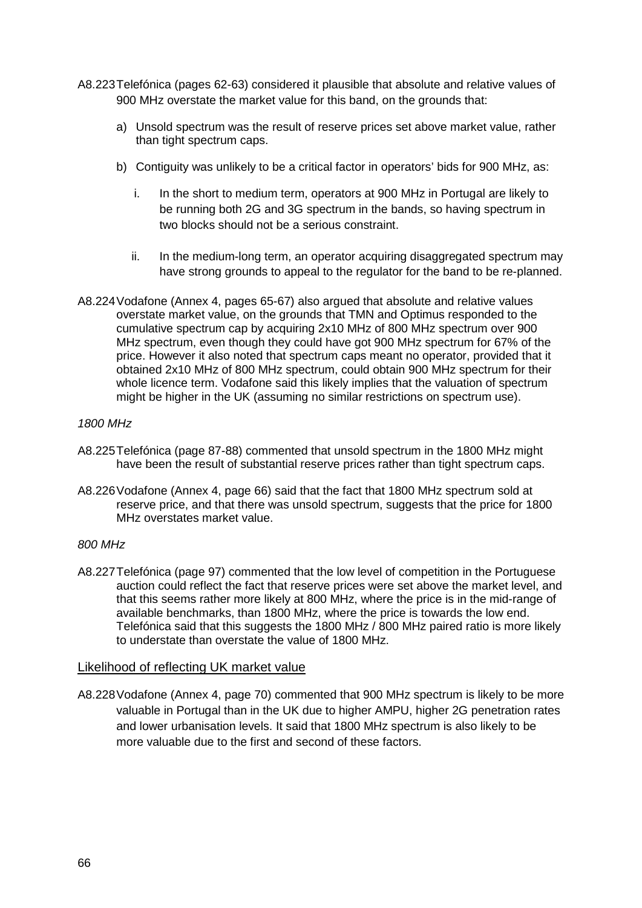- A8.223Telefónica (pages 62-63) considered it plausible that absolute and relative values of 900 MHz overstate the market value for this band, on the grounds that:
	- a) Unsold spectrum was the result of reserve prices set above market value, rather than tight spectrum caps.
	- b) Contiguity was unlikely to be a critical factor in operators' bids for 900 MHz, as:
		- i. In the short to medium term, operators at 900 MHz in Portugal are likely to be running both 2G and 3G spectrum in the bands, so having spectrum in two blocks should not be a serious constraint.
		- ii. In the medium-long term, an operator acquiring disaggregated spectrum may have strong grounds to appeal to the regulator for the band to be re-planned.
- A8.224Vodafone (Annex 4, pages 65-67) also argued that absolute and relative values overstate market value, on the grounds that TMN and Optimus responded to the cumulative spectrum cap by acquiring 2x10 MHz of 800 MHz spectrum over 900 MHz spectrum, even though they could have got 900 MHz spectrum for 67% of the price. However it also noted that spectrum caps meant no operator, provided that it obtained 2x10 MHz of 800 MHz spectrum, could obtain 900 MHz spectrum for their whole licence term. Vodafone said this likely implies that the valuation of spectrum might be higher in the UK (assuming no similar restrictions on spectrum use).

## *1800 MHz*

- A8.225Telefónica (page 87-88) commented that unsold spectrum in the 1800 MHz might have been the result of substantial reserve prices rather than tight spectrum caps.
- A8.226Vodafone (Annex 4, page 66) said that the fact that 1800 MHz spectrum sold at reserve price, and that there was unsold spectrum, suggests that the price for 1800 MHz overstates market value.

## *800 MHz*

A8.227Telefónica (page 97) commented that the low level of competition in the Portuguese auction could reflect the fact that reserve prices were set above the market level, and that this seems rather more likely at 800 MHz, where the price is in the mid-range of available benchmarks, than 1800 MHz, where the price is towards the low end. Telefónica said that this suggests the 1800 MHz / 800 MHz paired ratio is more likely to understate than overstate the value of 1800 MHz.

## Likelihood of reflecting UK market value

A8.228Vodafone (Annex 4, page 70) commented that 900 MHz spectrum is likely to be more valuable in Portugal than in the UK due to higher AMPU, higher 2G penetration rates and lower urbanisation levels. It said that 1800 MHz spectrum is also likely to be more valuable due to the first and second of these factors.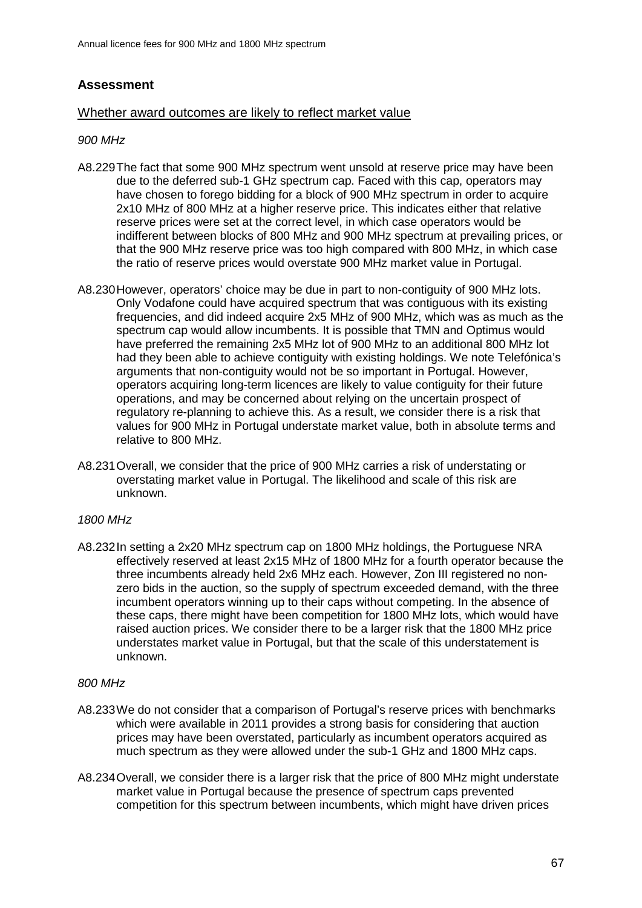# **Assessment**

#### Whether award outcomes are likely to reflect market value

#### *900 MHz*

- A8.229The fact that some 900 MHz spectrum went unsold at reserve price may have been due to the deferred sub-1 GHz spectrum cap. Faced with this cap, operators may have chosen to forego bidding for a block of 900 MHz spectrum in order to acquire 2x10 MHz of 800 MHz at a higher reserve price. This indicates either that relative reserve prices were set at the correct level, in which case operators would be indifferent between blocks of 800 MHz and 900 MHz spectrum at prevailing prices, or that the 900 MHz reserve price was too high compared with 800 MHz, in which case the ratio of reserve prices would overstate 900 MHz market value in Portugal.
- A8.230However, operators' choice may be due in part to non-contiguity of 900 MHz lots. Only Vodafone could have acquired spectrum that was contiguous with its existing frequencies, and did indeed acquire 2x5 MHz of 900 MHz, which was as much as the spectrum cap would allow incumbents. It is possible that TMN and Optimus would have preferred the remaining 2x5 MHz lot of 900 MHz to an additional 800 MHz lot had they been able to achieve contiguity with existing holdings. We note Telefónica's arguments that non-contiguity would not be so important in Portugal. However, operators acquiring long-term licences are likely to value contiguity for their future operations, and may be concerned about relying on the uncertain prospect of regulatory re-planning to achieve this. As a result, we consider there is a risk that values for 900 MHz in Portugal understate market value, both in absolute terms and relative to 800 MHz.
- A8.231Overall, we consider that the price of 900 MHz carries a risk of understating or overstating market value in Portugal. The likelihood and scale of this risk are unknown.

#### *1800 MHz*

A8.232In setting a 2x20 MHz spectrum cap on 1800 MHz holdings, the Portuguese NRA effectively reserved at least 2x15 MHz of 1800 MHz for a fourth operator because the three incumbents already held 2x6 MHz each. However, Zon III registered no nonzero bids in the auction, so the supply of spectrum exceeded demand, with the three incumbent operators winning up to their caps without competing. In the absence of these caps, there might have been competition for 1800 MHz lots, which would have raised auction prices. We consider there to be a larger risk that the 1800 MHz price understates market value in Portugal, but that the scale of this understatement is unknown.

#### *800 MHz*

- A8.233We do not consider that a comparison of Portugal's reserve prices with benchmarks which were available in 2011 provides a strong basis for considering that auction prices may have been overstated, particularly as incumbent operators acquired as much spectrum as they were allowed under the sub-1 GHz and 1800 MHz caps.
- A8.234Overall, we consider there is a larger risk that the price of 800 MHz might understate market value in Portugal because the presence of spectrum caps prevented competition for this spectrum between incumbents, which might have driven prices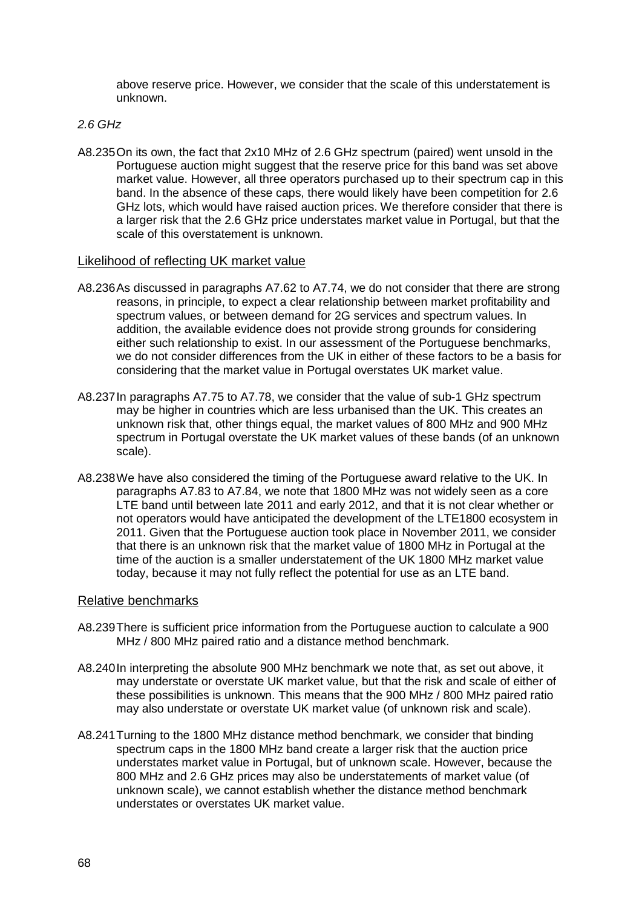above reserve price. However, we consider that the scale of this understatement is unknown.

#### *2.6 GHz*

A8.235On its own, the fact that 2x10 MHz of 2.6 GHz spectrum (paired) went unsold in the Portuguese auction might suggest that the reserve price for this band was set above market value. However, all three operators purchased up to their spectrum cap in this band. In the absence of these caps, there would likely have been competition for 2.6 GHz lots, which would have raised auction prices. We therefore consider that there is a larger risk that the 2.6 GHz price understates market value in Portugal, but that the scale of this overstatement is unknown.

#### Likelihood of reflecting UK market value

- A8.236As discussed in paragraphs A7.62 to A7.74, we do not consider that there are strong reasons, in principle, to expect a clear relationship between market profitability and spectrum values, or between demand for 2G services and spectrum values. In addition, the available evidence does not provide strong grounds for considering either such relationship to exist. In our assessment of the Portuguese benchmarks, we do not consider differences from the UK in either of these factors to be a basis for considering that the market value in Portugal overstates UK market value.
- A8.237In paragraphs A7.75 to A7.78, we consider that the value of sub-1 GHz spectrum may be higher in countries which are less urbanised than the UK. This creates an unknown risk that, other things equal, the market values of 800 MHz and 900 MHz spectrum in Portugal overstate the UK market values of these bands (of an unknown scale).
- A8.238We have also considered the timing of the Portuguese award relative to the UK. In paragraphs A7.83 to A7.84, we note that 1800 MHz was not widely seen as a core LTE band until between late 2011 and early 2012, and that it is not clear whether or not operators would have anticipated the development of the LTE1800 ecosystem in 2011. Given that the Portuguese auction took place in November 2011, we consider that there is an unknown risk that the market value of 1800 MHz in Portugal at the time of the auction is a smaller understatement of the UK 1800 MHz market value today, because it may not fully reflect the potential for use as an LTE band.

#### Relative benchmarks

- A8.239There is sufficient price information from the Portuguese auction to calculate a 900 MHz / 800 MHz paired ratio and a distance method benchmark.
- A8.240In interpreting the absolute 900 MHz benchmark we note that, as set out above, it may understate or overstate UK market value, but that the risk and scale of either of these possibilities is unknown. This means that the 900 MHz / 800 MHz paired ratio may also understate or overstate UK market value (of unknown risk and scale).
- A8.241Turning to the 1800 MHz distance method benchmark, we consider that binding spectrum caps in the 1800 MHz band create a larger risk that the auction price understates market value in Portugal, but of unknown scale. However, because the 800 MHz and 2.6 GHz prices may also be understatements of market value (of unknown scale), we cannot establish whether the distance method benchmark understates or overstates UK market value.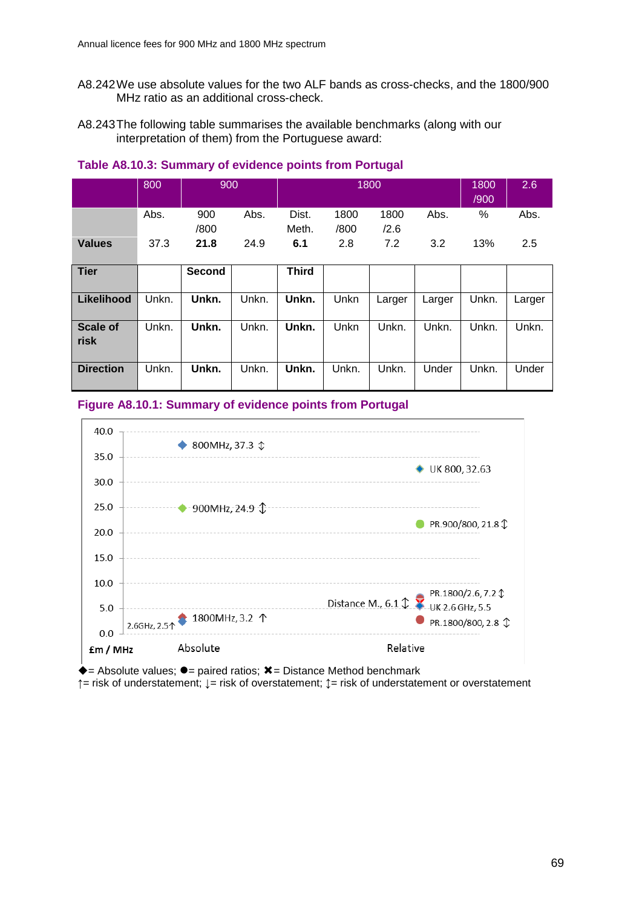- A8.242We use absolute values for the two ALF bands as cross-checks, and the 1800/900 MHz ratio as an additional cross-check.
- A8.243The following table summarises the available benchmarks (along with our interpretation of them) from the Portuguese award:

|                         | 800   | 900         |       | 1800           |              |              |        | 1800<br>/900 | 2.6    |
|-------------------------|-------|-------------|-------|----------------|--------------|--------------|--------|--------------|--------|
|                         | Abs.  | 900<br>/800 | Abs.  | Dist.<br>Meth. | 1800<br>/800 | 1800<br>/2.6 | Abs.   | %            | Abs.   |
| <b>Values</b>           | 37.3  | 21.8        | 24.9  | 6.1            | 2.8          | 7.2          | 3.2    | 13%          | 2.5    |
| <b>Tier</b>             |       | Second      |       | <b>Third</b>   |              |              |        |              |        |
| Likelihood              | Unkn. | Unkn.       | Unkn. | Unkn.          | Unkn         | Larger       | Larger | Unkn.        | Larger |
| <b>Scale of</b><br>risk | Unkn. | Unkn.       | Unkn. | Unkn.          | Unkn         | Unkn.        | Unkn.  | Unkn.        | Unkn.  |
| <b>Direction</b>        | Unkn. | Unkn.       | Unkn. | Unkn.          | Unkn.        | Unkn.        | Under  | Unkn.        | Under  |

## **Table A8.10.3: Summary of evidence points from Portugal**

## **Figure A8.10.1: Summary of evidence points from Portugal**



 $\overline{\bullet}$  = Absolute values;  $\overline{\bullet}$  = paired ratios;  $\overline{\mathbf{x}}$  = Distance Method benchmark

**↑**= risk of understatement; **↓**= risk of overstatement; **↕**= risk of understatement or overstatement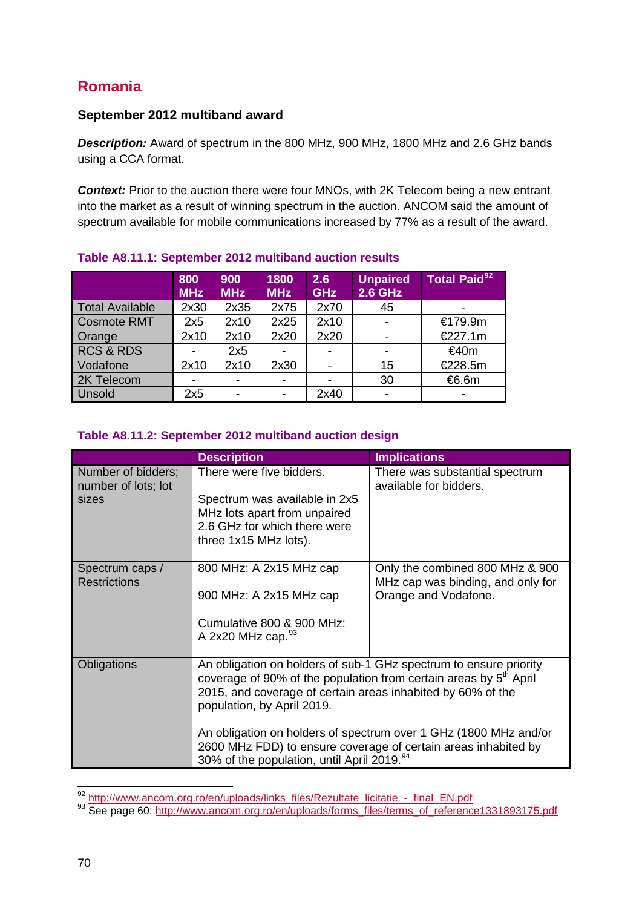# **Romania**

# **September 2012 multiband award**

*Description:* Award of spectrum in the 800 MHz, 900 MHz, 1800 MHz and 2.6 GHz bands using a CCA format.

**Context:** Prior to the auction there were four MNOs, with 2K Telecom being a new entrant into the market as a result of winning spectrum in the auction. ANCOM said the amount of spectrum available for mobile communications increased by 77% as a result of the award.

|                        | 800<br><b>MHz</b> | 900<br><b>MHz</b>        | 1800<br><b>MHz</b>       | 2.6<br><b>GHz</b>        | <b>Unpaired</b><br><b>2.6 GHz</b> | <b>Total Paid</b> <sup>92</sup> |
|------------------------|-------------------|--------------------------|--------------------------|--------------------------|-----------------------------------|---------------------------------|
| <b>Total Available</b> | 2x30              | 2x35                     | 2x75                     | 2x70                     | 45                                | -                               |
| <b>Cosmote RMT</b>     | 2x5               | 2x10                     | 2x25                     | 2x10                     |                                   | €179.9m                         |
| Orange                 | 2x10              | 2x10                     | 2x20                     | 2x20                     |                                   | €227.1m                         |
| <b>RCS &amp; RDS</b>   |                   | 2x5                      |                          |                          |                                   | €40m                            |
| Vodafone               | 2x10              | 2x10                     | 2x30                     | $\overline{\phantom{a}}$ | 15                                | €228.5m                         |
| 2K Telecom             |                   |                          | $\overline{\phantom{a}}$ | $\overline{\phantom{0}}$ | 30                                | €6.6m                           |
| Unsold                 | 2x5               | $\overline{\phantom{a}}$ | $\blacksquare$           | 2x40                     |                                   | $\overline{\phantom{0}}$        |

# **Table A8.11.1: September 2012 multiband auction results**

# **Table A8.11.2: September 2012 multiband auction design**

|                                                    | <b>Description</b>                                                                                                                                                                                                                                                                                                                                                                                                                              | <b>Implications</b>                                                                          |
|----------------------------------------------------|-------------------------------------------------------------------------------------------------------------------------------------------------------------------------------------------------------------------------------------------------------------------------------------------------------------------------------------------------------------------------------------------------------------------------------------------------|----------------------------------------------------------------------------------------------|
| Number of bidders;<br>number of lots; lot<br>sizes | There were five bidders.<br>Spectrum was available in 2x5<br>MHz lots apart from unpaired<br>2.6 GHz for which there were<br>three 1x15 MHz lots).                                                                                                                                                                                                                                                                                              | There was substantial spectrum<br>available for bidders.                                     |
| Spectrum caps /<br><b>Restrictions</b>             | 800 MHz: A 2x15 MHz cap<br>900 MHz: A 2x15 MHz cap<br>Cumulative 800 & 900 MHz:<br>A 2x20 MHz cap. $93$                                                                                                                                                                                                                                                                                                                                         | Only the combined 800 MHz & 900<br>MHz cap was binding, and only for<br>Orange and Vodafone. |
| Obligations                                        | An obligation on holders of sub-1 GHz spectrum to ensure priority<br>coverage of 90% of the population from certain areas by 5 <sup>th</sup> April<br>2015, and coverage of certain areas inhabited by 60% of the<br>population, by April 2019.<br>An obligation on holders of spectrum over 1 GHz (1800 MHz and/or<br>2600 MHz FDD) to ensure coverage of certain areas inhabited by<br>30% of the population, until April 2019. <sup>94</sup> |                                                                                              |

<span id="page-69-0"></span><sup>92</sup> http://www.ancom.org.ro/en/uploads/links\_files/Rezultate\_licitatie - final\_EN.pdf

<span id="page-69-1"></span><sup>93</sup> See page 60: [http://www.ancom.org.ro/en/uploads/forms\\_files/terms\\_of\\_reference1331893175.pdf](http://www.ancom.org.ro/en/uploads/forms_files/terms_of_reference1331893175.pdf)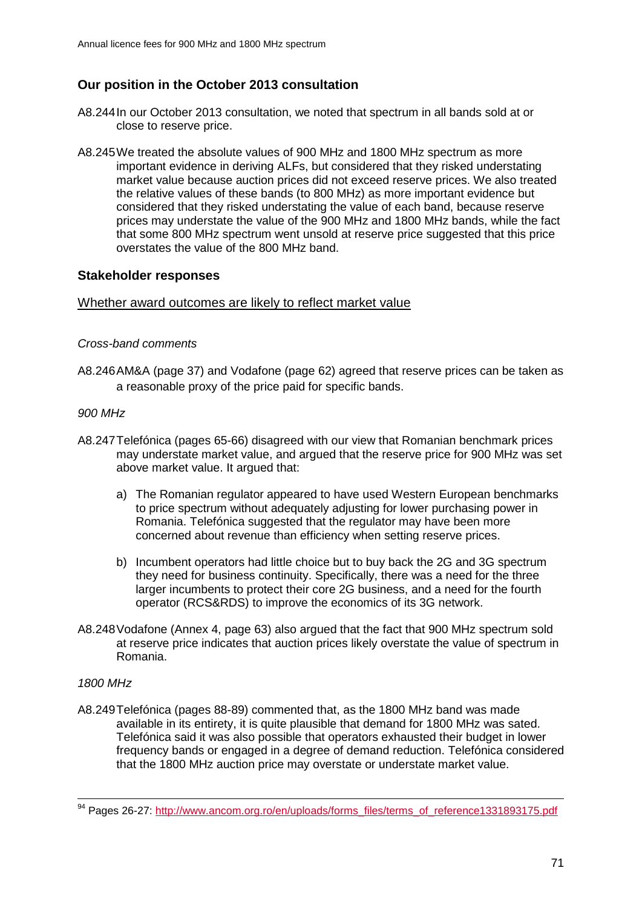# **Our position in the October 2013 consultation**

- A8.244In our October 2013 consultation, we noted that spectrum in all bands sold at or close to reserve price.
- A8.245We treated the absolute values of 900 MHz and 1800 MHz spectrum as more important evidence in deriving ALFs, but considered that they risked understating market value because auction prices did not exceed reserve prices. We also treated the relative values of these bands (to 800 MHz) as more important evidence but considered that they risked understating the value of each band, because reserve prices may understate the value of the 900 MHz and 1800 MHz bands, while the fact that some 800 MHz spectrum went unsold at reserve price suggested that this price overstates the value of the 800 MHz band.

## **Stakeholder responses**

#### Whether award outcomes are likely to reflect market value

#### *Cross-band comments*

A8.246AM&A (page 37) and Vodafone (page 62) agreed that reserve prices can be taken as a reasonable proxy of the price paid for specific bands.

#### *900 MHz*

- A8.247Telefónica (pages 65-66) disagreed with our view that Romanian benchmark prices may understate market value, and argued that the reserve price for 900 MHz was set above market value. It argued that:
	- a) The Romanian regulator appeared to have used Western European benchmarks to price spectrum without adequately adjusting for lower purchasing power in Romania. Telefónica suggested that the regulator may have been more concerned about revenue than efficiency when setting reserve prices.
	- b) Incumbent operators had little choice but to buy back the 2G and 3G spectrum they need for business continuity. Specifically, there was a need for the three larger incumbents to protect their core 2G business, and a need for the fourth operator (RCS&RDS) to improve the economics of its 3G network.
- A8.248Vodafone (Annex 4, page 63) also argued that the fact that 900 MHz spectrum sold at reserve price indicates that auction prices likely overstate the value of spectrum in Romania.

## *1800 MHz*

 $\overline{a}$ 

A8.249Telefónica (pages 88-89) commented that, as the 1800 MHz band was made available in its entirety, it is quite plausible that demand for 1800 MHz was sated. Telefónica said it was also possible that operators exhausted their budget in lower frequency bands or engaged in a degree of demand reduction. Telefónica considered that the 1800 MHz auction price may overstate or understate market value.

<sup>&</sup>lt;sup>94</sup> Pages 26-27: http://www.ancom.org.ro/en/uploads/forms\_files/terms\_of\_reference1331893175.pdf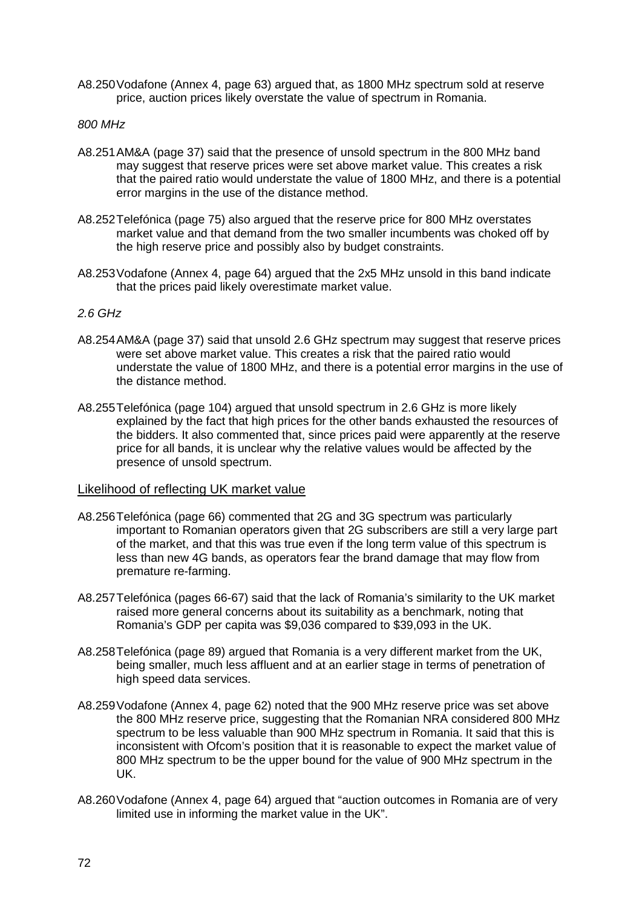A8.250Vodafone (Annex 4, page 63) argued that, as 1800 MHz spectrum sold at reserve price, auction prices likely overstate the value of spectrum in Romania.

#### *800 MHz*

- A8.251AM&A (page 37) said that the presence of unsold spectrum in the 800 MHz band may suggest that reserve prices were set above market value. This creates a risk that the paired ratio would understate the value of 1800 MHz, and there is a potential error margins in the use of the distance method.
- A8.252Telefónica (page 75) also argued that the reserve price for 800 MHz overstates market value and that demand from the two smaller incumbents was choked off by the high reserve price and possibly also by budget constraints.
- A8.253Vodafone (Annex 4, page 64) argued that the 2x5 MHz unsold in this band indicate that the prices paid likely overestimate market value.

#### *2.6 GHz*

- A8.254AM&A (page 37) said that unsold 2.6 GHz spectrum may suggest that reserve prices were set above market value. This creates a risk that the paired ratio would understate the value of 1800 MHz, and there is a potential error margins in the use of the distance method.
- A8.255Telefónica (page 104) argued that unsold spectrum in 2.6 GHz is more likely explained by the fact that high prices for the other bands exhausted the resources of the bidders. It also commented that, since prices paid were apparently at the reserve price for all bands, it is unclear why the relative values would be affected by the presence of unsold spectrum.

#### Likelihood of reflecting UK market value

- A8.256Telefónica (page 66) commented that 2G and 3G spectrum was particularly important to Romanian operators given that 2G subscribers are still a very large part of the market, and that this was true even if the long term value of this spectrum is less than new 4G bands, as operators fear the brand damage that may flow from premature re-farming.
- A8.257Telefónica (pages 66-67) said that the lack of Romania's similarity to the UK market raised more general concerns about its suitability as a benchmark, noting that Romania's GDP per capita was \$9,036 compared to \$39,093 in the UK.
- A8.258Telefónica (page 89) argued that Romania is a very different market from the UK, being smaller, much less affluent and at an earlier stage in terms of penetration of high speed data services.
- A8.259Vodafone (Annex 4, page 62) noted that the 900 MHz reserve price was set above the 800 MHz reserve price, suggesting that the Romanian NRA considered 800 MHz spectrum to be less valuable than 900 MHz spectrum in Romania. It said that this is inconsistent with Ofcom's position that it is reasonable to expect the market value of 800 MHz spectrum to be the upper bound for the value of 900 MHz spectrum in the UK.
- A8.260Vodafone (Annex 4, page 64) argued that "auction outcomes in Romania are of very limited use in informing the market value in the UK".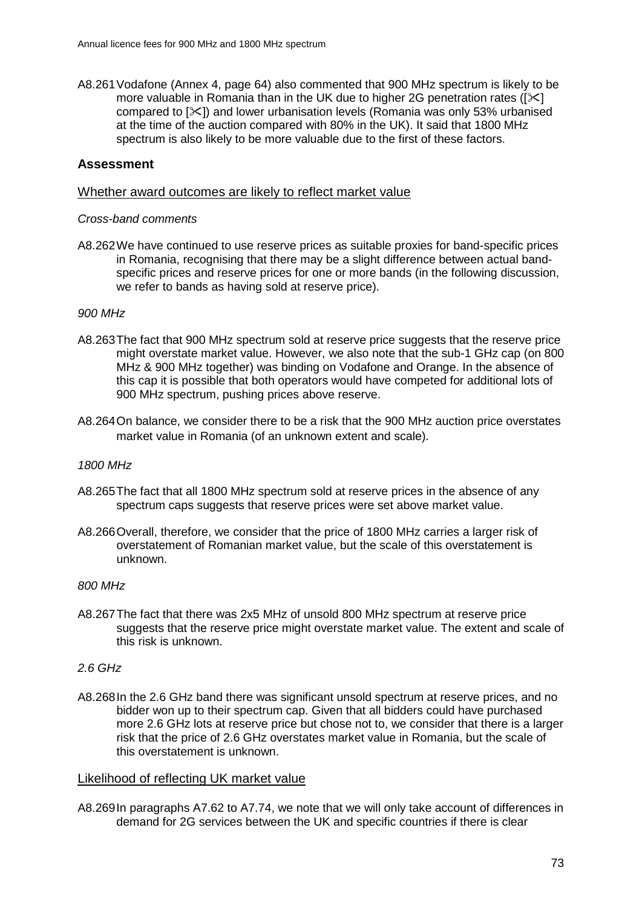A8.261Vodafone (Annex 4, page 64) also commented that 900 MHz spectrum is likely to be more valuable in Romania than in the UK due to higher 2G penetration rates ( $[\times]$ compared to []) and lower urbanisation levels (Romania was only 53% urbanised at the time of the auction compared with 80% in the UK). It said that 1800 MHz spectrum is also likely to be more valuable due to the first of these factors.

### **Assessment**

#### Whether award outcomes are likely to reflect market value

#### *Cross-band comments*

A8.262We have continued to use reserve prices as suitable proxies for band-specific prices in Romania, recognising that there may be a slight difference between actual bandspecific prices and reserve prices for one or more bands (in the following discussion, we refer to bands as having sold at reserve price).

#### *900 MHz*

- A8.263The fact that 900 MHz spectrum sold at reserve price suggests that the reserve price might overstate market value. However, we also note that the sub-1 GHz cap (on 800 MHz & 900 MHz together) was binding on Vodafone and Orange. In the absence of this cap it is possible that both operators would have competed for additional lots of 900 MHz spectrum, pushing prices above reserve.
- A8.264On balance, we consider there to be a risk that the 900 MHz auction price overstates market value in Romania (of an unknown extent and scale).

#### *1800 MHz*

- A8.265The fact that all 1800 MHz spectrum sold at reserve prices in the absence of any spectrum caps suggests that reserve prices were set above market value.
- A8.266Overall, therefore, we consider that the price of 1800 MHz carries a larger risk of overstatement of Romanian market value, but the scale of this overstatement is unknown.

### *800 MHz*

A8.267The fact that there was 2x5 MHz of unsold 800 MHz spectrum at reserve price suggests that the reserve price might overstate market value. The extent and scale of this risk is unknown.

#### *2.6 GHz*

A8.268In the 2.6 GHz band there was significant unsold spectrum at reserve prices, and no bidder won up to their spectrum cap. Given that all bidders could have purchased more 2.6 GHz lots at reserve price but chose not to, we consider that there is a larger risk that the price of 2.6 GHz overstates market value in Romania, but the scale of this overstatement is unknown.

#### Likelihood of reflecting UK market value

A8.269In paragraphs A7.62 to A7.74, we note that we will only take account of differences in demand for 2G services between the UK and specific countries if there is clear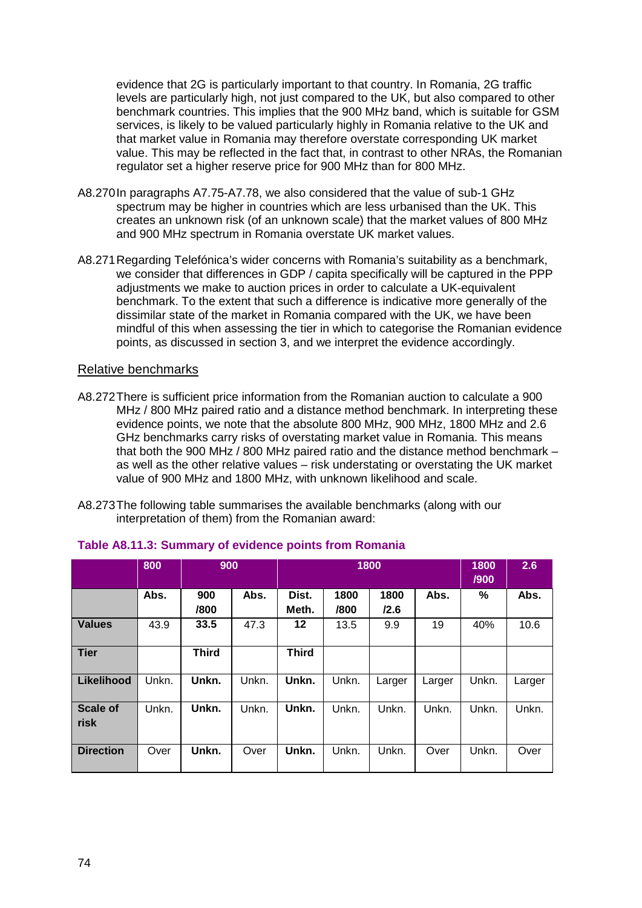evidence that 2G is particularly important to that country. In Romania, 2G traffic levels are particularly high, not just compared to the UK, but also compared to other benchmark countries. This implies that the 900 MHz band, which is suitable for GSM services, is likely to be valued particularly highly in Romania relative to the UK and that market value in Romania may therefore overstate corresponding UK market value. This may be reflected in the fact that, in contrast to other NRAs, the Romanian regulator set a higher reserve price for 900 MHz than for 800 MHz.

- A8.270In paragraphs A7.75-A7.78, we also considered that the value of sub-1 GHz spectrum may be higher in countries which are less urbanised than the UK. This creates an unknown risk (of an unknown scale) that the market values of 800 MHz and 900 MHz spectrum in Romania overstate UK market values.
- A8.271Regarding Telefónica's wider concerns with Romania's suitability as a benchmark, we consider that differences in GDP / capita specifically will be captured in the PPP adjustments we make to auction prices in order to calculate a UK-equivalent benchmark. To the extent that such a difference is indicative more generally of the dissimilar state of the market in Romania compared with the UK, we have been mindful of this when assessing the tier in which to categorise the Romanian evidence points, as discussed in section 3, and we interpret the evidence accordingly.

#### Relative benchmarks

- A8.272There is sufficient price information from the Romanian auction to calculate a 900 MHz / 800 MHz paired ratio and a distance method benchmark. In interpreting these evidence points, we note that the absolute 800 MHz, 900 MHz, 1800 MHz and 2.6 GHz benchmarks carry risks of overstating market value in Romania. This means that both the 900 MHz / 800 MHz paired ratio and the distance method benchmark – as well as the other relative values – risk understating or overstating the UK market value of 900 MHz and 1800 MHz, with unknown likelihood and scale.
- A8.273The following table summarises the available benchmarks (along with our interpretation of them) from the Romanian award:

|                         | 800   | 900          |       | 1800           |              |              | 1800<br>/900 | 2.6   |        |
|-------------------------|-------|--------------|-------|----------------|--------------|--------------|--------------|-------|--------|
|                         | Abs.  | 900<br>/800  | Abs.  | Dist.<br>Meth. | 1800<br>/800 | 1800<br>/2.6 | Abs.         | %     | Abs.   |
| <b>Values</b>           | 43.9  | 33.5         | 47.3  | 12             | 13.5         | 9.9          | 19           | 40%   | 10.6   |
| <b>Tier</b>             |       | <b>Third</b> |       | <b>Third</b>   |              |              |              |       |        |
| Likelihood              | Unkn. | Unkn.        | Unkn. | Unkn.          | Unkn.        | Larger       | Larger       | Unkn. | Larger |
| <b>Scale of</b><br>risk | Unkn. | Unkn.        | Unkn. | Unkn.          | Unkn.        | Unkn.        | Unkn.        | Unkn. | Unkn.  |
| <b>Direction</b>        | Over  | Unkn.        | Over  | Unkn.          | Unkn.        | Unkn.        | Over         | Unkn. | Over   |

#### **Table A8.11.3: Summary of evidence points from Romania**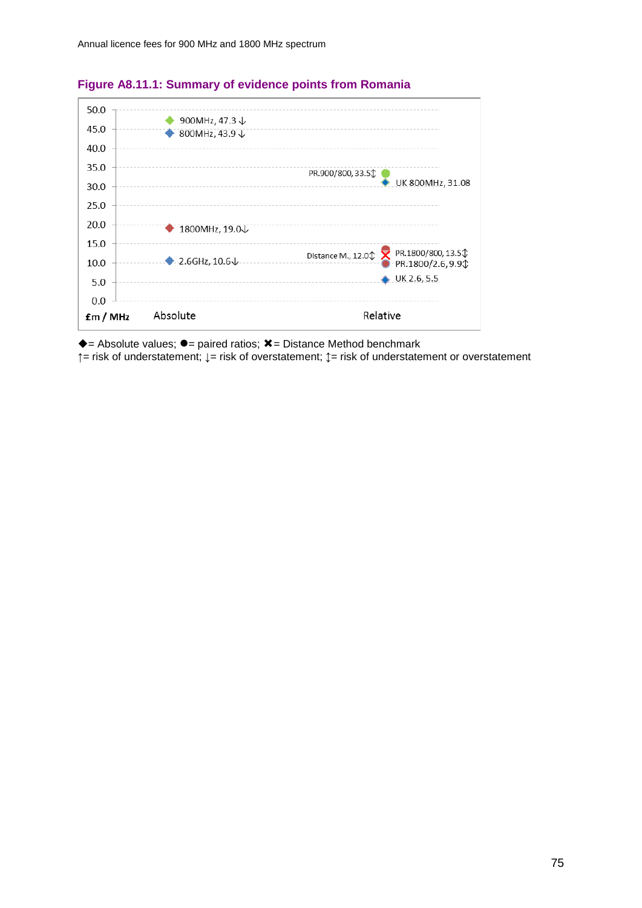

# **Figure A8.11.1: Summary of evidence points from Romania**

 $\triangle$  = Absolute values;  $\bullet$  = paired ratios;  $\angle$  = Distance Method benchmark

**↑**= risk of understatement; **↓**= risk of overstatement; **↕**= risk of understatement or overstatement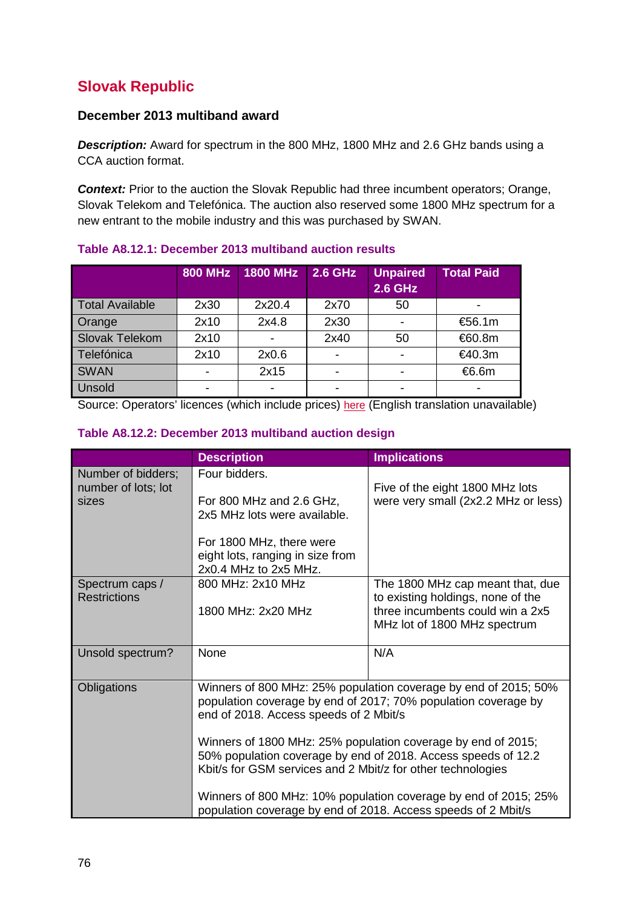# **Slovak Republic**

# **December 2013 multiband award**

*Description:* Award for spectrum in the 800 MHz, 1800 MHz and 2.6 GHz bands using a CCA auction format.

**Context:** Prior to the auction the Slovak Republic had three incumbent operators; Orange, Slovak Telekom and Telefónica. The auction also reserved some 1800 MHz spectrum for a new entrant to the mobile industry and this was purchased by SWAN.

|                        | <b>800 MHz</b> | <b>1800 MHz</b> | <b>2.6 GHz</b>           | <b>Unpaired</b><br><b>2.6 GHz</b> | <b>Total Paid</b> |
|------------------------|----------------|-----------------|--------------------------|-----------------------------------|-------------------|
| <b>Total Available</b> | 2x30           | 2x20.4          | 2x70                     | 50                                |                   |
| Orange                 | 2x10           | 2x4.8           | 2x30                     |                                   | €56.1m            |
| Slovak Telekom         | 2x10           |                 | 2x40                     | 50                                | €60.8m            |
| Telefónica             | 2x10           | 2x0.6           | $\blacksquare$           | -                                 | €40.3m            |
| <b>SWAN</b>            |                | 2x15            | ۰                        | -                                 | €6.6m             |
| Unsold                 |                |                 | $\overline{\phantom{0}}$ |                                   |                   |

# **Table A8.12.1: December 2013 multiband auction results**

Source: Operators' licences (which include prices) [here](http://www.teleoff.gov.sk/index.php?ID=8261) (English translation unavailable)

| Table A8.12.2: December 2013 multiband auction design |  |
|-------------------------------------------------------|--|
|-------------------------------------------------------|--|

|                                           | <b>Description</b>                                                                    | <b>Implications</b>                                                                                                                                                                          |  |  |  |
|-------------------------------------------|---------------------------------------------------------------------------------------|----------------------------------------------------------------------------------------------------------------------------------------------------------------------------------------------|--|--|--|
| Number of bidders;<br>number of lots; lot | Four bidders.                                                                         | Five of the eight 1800 MHz lots                                                                                                                                                              |  |  |  |
| sizes                                     | For 800 MHz and 2.6 GHz,<br>2x5 MHz lots were available.                              | were very small (2x2.2 MHz or less)                                                                                                                                                          |  |  |  |
|                                           | For 1800 MHz, there were<br>eight lots, ranging in size from<br>2x0.4 MHz to 2x5 MHz. |                                                                                                                                                                                              |  |  |  |
| Spectrum caps /<br><b>Restrictions</b>    | 800 MHz: 2x10 MHz                                                                     | The 1800 MHz cap meant that, due<br>to existing holdings, none of the                                                                                                                        |  |  |  |
|                                           | 1800 MHz: 2x20 MHz                                                                    | three incumbents could win a 2x5<br>MHz lot of 1800 MHz spectrum                                                                                                                             |  |  |  |
| Unsold spectrum?                          | None                                                                                  | N/A                                                                                                                                                                                          |  |  |  |
| Obligations                               | end of 2018. Access speeds of 2 Mbit/s                                                | Winners of 800 MHz: 25% population coverage by end of 2015; 50%<br>population coverage by end of 2017; 70% population coverage by                                                            |  |  |  |
|                                           |                                                                                       | Winners of 1800 MHz: 25% population coverage by end of 2015;<br>50% population coverage by end of 2018. Access speeds of 12.2<br>Kbit/s for GSM services and 2 Mbit/z for other technologies |  |  |  |
|                                           | population coverage by end of 2018. Access speeds of 2 Mbit/s                         | Winners of 800 MHz: 10% population coverage by end of 2015; 25%                                                                                                                              |  |  |  |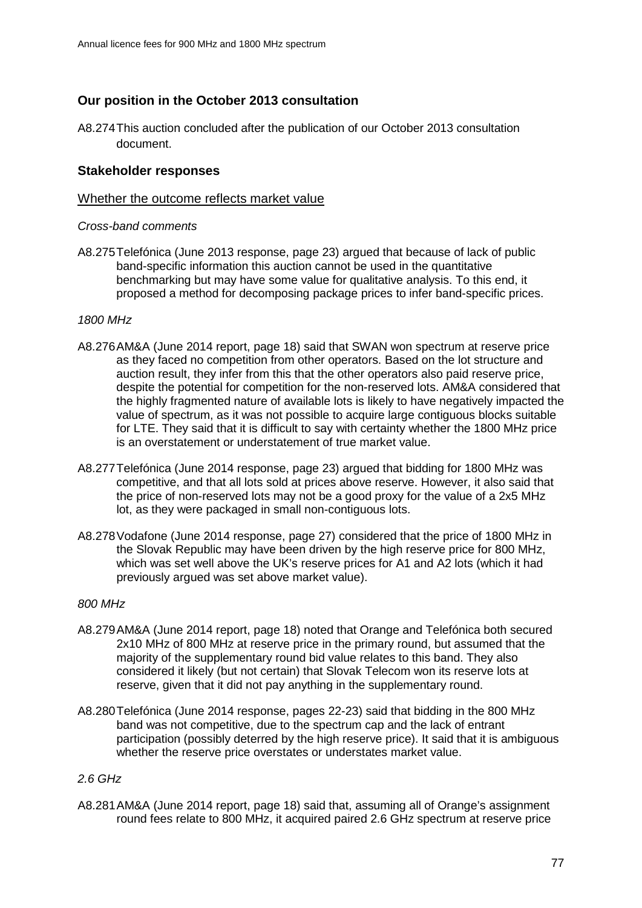# **Our position in the October 2013 consultation**

A8.274This auction concluded after the publication of our October 2013 consultation document.

### **Stakeholder responses**

### Whether the outcome reflects market value

#### *Cross-band comments*

A8.275Telefónica (June 2013 response, page 23) argued that because of lack of public band-specific information this auction cannot be used in the quantitative benchmarking but may have some value for qualitative analysis. To this end, it proposed a method for decomposing package prices to infer band-specific prices.

#### *1800 MHz*

- A8.276AM&A (June 2014 report, page 18) said that SWAN won spectrum at reserve price as they faced no competition from other operators. Based on the lot structure and auction result, they infer from this that the other operators also paid reserve price, despite the potential for competition for the non-reserved lots. AM&A considered that the highly fragmented nature of available lots is likely to have negatively impacted the value of spectrum, as it was not possible to acquire large contiguous blocks suitable for LTE. They said that it is difficult to say with certainty whether the 1800 MHz price is an overstatement or understatement of true market value.
- A8.277Telefónica (June 2014 response, page 23) argued that bidding for 1800 MHz was competitive, and that all lots sold at prices above reserve. However, it also said that the price of non-reserved lots may not be a good proxy for the value of a 2x5 MHz lot, as they were packaged in small non-contiguous lots.
- A8.278Vodafone (June 2014 response, page 27) considered that the price of 1800 MHz in the Slovak Republic may have been driven by the high reserve price for 800 MHz, which was set well above the UK's reserve prices for A1 and A2 lots (which it had previously argued was set above market value).

#### *800 MHz*

- A8.279AM&A (June 2014 report, page 18) noted that Orange and Telefónica both secured 2x10 MHz of 800 MHz at reserve price in the primary round, but assumed that the majority of the supplementary round bid value relates to this band. They also considered it likely (but not certain) that Slovak Telecom won its reserve lots at reserve, given that it did not pay anything in the supplementary round.
- A8.280Telefónica (June 2014 response, pages 22-23) said that bidding in the 800 MHz band was not competitive, due to the spectrum cap and the lack of entrant participation (possibly deterred by the high reserve price). It said that it is ambiguous whether the reserve price overstates or understates market value.

### *2.6 GHz*

A8.281AM&A (June 2014 report, page 18) said that, assuming all of Orange's assignment round fees relate to 800 MHz, it acquired paired 2.6 GHz spectrum at reserve price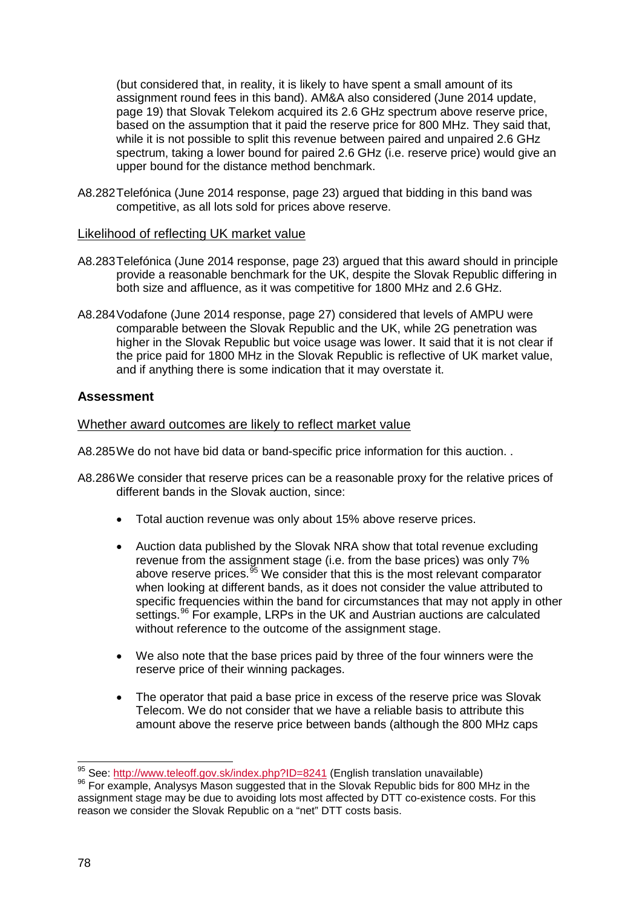(but considered that, in reality, it is likely to have spent a small amount of its assignment round fees in this band). AM&A also considered (June 2014 update, page 19) that Slovak Telekom acquired its 2.6 GHz spectrum above reserve price, based on the assumption that it paid the reserve price for 800 MHz. They said that, while it is not possible to split this revenue between paired and unpaired 2.6 GHz spectrum, taking a lower bound for paired 2.6 GHz (i.e. reserve price) would give an upper bound for the distance method benchmark.

A8.282Telefónica (June 2014 response, page 23) argued that bidding in this band was competitive, as all lots sold for prices above reserve.

### Likelihood of reflecting UK market value

- A8.283Telefónica (June 2014 response, page 23) argued that this award should in principle provide a reasonable benchmark for the UK, despite the Slovak Republic differing in both size and affluence, as it was competitive for 1800 MHz and 2.6 GHz.
- A8.284Vodafone (June 2014 response, page 27) considered that levels of AMPU were comparable between the Slovak Republic and the UK, while 2G penetration was higher in the Slovak Republic but voice usage was lower. It said that it is not clear if the price paid for 1800 MHz in the Slovak Republic is reflective of UK market value, and if anything there is some indication that it may overstate it.

# **Assessment**

# Whether award outcomes are likely to reflect market value

A8.285We do not have bid data or band-specific price information for this auction. .

- A8.286We consider that reserve prices can be a reasonable proxy for the relative prices of different bands in the Slovak auction, since:
	- Total auction revenue was only about 15% above reserve prices.
	- Auction data published by the Slovak NRA show that total revenue excluding revenue from the assignment stage (i.e. from the base prices) was only 7% above reserve prices.  $95$  We consider that this is the most relevant comparator when looking at different bands, as it does not consider the value attributed to specific frequencies within the band for circumstances that may not apply in other settings.<sup>[96](#page-77-1)</sup> For example, LRPs in the UK and Austrian auctions are calculated without reference to the outcome of the assignment stage.
	- We also note that the base prices paid by three of the four winners were the reserve price of their winning packages.
	- The operator that paid a base price in excess of the reserve price was Slovak Telecom. We do not consider that we have a reliable basis to attribute this amount above the reserve price between bands (although the 800 MHz caps

<span id="page-77-0"></span><sup>&</sup>lt;sup>95</sup> See: http://www.teleoff.gov.sk/index.php?ID=8241 (English translation unavailable)

<span id="page-77-1"></span><sup>&</sup>lt;sup>96</sup> For example, Analysys Mason suggested that in the Slovak Republic bids for 800 MHz in the assignment stage may be due to avoiding lots most affected by DTT co-existence costs. For this reason we consider the Slovak Republic on a "net" DTT costs basis.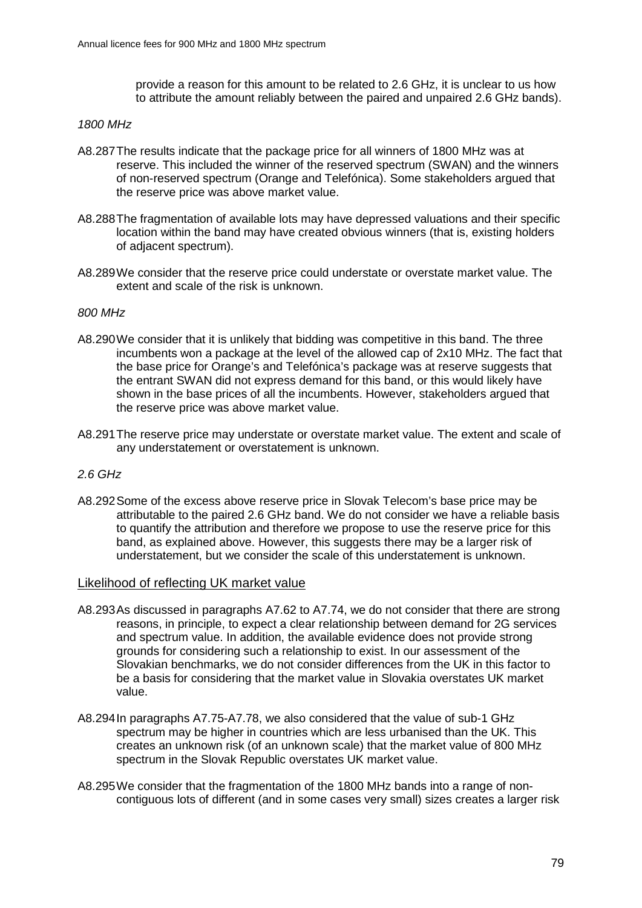provide a reason for this amount to be related to 2.6 GHz, it is unclear to us how to attribute the amount reliably between the paired and unpaired 2.6 GHz bands).

#### *1800 MHz*

- A8.287The results indicate that the package price for all winners of 1800 MHz was at reserve. This included the winner of the reserved spectrum (SWAN) and the winners of non-reserved spectrum (Orange and Telefónica). Some stakeholders argued that the reserve price was above market value.
- A8.288The fragmentation of available lots may have depressed valuations and their specific location within the band may have created obvious winners (that is, existing holders of adjacent spectrum).
- A8.289We consider that the reserve price could understate or overstate market value. The extent and scale of the risk is unknown.

#### *800 MHz*

- A8.290We consider that it is unlikely that bidding was competitive in this band. The three incumbents won a package at the level of the allowed cap of 2x10 MHz. The fact that the base price for Orange's and Telefónica's package was at reserve suggests that the entrant SWAN did not express demand for this band, or this would likely have shown in the base prices of all the incumbents. However, stakeholders argued that the reserve price was above market value.
- A8.291The reserve price may understate or overstate market value. The extent and scale of any understatement or overstatement is unknown.

#### *2.6 GHz*

A8.292Some of the excess above reserve price in Slovak Telecom's base price may be attributable to the paired 2.6 GHz band. We do not consider we have a reliable basis to quantify the attribution and therefore we propose to use the reserve price for this band, as explained above. However, this suggests there may be a larger risk of understatement, but we consider the scale of this understatement is unknown.

#### Likelihood of reflecting UK market value

- A8.293As discussed in paragraphs A7.62 to A7.74, we do not consider that there are strong reasons, in principle, to expect a clear relationship between demand for 2G services and spectrum value. In addition, the available evidence does not provide strong grounds for considering such a relationship to exist. In our assessment of the Slovakian benchmarks, we do not consider differences from the UK in this factor to be a basis for considering that the market value in Slovakia overstates UK market value.
- A8.294In paragraphs A7.75-A7.78, we also considered that the value of sub-1 GHz spectrum may be higher in countries which are less urbanised than the UK. This creates an unknown risk (of an unknown scale) that the market value of 800 MHz spectrum in the Slovak Republic overstates UK market value.
- A8.295We consider that the fragmentation of the 1800 MHz bands into a range of noncontiguous lots of different (and in some cases very small) sizes creates a larger risk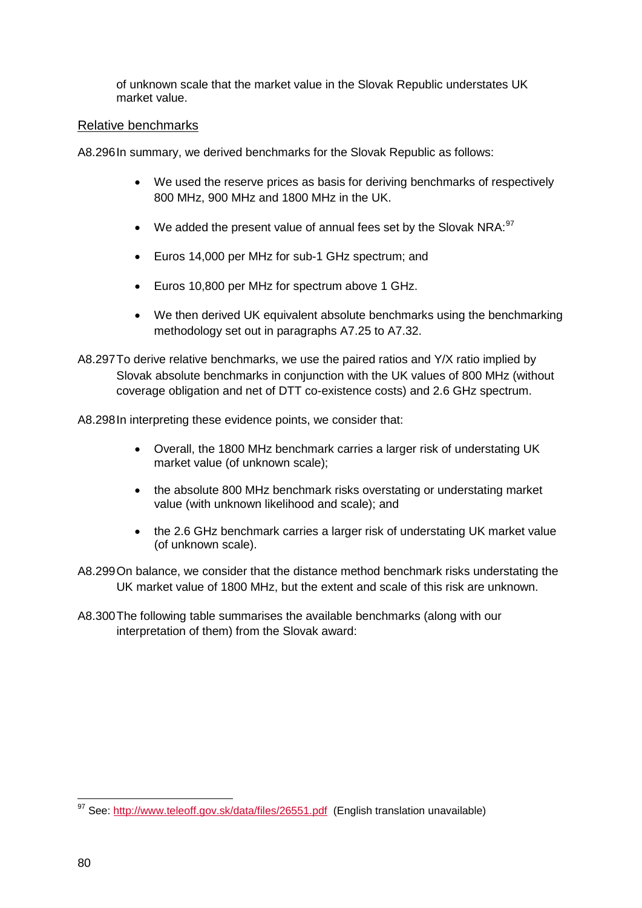of unknown scale that the market value in the Slovak Republic understates UK market value.

# Relative benchmarks

A8.296In summary, we derived benchmarks for the Slovak Republic as follows:

- We used the reserve prices as basis for deriving benchmarks of respectively 800 MHz, 900 MHz and 1800 MHz in the UK.
- We added the present value of annual fees set by the Slovak NRA:  $97$
- Euros 14,000 per MHz for sub-1 GHz spectrum; and
- Euros 10,800 per MHz for spectrum above 1 GHz.
- We then derived UK equivalent absolute benchmarks using the benchmarking methodology set out in paragraphs A7.25 to A7.32.
- A8.297To derive relative benchmarks, we use the paired ratios and Y/X ratio implied by Slovak absolute benchmarks in conjunction with the UK values of 800 MHz (without coverage obligation and net of DTT co-existence costs) and 2.6 GHz spectrum.

A8.298In interpreting these evidence points, we consider that:

- Overall, the 1800 MHz benchmark carries a larger risk of understating UK market value (of unknown scale);
- the absolute 800 MHz benchmark risks overstating or understating market value (with unknown likelihood and scale); and
- the 2.6 GHz benchmark carries a larger risk of understating UK market value (of unknown scale).
- A8.299On balance, we consider that the distance method benchmark risks understating the UK market value of 1800 MHz, but the extent and scale of this risk are unknown.
- A8.300The following table summarises the available benchmarks (along with our interpretation of them) from the Slovak award:

<span id="page-79-0"></span><sup>&</sup>lt;sup>97</sup> See:<http://www.teleoff.gov.sk/data/files/26551.pdf>(English translation unavailable)  $\overline{a}$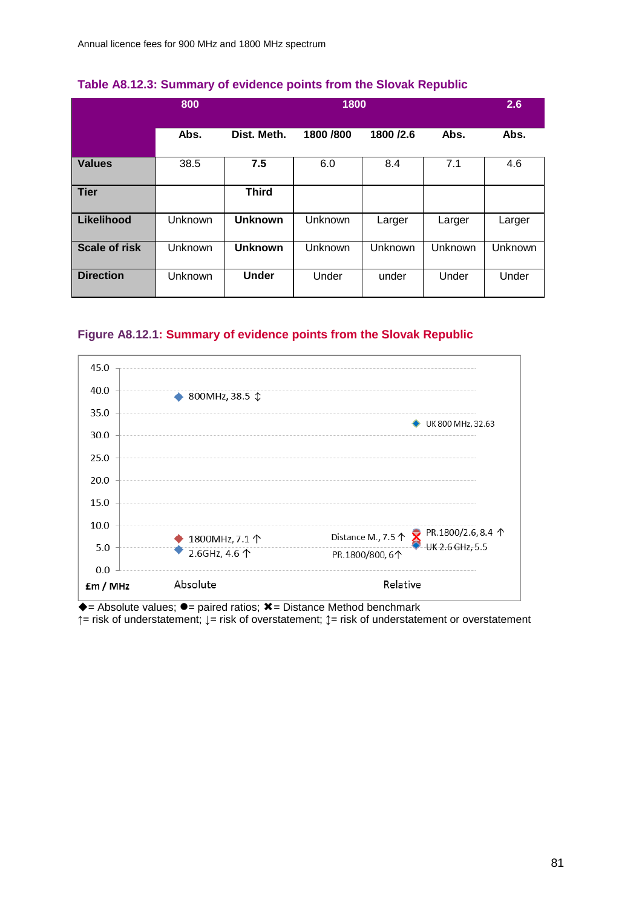|                      | 800            |                | 1800           |           |         | 2.6     |
|----------------------|----------------|----------------|----------------|-----------|---------|---------|
|                      | Abs.           | Dist. Meth.    | 1800 / 800     | 1800 /2.6 | Abs.    | Abs.    |
| <b>Values</b>        | 38.5           | 7.5            | 6.0            | 8.4       | 7.1     | 4.6     |
| <b>Tier</b>          |                | <b>Third</b>   |                |           |         |         |
| Likelihood           | <b>Unknown</b> | <b>Unknown</b> | <b>Unknown</b> | Larger    | Larger  | Larger  |
| <b>Scale of risk</b> | Unknown        | <b>Unknown</b> | Unknown        | Unknown   | Unknown | Unknown |
| <b>Direction</b>     | Unknown        | <b>Under</b>   | Under          | under     | Under   | Under   |

#### **Table A8.12.3: Summary of evidence points from the Slovak Republic**

# **Figure A8.12.1: Summary of evidence points from the Slovak Republic**



 $\rightarrow$  = Absolute values;  $\rightarrow$  = paired ratios;  $\bm{\mathsf{x}}$  = Distance Method benchmark

**↑**= risk of understatement; **↓**= risk of overstatement; **↕**= risk of understatement or overstatement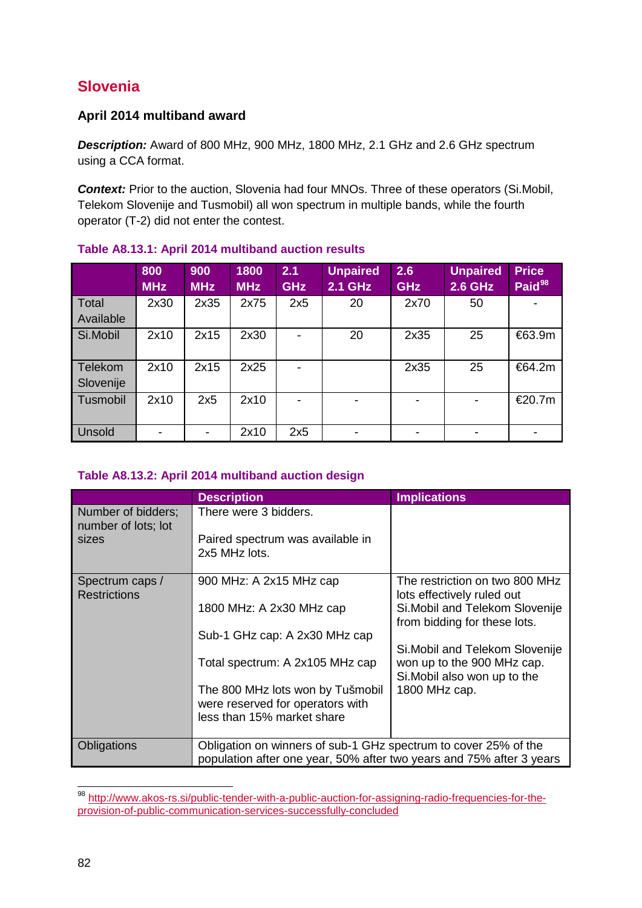# **Slovenia**

# **April 2014 multiband award**

*Description:* Award of 800 MHz, 900 MHz, 1800 MHz, 2.1 GHz and 2.6 GHz spectrum using a CCA format.

**Context:** Prior to the auction, Slovenia had four MNOs. Three of these operators (Si.Mobil, Telekom Slovenije and Tusmobil) all won spectrum in multiple bands, while the fourth operator (T-2) did not enter the contest.

|                      | 800<br><b>MHz</b> | 900<br><b>MHz</b>        | 1800<br><b>MHz</b> | 2.1<br><b>GHz</b> | <b>Unpaired</b><br><b>2.1 GHz</b> | 2.6<br><b>GHz</b>        | <b>Unpaired</b><br><b>2.6 GHz</b> | <b>Price</b><br>Paid <sup>98</sup> |
|----------------------|-------------------|--------------------------|--------------------|-------------------|-----------------------------------|--------------------------|-----------------------------------|------------------------------------|
| Total<br>Available   | 2x30              | 2x35                     | 2x75               | 2x5               | 20                                | 2x70                     | 50                                |                                    |
| Si.Mobil             | 2x10              | 2x15                     | 2x30               | $\blacksquare$    | 20                                | 2x35                     | 25                                | €63.9m                             |
| Telekom<br>Slovenije | 2x10              | 2x15                     | 2x25               | $\blacksquare$    |                                   | 2x35                     | 25                                | €64.2m                             |
| Tusmobil             | 2x10              | 2x5                      | 2x10               | $\blacksquare$    | -                                 | $\overline{\phantom{a}}$ | -                                 | €20.7m                             |
| <b>Unsold</b>        |                   | $\overline{\phantom{a}}$ | 2x10               | 2x5               |                                   | $\overline{\phantom{a}}$ | -                                 | -                                  |

# **Table A8.13.1: April 2014 multiband auction results**

# **Table A8.13.2: April 2014 multiband auction design**

|                                           | <b>Description</b>                                                   | <b>Implications</b>                                                                           |  |  |  |
|-------------------------------------------|----------------------------------------------------------------------|-----------------------------------------------------------------------------------------------|--|--|--|
| Number of bidders;<br>number of lots; lot | There were 3 bidders.                                                |                                                                                               |  |  |  |
| sizes                                     | Paired spectrum was available in<br>2x5 MHz lots.                    |                                                                                               |  |  |  |
| Spectrum caps /<br><b>Restrictions</b>    | 900 MHz: A 2x15 MHz cap                                              | The restriction on two 800 MHz<br>lots effectively ruled out                                  |  |  |  |
|                                           | 1800 MHz: A 2x30 MHz cap                                             | Si. Mobil and Telekom Slovenije<br>from bidding for these lots.                               |  |  |  |
|                                           | Sub-1 GHz cap: A 2x30 MHz cap                                        |                                                                                               |  |  |  |
|                                           | Total spectrum: A 2x105 MHz cap                                      | Si. Mobil and Telekom Slovenije<br>won up to the 900 MHz cap.<br>Si. Mobil also won up to the |  |  |  |
|                                           | The 800 MHz lots won by Tušmobil                                     | 1800 MHz cap.                                                                                 |  |  |  |
|                                           | were reserved for operators with                                     |                                                                                               |  |  |  |
|                                           | less than 15% market share                                           |                                                                                               |  |  |  |
| Obligations                               | Obligation on winners of sub-1 GHz spectrum to cover 25% of the      |                                                                                               |  |  |  |
|                                           | population after one year, 50% after two years and 75% after 3 years |                                                                                               |  |  |  |

<span id="page-81-0"></span><sup>&</sup>lt;sup>98</sup> [http://www.akos-rs.si/public-tender-with-a-public-auction-for-assigning-radio-frequencies-for-the](http://www.akos-rs.si/public-tender-with-a-public-auction-for-assigning-radio-frequencies-for-the-provision-of-public-communication-services-successfully-concluded)[provision-of-public-communication-services-successfully-concluded](http://www.akos-rs.si/public-tender-with-a-public-auction-for-assigning-radio-frequencies-for-the-provision-of-public-communication-services-successfully-concluded)  $\overline{a}$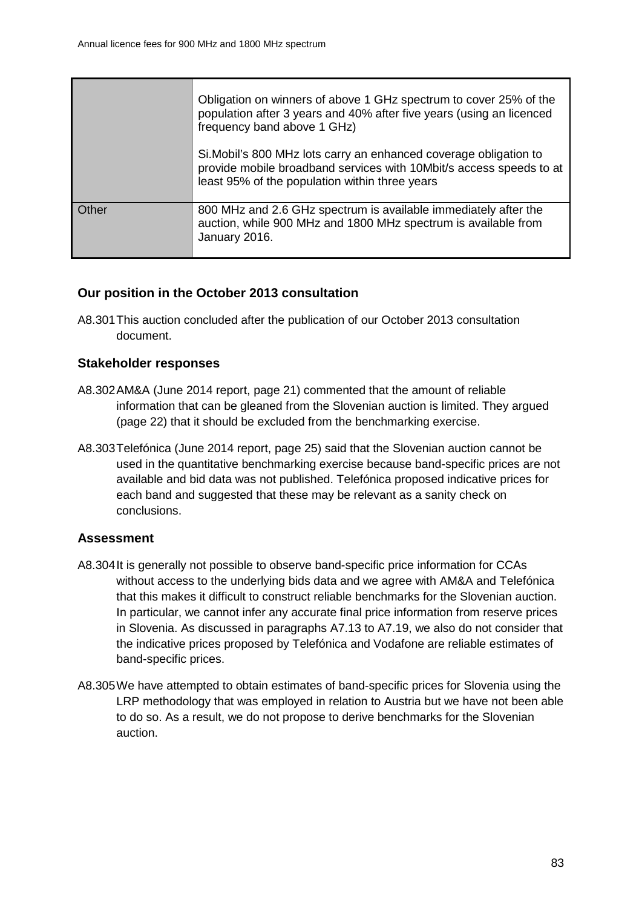|       | Obligation on winners of above 1 GHz spectrum to cover 25% of the<br>population after 3 years and 40% after five years (using an licenced<br>frequency band above 1 GHz)                   |
|-------|--------------------------------------------------------------------------------------------------------------------------------------------------------------------------------------------|
|       | Si. Mobil's 800 MHz lots carry an enhanced coverage obligation to<br>provide mobile broadband services with 10Mbit/s access speeds to at<br>least 95% of the population within three years |
| Other | 800 MHz and 2.6 GHz spectrum is available immediately after the<br>auction, while 900 MHz and 1800 MHz spectrum is available from<br>January 2016.                                         |

# **Our position in the October 2013 consultation**

A8.301This auction concluded after the publication of our October 2013 consultation document.

# **Stakeholder responses**

- A8.302AM&A (June 2014 report, page 21) commented that the amount of reliable information that can be gleaned from the Slovenian auction is limited. They argued (page 22) that it should be excluded from the benchmarking exercise.
- A8.303Telefónica (June 2014 report, page 25) said that the Slovenian auction cannot be used in the quantitative benchmarking exercise because band-specific prices are not available and bid data was not published. Telefónica proposed indicative prices for each band and suggested that these may be relevant as a sanity check on conclusions.

# **Assessment**

- A8.304It is generally not possible to observe band-specific price information for CCAs without access to the underlying bids data and we agree with AM&A and Telefónica that this makes it difficult to construct reliable benchmarks for the Slovenian auction. In particular, we cannot infer any accurate final price information from reserve prices in Slovenia. As discussed in paragraphs A7.13 to A7.19, we also do not consider that the indicative prices proposed by Telefónica and Vodafone are reliable estimates of band-specific prices.
- A8.305We have attempted to obtain estimates of band-specific prices for Slovenia using the LRP methodology that was employed in relation to Austria but we have not been able to do so. As a result, we do not propose to derive benchmarks for the Slovenian auction.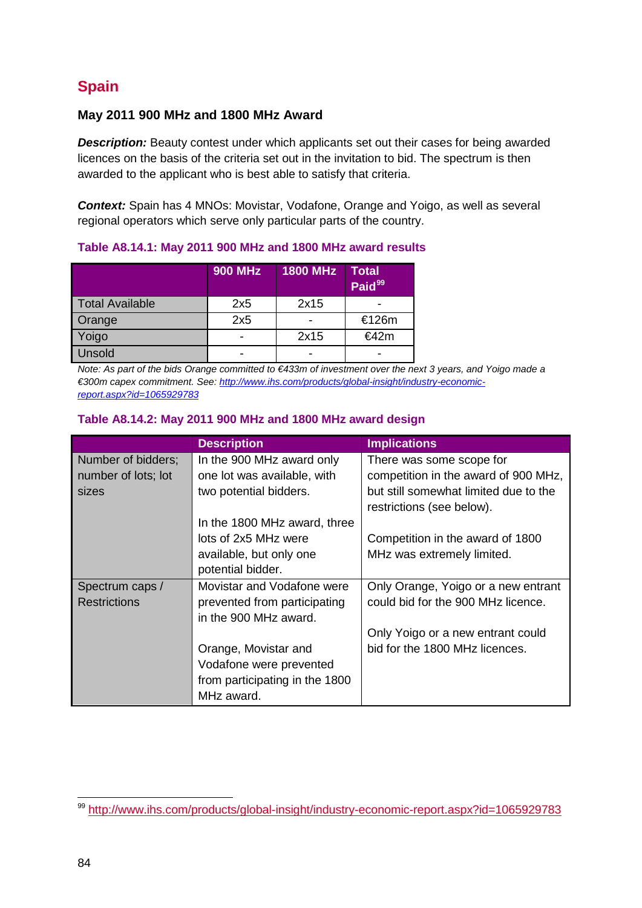# **Spain**

# **May 2011 900 MHz and 1800 MHz Award**

**Description:** Beauty contest under which applicants set out their cases for being awarded licences on the basis of the criteria set out in the invitation to bid. The spectrum is then awarded to the applicant who is best able to satisfy that criteria.

*Context:* Spain has 4 MNOs: Movistar, Vodafone, Orange and Yoigo, as well as several regional operators which serve only particular parts of the country.

|                        | <b>900 MHz</b> | 1800 MHz                 | <b>Total</b><br>Paid <sup>99</sup> |
|------------------------|----------------|--------------------------|------------------------------------|
| <b>Total Available</b> | 2x5            | 2x15                     |                                    |
| Orange                 | 2x5            | $\overline{\phantom{0}}$ | €126m                              |
| Yoigo                  |                | 2x15                     | €42m                               |
| Unsold                 |                |                          |                                    |

**Table A8.14.1: May 2011 900 MHz and 1800 MHz award results**

*Note: As part of the bids Orange committed to €433m of investment over the next 3 years, and Yoigo made a €300m capex commitment. See[: http://www.ihs.com/products/global-insight/industry-economic](http://www.ihs.com/products/global-insight/industry-economic-report.aspx?id=1065929783)[report.aspx?id=1065929783](http://www.ihs.com/products/global-insight/industry-economic-report.aspx?id=1065929783)*

### **Table A8.14.2: May 2011 900 MHz and 1800 MHz award design**

|                     | <b>Description</b>             | <b>Implications</b>                   |
|---------------------|--------------------------------|---------------------------------------|
| Number of bidders;  | In the 900 MHz award only      | There was some scope for              |
| number of lots; lot | one lot was available, with    | competition in the award of 900 MHz,  |
| sizes               | two potential bidders.         | but still somewhat limited due to the |
|                     |                                | restrictions (see below).             |
|                     | In the 1800 MHz award, three   |                                       |
|                     | lots of 2x5 MHz were           | Competition in the award of 1800      |
|                     | available, but only one        | MHz was extremely limited.            |
|                     | potential bidder.              |                                       |
| Spectrum caps /     | Movistar and Vodafone were     | Only Orange, Yoigo or a new entrant   |
| <b>Restrictions</b> | prevented from participating   | could bid for the 900 MHz licence.    |
|                     | in the 900 MHz award.          |                                       |
|                     |                                | Only Yoigo or a new entrant could     |
|                     | Orange, Movistar and           | bid for the 1800 MHz licences.        |
|                     | Vodafone were prevented        |                                       |
|                     | from participating in the 1800 |                                       |
|                     | MHz award.                     |                                       |

<span id="page-83-0"></span><sup>&</sup>lt;sup>99</sup> <http://www.ihs.com/products/global-insight/industry-economic-report.aspx?id=1065929783> -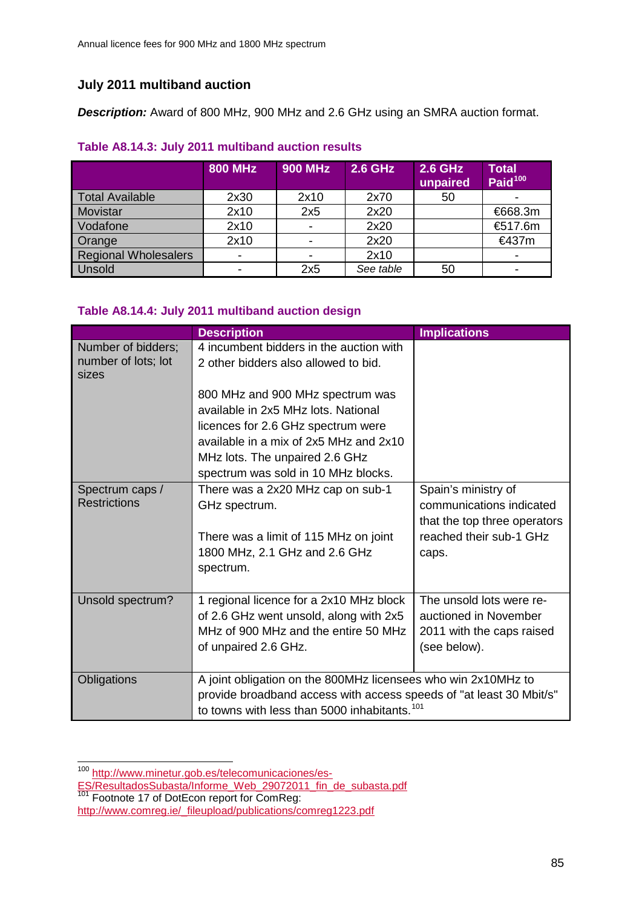# **July 2011 multiband auction**

*Description:* Award of 800 MHz, 900 MHz and 2.6 GHz using an SMRA auction format.

# **Table A8.14.3: July 2011 multiband auction results**

|                             | <b>800 MHz</b> | <b>900 MHz</b> | <b>2.6 GHz</b> | <b>2.6 GHz</b><br>unpaired | <b>Total</b><br>Paid <sup>100</sup> |
|-----------------------------|----------------|----------------|----------------|----------------------------|-------------------------------------|
| <b>Total Available</b>      | 2x30           | 2x10           | 2x70           | 50                         |                                     |
| Movistar                    | 2x10           | 2x5            | 2x20           |                            | €668.3m                             |
| Vodafone                    | 2x10           |                | 2x20           |                            | €517.6m                             |
| Orange                      | 2x10           |                | 2x20           |                            | €437m                               |
| <b>Regional Wholesalers</b> | -              |                | 2x10           |                            | $\overline{\phantom{0}}$            |
| Unsold                      |                | 2x5            | See table      | 50                         | $\overline{\phantom{a}}$            |

# **Table A8.14.4: July 2011 multiband auction design**

|                                                    | <b>Description</b>                                                                                                                                                                               | <b>Implications</b>                                                                                                 |
|----------------------------------------------------|--------------------------------------------------------------------------------------------------------------------------------------------------------------------------------------------------|---------------------------------------------------------------------------------------------------------------------|
| Number of bidders;<br>number of lots; lot<br>sizes | 4 incumbent bidders in the auction with<br>2 other bidders also allowed to bid.                                                                                                                  |                                                                                                                     |
|                                                    | 800 MHz and 900 MHz spectrum was<br>available in 2x5 MHz lots. National<br>licences for 2.6 GHz spectrum were<br>available in a mix of 2x5 MHz and 2x10                                          |                                                                                                                     |
|                                                    | MHz lots. The unpaired 2.6 GHz<br>spectrum was sold in 10 MHz blocks.                                                                                                                            |                                                                                                                     |
| Spectrum caps /<br><b>Restrictions</b>             | There was a 2x20 MHz cap on sub-1<br>GHz spectrum.<br>There was a limit of 115 MHz on joint<br>1800 MHz, 2.1 GHz and 2.6 GHz<br>spectrum.                                                        | Spain's ministry of<br>communications indicated<br>that the top three operators<br>reached their sub-1 GHz<br>caps. |
| Unsold spectrum?                                   | 1 regional licence for a 2x10 MHz block<br>of 2.6 GHz went unsold, along with 2x5<br>MHz of 900 MHz and the entire 50 MHz<br>of unpaired 2.6 GHz.                                                | The unsold lots were re-<br>auctioned in November<br>2011 with the caps raised<br>(see below).                      |
| Obligations                                        | A joint obligation on the 800MHz licensees who win 2x10MHz to<br>provide broadband access with access speeds of "at least 30 Mbit/s"<br>to towns with less than 5000 inhabitants. <sup>101</sup> |                                                                                                                     |

<span id="page-84-0"></span><sup>100</sup> [http://www.minetur.gob.es/telecomunicaciones/es-](http://www.minetur.gob.es/telecomunicaciones/es-ES/ResultadosSubasta/Informe_Web_29072011_fin_de_subasta.pdf) $\overline{a}$ 

<sup>&</sup>lt;u>[ES/ResultadosSubasta/Informe\\_Web\\_29072011\\_fin\\_de\\_subasta.pdf](http://www.minetur.gob.es/telecomunicaciones/es-ES/ResultadosSubasta/Informe_Web_29072011_fin_de_subasta.pdf)</u><br><sup>101</sup> Footnote 17 of DotEcon report for ComReg:

<span id="page-84-1"></span>[http://www.comreg.ie/\\_fileupload/publications/comreg1223.pdf](http://www.comreg.ie/_fileupload/publications/comreg1223.pdf)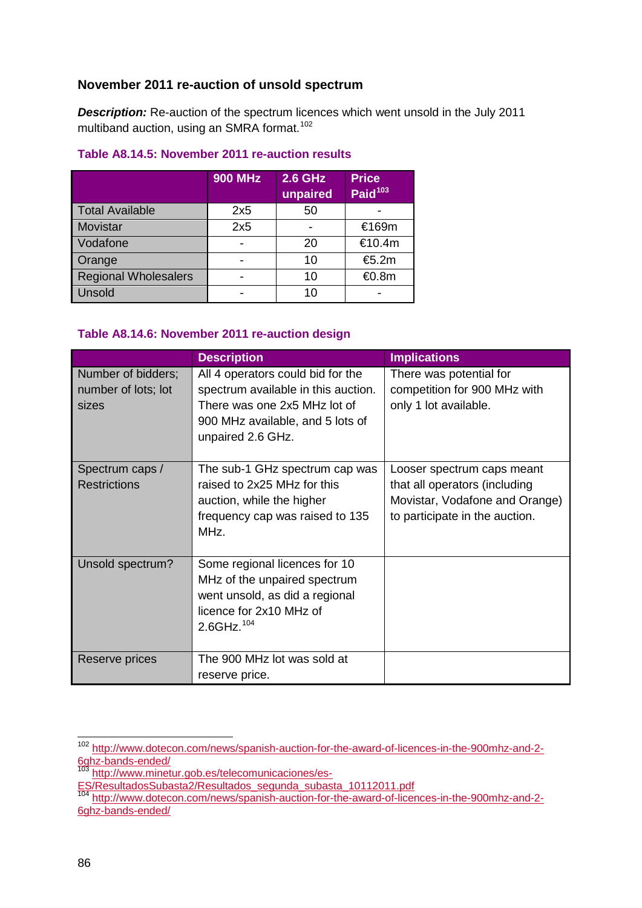# **November 2011 re-auction of unsold spectrum**

*Description:* Re-auction of the spectrum licences which went unsold in the July 2011 multiband auction, using an SMRA format.<sup>[102](#page-85-0)</sup>

# **Table A8.14.5: November 2011 re-auction results**

|                             | <b>900 MHz</b> | <b>2.6 GHz</b><br>unpaired | <b>Price</b><br>Paid <sup>103</sup> |
|-----------------------------|----------------|----------------------------|-------------------------------------|
| <b>Total Available</b>      | 2x5            | 50                         |                                     |
| Movistar                    | 2x5            | $\blacksquare$             | €169m                               |
| Vodafone                    |                | 20                         | €10.4m                              |
| Orange                      |                | 10                         | €5.2m                               |
| <b>Regional Wholesalers</b> |                | 10                         | €0.8m                               |
| Unsold                      |                | 10                         |                                     |

# **Table A8.14.6: November 2011 re-auction design**

|                                                    | <b>Description</b>                                                                                                                                                | <b>Implications</b>                                                                                                             |
|----------------------------------------------------|-------------------------------------------------------------------------------------------------------------------------------------------------------------------|---------------------------------------------------------------------------------------------------------------------------------|
| Number of bidders;<br>number of lots; lot<br>sizes | All 4 operators could bid for the<br>spectrum available in this auction.<br>There was one 2x5 MHz lot of<br>900 MHz available, and 5 lots of<br>unpaired 2.6 GHz. | There was potential for<br>competition for 900 MHz with<br>only 1 lot available.                                                |
| Spectrum caps /<br><b>Restrictions</b>             | The sub-1 GHz spectrum cap was<br>raised to 2x25 MHz for this<br>auction, while the higher<br>frequency cap was raised to 135<br>MHz.                             | Looser spectrum caps meant<br>that all operators (including<br>Movistar, Vodafone and Orange)<br>to participate in the auction. |
| Unsold spectrum?                                   | Some regional licences for 10<br>MHz of the unpaired spectrum<br>went unsold, as did a regional<br>licence for 2x10 MHz of<br>$2.6$ GHz. <sup>104</sup>           |                                                                                                                                 |
| Reserve prices                                     | The 900 MHz lot was sold at<br>reserve price.                                                                                                                     |                                                                                                                                 |

<span id="page-85-0"></span><sup>&</sup>lt;sup>102</sup> [http://www.dotecon.com/news/spanish-auction-for-the-award-of-licences-in-the-900mhz-and-2-](http://www.dotecon.com/news/spanish-auction-for-the-award-of-licences-in-the-900mhz-and-2-6ghz-bands-ended/) [6ghz-bands-ended/](http://www.dotecon.com/news/spanish-auction-for-the-award-of-licences-in-the-900mhz-and-2-6ghz-bands-ended/)  $\overline{a}$ 

<span id="page-85-1"></span><sup>103</sup> [http://www.minetur.gob.es/telecomunicaciones/es-](http://www.minetur.gob.es/telecomunicaciones/es-ES/ResultadosSubasta2/Resultados_segunda_subasta_10112011.pdf)

[ES/ResultadosSubasta2/Resultados\\_segunda\\_subasta\\_10112011.pdf](http://www.minetur.gob.es/telecomunicaciones/es-ES/ResultadosSubasta2/Resultados_segunda_subasta_10112011.pdf)

<span id="page-85-2"></span><sup>&</sup>lt;sup>104</sup> [http://www.dotecon.com/news/spanish-auction-for-the-award-of-licences-in-the-900mhz-and-2-](http://www.dotecon.com/news/spanish-auction-for-the-award-of-licences-in-the-900mhz-and-2-6ghz-bands-ended/) [6ghz-bands-ended/](http://www.dotecon.com/news/spanish-auction-for-the-award-of-licences-in-the-900mhz-and-2-6ghz-bands-ended/)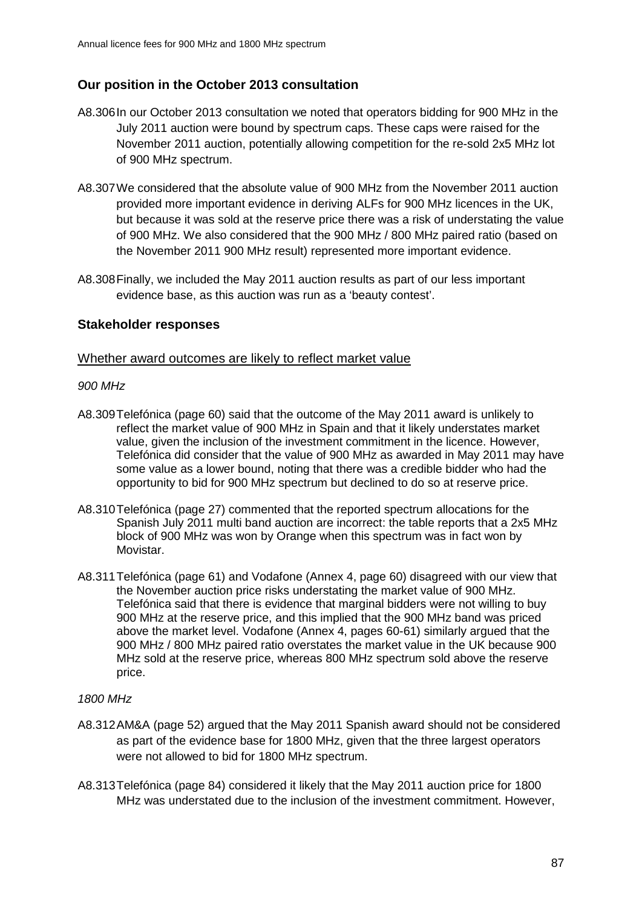# **Our position in the October 2013 consultation**

- A8.306In our October 2013 consultation we noted that operators bidding for 900 MHz in the July 2011 auction were bound by spectrum caps. These caps were raised for the November 2011 auction, potentially allowing competition for the re-sold 2x5 MHz lot of 900 MHz spectrum.
- A8.307We considered that the absolute value of 900 MHz from the November 2011 auction provided more important evidence in deriving ALFs for 900 MHz licences in the UK, but because it was sold at the reserve price there was a risk of understating the value of 900 MHz. We also considered that the 900 MHz / 800 MHz paired ratio (based on the November 2011 900 MHz result) represented more important evidence.
- A8.308Finally, we included the May 2011 auction results as part of our less important evidence base, as this auction was run as a 'beauty contest'.

### **Stakeholder responses**

#### Whether award outcomes are likely to reflect market value

### *900 MHz*

- A8.309Telefónica (page 60) said that the outcome of the May 2011 award is unlikely to reflect the market value of 900 MHz in Spain and that it likely understates market value, given the inclusion of the investment commitment in the licence. However, Telefónica did consider that the value of 900 MHz as awarded in May 2011 may have some value as a lower bound, noting that there was a credible bidder who had the opportunity to bid for 900 MHz spectrum but declined to do so at reserve price.
- A8.310Telefónica (page 27) commented that the reported spectrum allocations for the Spanish July 2011 multi band auction are incorrect: the table reports that a 2x5 MHz block of 900 MHz was won by Orange when this spectrum was in fact won by Movistar.
- A8.311Telefónica (page 61) and Vodafone (Annex 4, page 60) disagreed with our view that the November auction price risks understating the market value of 900 MHz. Telefónica said that there is evidence that marginal bidders were not willing to buy 900 MHz at the reserve price, and this implied that the 900 MHz band was priced above the market level. Vodafone (Annex 4, pages 60-61) similarly argued that the 900 MHz / 800 MHz paired ratio overstates the market value in the UK because 900 MHz sold at the reserve price, whereas 800 MHz spectrum sold above the reserve price.

#### *1800 MHz*

- A8.312AM&A (page 52) argued that the May 2011 Spanish award should not be considered as part of the evidence base for 1800 MHz, given that the three largest operators were not allowed to bid for 1800 MHz spectrum.
- A8.313Telefónica (page 84) considered it likely that the May 2011 auction price for 1800 MHz was understated due to the inclusion of the investment commitment. However,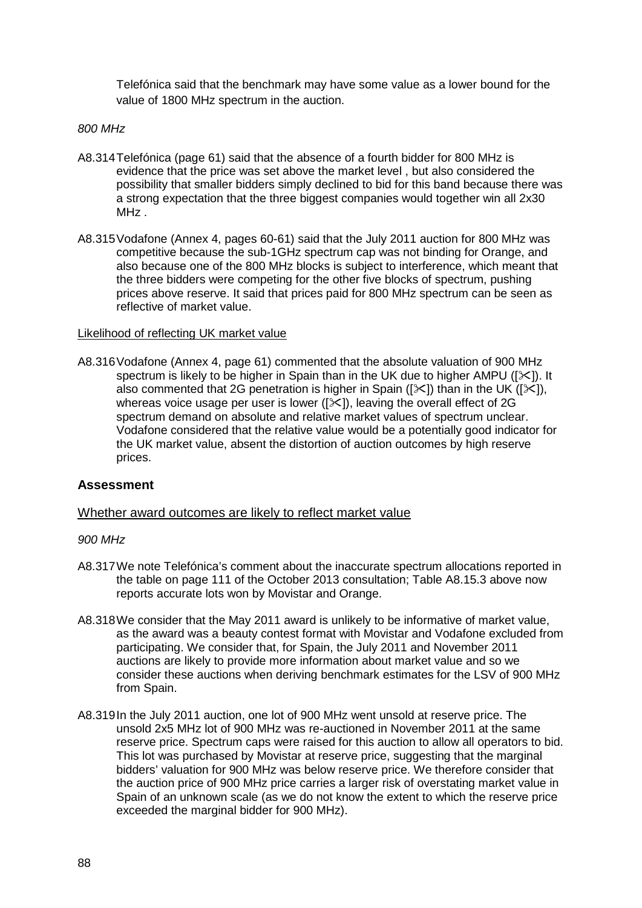Telefónica said that the benchmark may have some value as a lower bound for the value of 1800 MHz spectrum in the auction.

#### *800 MHz*

- A8.314Telefónica (page 61) said that the absence of a fourth bidder for 800 MHz is evidence that the price was set above the market level , but also considered the possibility that smaller bidders simply declined to bid for this band because there was a strong expectation that the three biggest companies would together win all 2x30 MHz.
- A8.315Vodafone (Annex 4, pages 60-61) said that the July 2011 auction for 800 MHz was competitive because the sub-1GHz spectrum cap was not binding for Orange, and also because one of the 800 MHz blocks is subject to interference, which meant that the three bidders were competing for the other five blocks of spectrum, pushing prices above reserve. It said that prices paid for 800 MHz spectrum can be seen as reflective of market value.

#### Likelihood of reflecting UK market value

A8.316Vodafone (Annex 4, page 61) commented that the absolute valuation of 900 MHz spectrum is likely to be higher in Spain than in the UK due to higher AMPU ( $[\times]$ ). It also commented that 2G penetration is higher in Spain ( $[\times]$ ) than in the UK ( $[\times]$ ), whereas voice usage per user is lower ( $[\times]$ ), leaving the overall effect of 2G spectrum demand on absolute and relative market values of spectrum unclear. Vodafone considered that the relative value would be a potentially good indicator for the UK market value, absent the distortion of auction outcomes by high reserve prices.

### **Assessment**

### Whether award outcomes are likely to reflect market value

#### *900 MHz*

- A8.317We note Telefónica's comment about the inaccurate spectrum allocations reported in the table on page 111 of the October 2013 consultation; Table A8.15.3 above now reports accurate lots won by Movistar and Orange.
- A8.318We consider that the May 2011 award is unlikely to be informative of market value, as the award was a beauty contest format with Movistar and Vodafone excluded from participating. We consider that, for Spain, the July 2011 and November 2011 auctions are likely to provide more information about market value and so we consider these auctions when deriving benchmark estimates for the LSV of 900 MHz from Spain.
- A8.319In the July 2011 auction, one lot of 900 MHz went unsold at reserve price. The unsold 2x5 MHz lot of 900 MHz was re-auctioned in November 2011 at the same reserve price. Spectrum caps were raised for this auction to allow all operators to bid. This lot was purchased by Movistar at reserve price, suggesting that the marginal bidders' valuation for 900 MHz was below reserve price. We therefore consider that the auction price of 900 MHz price carries a larger risk of overstating market value in Spain of an unknown scale (as we do not know the extent to which the reserve price exceeded the marginal bidder for 900 MHz).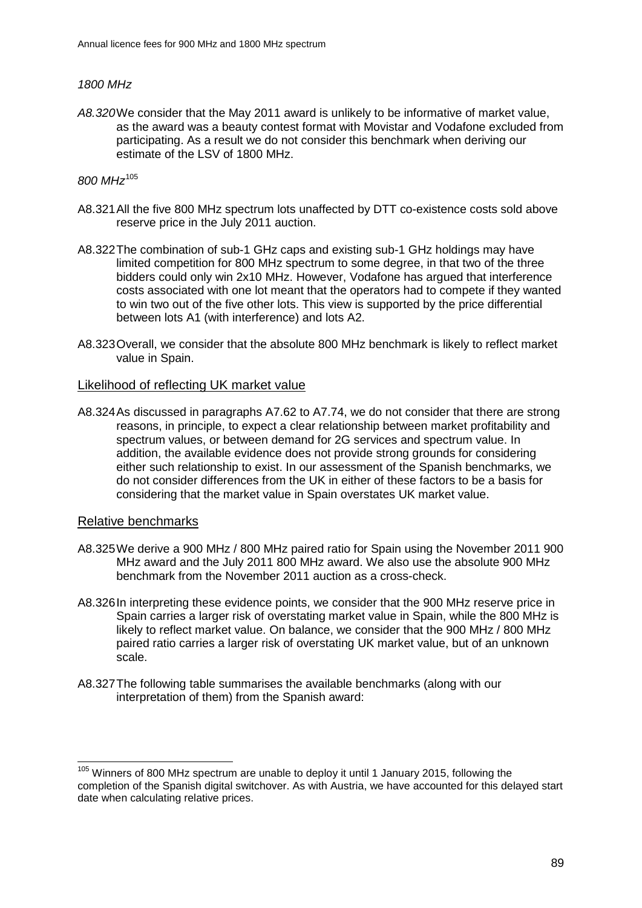### *1800 MHz*

*A8.320*We consider that the May 2011 award is unlikely to be informative of market value, as the award was a beauty contest format with Movistar and Vodafone excluded from participating. As a result we do not consider this benchmark when deriving our estimate of the LSV of 1800 MHz.

### *800 MHz*[105](#page-88-0)

- A8.321All the five 800 MHz spectrum lots unaffected by DTT co-existence costs sold above reserve price in the July 2011 auction.
- A8.322The combination of sub-1 GHz caps and existing sub-1 GHz holdings may have limited competition for 800 MHz spectrum to some degree, in that two of the three bidders could only win 2x10 MHz. However, Vodafone has argued that interference costs associated with one lot meant that the operators had to compete if they wanted to win two out of the five other lots. This view is supported by the price differential between lots A1 (with interference) and lots A2.
- A8.323Overall, we consider that the absolute 800 MHz benchmark is likely to reflect market value in Spain.

#### Likelihood of reflecting UK market value

A8.324As discussed in paragraphs A7.62 to A7.74, we do not consider that there are strong reasons, in principle, to expect a clear relationship between market profitability and spectrum values, or between demand for 2G services and spectrum value. In addition, the available evidence does not provide strong grounds for considering either such relationship to exist. In our assessment of the Spanish benchmarks, we do not consider differences from the UK in either of these factors to be a basis for considering that the market value in Spain overstates UK market value.

#### Relative benchmarks

- A8.325We derive a 900 MHz / 800 MHz paired ratio for Spain using the November 2011 900 MHz award and the July 2011 800 MHz award. We also use the absolute 900 MHz benchmark from the November 2011 auction as a cross-check.
- A8.326In interpreting these evidence points, we consider that the 900 MHz reserve price in Spain carries a larger risk of overstating market value in Spain, while the 800 MHz is likely to reflect market value. On balance, we consider that the 900 MHz / 800 MHz paired ratio carries a larger risk of overstating UK market value, but of an unknown scale.
- A8.327The following table summarises the available benchmarks (along with our interpretation of them) from the Spanish award:

<span id="page-88-0"></span><sup>&</sup>lt;sup>105</sup> Winners of 800 MHz spectrum are unable to deploy it until 1 January 2015, following the completion of the Spanish digital switchover. As with Austria, we have accounted for this delayed start date when calculating relative prices.  $\overline{a}$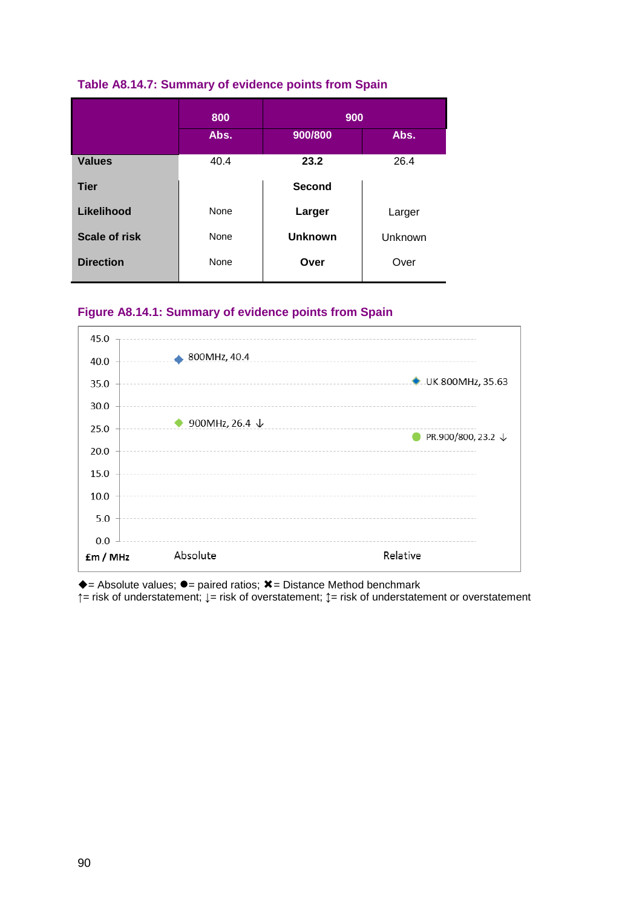|                      | 800  | 900            |         |
|----------------------|------|----------------|---------|
|                      | Abs. | 900/800        | Abs.    |
| <b>Values</b>        | 40.4 | 23.2           | 26.4    |
| <b>Tier</b>          |      | <b>Second</b>  |         |
| Likelihood           | None | Larger         | Larger  |
| <b>Scale of risk</b> | None | <b>Unknown</b> | Unknown |
| <b>Direction</b>     | None | Over           | Over    |

# **Figure A8.14.1: Summary of evidence points from Spain**



 $\triangle$  = Absolute values;  $\bullet$  = paired ratios;  $\angle$  = Distance Method benchmark **↑**= risk of understatement; **↓**= risk of overstatement; **↕**= risk of understatement or overstatement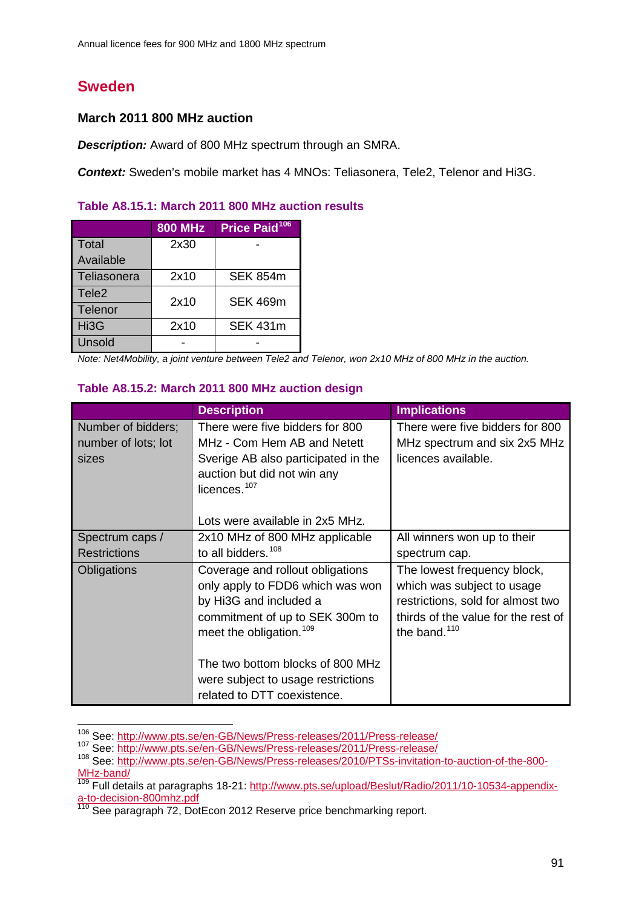# **Sweden**

 $\overline{a}$ 

# **March 2011 800 MHz auction**

*Description:* Award of 800 MHz spectrum through an SMRA.

**Context:** Sweden's mobile market has 4 MNOs: Teliasonera, Tele2, Telenor and Hi3G.

|  |  | Table A8.15.1: March 2011 800 MHz auction results |  |  |  |  |
|--|--|---------------------------------------------------|--|--|--|--|
|--|--|---------------------------------------------------|--|--|--|--|

|                   | <b>800 MHz</b> | Price Paid <sup>106</sup> |
|-------------------|----------------|---------------------------|
| <b>Total</b>      | 2x30           |                           |
| Available         |                |                           |
| Teliasonera       | 2x10           | <b>SEK 854m</b>           |
| Tele <sub>2</sub> | 2x10           | <b>SEK 469m</b>           |
| Telenor           |                |                           |
| Hi3G              | 2x10           | <b>SEK 431m</b>           |
| Unsold            |                |                           |

*Note: Net4Mobility, a joint venture between Tele2 and Telenor, won 2x10 MHz of 800 MHz in the auction.*

### **Table A8.15.2: March 2011 800 MHz auction design**

|                                                    | <b>Description</b>                                                                                                                                                       | <b>Implications</b>                                                                                                                                      |
|----------------------------------------------------|--------------------------------------------------------------------------------------------------------------------------------------------------------------------------|----------------------------------------------------------------------------------------------------------------------------------------------------------|
| Number of bidders;<br>number of lots; lot<br>sizes | There were five bidders for 800<br>MHz - Com Hem AB and Netett<br>Sverige AB also participated in the<br>auction but did not win any<br>licences. <sup>107</sup>         | There were five bidders for 800<br>MHz spectrum and six 2x5 MHz<br>licences available.                                                                   |
|                                                    | Lots were available in 2x5 MHz.                                                                                                                                          |                                                                                                                                                          |
| Spectrum caps /                                    | 2x10 MHz of 800 MHz applicable                                                                                                                                           | All winners won up to their                                                                                                                              |
| <b>Restrictions</b>                                | to all bidders. <sup>108</sup>                                                                                                                                           | spectrum cap.                                                                                                                                            |
| Obligations                                        | Coverage and rollout obligations<br>only apply to FDD6 which was won<br>by Hi3G and included a<br>commitment of up to SEK 300m to<br>meet the obligation. <sup>109</sup> | The lowest frequency block,<br>which was subject to usage<br>restrictions, sold for almost two<br>thirds of the value for the rest of<br>the band. $110$ |
|                                                    | The two bottom blocks of 800 MHz<br>were subject to usage restrictions<br>related to DTT coexistence.                                                                    |                                                                                                                                                          |

<sup>&</sup>lt;sup>106</sup> See:<http://www.pts.se/en-GB/News/Press-releases/2011/Press-release/>

<span id="page-90-1"></span><span id="page-90-0"></span><sup>107</sup> See:<http://www.pts.se/en-GB/News/Press-releases/2011/Press-release/>

<span id="page-90-2"></span><sup>108</sup> See: [http://www.pts.se/en-GB/News/Press-releases/2010/PTSs-invitation-to-auction-of-the-800-](http://www.pts.se/en-GB/News/Press-releases/2010/PTSs-invitation-to-auction-of-the-800-MHz-band/) [MHz-band/](http://www.pts.se/en-GB/News/Press-releases/2010/PTSs-invitation-to-auction-of-the-800-MHz-band/)

<span id="page-90-4"></span><span id="page-90-3"></span><sup>&</sup>lt;sup>109</sup> Full details at paragraphs 18-21: [http://www.pts.se/upload/Beslut/Radio/2011/10-10534-appendix](http://www.pts.se/upload/Beslut/Radio/2011/10-10534-appendix-a-to-decision-800mhz.pdf)[a-to-decision-800mhz.pdf](http://www.pts.se/upload/Beslut/Radio/2011/10-10534-appendix-a-to-decision-800mhz.pdf)<br>
<sup>110</sup> See paragraph 72, DotEcon 2012 Reserve price benchmarking report.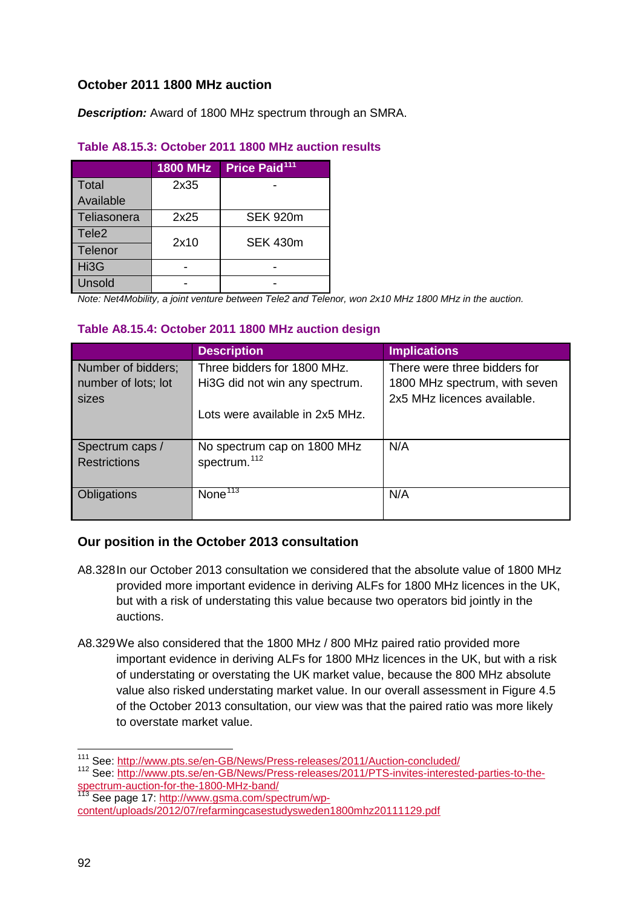# **October 2011 1800 MHz auction**

*Description:* Award of 1800 MHz spectrum through an SMRA.

# **Table A8.15.3: October 2011 1800 MHz auction results**

|                   | <b>1800 MHz</b> | Price Paid <sup>111</sup> |
|-------------------|-----------------|---------------------------|
| Total             | 2x35            |                           |
| Available         |                 |                           |
| Teliasonera       | 2x25            | <b>SEK 920m</b>           |
| Tele <sub>2</sub> | 2x10            | <b>SEK 430m</b>           |
| Telenor           |                 |                           |
| Hi3G              |                 |                           |
| Unsold            |                 |                           |

*Note: Net4Mobility, a joint venture between Tele2 and Telenor, won 2x10 MHz 1800 MHz in the auction.*

# **Table A8.15.4: October 2011 1800 MHz auction design**

|                     | <b>Description</b>              | <b>Implications</b>           |
|---------------------|---------------------------------|-------------------------------|
| Number of bidders;  | Three bidders for 1800 MHz.     | There were three bidders for  |
| number of lots; lot | Hi3G did not win any spectrum.  | 1800 MHz spectrum, with seven |
| sizes               |                                 | 2x5 MHz licences available.   |
|                     | Lots were available in 2x5 MHz. |                               |
|                     |                                 |                               |
| Spectrum caps /     | No spectrum cap on 1800 MHz     | N/A                           |
| <b>Restrictions</b> | spectrum. <sup>112</sup>        |                               |
|                     |                                 |                               |
| Obligations         | None $\overline{113}$           | N/A                           |
|                     |                                 |                               |

# **Our position in the October 2013 consultation**

- A8.328In our October 2013 consultation we considered that the absolute value of 1800 MHz provided more important evidence in deriving ALFs for 1800 MHz licences in the UK, but with a risk of understating this value because two operators bid jointly in the auctions.
- A8.329We also considered that the 1800 MHz / 800 MHz paired ratio provided more important evidence in deriving ALFs for 1800 MHz licences in the UK, but with a risk of understating or overstating the UK market value, because the 800 MHz absolute value also risked understating market value. In our overall assessment in Figure 4.5 of the October 2013 consultation, our view was that the paired ratio was more likely to overstate market value.

<sup>&</sup>lt;sup>111</sup> See:<http://www.pts.se/en-GB/News/Press-releases/2011/Auction-concluded/>  $\overline{a}$ 

<span id="page-91-1"></span><span id="page-91-0"></span><sup>112</sup> See: [http://www.pts.se/en-GB/News/Press-releases/2011/PTS-invites-interested-parties-to-the](http://www.pts.se/en-GB/News/Press-releases/2011/PTS-invites-interested-parties-to-the-spectrum-auction-for-the-1800-MHz-band/)[spectrum-auction-for-the-1800-MHz-band/](http://www.pts.se/en-GB/News/Press-releases/2011/PTS-invites-interested-parties-to-the-spectrum-auction-for-the-1800-MHz-band/)

<span id="page-91-2"></span><sup>&</sup>lt;sup>113</sup> See page 17: [http://www.gsma.com/spectrum/wp](http://www.gsma.com/spectrum/wp-content/uploads/2012/07/refarmingcasestudysweden1800mhz20111129.pdf)[content/uploads/2012/07/refarmingcasestudysweden1800mhz20111129.pdf](http://www.gsma.com/spectrum/wp-content/uploads/2012/07/refarmingcasestudysweden1800mhz20111129.pdf)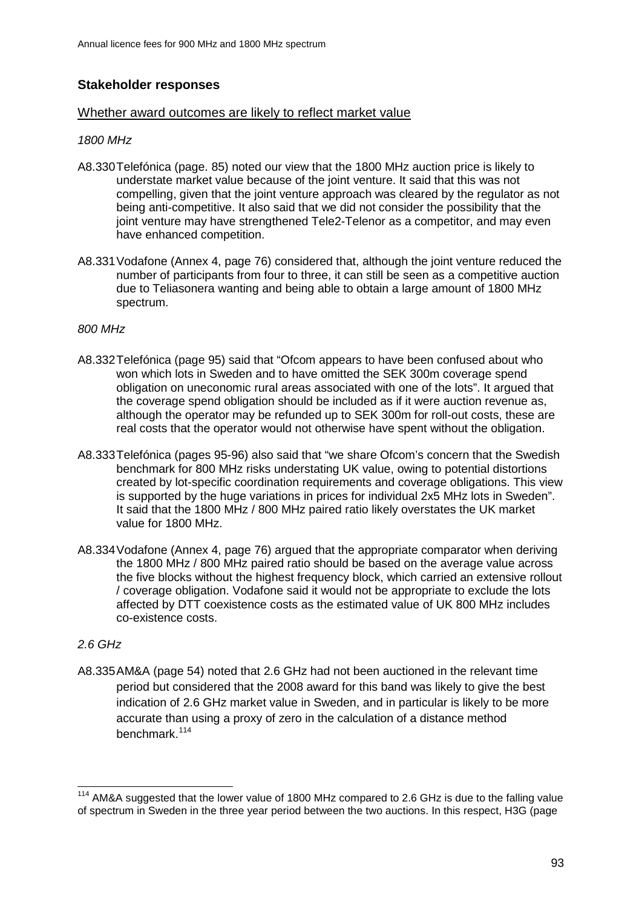# **Stakeholder responses**

### Whether award outcomes are likely to reflect market value

# *1800 MHz*

- A8.330Telefónica (page. 85) noted our view that the 1800 MHz auction price is likely to understate market value because of the joint venture. It said that this was not compelling, given that the joint venture approach was cleared by the regulator as not being anti-competitive. It also said that we did not consider the possibility that the joint venture may have strengthened Tele2-Telenor as a competitor, and may even have enhanced competition.
- A8.331Vodafone (Annex 4, page 76) considered that, although the joint venture reduced the number of participants from four to three, it can still be seen as a competitive auction due to Teliasonera wanting and being able to obtain a large amount of 1800 MHz spectrum.

# *800 MHz*

- A8.332Telefónica (page 95) said that "Ofcom appears to have been confused about who won which lots in Sweden and to have omitted the SEK 300m coverage spend obligation on uneconomic rural areas associated with one of the lots". It argued that the coverage spend obligation should be included as if it were auction revenue as, although the operator may be refunded up to SEK 300m for roll-out costs, these are real costs that the operator would not otherwise have spent without the obligation.
- A8.333Telefónica (pages 95-96) also said that "we share Ofcom's concern that the Swedish benchmark for 800 MHz risks understating UK value, owing to potential distortions created by lot-specific coordination requirements and coverage obligations. This view is supported by the huge variations in prices for individual 2x5 MHz lots in Sweden". It said that the 1800 MHz / 800 MHz paired ratio likely overstates the UK market value for 1800 MHz.
- A8.334Vodafone (Annex 4, page 76) argued that the appropriate comparator when deriving the 1800 MHz / 800 MHz paired ratio should be based on the average value across the five blocks without the highest frequency block, which carried an extensive rollout / coverage obligation. Vodafone said it would not be appropriate to exclude the lots affected by DTT coexistence costs as the estimated value of UK 800 MHz includes co-existence costs.

# *2.6 GHz*

A8.335AM&A (page 54) noted that 2.6 GHz had not been auctioned in the relevant time period but considered that the 2008 award for this band was likely to give the best indication of 2.6 GHz market value in Sweden, and in particular is likely to be more accurate than using a proxy of zero in the calculation of a distance method benchmark.[114](#page-92-0)

<span id="page-92-0"></span><sup>&</sup>lt;sup>114</sup> AM&A suggested that the lower value of 1800 MHz compared to 2.6 GHz is due to the falling value of spectrum in Sweden in the three year period between the two auctions. In this respect, H3G (page  $\overline{a}$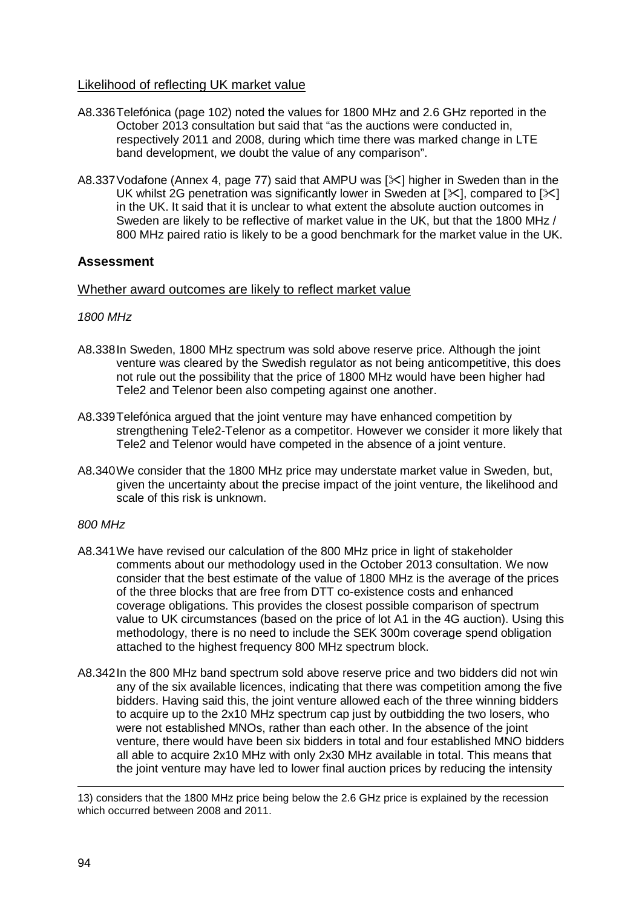# Likelihood of reflecting UK market value

- A8.336Telefónica (page 102) noted the values for 1800 MHz and 2.6 GHz reported in the October 2013 consultation but said that "as the auctions were conducted in, respectively 2011 and 2008, during which time there was marked change in LTE band development, we doubt the value of any comparison".
- A8.337 Vodafone (Annex 4, page 77) said that AMPU was  $[\times]$  higher in Sweden than in the UK whilst 2G penetration was significantly lower in Sweden at  $[\times]$ . compared to  $[\times]$ in the UK. It said that it is unclear to what extent the absolute auction outcomes in Sweden are likely to be reflective of market value in the UK, but that the 1800 MHz / 800 MHz paired ratio is likely to be a good benchmark for the market value in the UK.

# **Assessment**

### Whether award outcomes are likely to reflect market value

### *1800 MHz*

- A8.338In Sweden, 1800 MHz spectrum was sold above reserve price. Although the joint venture was cleared by the Swedish regulator as not being anticompetitive, this does not rule out the possibility that the price of 1800 MHz would have been higher had Tele2 and Telenor been also competing against one another.
- A8.339Telefónica argued that the joint venture may have enhanced competition by strengthening Tele2-Telenor as a competitor. However we consider it more likely that Tele2 and Telenor would have competed in the absence of a joint venture.
- A8.340We consider that the 1800 MHz price may understate market value in Sweden, but, given the uncertainty about the precise impact of the joint venture, the likelihood and scale of this risk is unknown.

#### *800 MHz*

- A8.341We have revised our calculation of the 800 MHz price in light of stakeholder comments about our methodology used in the October 2013 consultation. We now consider that the best estimate of the value of 1800 MHz is the average of the prices of the three blocks that are free from DTT co-existence costs and enhanced coverage obligations. This provides the closest possible comparison of spectrum value to UK circumstances (based on the price of lot A1 in the 4G auction). Using this methodology, there is no need to include the SEK 300m coverage spend obligation attached to the highest frequency 800 MHz spectrum block.
- A8.342In the 800 MHz band spectrum sold above reserve price and two bidders did not win any of the six available licences, indicating that there was competition among the five bidders. Having said this, the joint venture allowed each of the three winning bidders to acquire up to the 2x10 MHz spectrum cap just by outbidding the two losers, who were not established MNOs, rather than each other. In the absence of the joint venture, there would have been six bidders in total and four established MNO bidders all able to acquire 2x10 MHz with only 2x30 MHz available in total. This means that the joint venture may have led to lower final auction prices by reducing the intensity

<sup>13)</sup> considers that the 1800 MHz price being below the 2.6 GHz price is explained by the recession which occurred between 2008 and 2011. -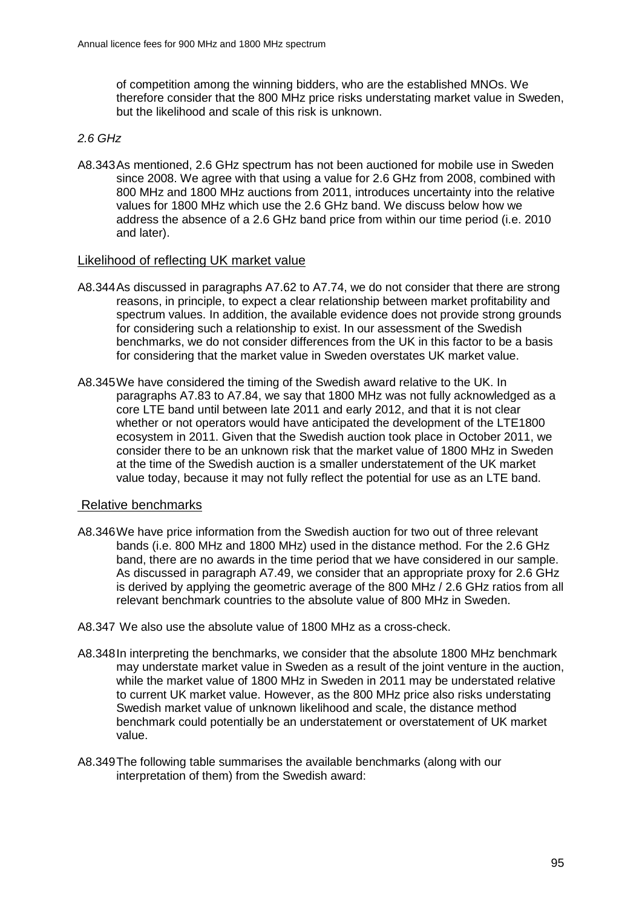of competition among the winning bidders, who are the established MNOs. We therefore consider that the 800 MHz price risks understating market value in Sweden, but the likelihood and scale of this risk is unknown.

### *2.6 GHz*

A8.343As mentioned, 2.6 GHz spectrum has not been auctioned for mobile use in Sweden since 2008. We agree with that using a value for 2.6 GHz from 2008, combined with 800 MHz and 1800 MHz auctions from 2011, introduces uncertainty into the relative values for 1800 MHz which use the 2.6 GHz band. We discuss below how we address the absence of a 2.6 GHz band price from within our time period (i.e. 2010 and later).

#### Likelihood of reflecting UK market value

- A8.344As discussed in paragraphs A7.62 to A7.74, we do not consider that there are strong reasons, in principle, to expect a clear relationship between market profitability and spectrum values. In addition, the available evidence does not provide strong grounds for considering such a relationship to exist. In our assessment of the Swedish benchmarks, we do not consider differences from the UK in this factor to be a basis for considering that the market value in Sweden overstates UK market value.
- A8.345We have considered the timing of the Swedish award relative to the UK. In paragraphs A7.83 to A7.84, we say that 1800 MHz was not fully acknowledged as a core LTE band until between late 2011 and early 2012, and that it is not clear whether or not operators would have anticipated the development of the LTE1800 ecosystem in 2011. Given that the Swedish auction took place in October 2011, we consider there to be an unknown risk that the market value of 1800 MHz in Sweden at the time of the Swedish auction is a smaller understatement of the UK market value today, because it may not fully reflect the potential for use as an LTE band.

### Relative benchmarks

- A8.346We have price information from the Swedish auction for two out of three relevant bands (i.e. 800 MHz and 1800 MHz) used in the distance method. For the 2.6 GHz band, there are no awards in the time period that we have considered in our sample. As discussed in paragraph A7.49, we consider that an appropriate proxy for 2.6 GHz is derived by applying the geometric average of the 800 MHz / 2.6 GHz ratios from all relevant benchmark countries to the absolute value of 800 MHz in Sweden.
- A8.347 We also use the absolute value of 1800 MHz as a cross-check.
- A8.348In interpreting the benchmarks, we consider that the absolute 1800 MHz benchmark may understate market value in Sweden as a result of the joint venture in the auction, while the market value of 1800 MHz in Sweden in 2011 may be understated relative to current UK market value. However, as the 800 MHz price also risks understating Swedish market value of unknown likelihood and scale, the distance method benchmark could potentially be an understatement or overstatement of UK market value.
- A8.349The following table summarises the available benchmarks (along with our interpretation of them) from the Swedish award: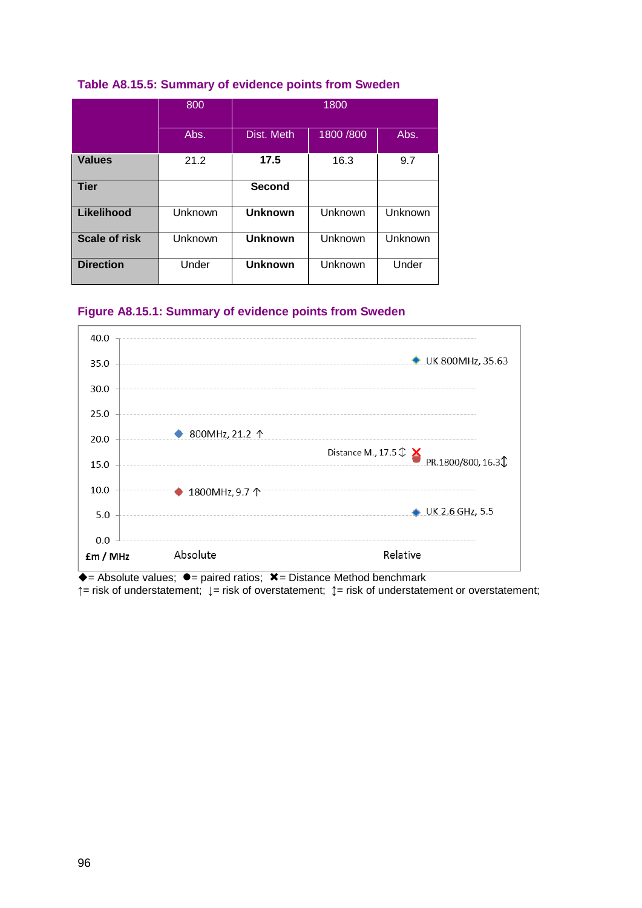|                  | 800     | 1800           |            |         |  |
|------------------|---------|----------------|------------|---------|--|
|                  | Abs.    | Dist. Meth     | 1800 / 800 | Abs.    |  |
| <b>Values</b>    | 21.2    | 17.5           | 16.3       | 9.7     |  |
| <b>Tier</b>      |         | <b>Second</b>  |            |         |  |
| Likelihood       | Unknown | <b>Unknown</b> | Unknown    | Unknown |  |
| Scale of risk    | Unknown | <b>Unknown</b> | Unknown    | Unknown |  |
| <b>Direction</b> | Under   | <b>Unknown</b> | Unknown    | Under   |  |

# **Table A8.15.5: Summary of evidence points from Sweden**

# **Figure A8.15.1: Summary of evidence points from Sweden**



 $\bullet$  = Absolute values;  $\bullet$  = paired ratios;  $\ast$  = Distance Method benchmark **↑**= risk of understatement; **↓**= risk of overstatement; **↕**= risk of understatement or overstatement;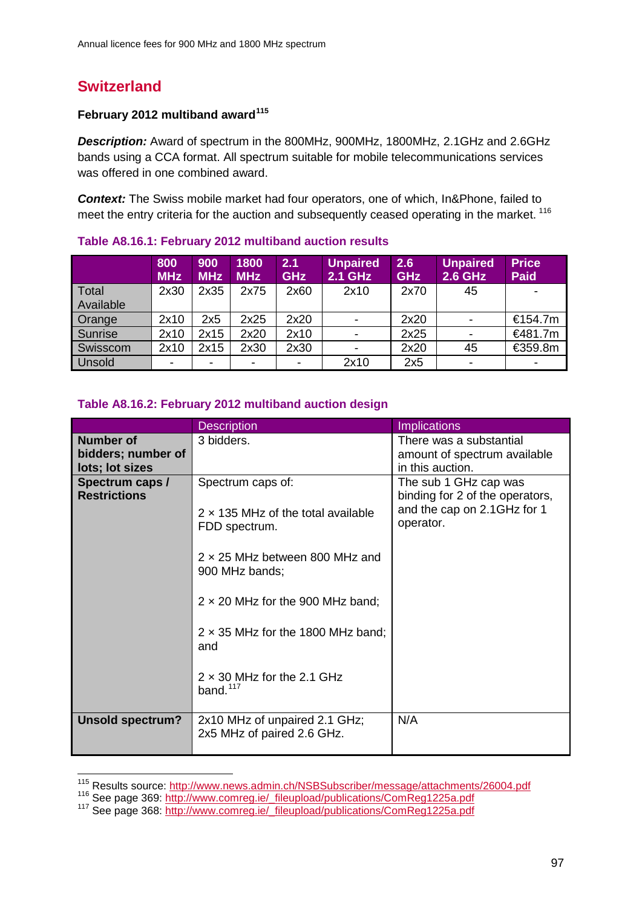# **Switzerland**

# **February 2012 multiband award[115](#page-96-0)**

*Description:* Award of spectrum in the 800MHz, 900MHz, 1800MHz, 2.1GHz and 2.6GHz bands using a CCA format. All spectrum suitable for mobile telecommunications services was offered in one combined award.

*Context:* The Swiss mobile market had four operators, one of which, In&Phone, failed to meet the entry criteria for the auction and subsequently ceased operating in the market.<sup>[116](#page-96-1)</sup>

|                    | 800<br><b>MHz</b> | 900<br><b>MHz</b> | 1800<br><b>MHz</b> | 2.1<br><b>GHz</b> | <b>Unpaired</b><br>2.1 GHz | 2.6<br><b>GHz</b> | <b>Unpaired</b><br><b>2.6 GHz</b> | <b>Price</b><br><b>Paid</b> |
|--------------------|-------------------|-------------------|--------------------|-------------------|----------------------------|-------------------|-----------------------------------|-----------------------------|
| Total<br>Available | 2x30              | 2x35              | 2x75               | 2x60              | 2x10                       | 2x70              | 45                                |                             |
| Orange             | 2x10              | 2x5               | 2x25               | 2x20              |                            | 2x20              |                                   | €154.7m                     |
| Sunrise            | 2x10              | 2x15              | 2x20               | 2x10              |                            | 2x25              |                                   | €481.7m                     |
| Swisscom           | 2x10              | 2x15              | 2x30               | 2x30              |                            | 2x20              | 45                                | €359.8m                     |
| Unsold             |                   |                   | -                  |                   | 2x10                       | 2x5               | -                                 |                             |

### **Table A8.16.1: February 2012 multiband auction results**

# **Table A8.16.2: February 2012 multiband auction design**

|                                                           | <b>Description</b>                                                              | <b>Implications</b>                                                                                  |
|-----------------------------------------------------------|---------------------------------------------------------------------------------|------------------------------------------------------------------------------------------------------|
| <b>Number of</b><br>bidders; number of<br>lots; lot sizes | 3 bidders.                                                                      | There was a substantial<br>amount of spectrum available<br>in this auction.                          |
| Spectrum caps /<br><b>Restrictions</b>                    | Spectrum caps of:<br>$2 \times 135$ MHz of the total available<br>FDD spectrum. | The sub 1 GHz cap was<br>binding for 2 of the operators,<br>and the cap on 2.1GHz for 1<br>operator. |
|                                                           | $2 \times 25$ MHz between 800 MHz and<br>900 MHz bands;                         |                                                                                                      |
|                                                           | $2 \times 20$ MHz for the 900 MHz band;                                         |                                                                                                      |
|                                                           | $2 \times 35$ MHz for the 1800 MHz band;<br>and                                 |                                                                                                      |
|                                                           | $2 \times 30$ MHz for the 2.1 GHz<br>band. $117$                                |                                                                                                      |
| <b>Unsold spectrum?</b>                                   | 2x10 MHz of unpaired 2.1 GHz;<br>2x5 MHz of paired 2.6 GHz.                     | N/A                                                                                                  |

<span id="page-96-0"></span><sup>&</sup>lt;sup>115</sup> Results source: http://www.news.admin.ch/NSBSubscriber/message/attachments/26004.pdf

<span id="page-96-2"></span><span id="page-96-1"></span><sup>116</sup> See page 369: [http://www.comreg.ie/\\_fileupload/publications/ComReg1225a.pdf](http://www.comreg.ie/_fileupload/publications/ComReg1225a.pdf)<br>117 See page 368: http://www.comreg.ie/\_fileupload/publications/ComReg1225a.pdf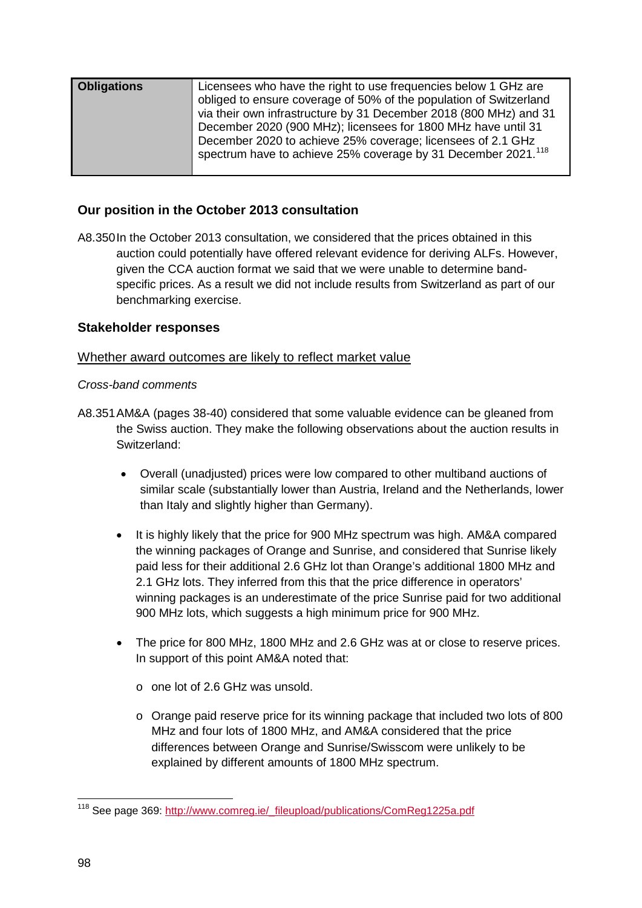| Licensees who have the right to use frequencies below 1 GHz are                                                                                                                                                                                                                |                    |                                                                    |
|--------------------------------------------------------------------------------------------------------------------------------------------------------------------------------------------------------------------------------------------------------------------------------|--------------------|--------------------------------------------------------------------|
| via their own infrastructure by 31 December 2018 (800 MHz) and 31<br>December 2020 (900 MHz); licensees for 1800 MHz have until 31<br>December 2020 to achieve 25% coverage; licensees of 2.1 GHz<br>spectrum have to achieve 25% coverage by 31 December 2021. <sup>118</sup> | <b>Obligations</b> | obliged to ensure coverage of 50% of the population of Switzerland |

# **Our position in the October 2013 consultation**

A8.350In the October 2013 consultation, we considered that the prices obtained in this auction could potentially have offered relevant evidence for deriving ALFs. However, given the CCA auction format we said that we were unable to determine bandspecific prices. As a result we did not include results from Switzerland as part of our benchmarking exercise.

# **Stakeholder responses**

# Whether award outcomes are likely to reflect market value

### *Cross-band comments*

- A8.351AM&A (pages 38-40) considered that some valuable evidence can be gleaned from the Swiss auction. They make the following observations about the auction results in Switzerland:
	- Overall (unadjusted) prices were low compared to other multiband auctions of similar scale (substantially lower than Austria, Ireland and the Netherlands, lower than Italy and slightly higher than Germany).
	- It is highly likely that the price for 900 MHz spectrum was high. AM&A compared the winning packages of Orange and Sunrise, and considered that Sunrise likely paid less for their additional 2.6 GHz lot than Orange's additional 1800 MHz and 2.1 GHz lots. They inferred from this that the price difference in operators' winning packages is an underestimate of the price Sunrise paid for two additional 900 MHz lots, which suggests a high minimum price for 900 MHz.
	- The price for 800 MHz, 1800 MHz and 2.6 GHz was at or close to reserve prices. In support of this point AM&A noted that:
		- o one lot of 2.6 GHz was unsold.
		- o Orange paid reserve price for its winning package that included two lots of 800 MHz and four lots of 1800 MHz, and AM&A considered that the price differences between Orange and Sunrise/Swisscom were unlikely to be explained by different amounts of 1800 MHz spectrum.

<span id="page-97-0"></span><sup>&</sup>lt;sup>118</sup> See page 369: [http://www.comreg.ie/\\_fileupload/publications/ComReg1225a.pdf](http://www.comreg.ie/_fileupload/publications/ComReg1225a.pdf)  $\overline{a}$